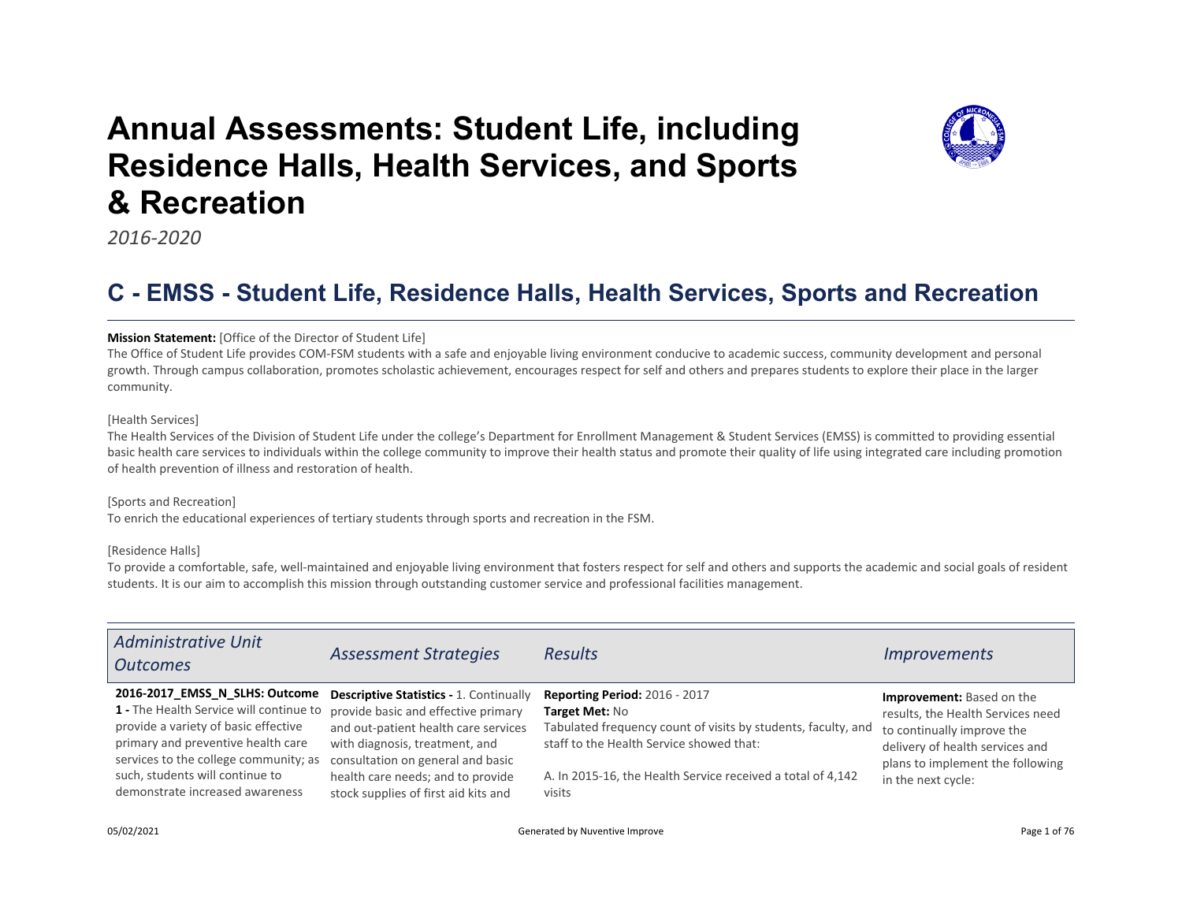# Annual Assessments: Student Life, including Residence Halls, Health Services, and Sports & Recreation



2016-2020

## C - EMSS - Student Life, Residence Halls, Health Services, Sports and Recreation

#### Mission Statement: [Office of the Director of Student Life]

The Office of Student Life provides COM-FSM students with a safe and enjoyable living environment conducive to academic success, community development and personal growth. Through campus collaboration, promotes scholastic achievement, encourages respect for self and others and prepares students to explore their place in the larger community.

#### [Health Services]

The Health Services of the Division of Student Life under the college's Department for Enrollment Management & Student Services (EMSS) is committed to providing essential basic health care services to individuals within the college community to improve their health status and promote their quality of life using integrated care including promotion of health prevention of illness and restoration of health.

#### [Sports and Recreation]

To enrich the educational experiences of tertiary students through sports and recreation in the FSM.

#### [Residence Halls]

To provide a comfortable, safe, well-maintained and enjoyable living environment that fosters respect for self and others and supports the academic and social goals of resident students. It is our aim to accomplish this mission through outstanding customer service and professional facilities management.

| <b>Administrative Unit</b><br><b>Outcomes</b>                                                                                                                                                                                                                          | <b>Assessment Strategies</b>                                                                                                                                                                                                                                                      | <b>Results</b>                                                                                                                                                                                                                               | <i>Improvements</i>                                                                                                                                                                       |
|------------------------------------------------------------------------------------------------------------------------------------------------------------------------------------------------------------------------------------------------------------------------|-----------------------------------------------------------------------------------------------------------------------------------------------------------------------------------------------------------------------------------------------------------------------------------|----------------------------------------------------------------------------------------------------------------------------------------------------------------------------------------------------------------------------------------------|-------------------------------------------------------------------------------------------------------------------------------------------------------------------------------------------|
| 2016-2017 EMSS N SLHS: Outcome<br>1 - The Health Service will continue to<br>provide a variety of basic effective<br>primary and preventive health care<br>services to the college community; as<br>such, students will continue to<br>demonstrate increased awareness | <b>Descriptive Statistics - 1. Continually</b><br>provide basic and effective primary<br>and out-patient health care services<br>with diagnosis, treatment, and<br>consultation on general and basic<br>health care needs; and to provide<br>stock supplies of first aid kits and | <b>Reporting Period: 2016 - 2017</b><br>Target Met: No<br>Tabulated frequency count of visits by students, faculty, and<br>staff to the Health Service showed that:<br>A. In 2015-16, the Health Service received a total of 4,142<br>visits | Improvement: Based on the<br>results, the Health Services need<br>to continually improve the<br>delivery of health services and<br>plans to implement the following<br>in the next cycle: |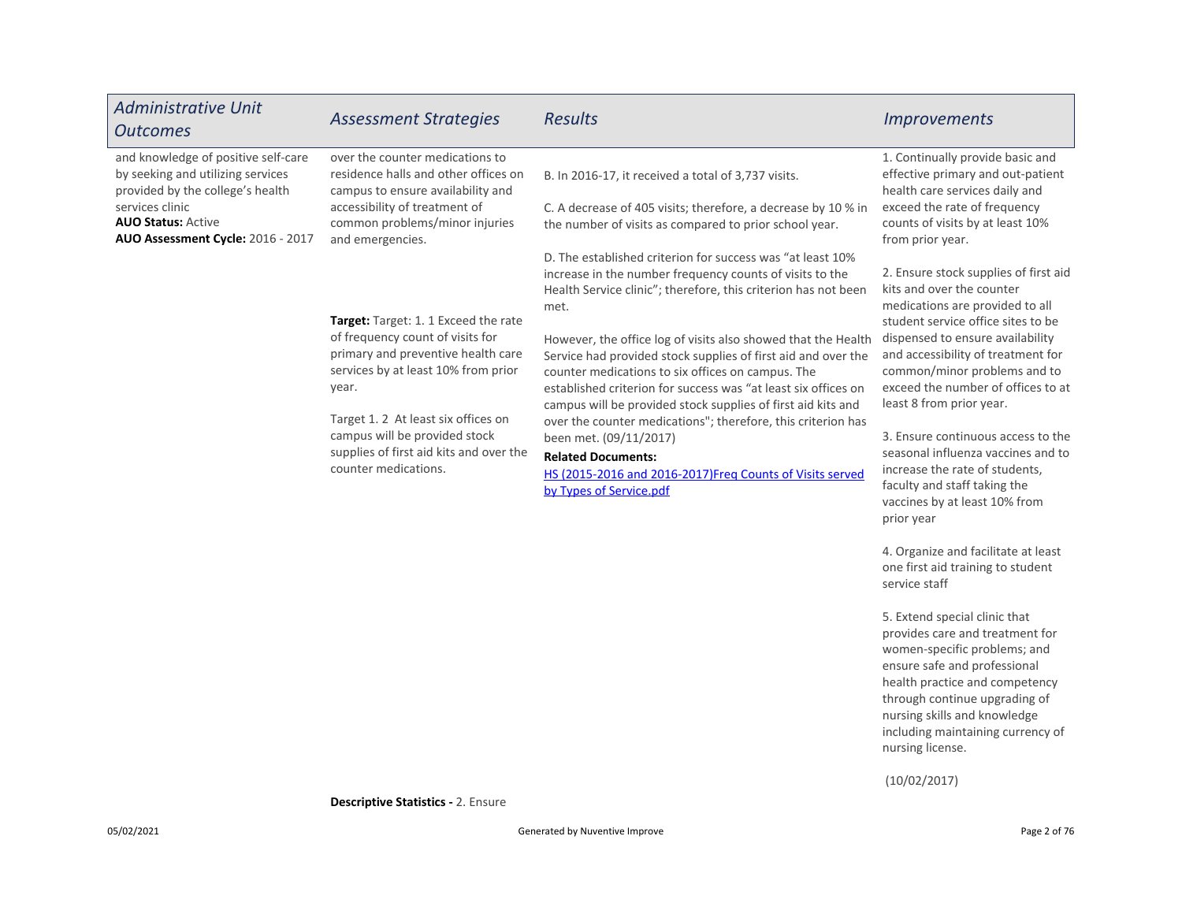| <b>Administrative Unit</b><br><b>Outcomes</b>                                                                                                                                                     | <b>Assessment Strategies</b>                                                                                                                                                                                                                                                                                   | <b>Results</b>                                                                                                                                                                                                                                                                                                                                                                                                                                                                                                                                                                                                                                                                                                                          | <b>Improvements</b>                                                                                                                                                                                                                                                                                                                                                                                                                                                                                                  |
|---------------------------------------------------------------------------------------------------------------------------------------------------------------------------------------------------|----------------------------------------------------------------------------------------------------------------------------------------------------------------------------------------------------------------------------------------------------------------------------------------------------------------|-----------------------------------------------------------------------------------------------------------------------------------------------------------------------------------------------------------------------------------------------------------------------------------------------------------------------------------------------------------------------------------------------------------------------------------------------------------------------------------------------------------------------------------------------------------------------------------------------------------------------------------------------------------------------------------------------------------------------------------------|----------------------------------------------------------------------------------------------------------------------------------------------------------------------------------------------------------------------------------------------------------------------------------------------------------------------------------------------------------------------------------------------------------------------------------------------------------------------------------------------------------------------|
| and knowledge of positive self-care<br>by seeking and utilizing services<br>provided by the college's health<br>services clinic<br><b>AUO Status: Active</b><br>AUO Assessment Cycle: 2016 - 2017 | over the counter medications to<br>residence halls and other offices on<br>campus to ensure availability and<br>accessibility of treatment of<br>common problems/minor injuries<br>and emergencies.                                                                                                            | B. In 2016-17, it received a total of 3,737 visits.<br>C. A decrease of 405 visits; therefore, a decrease by 10 % in<br>the number of visits as compared to prior school year.                                                                                                                                                                                                                                                                                                                                                                                                                                                                                                                                                          | 1. Continually provide basic and<br>effective primary and out-patient<br>health care services daily and<br>exceed the rate of frequency<br>counts of visits by at least 10%<br>from prior year.                                                                                                                                                                                                                                                                                                                      |
|                                                                                                                                                                                                   | <b>Target:</b> Target: 1.1 Exceed the rate<br>of frequency count of visits for<br>primary and preventive health care<br>services by at least 10% from prior<br>year.<br>Target 1.2 At least six offices on<br>campus will be provided stock<br>supplies of first aid kits and over the<br>counter medications. | D. The established criterion for success was "at least 10%<br>increase in the number frequency counts of visits to the<br>Health Service clinic"; therefore, this criterion has not been<br>met.<br>However, the office log of visits also showed that the Health<br>Service had provided stock supplies of first aid and over the<br>counter medications to six offices on campus. The<br>established criterion for success was "at least six offices on<br>campus will be provided stock supplies of first aid kits and<br>over the counter medications"; therefore, this criterion has<br>been met. (09/11/2017)<br><b>Related Documents:</b><br>HS (2015-2016 and 2016-2017)Freg Counts of Visits served<br>by Types of Service.pdf | 2. Ensure stock supplies of first aid<br>kits and over the counter<br>medications are provided to all<br>student service office sites to be<br>dispensed to ensure availability<br>and accessibility of treatment for<br>common/minor problems and to<br>exceed the number of offices to at<br>least 8 from prior year.<br>3. Ensure continuous access to the<br>seasonal influenza vaccines and to<br>increase the rate of students,<br>faculty and staff taking the<br>vaccines by at least 10% from<br>prior year |

4. Organize and facilitate at least one first aid training to student service staff

5. Extend special clinic that provides care and treatment for women-specific problems; and ensure safe and professional health practice and competency through continue upgrading of nursing skills and knowledge including maintaining currency of nursing license.

(10/02/2017)

Descriptive Statistics - 2. Ensure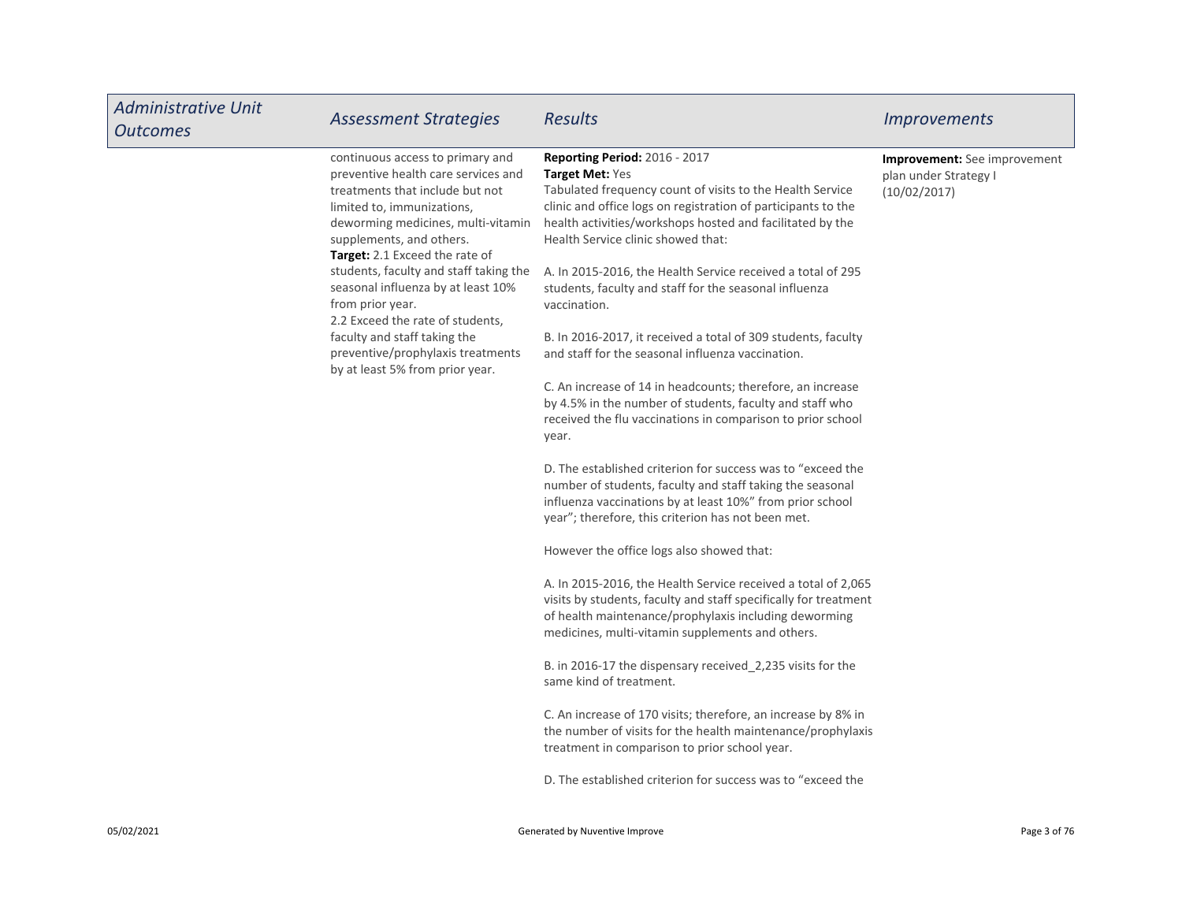| <b>Administrative Unit</b><br><b>Outcomes</b> | <b>Assessment Strategies</b>                                                                                                                                                                                                                                                                                                                                                                                                                                                                 | <b>Results</b>                                                                                                                                                                                                                                                                                                                                                                                                                                                                                                                                                                                                                                                                                                                                                                                                                                                                                                                                                                                                                                                                                                                                                                                                                                                                                                                                                                                                                                                                                                                                                                                                                                   | <i>Improvements</i>                                                          |
|-----------------------------------------------|----------------------------------------------------------------------------------------------------------------------------------------------------------------------------------------------------------------------------------------------------------------------------------------------------------------------------------------------------------------------------------------------------------------------------------------------------------------------------------------------|--------------------------------------------------------------------------------------------------------------------------------------------------------------------------------------------------------------------------------------------------------------------------------------------------------------------------------------------------------------------------------------------------------------------------------------------------------------------------------------------------------------------------------------------------------------------------------------------------------------------------------------------------------------------------------------------------------------------------------------------------------------------------------------------------------------------------------------------------------------------------------------------------------------------------------------------------------------------------------------------------------------------------------------------------------------------------------------------------------------------------------------------------------------------------------------------------------------------------------------------------------------------------------------------------------------------------------------------------------------------------------------------------------------------------------------------------------------------------------------------------------------------------------------------------------------------------------------------------------------------------------------------------|------------------------------------------------------------------------------|
|                                               | continuous access to primary and<br>preventive health care services and<br>treatments that include but not<br>limited to, immunizations,<br>deworming medicines, multi-vitamin<br>supplements, and others.<br>Target: 2.1 Exceed the rate of<br>students, faculty and staff taking the<br>seasonal influenza by at least 10%<br>from prior year.<br>2.2 Exceed the rate of students,<br>faculty and staff taking the<br>preventive/prophylaxis treatments<br>by at least 5% from prior year. | <b>Reporting Period: 2016 - 2017</b><br>Target Met: Yes<br>Tabulated frequency count of visits to the Health Service<br>clinic and office logs on registration of participants to the<br>health activities/workshops hosted and facilitated by the<br>Health Service clinic showed that:<br>A. In 2015-2016, the Health Service received a total of 295<br>students, faculty and staff for the seasonal influenza<br>vaccination.<br>B. In 2016-2017, it received a total of 309 students, faculty<br>and staff for the seasonal influenza vaccination.<br>C. An increase of 14 in headcounts; therefore, an increase<br>by 4.5% in the number of students, faculty and staff who<br>received the flu vaccinations in comparison to prior school<br>year.<br>D. The established criterion for success was to "exceed the<br>number of students, faculty and staff taking the seasonal<br>influenza vaccinations by at least 10%" from prior school<br>year"; therefore, this criterion has not been met.<br>However the office logs also showed that:<br>A. In 2015-2016, the Health Service received a total of 2,065<br>visits by students, faculty and staff specifically for treatment<br>of health maintenance/prophylaxis including deworming<br>medicines, multi-vitamin supplements and others.<br>B. in 2016-17 the dispensary received_2,235 visits for the<br>same kind of treatment.<br>C. An increase of 170 visits; therefore, an increase by 8% in<br>the number of visits for the health maintenance/prophylaxis<br>treatment in comparison to prior school year.<br>D. The established criterion for success was to "exceed the | <b>Improvement:</b> See improvement<br>plan under Strategy I<br>(10/02/2017) |

г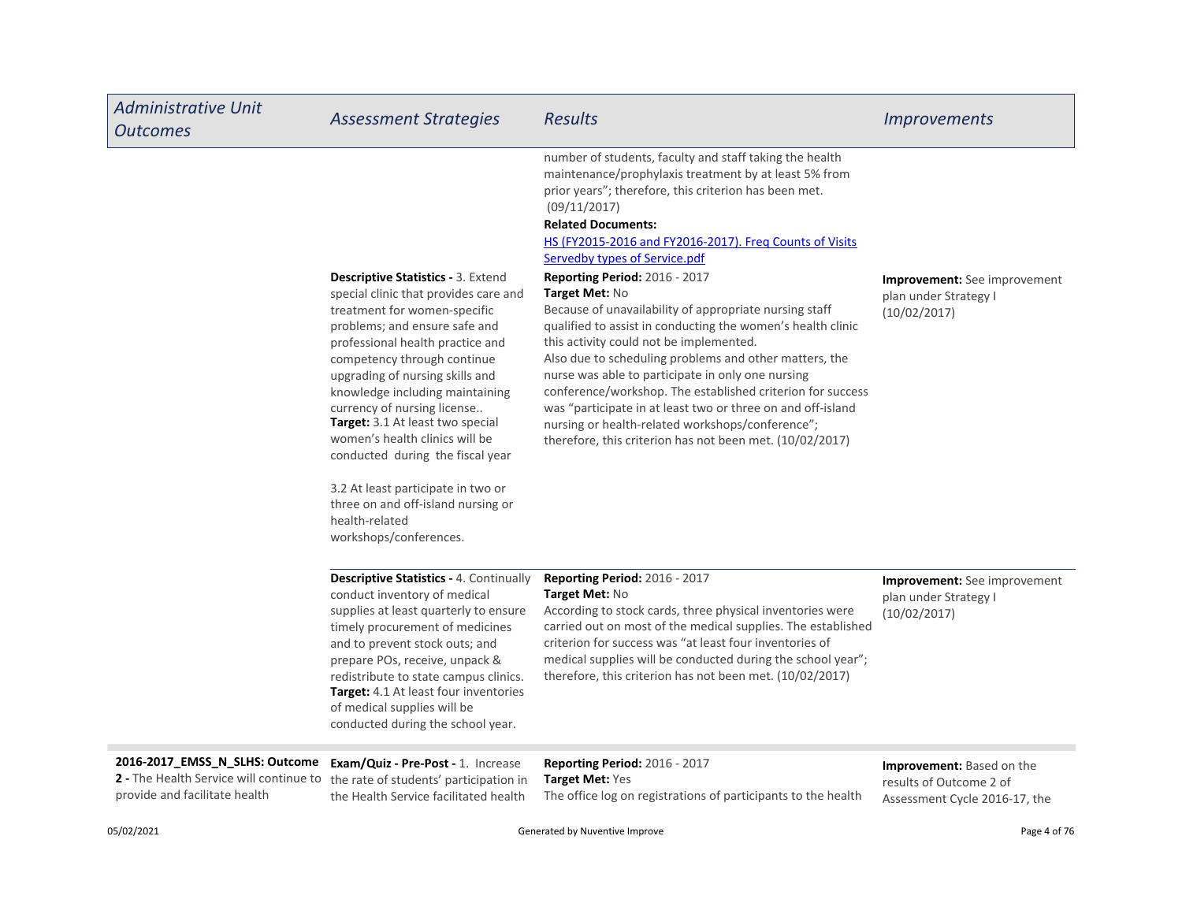| <b>Administrative Unit</b><br><b>Outcomes</b>                                                                                                                                        | <b>Assessment Strategies</b>                                                                                                                                                                                                                                                                                                                                                                                                                                                                                                                                  | <b>Results</b>                                                                                                                                                                                                                                                                                                                                                                                                                                                                                                                                                                                                                                                                                                                                                                                                                                                                                        | <i><u><b>Improvements</b></u></i>                                                            |
|--------------------------------------------------------------------------------------------------------------------------------------------------------------------------------------|---------------------------------------------------------------------------------------------------------------------------------------------------------------------------------------------------------------------------------------------------------------------------------------------------------------------------------------------------------------------------------------------------------------------------------------------------------------------------------------------------------------------------------------------------------------|-------------------------------------------------------------------------------------------------------------------------------------------------------------------------------------------------------------------------------------------------------------------------------------------------------------------------------------------------------------------------------------------------------------------------------------------------------------------------------------------------------------------------------------------------------------------------------------------------------------------------------------------------------------------------------------------------------------------------------------------------------------------------------------------------------------------------------------------------------------------------------------------------------|----------------------------------------------------------------------------------------------|
|                                                                                                                                                                                      | <b>Descriptive Statistics - 3. Extend</b><br>special clinic that provides care and<br>treatment for women-specific<br>problems; and ensure safe and<br>professional health practice and<br>competency through continue<br>upgrading of nursing skills and<br>knowledge including maintaining<br>currency of nursing license<br>Target: 3.1 At least two special<br>women's health clinics will be<br>conducted during the fiscal year<br>3.2 At least participate in two or<br>three on and off-island nursing or<br>health-related<br>workshops/conferences. | number of students, faculty and staff taking the health<br>maintenance/prophylaxis treatment by at least 5% from<br>prior years"; therefore, this criterion has been met.<br>(09/11/2017)<br><b>Related Documents:</b><br>HS (FY2015-2016 and FY2016-2017). Freg Counts of Visits<br>Servedby types of Service.pdf<br>Reporting Period: 2016 - 2017<br>Target Met: No<br>Because of unavailability of appropriate nursing staff<br>qualified to assist in conducting the women's health clinic<br>this activity could not be implemented.<br>Also due to scheduling problems and other matters, the<br>nurse was able to participate in only one nursing<br>conference/workshop. The established criterion for success<br>was "participate in at least two or three on and off-island<br>nursing or health-related workshops/conference";<br>therefore, this criterion has not been met. (10/02/2017) | <b>Improvement:</b> See improvement<br>plan under Strategy I<br>(10/02/2017)                 |
|                                                                                                                                                                                      | Descriptive Statistics - 4. Continually<br>conduct inventory of medical<br>supplies at least quarterly to ensure<br>timely procurement of medicines<br>and to prevent stock outs; and<br>prepare POs, receive, unpack &<br>redistribute to state campus clinics.<br><b>Target:</b> 4.1 At least four inventories<br>of medical supplies will be<br>conducted during the school year.                                                                                                                                                                          | Reporting Period: 2016 - 2017<br>Target Met: No<br>According to stock cards, three physical inventories were<br>carried out on most of the medical supplies. The established<br>criterion for success was "at least four inventories of<br>medical supplies will be conducted during the school year";<br>therefore, this criterion has not been met. (10/02/2017)                                                                                                                                                                                                                                                                                                                                                                                                                                                                                                                                    | Improvement: See improvement<br>plan under Strategy I<br>(10/02/2017)                        |
| 2016-2017_EMSS_N_SLHS: Outcome Exam/Quiz - Pre-Post - 1. Increase<br>2 - The Health Service will continue to the rate of students' participation in<br>provide and facilitate health | the Health Service facilitated health                                                                                                                                                                                                                                                                                                                                                                                                                                                                                                                         | Reporting Period: 2016 - 2017<br><b>Target Met: Yes</b><br>The office log on registrations of participants to the health                                                                                                                                                                                                                                                                                                                                                                                                                                                                                                                                                                                                                                                                                                                                                                              | <b>Improvement:</b> Based on the<br>results of Outcome 2 of<br>Assessment Cycle 2016-17, the |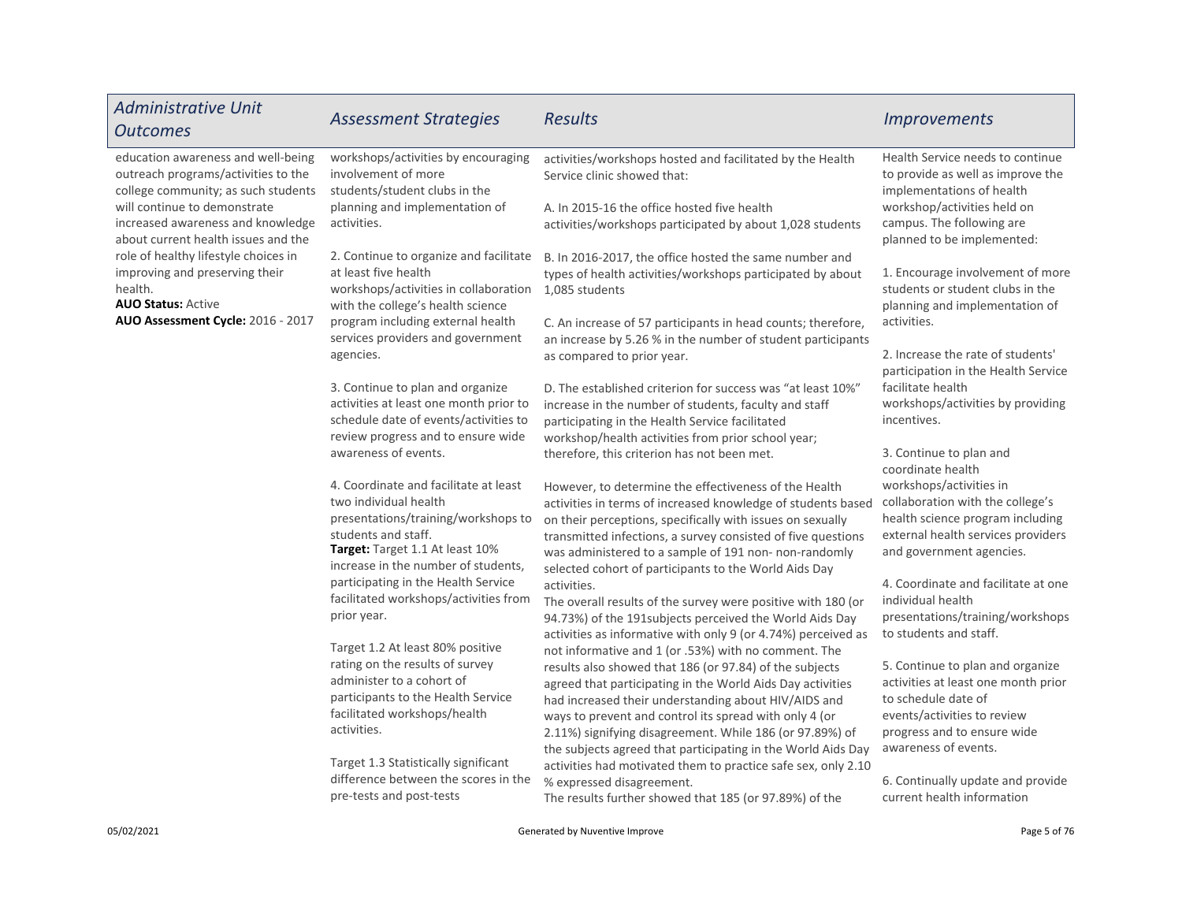| <b>Administrative Unit</b><br><b>Outcomes</b>                                                                    | <b>Assessment Strategies</b>                                                                                                                                                                           | Results                                                                                                                                                                                                                                                                                                                                                                                                                     | <i><u><b>Improvements</b></u></i>                                                                                                                                                    |
|------------------------------------------------------------------------------------------------------------------|--------------------------------------------------------------------------------------------------------------------------------------------------------------------------------------------------------|-----------------------------------------------------------------------------------------------------------------------------------------------------------------------------------------------------------------------------------------------------------------------------------------------------------------------------------------------------------------------------------------------------------------------------|--------------------------------------------------------------------------------------------------------------------------------------------------------------------------------------|
| education awareness and well-being<br>outreach programs/activities to the<br>college community; as such students | workshops/activities by encouraging<br>involvement of more<br>students/student clubs in the                                                                                                            | activities/workshops hosted and facilitated by the Health<br>Service clinic showed that:                                                                                                                                                                                                                                                                                                                                    | Health Service needs to continue<br>to provide as well as improve the<br>implementations of health                                                                                   |
| will continue to demonstrate<br>increased awareness and knowledge<br>about current health issues and the         | planning and implementation of<br>activities.                                                                                                                                                          | A. In 2015-16 the office hosted five health<br>activities/workshops participated by about 1,028 students                                                                                                                                                                                                                                                                                                                    | workshop/activities held on<br>campus. The following are<br>planned to be implemented:                                                                                               |
| role of healthy lifestyle choices in<br>improving and preserving their<br>health.<br><b>AUO Status: Active</b>   | 2. Continue to organize and facilitate<br>at least five health<br>workshops/activities in collaboration<br>with the college's health science                                                           | B. In 2016-2017, the office hosted the same number and<br>types of health activities/workshops participated by about<br>1,085 students                                                                                                                                                                                                                                                                                      | 1. Encourage involvement of more<br>students or student clubs in the<br>planning and implementation of                                                                               |
| AUO Assessment Cycle: 2016 - 2017                                                                                | program including external health<br>services providers and government<br>agencies.                                                                                                                    | C. An increase of 57 participants in head counts; therefore,<br>an increase by 5.26 % in the number of student participants<br>as compared to prior year.                                                                                                                                                                                                                                                                   | activities.<br>2. Increase the rate of students'                                                                                                                                     |
|                                                                                                                  | 3. Continue to plan and organize<br>activities at least one month prior to                                                                                                                             | D. The established criterion for success was "at least 10%"<br>increase in the number of students, faculty and staff                                                                                                                                                                                                                                                                                                        | participation in the Health Service<br>facilitate health<br>workshops/activities by providing                                                                                        |
|                                                                                                                  | schedule date of events/activities to<br>review progress and to ensure wide<br>awareness of events.                                                                                                    | participating in the Health Service facilitated<br>workshop/health activities from prior school year;<br>therefore, this criterion has not been met.                                                                                                                                                                                                                                                                        | incentives.<br>3. Continue to plan and<br>coordinate health                                                                                                                          |
|                                                                                                                  | 4. Coordinate and facilitate at least<br>two individual health<br>presentations/training/workshops to<br>students and staff.<br>Target: Target 1.1 At least 10%<br>increase in the number of students, | However, to determine the effectiveness of the Health<br>activities in terms of increased knowledge of students based<br>on their perceptions, specifically with issues on sexually<br>transmitted infections, a survey consisted of five questions<br>was administered to a sample of 191 non- non-randomly<br>selected cohort of participants to the World Aids Day                                                       | workshops/activities in<br>collaboration with the college's<br>health science program including<br>external health services providers<br>and government agencies.                    |
|                                                                                                                  | participating in the Health Service<br>facilitated workshops/activities from<br>prior year.                                                                                                            | activities.<br>The overall results of the survey were positive with 180 (or<br>94.73%) of the 191 subjects perceived the World Aids Day<br>activities as informative with only 9 (or 4.74%) perceived as                                                                                                                                                                                                                    | 4. Coordinate and facilitate at one<br>individual health<br>presentations/training/workshops<br>to students and staff.                                                               |
|                                                                                                                  | Target 1.2 At least 80% positive<br>rating on the results of survey<br>administer to a cohort of<br>participants to the Health Service<br>facilitated workshops/health<br>activities.                  | not informative and 1 (or .53%) with no comment. The<br>results also showed that 186 (or 97.84) of the subjects<br>agreed that participating in the World Aids Day activities<br>had increased their understanding about HIV/AIDS and<br>ways to prevent and control its spread with only 4 (or<br>2.11%) signifying disagreement. While 186 (or 97.89%) of<br>the subjects agreed that participating in the World Aids Day | 5. Continue to plan and organize<br>activities at least one month prior<br>to schedule date of<br>events/activities to review<br>progress and to ensure wide<br>awareness of events. |
|                                                                                                                  | Target 1.3 Statistically significant<br>difference between the scores in the<br>pre-tests and post-tests                                                                                               | activities had motivated them to practice safe sex, only 2.10<br>% expressed disagreement.<br>The results further showed that 185 (or 97.89%) of the                                                                                                                                                                                                                                                                        | 6. Continually update and provide<br>current health information                                                                                                                      |
| 05/02/2021                                                                                                       |                                                                                                                                                                                                        | Generated by Nuventive Improve                                                                                                                                                                                                                                                                                                                                                                                              | Page 5 of 76                                                                                                                                                                         |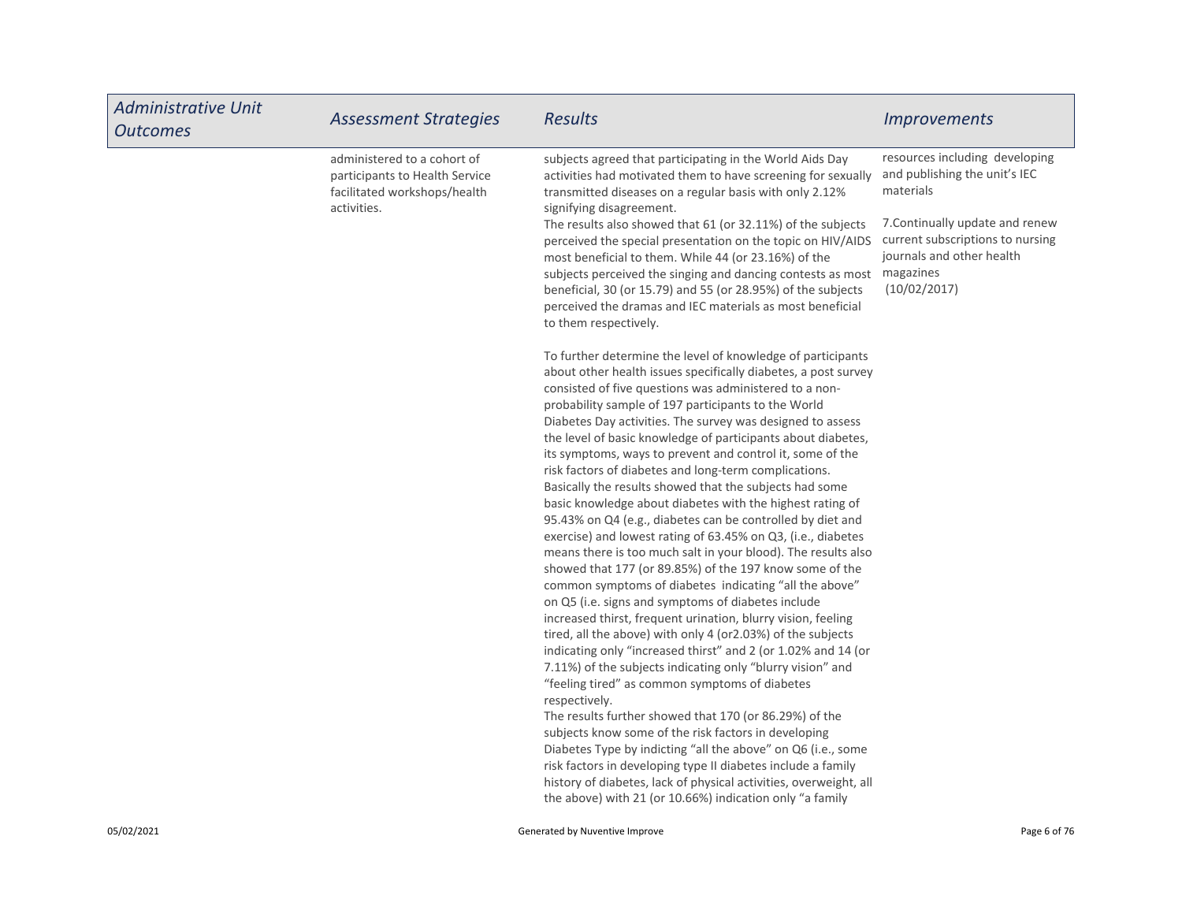| <b>Administrative Unit</b><br><b>Outcomes</b> | <b>Assessment Strategies</b>                                                                                 | <b>Results</b>                                                                                                                                                                                                                                                                                                                                                                                                                                                                                                                                                                                                                                                                                                                                                                                                                                                                                                                                                                                                                                                                                                                                                                                                                                                                                                                                                                                                                                                                                                                                                                                                                                                                                                                                                                                                                                                                                                                                                                                                                                                                                                                                                                                                                                                                                                                                          | <i><u><b>Improvements</b></u></i>                                                                                                                                                                             |
|-----------------------------------------------|--------------------------------------------------------------------------------------------------------------|---------------------------------------------------------------------------------------------------------------------------------------------------------------------------------------------------------------------------------------------------------------------------------------------------------------------------------------------------------------------------------------------------------------------------------------------------------------------------------------------------------------------------------------------------------------------------------------------------------------------------------------------------------------------------------------------------------------------------------------------------------------------------------------------------------------------------------------------------------------------------------------------------------------------------------------------------------------------------------------------------------------------------------------------------------------------------------------------------------------------------------------------------------------------------------------------------------------------------------------------------------------------------------------------------------------------------------------------------------------------------------------------------------------------------------------------------------------------------------------------------------------------------------------------------------------------------------------------------------------------------------------------------------------------------------------------------------------------------------------------------------------------------------------------------------------------------------------------------------------------------------------------------------------------------------------------------------------------------------------------------------------------------------------------------------------------------------------------------------------------------------------------------------------------------------------------------------------------------------------------------------------------------------------------------------------------------------------------------------|---------------------------------------------------------------------------------------------------------------------------------------------------------------------------------------------------------------|
|                                               | administered to a cohort of<br>participants to Health Service<br>facilitated workshops/health<br>activities. | subjects agreed that participating in the World Aids Day<br>activities had motivated them to have screening for sexually<br>transmitted diseases on a regular basis with only 2.12%<br>signifying disagreement.<br>The results also showed that 61 (or 32.11%) of the subjects<br>perceived the special presentation on the topic on HIV/AIDS<br>most beneficial to them. While 44 (or 23.16%) of the<br>subjects perceived the singing and dancing contests as most<br>beneficial, 30 (or 15.79) and 55 (or 28.95%) of the subjects<br>perceived the dramas and IEC materials as most beneficial<br>to them respectively.<br>To further determine the level of knowledge of participants<br>about other health issues specifically diabetes, a post survey<br>consisted of five questions was administered to a non-<br>probability sample of 197 participants to the World<br>Diabetes Day activities. The survey was designed to assess<br>the level of basic knowledge of participants about diabetes,<br>its symptoms, ways to prevent and control it, some of the<br>risk factors of diabetes and long-term complications.<br>Basically the results showed that the subjects had some<br>basic knowledge about diabetes with the highest rating of<br>95.43% on Q4 (e.g., diabetes can be controlled by diet and<br>exercise) and lowest rating of 63.45% on Q3, (i.e., diabetes<br>means there is too much salt in your blood). The results also<br>showed that 177 (or 89.85%) of the 197 know some of the<br>common symptoms of diabetes indicating "all the above"<br>on Q5 (i.e. signs and symptoms of diabetes include<br>increased thirst, frequent urination, blurry vision, feeling<br>tired, all the above) with only 4 (or 2.03%) of the subjects<br>indicating only "increased thirst" and 2 (or 1.02% and 14 (or<br>7.11%) of the subjects indicating only "blurry vision" and<br>"feeling tired" as common symptoms of diabetes<br>respectively.<br>The results further showed that 170 (or 86.29%) of the<br>subjects know some of the risk factors in developing<br>Diabetes Type by indicting "all the above" on Q6 (i.e., some<br>risk factors in developing type II diabetes include a family<br>history of diabetes, lack of physical activities, overweight, all<br>the above) with 21 (or 10.66%) indication only "a family | resources including developing<br>and publishing the unit's IEC<br>materials<br>7. Continually update and renew<br>current subscriptions to nursing<br>journals and other health<br>magazines<br>(10/02/2017) |
| 05/02/2021                                    |                                                                                                              | Generated by Nuventive Improve                                                                                                                                                                                                                                                                                                                                                                                                                                                                                                                                                                                                                                                                                                                                                                                                                                                                                                                                                                                                                                                                                                                                                                                                                                                                                                                                                                                                                                                                                                                                                                                                                                                                                                                                                                                                                                                                                                                                                                                                                                                                                                                                                                                                                                                                                                                          | Page 6 of 76                                                                                                                                                                                                  |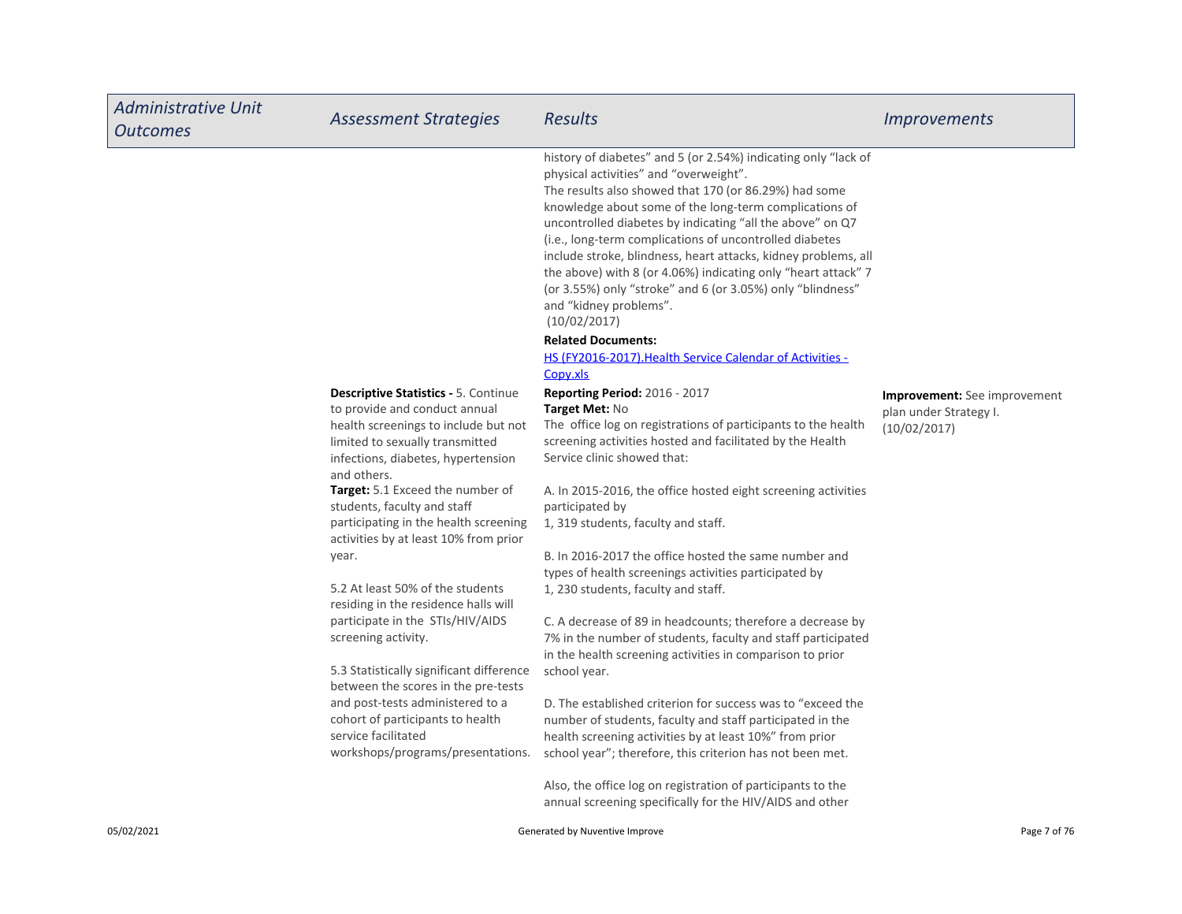| <b>Administrative Unit</b><br><b>Outcomes</b> | <b>Assessment Strategies</b>                                                                                                                                                                                                                     | Results                                                                                                                                                                                                                                                                                                                                                                                                                                                                                                                                                                                                                                                                                              | <b>Improvements</b>                                                           |
|-----------------------------------------------|--------------------------------------------------------------------------------------------------------------------------------------------------------------------------------------------------------------------------------------------------|------------------------------------------------------------------------------------------------------------------------------------------------------------------------------------------------------------------------------------------------------------------------------------------------------------------------------------------------------------------------------------------------------------------------------------------------------------------------------------------------------------------------------------------------------------------------------------------------------------------------------------------------------------------------------------------------------|-------------------------------------------------------------------------------|
|                                               |                                                                                                                                                                                                                                                  | history of diabetes" and 5 (or 2.54%) indicating only "lack of<br>physical activities" and "overweight".<br>The results also showed that 170 (or 86.29%) had some<br>knowledge about some of the long-term complications of<br>uncontrolled diabetes by indicating "all the above" on Q7<br>(i.e., long-term complications of uncontrolled diabetes<br>include stroke, blindness, heart attacks, kidney problems, all<br>the above) with 8 (or 4.06%) indicating only "heart attack" 7<br>(or 3.55%) only "stroke" and 6 (or 3.05%) only "blindness"<br>and "kidney problems".<br>(10/02/2017)<br><b>Related Documents:</b><br>HS (FY2016-2017). Health Service Calendar of Activities -<br>Copy.xls |                                                                               |
|                                               | <b>Descriptive Statistics - 5. Continue</b><br>to provide and conduct annual<br>health screenings to include but not<br>limited to sexually transmitted<br>infections, diabetes, hypertension<br>and others.<br>Target: 5.1 Exceed the number of | Reporting Period: 2016 - 2017<br>Target Met: No<br>The office log on registrations of participants to the health<br>screening activities hosted and facilitated by the Health<br>Service clinic showed that:<br>A. In 2015-2016, the office hosted eight screening activities                                                                                                                                                                                                                                                                                                                                                                                                                        | <b>Improvement:</b> See improvement<br>plan under Strategy I.<br>(10/02/2017) |
|                                               | students, faculty and staff<br>participating in the health screening<br>activities by at least 10% from prior                                                                                                                                    | participated by<br>1, 319 students, faculty and staff.                                                                                                                                                                                                                                                                                                                                                                                                                                                                                                                                                                                                                                               |                                                                               |
|                                               | year.<br>5.2 At least 50% of the students                                                                                                                                                                                                        | B. In 2016-2017 the office hosted the same number and<br>types of health screenings activities participated by<br>1, 230 students, faculty and staff.                                                                                                                                                                                                                                                                                                                                                                                                                                                                                                                                                |                                                                               |
|                                               | residing in the residence halls will<br>participate in the STIs/HIV/AIDS<br>screening activity.<br>5.3 Statistically significant difference<br>between the scores in the pre-tests                                                               | C. A decrease of 89 in headcounts; therefore a decrease by<br>7% in the number of students, faculty and staff participated<br>in the health screening activities in comparison to prior<br>school year.                                                                                                                                                                                                                                                                                                                                                                                                                                                                                              |                                                                               |
|                                               | and post-tests administered to a<br>cohort of participants to health<br>service facilitated<br>workshops/programs/presentations.                                                                                                                 | D. The established criterion for success was to "exceed the<br>number of students, faculty and staff participated in the<br>health screening activities by at least 10%" from prior<br>school year"; therefore, this criterion has not been met.                                                                                                                                                                                                                                                                                                                                                                                                                                                     |                                                                               |
|                                               |                                                                                                                                                                                                                                                  | Also, the office log on registration of participants to the<br>annual screening specifically for the HIV/AIDS and other                                                                                                                                                                                                                                                                                                                                                                                                                                                                                                                                                                              |                                                                               |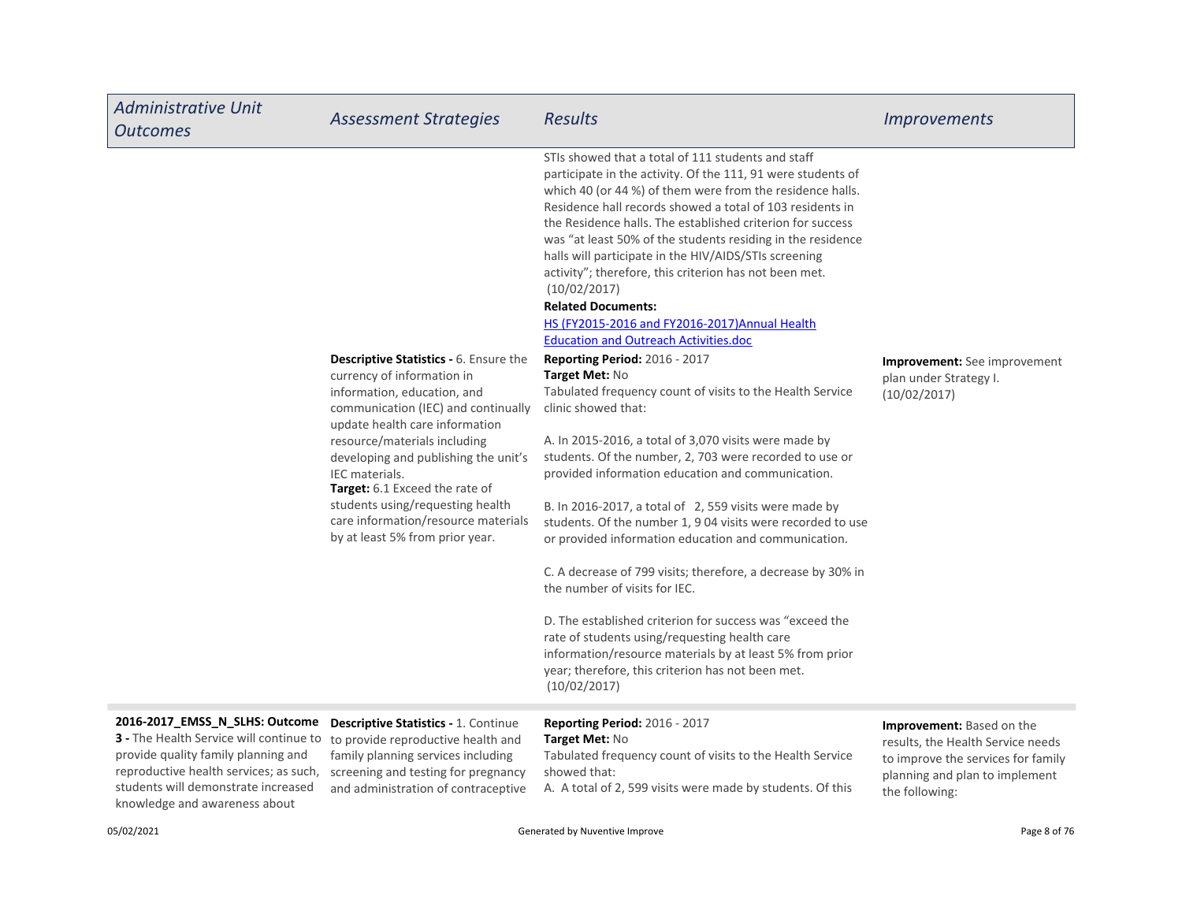| <b>Administrative Unit</b><br><b>Outcomes</b>                                                                                                                                                                                                                         | <b>Assessment Strategies</b>                                                                                                                                                                                                                                                                                                                                                                                                  | <b>Results</b>                                                                                                                                                                                                                                                                                                                                                                                                                                                                                                                                                                                                                                                                                                                                                                                                                                                                                                                                                                                                                                                                                                                                                                                                                                                                                                                                                                                                                                                                              | <i><u><b>Improvements</b></u></i>                                                                                                                        |
|-----------------------------------------------------------------------------------------------------------------------------------------------------------------------------------------------------------------------------------------------------------------------|-------------------------------------------------------------------------------------------------------------------------------------------------------------------------------------------------------------------------------------------------------------------------------------------------------------------------------------------------------------------------------------------------------------------------------|---------------------------------------------------------------------------------------------------------------------------------------------------------------------------------------------------------------------------------------------------------------------------------------------------------------------------------------------------------------------------------------------------------------------------------------------------------------------------------------------------------------------------------------------------------------------------------------------------------------------------------------------------------------------------------------------------------------------------------------------------------------------------------------------------------------------------------------------------------------------------------------------------------------------------------------------------------------------------------------------------------------------------------------------------------------------------------------------------------------------------------------------------------------------------------------------------------------------------------------------------------------------------------------------------------------------------------------------------------------------------------------------------------------------------------------------------------------------------------------------|----------------------------------------------------------------------------------------------------------------------------------------------------------|
|                                                                                                                                                                                                                                                                       | <b>Descriptive Statistics - 6. Ensure the</b><br>currency of information in<br>information, education, and<br>communication (IEC) and continually<br>update health care information<br>resource/materials including<br>developing and publishing the unit's<br>IEC materials.<br>Target: 6.1 Exceed the rate of<br>students using/requesting health<br>care information/resource materials<br>by at least 5% from prior year. | STIs showed that a total of 111 students and staff<br>participate in the activity. Of the 111, 91 were students of<br>which 40 (or 44 %) of them were from the residence halls.<br>Residence hall records showed a total of 103 residents in<br>the Residence halls. The established criterion for success<br>was "at least 50% of the students residing in the residence<br>halls will participate in the HIV/AIDS/STIs screening<br>activity"; therefore, this criterion has not been met.<br>(10/02/2017)<br><b>Related Documents:</b><br>HS (FY2015-2016 and FY2016-2017) Annual Health<br><b>Education and Outreach Activities.doc</b><br>Reporting Period: 2016 - 2017<br>Target Met: No<br>Tabulated frequency count of visits to the Health Service<br>clinic showed that:<br>A. In 2015-2016, a total of 3,070 visits were made by<br>students. Of the number, 2, 703 were recorded to use or<br>provided information education and communication.<br>B. In 2016-2017, a total of 2, 559 visits were made by<br>students. Of the number 1, 9 04 visits were recorded to use<br>or provided information education and communication.<br>C. A decrease of 799 visits; therefore, a decrease by 30% in<br>the number of visits for IEC.<br>D. The established criterion for success was "exceed the<br>rate of students using/requesting health care<br>information/resource materials by at least 5% from prior<br>year; therefore, this criterion has not been met.<br>(10/02/2017) | <b>Improvement:</b> See improvement<br>plan under Strategy I.<br>(10/02/2017)                                                                            |
| 2016-2017_EMSS_N_SLHS: Outcome<br>3 - The Health Service will continue to to provide reproductive health and<br>provide quality family planning and<br>reproductive health services; as such,<br>students will demonstrate increased<br>knowledge and awareness about | <b>Descriptive Statistics - 1. Continue</b><br>family planning services including<br>screening and testing for pregnancy<br>and administration of contraceptive                                                                                                                                                                                                                                                               | Reporting Period: 2016 - 2017<br>Target Met: No<br>Tabulated frequency count of visits to the Health Service<br>showed that:<br>A. A total of 2, 599 visits were made by students. Of this                                                                                                                                                                                                                                                                                                                                                                                                                                                                                                                                                                                                                                                                                                                                                                                                                                                                                                                                                                                                                                                                                                                                                                                                                                                                                                  | Improvement: Based on the<br>results, the Health Service needs<br>to improve the services for family<br>planning and plan to implement<br>the following: |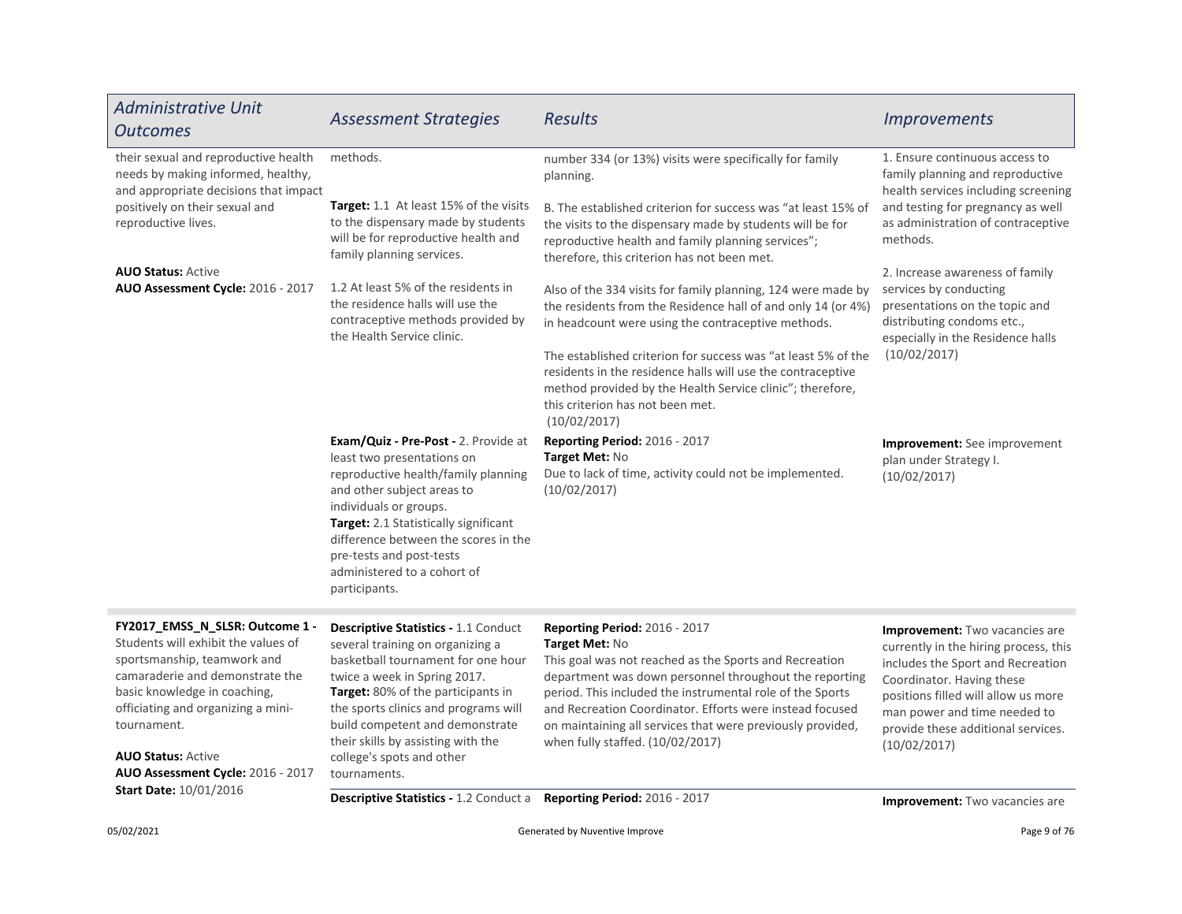| <b>Administrative Unit</b><br><b>Outcomes</b>                                                                                                                                                                                                                                                   | <b>Assessment Strategies</b>                                                                                                                                                                                                                                                                                                                              | <b>Results</b>                                                                                                                                                                                                                                                                                                                                                                                                                      | <b>Improvements</b>                                                                                                                                                                                                                                                           |
|-------------------------------------------------------------------------------------------------------------------------------------------------------------------------------------------------------------------------------------------------------------------------------------------------|-----------------------------------------------------------------------------------------------------------------------------------------------------------------------------------------------------------------------------------------------------------------------------------------------------------------------------------------------------------|-------------------------------------------------------------------------------------------------------------------------------------------------------------------------------------------------------------------------------------------------------------------------------------------------------------------------------------------------------------------------------------------------------------------------------------|-------------------------------------------------------------------------------------------------------------------------------------------------------------------------------------------------------------------------------------------------------------------------------|
| their sexual and reproductive health<br>needs by making informed, healthy,<br>and appropriate decisions that impact<br>positively on their sexual and<br>reproductive lives.                                                                                                                    | methods.                                                                                                                                                                                                                                                                                                                                                  | number 334 (or 13%) visits were specifically for family<br>planning.                                                                                                                                                                                                                                                                                                                                                                | 1. Ensure continuous access to<br>family planning and reproductive<br>health services including screening                                                                                                                                                                     |
|                                                                                                                                                                                                                                                                                                 | Target: 1.1 At least 15% of the visits<br>to the dispensary made by students<br>will be for reproductive health and<br>family planning services.                                                                                                                                                                                                          | B. The established criterion for success was "at least 15% of<br>the visits to the dispensary made by students will be for<br>reproductive health and family planning services";<br>therefore, this criterion has not been met.                                                                                                                                                                                                     | and testing for pregnancy as well<br>as administration of contraceptive<br>methods.                                                                                                                                                                                           |
| <b>AUO Status: Active</b><br>AUO Assessment Cycle: 2016 - 2017                                                                                                                                                                                                                                  | 1.2 At least 5% of the residents in<br>the residence halls will use the<br>contraceptive methods provided by<br>the Health Service clinic.                                                                                                                                                                                                                | Also of the 334 visits for family planning, 124 were made by<br>the residents from the Residence hall of and only 14 (or 4%)<br>in headcount were using the contraceptive methods.<br>The established criterion for success was "at least 5% of the<br>residents in the residence halls will use the contraceptive<br>method provided by the Health Service clinic"; therefore,<br>this criterion has not been met.<br>(10/02/2017) | 2. Increase awareness of family<br>services by conducting<br>presentations on the topic and<br>distributing condoms etc.,<br>especially in the Residence halls<br>(10/02/2017)                                                                                                |
|                                                                                                                                                                                                                                                                                                 | <b>Exam/Quiz - Pre-Post - 2. Provide at</b><br>least two presentations on<br>reproductive health/family planning<br>and other subject areas to<br>individuals or groups.<br>Target: 2.1 Statistically significant<br>difference between the scores in the<br>pre-tests and post-tests<br>administered to a cohort of<br>participants.                     | Reporting Period: 2016 - 2017<br>Target Met: No<br>Due to lack of time, activity could not be implemented.<br>(10/02/2017)                                                                                                                                                                                                                                                                                                          | Improvement: See improvement<br>plan under Strategy I.<br>(10/02/2017)                                                                                                                                                                                                        |
| FY2017_EMSS_N_SLSR: Outcome 1 -<br>Students will exhibit the values of<br>sportsmanship, teamwork and<br>camaraderie and demonstrate the<br>basic knowledge in coaching,<br>officiating and organizing a mini-<br>tournament.<br><b>AUO Status: Active</b><br>AUO Assessment Cycle: 2016 - 2017 | <b>Descriptive Statistics - 1.1 Conduct</b><br>several training on organizing a<br>basketball tournament for one hour<br>twice a week in Spring 2017.<br>Target: 80% of the participants in<br>the sports clinics and programs will<br>build competent and demonstrate<br>their skills by assisting with the<br>college's spots and other<br>tournaments. | <b>Reporting Period: 2016 - 2017</b><br>Target Met: No<br>This goal was not reached as the Sports and Recreation<br>department was down personnel throughout the reporting<br>period. This included the instrumental role of the Sports<br>and Recreation Coordinator. Efforts were instead focused<br>on maintaining all services that were previously provided,<br>when fully staffed. (10/02/2017)                               | <b>Improvement:</b> Two vacancies are<br>currently in the hiring process, this<br>includes the Sport and Recreation<br>Coordinator. Having these<br>positions filled will allow us more<br>man power and time needed to<br>provide these additional services.<br>(10/02/2017) |
| <b>Start Date: 10/01/2016</b>                                                                                                                                                                                                                                                                   | Descriptive Statistics - 1.2 Conduct a                                                                                                                                                                                                                                                                                                                    | Reporting Period: 2016 - 2017                                                                                                                                                                                                                                                                                                                                                                                                       | <b>Improvement:</b> Two vacancies are                                                                                                                                                                                                                                         |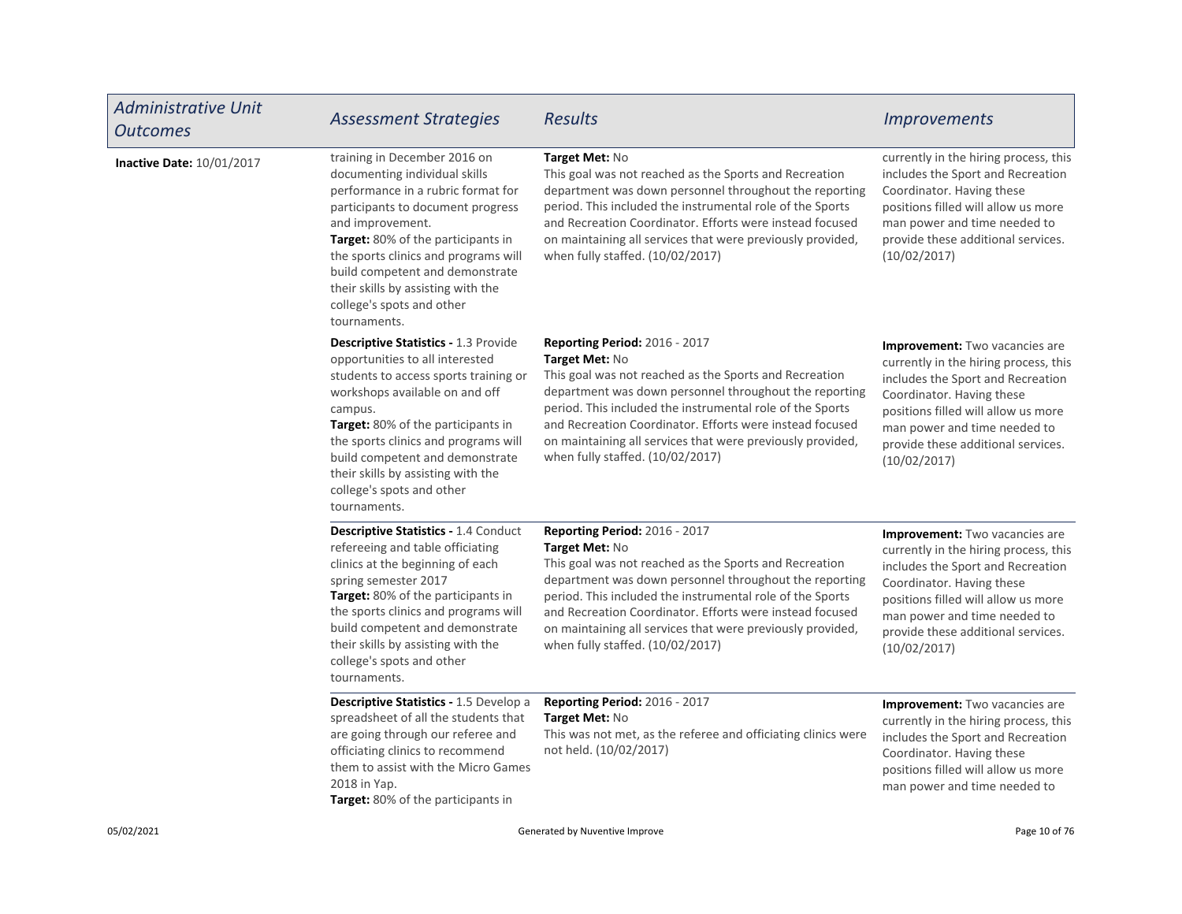| <b>Administrative Unit</b><br><b>Outcomes</b> | <b>Assessment Strategies</b>                                                                                                                                                                                                                                                                                                                                                    | <b>Results</b>                                                                                                                                                                                                                                                                                                                                                                                        | <i><u><b>Improvements</b></u></i>                                                                                                                                                                                                                                             |
|-----------------------------------------------|---------------------------------------------------------------------------------------------------------------------------------------------------------------------------------------------------------------------------------------------------------------------------------------------------------------------------------------------------------------------------------|-------------------------------------------------------------------------------------------------------------------------------------------------------------------------------------------------------------------------------------------------------------------------------------------------------------------------------------------------------------------------------------------------------|-------------------------------------------------------------------------------------------------------------------------------------------------------------------------------------------------------------------------------------------------------------------------------|
| Inactive Date: 10/01/2017                     | training in December 2016 on<br>documenting individual skills<br>performance in a rubric format for<br>participants to document progress<br>and improvement.<br>Target: 80% of the participants in<br>the sports clinics and programs will<br>build competent and demonstrate<br>their skills by assisting with the<br>college's spots and other<br>tournaments.                | Target Met: No<br>This goal was not reached as the Sports and Recreation<br>department was down personnel throughout the reporting<br>period. This included the instrumental role of the Sports<br>and Recreation Coordinator. Efforts were instead focused<br>on maintaining all services that were previously provided,<br>when fully staffed. (10/02/2017)                                         | currently in the hiring process, this<br>includes the Sport and Recreation<br>Coordinator. Having these<br>positions filled will allow us more<br>man power and time needed to<br>provide these additional services.<br>(10/02/2017)                                          |
|                                               | <b>Descriptive Statistics - 1.3 Provide</b><br>opportunities to all interested<br>students to access sports training or<br>workshops available on and off<br>campus.<br><b>Target:</b> 80% of the participants in<br>the sports clinics and programs will<br>build competent and demonstrate<br>their skills by assisting with the<br>college's spots and other<br>tournaments. | <b>Reporting Period: 2016 - 2017</b><br>Target Met: No<br>This goal was not reached as the Sports and Recreation<br>department was down personnel throughout the reporting<br>period. This included the instrumental role of the Sports<br>and Recreation Coordinator. Efforts were instead focused<br>on maintaining all services that were previously provided,<br>when fully staffed. (10/02/2017) | <b>Improvement:</b> Two vacancies are<br>currently in the hiring process, this<br>includes the Sport and Recreation<br>Coordinator. Having these<br>positions filled will allow us more<br>man power and time needed to<br>provide these additional services.<br>(10/02/2017) |
|                                               | <b>Descriptive Statistics - 1.4 Conduct</b><br>refereeing and table officiating<br>clinics at the beginning of each<br>spring semester 2017<br>Target: 80% of the participants in<br>the sports clinics and programs will<br>build competent and demonstrate<br>their skills by assisting with the<br>college's spots and other<br>tournaments.                                 | <b>Reporting Period: 2016 - 2017</b><br>Target Met: No<br>This goal was not reached as the Sports and Recreation<br>department was down personnel throughout the reporting<br>period. This included the instrumental role of the Sports<br>and Recreation Coordinator. Efforts were instead focused<br>on maintaining all services that were previously provided,<br>when fully staffed. (10/02/2017) | <b>Improvement:</b> Two vacancies are<br>currently in the hiring process, this<br>includes the Sport and Recreation<br>Coordinator. Having these<br>positions filled will allow us more<br>man power and time needed to<br>provide these additional services.<br>(10/02/2017) |
|                                               | Descriptive Statistics - 1.5 Develop a<br>spreadsheet of all the students that<br>are going through our referee and<br>officiating clinics to recommend<br>them to assist with the Micro Games<br>2018 in Yap.<br>Target: 80% of the participants in                                                                                                                            | <b>Reporting Period: 2016 - 2017</b><br>Target Met: No<br>This was not met, as the referee and officiating clinics were<br>not held. (10/02/2017)                                                                                                                                                                                                                                                     | Improvement: Two vacancies are<br>currently in the hiring process, this<br>includes the Sport and Recreation<br>Coordinator. Having these<br>positions filled will allow us more<br>man power and time needed to                                                              |
| 05/02/2021                                    |                                                                                                                                                                                                                                                                                                                                                                                 | Generated by Nuventive Improve                                                                                                                                                                                                                                                                                                                                                                        | Page 10 of 76                                                                                                                                                                                                                                                                 |

П

┑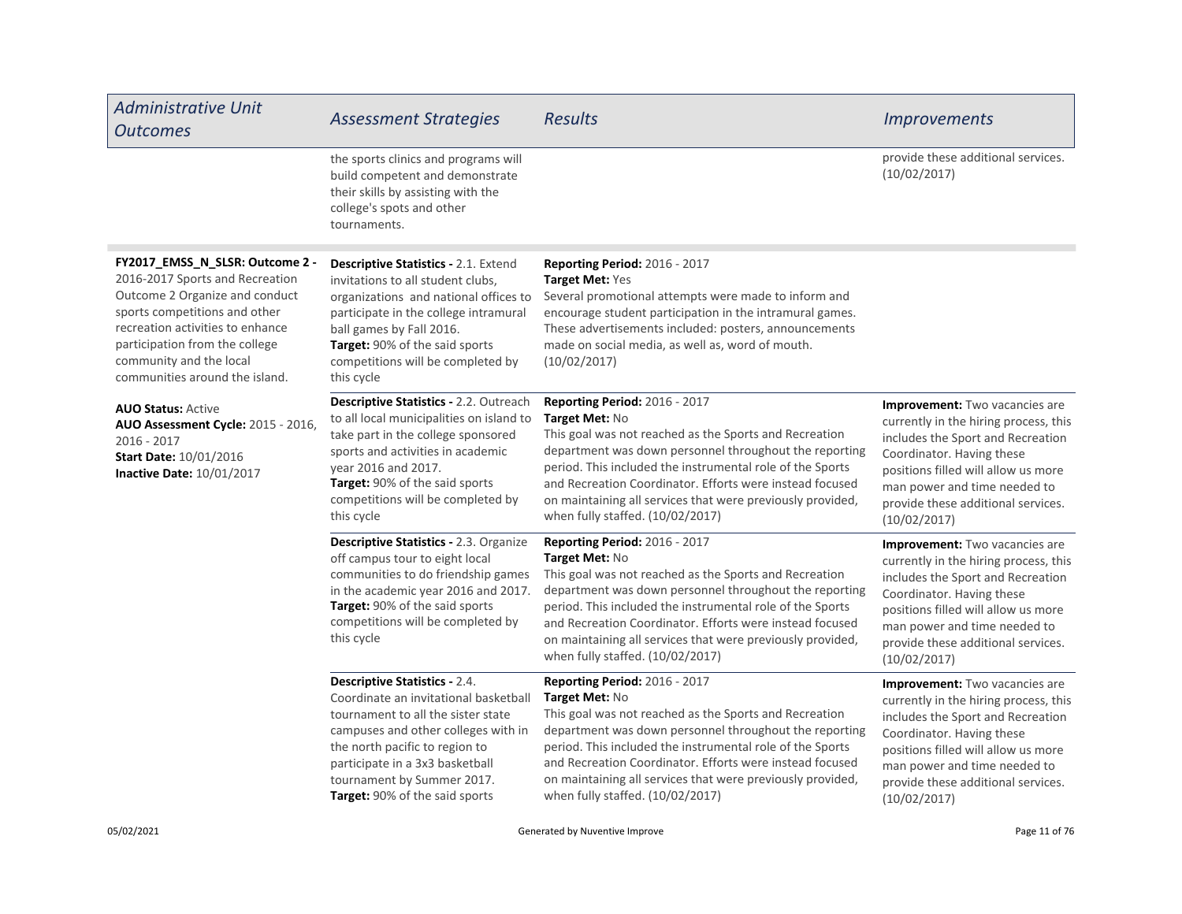| <b>Administrative Unit</b><br><b>Outcomes</b>                                                                                                                                                                                                                            | <b>Assessment Strategies</b>                                                                                                                                                                                                                                                                    | <b>Results</b>                                                                                                                                                                                                                                                                                                                                                                                        | <i><u><b>Improvements</b></u></i>                                                                                                                                                                                                                                             |
|--------------------------------------------------------------------------------------------------------------------------------------------------------------------------------------------------------------------------------------------------------------------------|-------------------------------------------------------------------------------------------------------------------------------------------------------------------------------------------------------------------------------------------------------------------------------------------------|-------------------------------------------------------------------------------------------------------------------------------------------------------------------------------------------------------------------------------------------------------------------------------------------------------------------------------------------------------------------------------------------------------|-------------------------------------------------------------------------------------------------------------------------------------------------------------------------------------------------------------------------------------------------------------------------------|
|                                                                                                                                                                                                                                                                          | the sports clinics and programs will<br>build competent and demonstrate<br>their skills by assisting with the<br>college's spots and other<br>tournaments.                                                                                                                                      |                                                                                                                                                                                                                                                                                                                                                                                                       | provide these additional services.<br>(10/02/2017)                                                                                                                                                                                                                            |
| FY2017_EMSS_N_SLSR: Outcome 2 -<br>2016-2017 Sports and Recreation<br>Outcome 2 Organize and conduct<br>sports competitions and other<br>recreation activities to enhance<br>participation from the college<br>community and the local<br>communities around the island. | <b>Descriptive Statistics - 2.1. Extend</b><br>invitations to all student clubs,<br>organizations and national offices to<br>participate in the college intramural<br>ball games by Fall 2016.<br>Target: 90% of the said sports<br>competitions will be completed by<br>this cycle             | <b>Reporting Period: 2016 - 2017</b><br>Target Met: Yes<br>Several promotional attempts were made to inform and<br>encourage student participation in the intramural games.<br>These advertisements included: posters, announcements<br>made on social media, as well as, word of mouth.<br>(10/02/2017)                                                                                              |                                                                                                                                                                                                                                                                               |
| <b>AUO Status: Active</b><br><b>AUO Assessment Cycle: 2015 - 2016,</b><br>2016 - 2017<br><b>Start Date: 10/01/2016</b><br><b>Inactive Date: 10/01/2017</b>                                                                                                               | <b>Descriptive Statistics - 2.2. Outreach</b><br>to all local municipalities on island to<br>take part in the college sponsored<br>sports and activities in academic<br>vear 2016 and 2017.<br>Target: 90% of the said sports<br>competitions will be completed by<br>this cycle                | Reporting Period: 2016 - 2017<br>Target Met: No<br>This goal was not reached as the Sports and Recreation<br>department was down personnel throughout the reporting<br>period. This included the instrumental role of the Sports<br>and Recreation Coordinator. Efforts were instead focused<br>on maintaining all services that were previously provided,<br>when fully staffed. (10/02/2017)        | <b>Improvement:</b> Two vacancies are<br>currently in the hiring process, this<br>includes the Sport and Recreation<br>Coordinator. Having these<br>positions filled will allow us more<br>man power and time needed to<br>provide these additional services.<br>(10/02/2017) |
|                                                                                                                                                                                                                                                                          | <b>Descriptive Statistics - 2.3. Organize</b><br>off campus tour to eight local<br>communities to do friendship games<br>in the academic year 2016 and 2017.<br><b>Target:</b> 90% of the said sports<br>competitions will be completed by<br>this cycle                                        | <b>Reporting Period: 2016 - 2017</b><br>Target Met: No<br>This goal was not reached as the Sports and Recreation<br>department was down personnel throughout the reporting<br>period. This included the instrumental role of the Sports<br>and Recreation Coordinator. Efforts were instead focused<br>on maintaining all services that were previously provided,<br>when fully staffed. (10/02/2017) | Improvement: Two vacancies are<br>currently in the hiring process, this<br>includes the Sport and Recreation<br>Coordinator. Having these<br>positions filled will allow us more<br>man power and time needed to<br>provide these additional services.<br>(10/02/2017)        |
|                                                                                                                                                                                                                                                                          | <b>Descriptive Statistics - 2.4.</b><br>Coordinate an invitational basketball<br>tournament to all the sister state<br>campuses and other colleges with in<br>the north pacific to region to<br>participate in a 3x3 basketball<br>tournament by Summer 2017.<br>Target: 90% of the said sports | Reporting Period: 2016 - 2017<br>Target Met: No<br>This goal was not reached as the Sports and Recreation<br>department was down personnel throughout the reporting<br>period. This included the instrumental role of the Sports<br>and Recreation Coordinator. Efforts were instead focused<br>on maintaining all services that were previously provided,<br>when fully staffed. (10/02/2017)        | <b>Improvement:</b> Two vacancies are<br>currently in the hiring process, this<br>includes the Sport and Recreation<br>Coordinator. Having these<br>positions filled will allow us more<br>man power and time needed to<br>provide these additional services.<br>(10/02/2017) |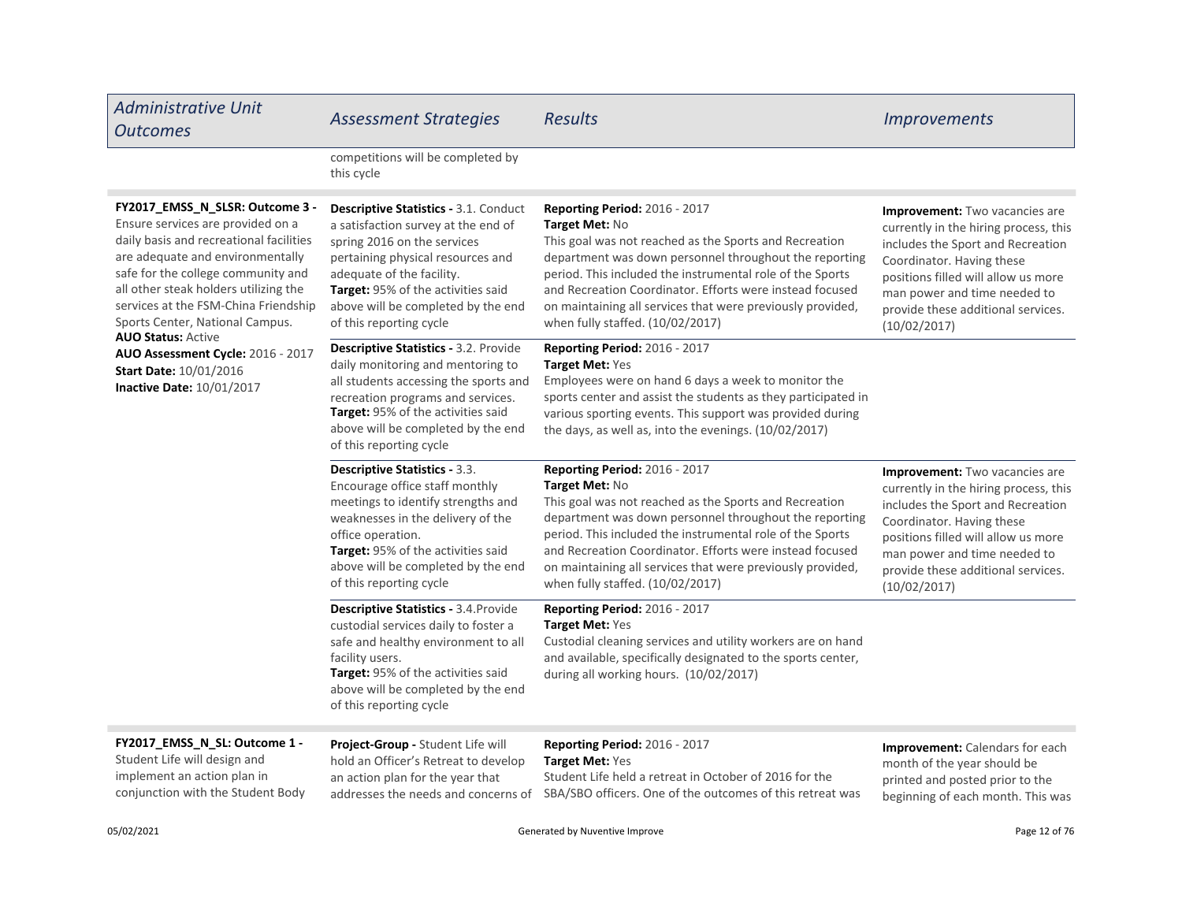| <b>Administrative Unit</b><br><b>Outcomes</b>                                                                                                                                                                                                                                                                                                                                                                                                 | <b>Assessment Strategies</b>                                                                                                                                                                                                                                                                | <b>Results</b>                                                                                                                                                                                                                                                                                                                                                                                        | <b>Improvements</b>                                                                                                                                                                                                                                                    |
|-----------------------------------------------------------------------------------------------------------------------------------------------------------------------------------------------------------------------------------------------------------------------------------------------------------------------------------------------------------------------------------------------------------------------------------------------|---------------------------------------------------------------------------------------------------------------------------------------------------------------------------------------------------------------------------------------------------------------------------------------------|-------------------------------------------------------------------------------------------------------------------------------------------------------------------------------------------------------------------------------------------------------------------------------------------------------------------------------------------------------------------------------------------------------|------------------------------------------------------------------------------------------------------------------------------------------------------------------------------------------------------------------------------------------------------------------------|
|                                                                                                                                                                                                                                                                                                                                                                                                                                               | competitions will be completed by<br>this cycle                                                                                                                                                                                                                                             |                                                                                                                                                                                                                                                                                                                                                                                                       |                                                                                                                                                                                                                                                                        |
| FY2017_EMSS_N_SLSR: Outcome 3 -<br>Ensure services are provided on a<br>daily basis and recreational facilities<br>are adequate and environmentally<br>safe for the college community and<br>all other steak holders utilizing the<br>services at the FSM-China Friendship<br>Sports Center, National Campus.<br><b>AUO Status: Active</b><br>AUO Assessment Cycle: 2016 - 2017<br><b>Start Date: 10/01/2016</b><br>Inactive Date: 10/01/2017 | <b>Descriptive Statistics - 3.1. Conduct</b><br>a satisfaction survey at the end of<br>spring 2016 on the services<br>pertaining physical resources and<br>adequate of the facility.<br>Target: 95% of the activities said<br>above will be completed by the end<br>of this reporting cycle | <b>Reporting Period: 2016 - 2017</b><br>Target Met: No<br>This goal was not reached as the Sports and Recreation<br>department was down personnel throughout the reporting<br>period. This included the instrumental role of the Sports<br>and Recreation Coordinator. Efforts were instead focused<br>on maintaining all services that were previously provided,<br>when fully staffed. (10/02/2017) | Improvement: Two vacancies are<br>currently in the hiring process, this<br>includes the Sport and Recreation<br>Coordinator. Having these<br>positions filled will allow us more<br>man power and time needed to<br>provide these additional services.<br>(10/02/2017) |
|                                                                                                                                                                                                                                                                                                                                                                                                                                               | <b>Descriptive Statistics - 3.2. Provide</b><br>daily monitoring and mentoring to<br>all students accessing the sports and<br>recreation programs and services.<br>Target: 95% of the activities said<br>above will be completed by the end<br>of this reporting cycle                      | <b>Reporting Period: 2016 - 2017</b><br><b>Target Met: Yes</b><br>Employees were on hand 6 days a week to monitor the<br>sports center and assist the students as they participated in<br>various sporting events. This support was provided during<br>the days, as well as, into the evenings. (10/02/2017)                                                                                          |                                                                                                                                                                                                                                                                        |
|                                                                                                                                                                                                                                                                                                                                                                                                                                               | Descriptive Statistics - 3.3.<br>Encourage office staff monthly<br>meetings to identify strengths and<br>weaknesses in the delivery of the<br>office operation.<br>Target: 95% of the activities said<br>above will be completed by the end<br>of this reporting cycle                      | Reporting Period: 2016 - 2017<br>Target Met: No<br>This goal was not reached as the Sports and Recreation<br>department was down personnel throughout the reporting<br>period. This included the instrumental role of the Sports<br>and Recreation Coordinator. Efforts were instead focused<br>on maintaining all services that were previously provided,<br>when fully staffed. (10/02/2017)        | Improvement: Two vacancies are<br>currently in the hiring process, this<br>includes the Sport and Recreation<br>Coordinator. Having these<br>positions filled will allow us more<br>man power and time needed to<br>provide these additional services.<br>(10/02/2017) |
|                                                                                                                                                                                                                                                                                                                                                                                                                                               | Descriptive Statistics - 3.4. Provide<br>custodial services daily to foster a<br>safe and healthy environment to all<br>facility users.<br>Target: 95% of the activities said<br>above will be completed by the end<br>of this reporting cycle                                              | Reporting Period: 2016 - 2017<br><b>Target Met: Yes</b><br>Custodial cleaning services and utility workers are on hand<br>and available, specifically designated to the sports center,<br>during all working hours. (10/02/2017)                                                                                                                                                                      |                                                                                                                                                                                                                                                                        |
| FY2017_EMSS_N_SL: Outcome 1 -<br>Student Life will design and<br>implement an action plan in<br>conjunction with the Student Body                                                                                                                                                                                                                                                                                                             | Project-Group - Student Life will<br>hold an Officer's Retreat to develop<br>an action plan for the year that                                                                                                                                                                               | <b>Reporting Period: 2016 - 2017</b><br><b>Target Met: Yes</b><br>Student Life held a retreat in October of 2016 for the<br>addresses the needs and concerns of SBA/SBO officers. One of the outcomes of this retreat was                                                                                                                                                                             | Improvement: Calendars for each<br>month of the year should be<br>printed and posted prior to the<br>beginning of each month. This was                                                                                                                                 |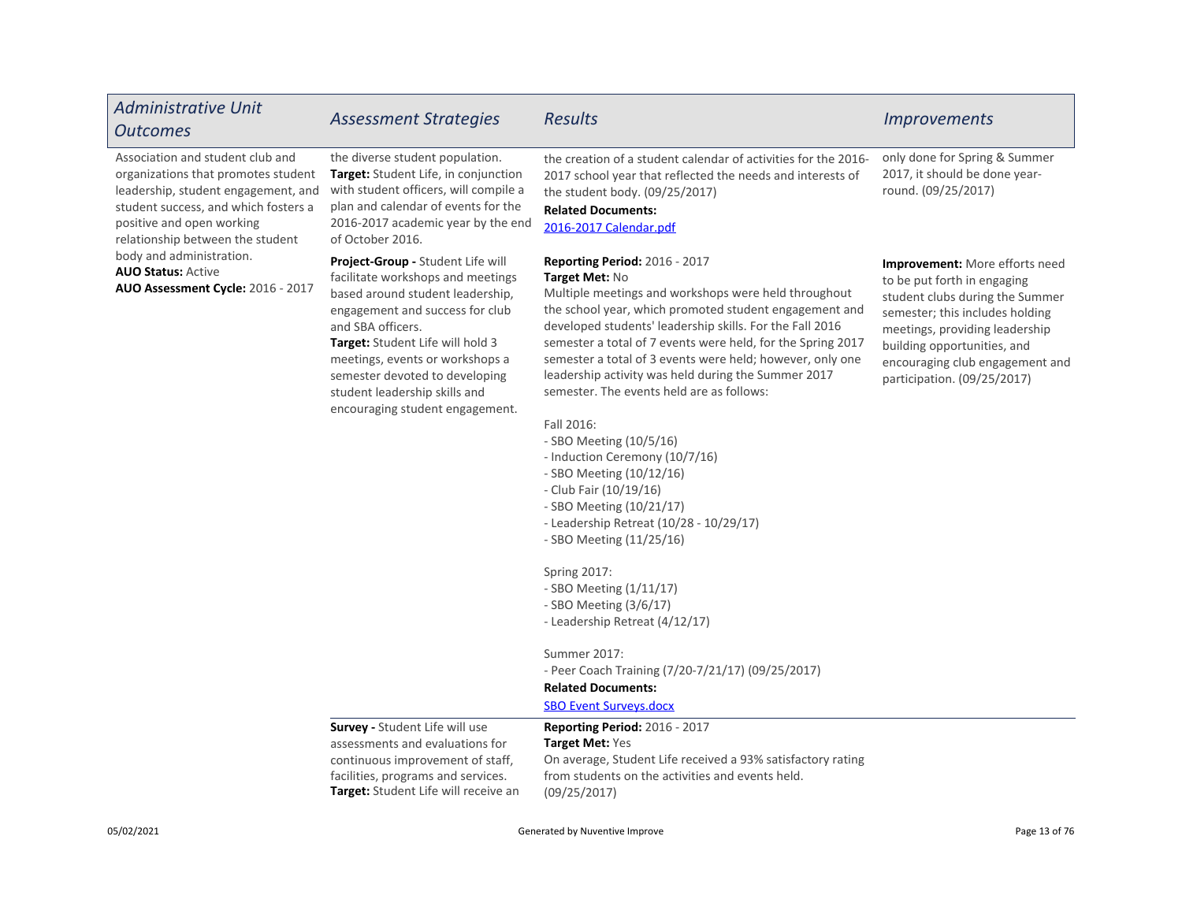| <b>Administrative Unit</b><br><b>Outcomes</b>                                                                                                                                                                           | <b>Assessment Strategies</b>                                                                                                                                                                                                                                                                                                                    | <b>Results</b>                                                                                                                                                                                                                                                                                                                                                                                                                                                                                                                                                                                                                                                                                                                                                                                                                                                                                                                                              | <b>Improvements</b>                                                                                                                                                                                                                                                           |
|-------------------------------------------------------------------------------------------------------------------------------------------------------------------------------------------------------------------------|-------------------------------------------------------------------------------------------------------------------------------------------------------------------------------------------------------------------------------------------------------------------------------------------------------------------------------------------------|-------------------------------------------------------------------------------------------------------------------------------------------------------------------------------------------------------------------------------------------------------------------------------------------------------------------------------------------------------------------------------------------------------------------------------------------------------------------------------------------------------------------------------------------------------------------------------------------------------------------------------------------------------------------------------------------------------------------------------------------------------------------------------------------------------------------------------------------------------------------------------------------------------------------------------------------------------------|-------------------------------------------------------------------------------------------------------------------------------------------------------------------------------------------------------------------------------------------------------------------------------|
| Association and student club and<br>organizations that promotes student<br>leadership, student engagement, and<br>student success, and which fosters a<br>positive and open working<br>relationship between the student | the diverse student population.<br>Target: Student Life, in conjunction<br>with student officers, will compile a<br>plan and calendar of events for the<br>2016-2017 academic year by the end<br>of October 2016.                                                                                                                               | the creation of a student calendar of activities for the 2016-<br>2017 school year that reflected the needs and interests of<br>the student body. (09/25/2017)<br><b>Related Documents:</b><br>2016-2017 Calendar.pdf                                                                                                                                                                                                                                                                                                                                                                                                                                                                                                                                                                                                                                                                                                                                       | only done for Spring & Summer<br>2017, it should be done year-<br>round. (09/25/2017)                                                                                                                                                                                         |
| body and administration.<br><b>AUO Status: Active</b><br>AUO Assessment Cycle: 2016 - 2017                                                                                                                              | Project-Group - Student Life will<br>facilitate workshops and meetings<br>based around student leadership,<br>engagement and success for club<br>and SBA officers.<br>Target: Student Life will hold 3<br>meetings, events or workshops a<br>semester devoted to developing<br>student leadership skills and<br>encouraging student engagement. | <b>Reporting Period: 2016 - 2017</b><br>Target Met: No<br>Multiple meetings and workshops were held throughout<br>the school year, which promoted student engagement and<br>developed students' leadership skills. For the Fall 2016<br>semester a total of 7 events were held, for the Spring 2017<br>semester a total of 3 events were held; however, only one<br>leadership activity was held during the Summer 2017<br>semester. The events held are as follows:<br>Fall 2016:<br>- SBO Meeting (10/5/16)<br>- Induction Ceremony (10/7/16)<br>- SBO Meeting (10/12/16)<br>- Club Fair (10/19/16)<br>- SBO Meeting (10/21/17)<br>- Leadership Retreat (10/28 - 10/29/17)<br>- SBO Meeting (11/25/16)<br><b>Spring 2017:</b><br>- SBO Meeting (1/11/17)<br>- SBO Meeting $(3/6/17)$<br>- Leadership Retreat (4/12/17)<br>Summer 2017:<br>- Peer Coach Training (7/20-7/21/17) (09/25/2017)<br><b>Related Documents:</b><br><b>SBO Event Surveys.docx</b> | <b>Improvement:</b> More efforts need<br>to be put forth in engaging<br>student clubs during the Summer<br>semester; this includes holding<br>meetings, providing leadership<br>building opportunities, and<br>encouraging club engagement and<br>participation. (09/25/2017) |
|                                                                                                                                                                                                                         | <b>Survey - Student Life will use</b><br>assessments and evaluations for<br>continuous improvement of staff,<br>facilities, programs and services.<br><b>Target:</b> Student Life will receive an                                                                                                                                               | Reporting Period: 2016 - 2017<br>Target Met: Yes<br>On average, Student Life received a 93% satisfactory rating<br>from students on the activities and events held.<br>(09/25/2017)                                                                                                                                                                                                                                                                                                                                                                                                                                                                                                                                                                                                                                                                                                                                                                         |                                                                                                                                                                                                                                                                               |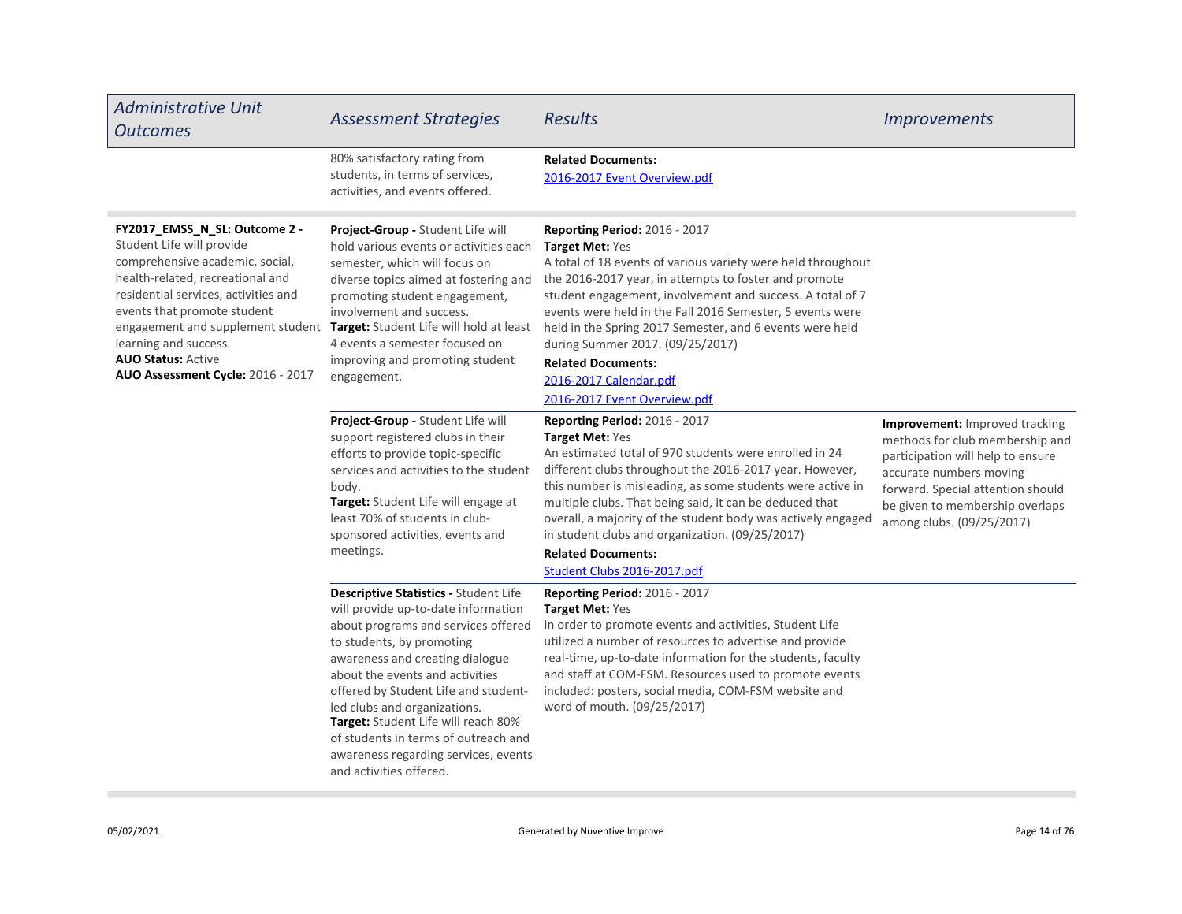| <b>Administrative Unit</b><br><b>Outcomes</b>                                                                                                                                                                                                                                                       | <b>Assessment Strategies</b>                                                                                                                                                                                                                                                                                                                                                                                                                     | <b>Results</b>                                                                                                                                                                                                                                                                                                                                                                                                                                                                                    | <b>Improvements</b>                                                                                                                                                                                                                    |
|-----------------------------------------------------------------------------------------------------------------------------------------------------------------------------------------------------------------------------------------------------------------------------------------------------|--------------------------------------------------------------------------------------------------------------------------------------------------------------------------------------------------------------------------------------------------------------------------------------------------------------------------------------------------------------------------------------------------------------------------------------------------|---------------------------------------------------------------------------------------------------------------------------------------------------------------------------------------------------------------------------------------------------------------------------------------------------------------------------------------------------------------------------------------------------------------------------------------------------------------------------------------------------|----------------------------------------------------------------------------------------------------------------------------------------------------------------------------------------------------------------------------------------|
|                                                                                                                                                                                                                                                                                                     | 80% satisfactory rating from<br>students, in terms of services,<br>activities, and events offered.                                                                                                                                                                                                                                                                                                                                               | <b>Related Documents:</b><br>2016-2017 Event Overview.pdf                                                                                                                                                                                                                                                                                                                                                                                                                                         |                                                                                                                                                                                                                                        |
| FY2017_EMSS_N_SL: Outcome 2 -<br>Student Life will provide<br>comprehensive academic, social,<br>health-related, recreational and<br>residential services, activities and<br>events that promote student<br>learning and success.<br><b>AUO Status: Active</b><br>AUO Assessment Cycle: 2016 - 2017 | Project-Group - Student Life will<br>hold various events or activities each<br>semester, which will focus on<br>diverse topics aimed at fostering and<br>promoting student engagement,<br>involvement and success.<br>engagement and supplement student Target: Student Life will hold at least<br>4 events a semester focused on<br>improving and promoting student<br>engagement.                                                              | <b>Reporting Period: 2016 - 2017</b><br>Target Met: Yes<br>A total of 18 events of various variety were held throughout<br>the 2016-2017 year, in attempts to foster and promote<br>student engagement, involvement and success. A total of 7<br>events were held in the Fall 2016 Semester, 5 events were<br>held in the Spring 2017 Semester, and 6 events were held<br>during Summer 2017. (09/25/2017)<br><b>Related Documents:</b><br>2016-2017 Calendar.pdf<br>2016-2017 Event Overview.pdf |                                                                                                                                                                                                                                        |
|                                                                                                                                                                                                                                                                                                     | Project-Group - Student Life will<br>support registered clubs in their<br>efforts to provide topic-specific<br>services and activities to the student<br>body.<br>Target: Student Life will engage at<br>least 70% of students in club-<br>sponsored activities, events and<br>meetings.                                                                                                                                                         | Reporting Period: 2016 - 2017<br>Target Met: Yes<br>An estimated total of 970 students were enrolled in 24<br>different clubs throughout the 2016-2017 year. However,<br>this number is misleading, as some students were active in<br>multiple clubs. That being said, it can be deduced that<br>overall, a majority of the student body was actively engaged<br>in student clubs and organization. (09/25/2017)<br><b>Related Documents:</b><br>Student Clubs 2016-2017.pdf                     | Improvement: Improved tracking<br>methods for club membership and<br>participation will help to ensure<br>accurate numbers moving<br>forward. Special attention should<br>be given to membership overlaps<br>among clubs. (09/25/2017) |
|                                                                                                                                                                                                                                                                                                     | Descriptive Statistics - Student Life<br>will provide up-to-date information<br>about programs and services offered<br>to students, by promoting<br>awareness and creating dialogue<br>about the events and activities<br>offered by Student Life and student-<br>led clubs and organizations.<br>Target: Student Life will reach 80%<br>of students in terms of outreach and<br>awareness regarding services, events<br>and activities offered. | Reporting Period: 2016 - 2017<br><b>Target Met: Yes</b><br>In order to promote events and activities, Student Life<br>utilized a number of resources to advertise and provide<br>real-time, up-to-date information for the students, faculty<br>and staff at COM-FSM. Resources used to promote events<br>included: posters, social media, COM-FSM website and<br>word of mouth. (09/25/2017)                                                                                                     |                                                                                                                                                                                                                                        |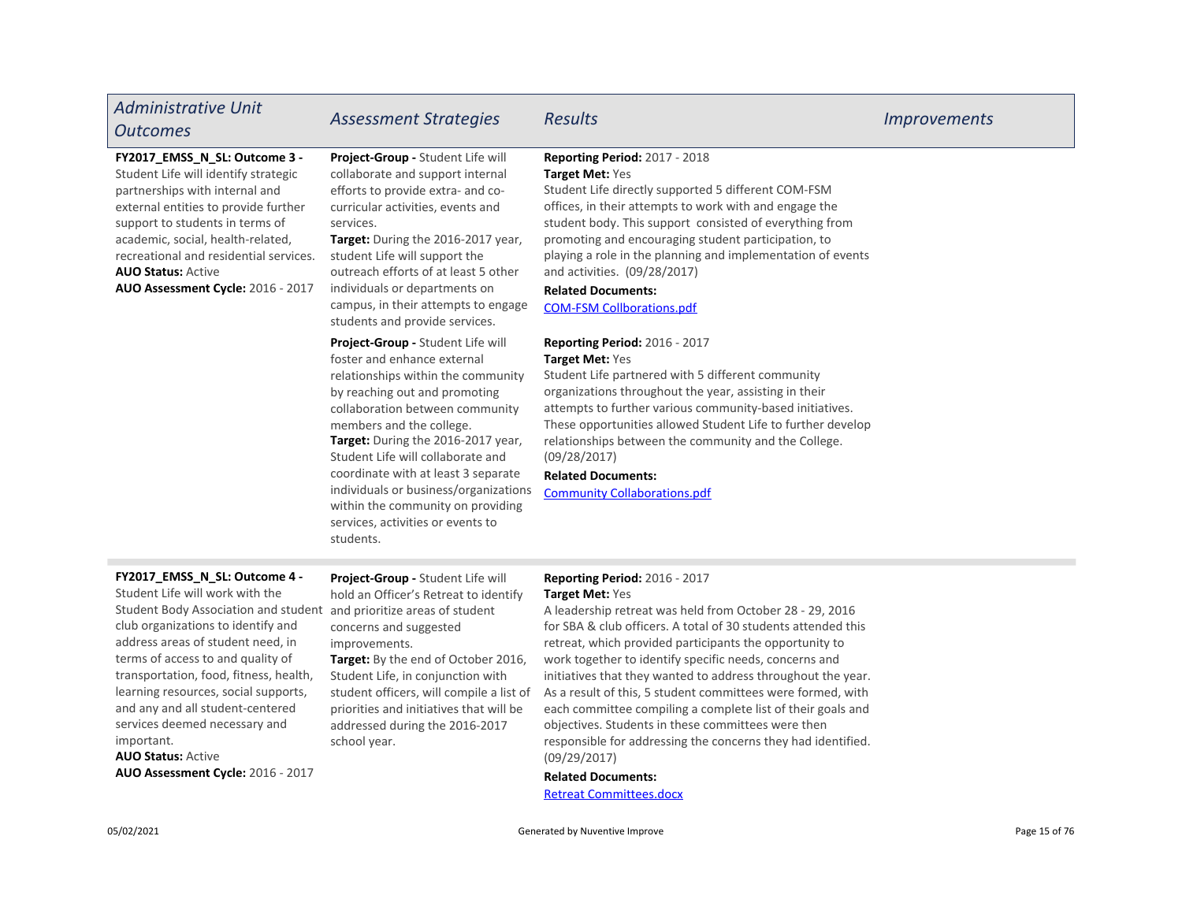## Administrative Unit Outcomes Assessment Strategies Results Improvements

#### FY2017\_EMSS\_N\_SL: Outcome 3 -

AUO Status: Active AUO Assessment Cycle: 2016 - 2017 Student Life will identify strategic partnerships with internal and external entities to provide further support to students in terms of academic, social, health-related, recreational and residential service[s.](https://comfsm.tracdat.com:443/tracdat/viewDocument?y=MjZzSazgEC4v)

Project-Group - Student Life will collaborate and support internal efforts to provide extra- and cocurricular activities, events and services.

Target: During the 2016-2017 [yea](https://comfsm.tracdat.com:443/tracdat/viewDocument?y=EsazNBLc3QHv)r, student Life will support the outreach efforts of at least 5 other individuals or departments on campus, in their attempts to engage students and provide services.

Project-Group - Student Life will foster and enhance external relationships within the community by reaching out and promoting collaboration between community members and the college.

Target: During the 2016-2017 year, Student Life will collaborate and coordinate with at least 3 separate individuals or business/organizations within the community on providing services, activities or events to students.

#### Reporting Period: 2017 - 2018 Target Met: Yes

Student Life directly supported 5 different COM-FSM offices, in their attempts to work with and engage the student body. This support consisted of everything from promoting and encouraging student participation, to playing a role in the planning and implementa[tion](https://comfsm.tracdat.com:443/tracdat/viewDocument?y=Gtx11w5Zavah) of events and activities. (09/28/2017)

### Related Documents:

COM-FSM Collborations.pdf

#### Reporting Period: 2016 - 2017 Target Met: Yes

Student Life partnered with 5 different community organizations throughout the year, assisting in their attempts to further various community-based initiatives. These opportunities allowed Student Life to further develop relationships between the community and the College. (09/28/2017)

#### Related Documents:

Community Collaborations.pdf

### FY2017\_EMSS\_N\_SL: Outcome 4 -

Student Life will work with the Student Body Association and student club organizations to identify and address areas of student need, in terms of access to and quality of transportation, food, fitness, health, learning resources, social supports, and any and all student-centered services deemed necessary and important.

AUO Status: Active AUO Assessment Cycle: 2016 - 2017

Project-Group - Student Life will hold an Officer's Retreat to identify and prioritize areas of student concerns and suggested

Target: By the end of October 2016, Student Life, in conjunction with student officers, will compile a list of priorities and initiatives that will be addressed during the 2016-2017 school year. improvements.

## Reporting Period: 2016 - 2017

#### Target Met: Yes

A leadership retreat was held from October 28 - 29, 2016 for SBA & club officers. A total of 30 students attended this retreat, which provided participants the opportunity to work together to identify specific needs, concerns and initiatives that they wanted to address throughout the year. As a result of this, 5 student committees were formed, with each committee compiling a complete list of their goals and objectives. Students in these committees were then responsible for addressing the concerns they had identified. (09/29/2017)

#### Related Documents:

Retreat Committees.docx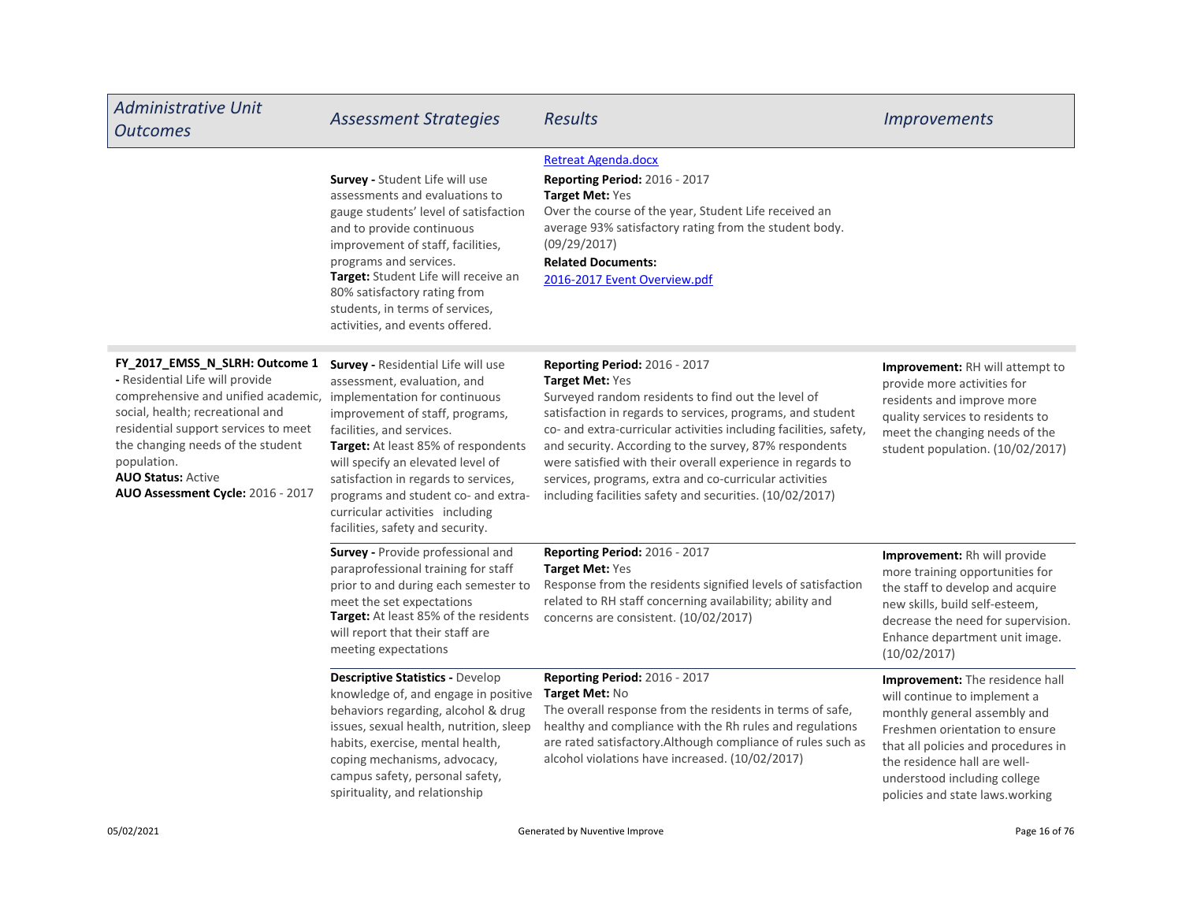| <b>Administrative Unit</b><br><b>Outcomes</b>                                                                                                                                                                                                                                                                                            | <b>Assessment Strategies</b>                                                                                                                                                                                                                                                                                                                                        | <b>Results</b>                                                                                                                                                                                                                                                                                                                                                                                                                                                                          | <b>Improvements</b>                                                                                                                                                                                                                                                         |
|------------------------------------------------------------------------------------------------------------------------------------------------------------------------------------------------------------------------------------------------------------------------------------------------------------------------------------------|---------------------------------------------------------------------------------------------------------------------------------------------------------------------------------------------------------------------------------------------------------------------------------------------------------------------------------------------------------------------|-----------------------------------------------------------------------------------------------------------------------------------------------------------------------------------------------------------------------------------------------------------------------------------------------------------------------------------------------------------------------------------------------------------------------------------------------------------------------------------------|-----------------------------------------------------------------------------------------------------------------------------------------------------------------------------------------------------------------------------------------------------------------------------|
|                                                                                                                                                                                                                                                                                                                                          | <b>Survey - Student Life will use</b><br>assessments and evaluations to<br>gauge students' level of satisfaction<br>and to provide continuous<br>improvement of staff, facilities,<br>programs and services.<br>Target: Student Life will receive an<br>80% satisfactory rating from<br>students, in terms of services,<br>activities, and events offered.          | <b>Retreat Agenda.docx</b><br><b>Reporting Period: 2016 - 2017</b><br><b>Target Met: Yes</b><br>Over the course of the year, Student Life received an<br>average 93% satisfactory rating from the student body.<br>(09/29/2017)<br><b>Related Documents:</b><br>2016-2017 Event Overview.pdf                                                                                                                                                                                            |                                                                                                                                                                                                                                                                             |
| FY_2017_EMSS_N_SLRH: Outcome 1<br>- Residential Life will provide<br>comprehensive and unified academic, implementation for continuous<br>social, health; recreational and<br>residential support services to meet<br>the changing needs of the student<br>population.<br><b>AUO Status: Active</b><br>AUO Assessment Cycle: 2016 - 2017 | Survey - Residential Life will use<br>assessment, evaluation, and<br>improvement of staff, programs,<br>facilities, and services.<br>Target: At least 85% of respondents<br>will specify an elevated level of<br>satisfaction in regards to services,<br>programs and student co- and extra-<br>curricular activities including<br>facilities, safety and security. | Reporting Period: 2016 - 2017<br>Target Met: Yes<br>Surveyed random residents to find out the level of<br>satisfaction in regards to services, programs, and student<br>co- and extra-curricular activities including facilities, safety,<br>and security. According to the survey, 87% respondents<br>were satisfied with their overall experience in regards to<br>services, programs, extra and co-curricular activities<br>including facilities safety and securities. (10/02/2017) | <b>Improvement:</b> RH will attempt to<br>provide more activities for<br>residents and improve more<br>quality services to residents to<br>meet the changing needs of the<br>student population. (10/02/2017)                                                               |
|                                                                                                                                                                                                                                                                                                                                          | Survey - Provide professional and<br>paraprofessional training for staff<br>prior to and during each semester to<br>meet the set expectations<br>Target: At least 85% of the residents<br>will report that their staff are<br>meeting expectations                                                                                                                  | Reporting Period: 2016 - 2017<br><b>Target Met: Yes</b><br>Response from the residents signified levels of satisfaction<br>related to RH staff concerning availability; ability and<br>concerns are consistent. (10/02/2017)                                                                                                                                                                                                                                                            | <b>Improvement:</b> Rh will provide<br>more training opportunities for<br>the staff to develop and acquire<br>new skills, build self-esteem,<br>decrease the need for supervision.<br>Enhance department unit image.<br>(10/02/2017)                                        |
|                                                                                                                                                                                                                                                                                                                                          | <b>Descriptive Statistics - Develop</b><br>knowledge of, and engage in positive<br>behaviors regarding, alcohol & drug<br>issues, sexual health, nutrition, sleep<br>habits, exercise, mental health,<br>coping mechanisms, advocacy,<br>campus safety, personal safety,<br>spirituality, and relationship                                                          | Reporting Period: 2016 - 2017<br>Target Met: No<br>The overall response from the residents in terms of safe,<br>healthy and compliance with the Rh rules and regulations<br>are rated satisfactory. Although compliance of rules such as<br>alcohol violations have increased. (10/02/2017)                                                                                                                                                                                             | Improvement: The residence hall<br>will continue to implement a<br>monthly general assembly and<br>Freshmen orientation to ensure<br>that all policies and procedures in<br>the residence hall are well-<br>understood including college<br>policies and state laws.working |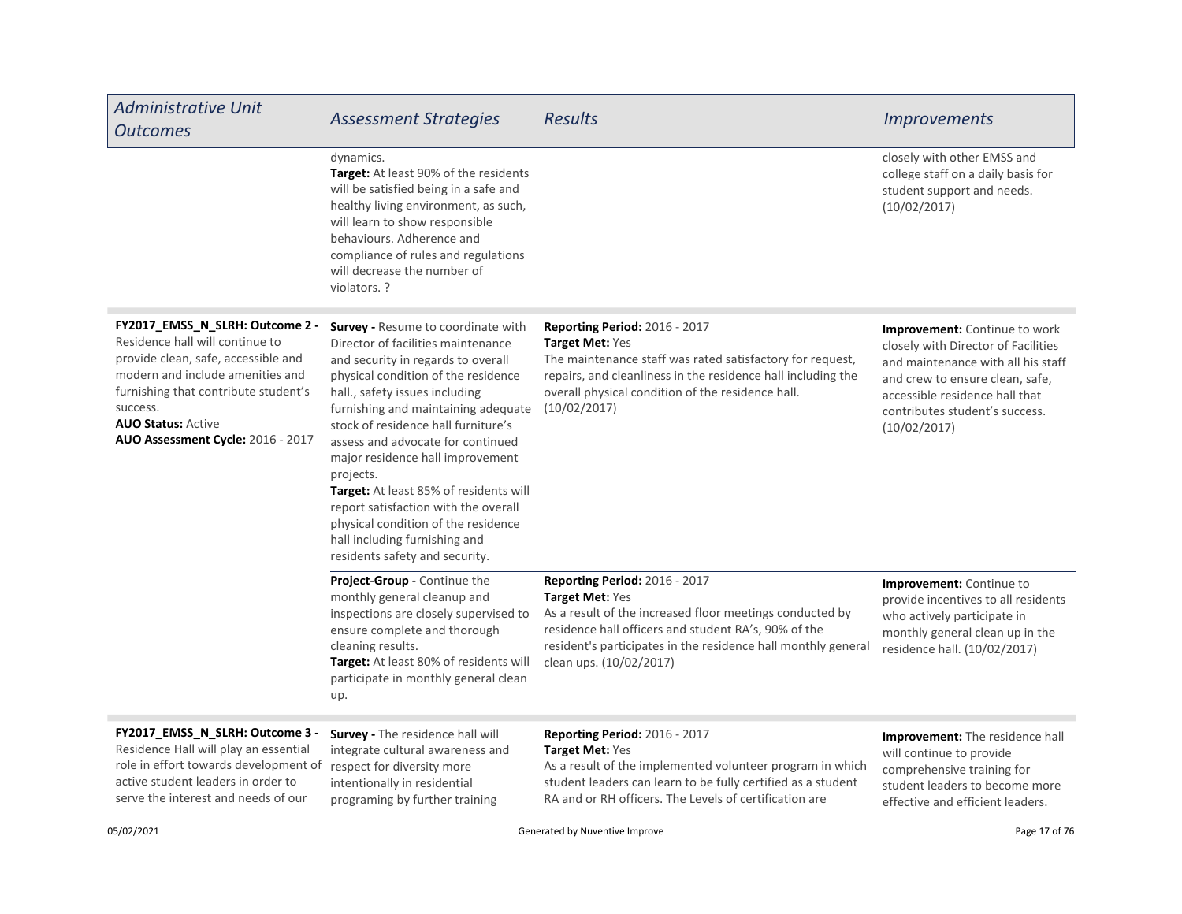| <b>Administrative Unit</b><br><b>Outcomes</b>                                                                                                                                                                                                                       | <b>Assessment Strategies</b>                                                                                                                                                                                                                                                                                                                                                                                                                                                                                                                            | <b>Results</b>                                                                                                                                                                                                                                                          | <i><u><b>Improvements</b></u></i>                                                                                                                                                                                                        |
|---------------------------------------------------------------------------------------------------------------------------------------------------------------------------------------------------------------------------------------------------------------------|---------------------------------------------------------------------------------------------------------------------------------------------------------------------------------------------------------------------------------------------------------------------------------------------------------------------------------------------------------------------------------------------------------------------------------------------------------------------------------------------------------------------------------------------------------|-------------------------------------------------------------------------------------------------------------------------------------------------------------------------------------------------------------------------------------------------------------------------|------------------------------------------------------------------------------------------------------------------------------------------------------------------------------------------------------------------------------------------|
|                                                                                                                                                                                                                                                                     | dynamics.<br>Target: At least 90% of the residents<br>will be satisfied being in a safe and<br>healthy living environment, as such,<br>will learn to show responsible<br>behaviours. Adherence and<br>compliance of rules and regulations<br>will decrease the number of<br>violators. ?                                                                                                                                                                                                                                                                |                                                                                                                                                                                                                                                                         | closely with other EMSS and<br>college staff on a daily basis for<br>student support and needs.<br>(10/02/2017)                                                                                                                          |
| FY2017_EMSS_N_SLRH: Outcome 2 -<br>Residence hall will continue to<br>provide clean, safe, accessible and<br>modern and include amenities and<br>furnishing that contribute student's<br>success.<br><b>AUO Status: Active</b><br>AUO Assessment Cycle: 2016 - 2017 | Survey - Resume to coordinate with<br>Director of facilities maintenance<br>and security in regards to overall<br>physical condition of the residence<br>hall., safety issues including<br>furnishing and maintaining adequate<br>stock of residence hall furniture's<br>assess and advocate for continued<br>major residence hall improvement<br>projects.<br>Target: At least 85% of residents will<br>report satisfaction with the overall<br>physical condition of the residence<br>hall including furnishing and<br>residents safety and security. | Reporting Period: 2016 - 2017<br>Target Met: Yes<br>The maintenance staff was rated satisfactory for request,<br>repairs, and cleanliness in the residence hall including the<br>overall physical condition of the residence hall.<br>(10/02/2017)                      | <b>Improvement:</b> Continue to work<br>closely with Director of Facilities<br>and maintenance with all his staff<br>and crew to ensure clean, safe,<br>accessible residence hall that<br>contributes student's success.<br>(10/02/2017) |
|                                                                                                                                                                                                                                                                     | Project-Group - Continue the<br>monthly general cleanup and<br>inspections are closely supervised to<br>ensure complete and thorough<br>cleaning results.<br>Target: At least 80% of residents will<br>participate in monthly general clean<br>up.                                                                                                                                                                                                                                                                                                      | <b>Reporting Period: 2016 - 2017</b><br>Target Met: Yes<br>As a result of the increased floor meetings conducted by<br>residence hall officers and student RA's, 90% of the<br>resident's participates in the residence hall monthly general<br>clean ups. (10/02/2017) | Improvement: Continue to<br>provide incentives to all residents<br>who actively participate in<br>monthly general clean up in the<br>residence hall. (10/02/2017)                                                                        |
| FY2017_EMSS_N_SLRH: Outcome 3 -<br>Residence Hall will play an essential<br>role in effort towards development of<br>active student leaders in order to<br>serve the interest and needs of our                                                                      | <b>Survey - The residence hall will</b><br>integrate cultural awareness and<br>respect for diversity more<br>intentionally in residential<br>programing by further training                                                                                                                                                                                                                                                                                                                                                                             | Reporting Period: 2016 - 2017<br>Target Met: Yes<br>As a result of the implemented volunteer program in which<br>student leaders can learn to be fully certified as a student<br>RA and or RH officers. The Levels of certification are                                 | Improvement: The residence hall<br>will continue to provide<br>comprehensive training for<br>student leaders to become more<br>effective and efficient leaders.                                                                          |
| 05/02/2021                                                                                                                                                                                                                                                          | Generated by Nuventive Improve                                                                                                                                                                                                                                                                                                                                                                                                                                                                                                                          |                                                                                                                                                                                                                                                                         | Page 17 of 76                                                                                                                                                                                                                            |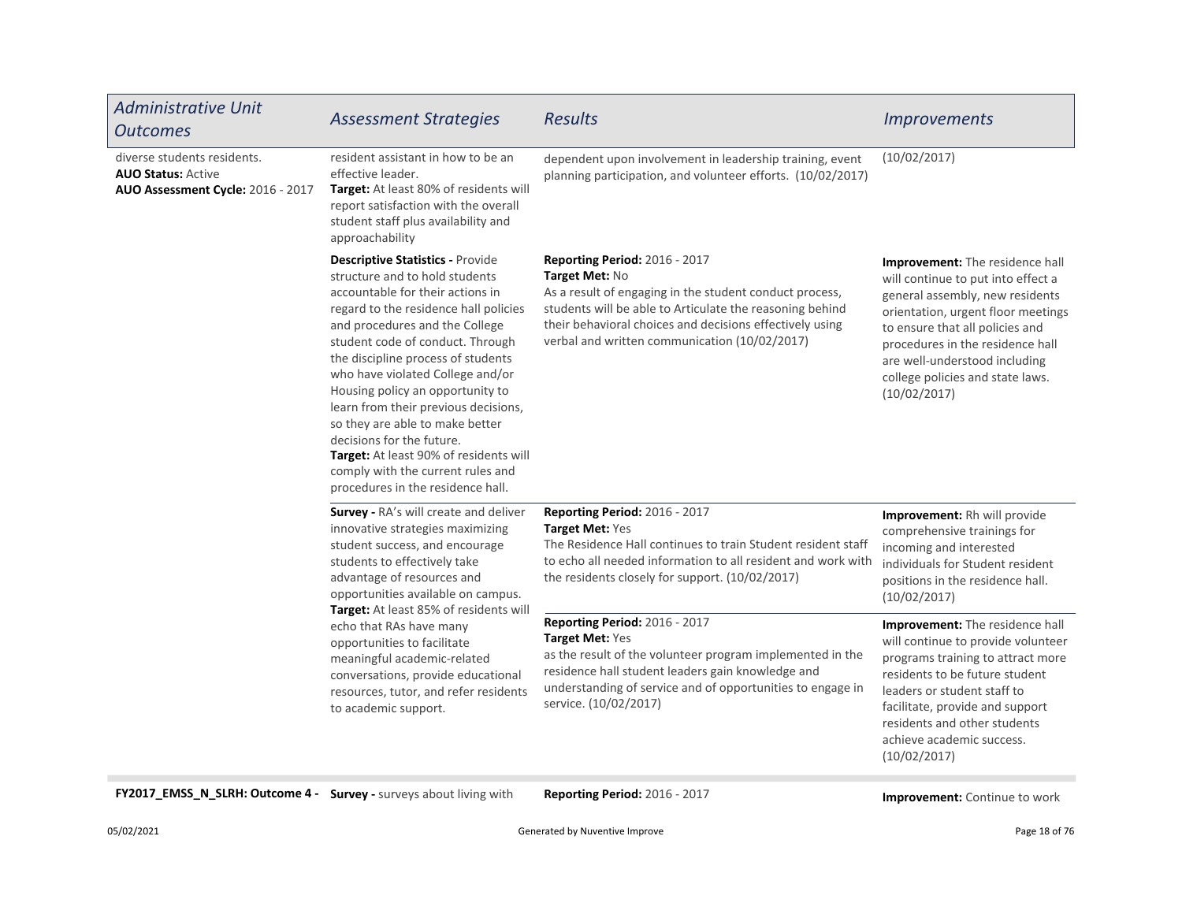| <b>Administrative Unit</b><br><b>Outcomes</b>                                                 | <b>Assessment Strategies</b>                                                                                                                                                                                                                                                                                                                                                                                                                                                                                                                                           | <b>Results</b>                                                                                                                                                                                                                                                                             | <i><u><b>Improvements</b></u></i>                                                                                                                                                                                                                                                                                 |
|-----------------------------------------------------------------------------------------------|------------------------------------------------------------------------------------------------------------------------------------------------------------------------------------------------------------------------------------------------------------------------------------------------------------------------------------------------------------------------------------------------------------------------------------------------------------------------------------------------------------------------------------------------------------------------|--------------------------------------------------------------------------------------------------------------------------------------------------------------------------------------------------------------------------------------------------------------------------------------------|-------------------------------------------------------------------------------------------------------------------------------------------------------------------------------------------------------------------------------------------------------------------------------------------------------------------|
| diverse students residents.<br><b>AUO Status: Active</b><br>AUO Assessment Cycle: 2016 - 2017 | resident assistant in how to be an<br>effective leader.<br>Target: At least 80% of residents will<br>report satisfaction with the overall<br>student staff plus availability and<br>approachability                                                                                                                                                                                                                                                                                                                                                                    | dependent upon involvement in leadership training, event<br>planning participation, and volunteer efforts. (10/02/2017)                                                                                                                                                                    | (10/02/2017)                                                                                                                                                                                                                                                                                                      |
|                                                                                               | <b>Descriptive Statistics - Provide</b><br>structure and to hold students<br>accountable for their actions in<br>regard to the residence hall policies<br>and procedures and the College<br>student code of conduct. Through<br>the discipline process of students<br>who have violated College and/or<br>Housing policy an opportunity to<br>learn from their previous decisions,<br>so they are able to make better<br>decisions for the future.<br>Target: At least 90% of residents will<br>comply with the current rules and<br>procedures in the residence hall. | <b>Reporting Period: 2016 - 2017</b><br>Target Met: No<br>As a result of engaging in the student conduct process,<br>students will be able to Articulate the reasoning behind<br>their behavioral choices and decisions effectively using<br>verbal and written communication (10/02/2017) | <b>Improvement:</b> The residence hall<br>will continue to put into effect a<br>general assembly, new residents<br>orientation, urgent floor meetings<br>to ensure that all policies and<br>procedures in the residence hall<br>are well-understood including<br>college policies and state laws.<br>(10/02/2017) |
|                                                                                               | Survey - RA's will create and deliver<br>innovative strategies maximizing<br>student success, and encourage<br>students to effectively take<br>advantage of resources and<br>opportunities available on campus.<br>Target: At least 85% of residents will                                                                                                                                                                                                                                                                                                              | Reporting Period: 2016 - 2017<br><b>Target Met: Yes</b><br>The Residence Hall continues to train Student resident staff<br>to echo all needed information to all resident and work with<br>the residents closely for support. (10/02/2017)                                                 | Improvement: Rh will provide<br>comprehensive trainings for<br>incoming and interested<br>individuals for Student resident<br>positions in the residence hall.<br>(10/02/2017)                                                                                                                                    |
|                                                                                               | echo that RAs have many<br>opportunities to facilitate<br>meaningful academic-related<br>conversations, provide educational<br>resources, tutor, and refer residents<br>to academic support.                                                                                                                                                                                                                                                                                                                                                                           | <b>Reporting Period: 2016 - 2017</b><br>Target Met: Yes<br>as the result of the volunteer program implemented in the<br>residence hall student leaders gain knowledge and<br>understanding of service and of opportunities to engage in<br>service. (10/02/2017)                           | Improvement: The residence hall<br>will continue to provide volunteer<br>programs training to attract more<br>residents to be future student<br>leaders or student staff to<br>facilitate, provide and support<br>residents and other students<br>achieve academic success.                                       |

FY2017\_EMSS\_N\_SLRH: Outcome 4 - Survey - surveys about living with Reporting Period: 2016 - 2017 **Improvement: Continue to work** 

(10/02/2017)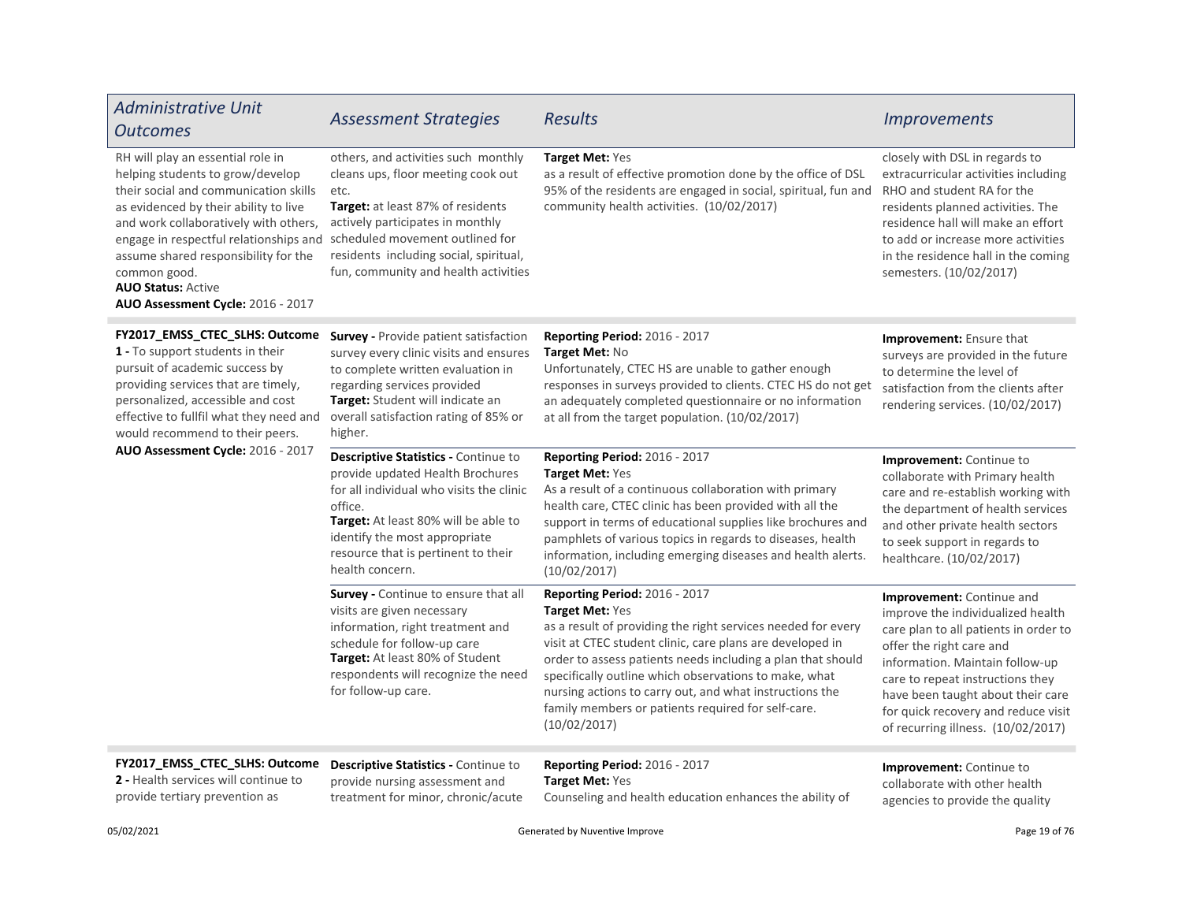| <b>Administrative Unit</b><br><b>Outcomes</b>                                                                                                                                                                                                                                                                                                                        | <b>Assessment Strategies</b>                                                                                                                                                                                                                                                    | <b>Results</b>                                                                                                                                                                                                                                                                                                                                                                                                                         | <b>Improvements</b>                                                                                                                                                                                                                                                                                                          |
|----------------------------------------------------------------------------------------------------------------------------------------------------------------------------------------------------------------------------------------------------------------------------------------------------------------------------------------------------------------------|---------------------------------------------------------------------------------------------------------------------------------------------------------------------------------------------------------------------------------------------------------------------------------|----------------------------------------------------------------------------------------------------------------------------------------------------------------------------------------------------------------------------------------------------------------------------------------------------------------------------------------------------------------------------------------------------------------------------------------|------------------------------------------------------------------------------------------------------------------------------------------------------------------------------------------------------------------------------------------------------------------------------------------------------------------------------|
| RH will play an essential role in<br>helping students to grow/develop<br>their social and communication skills<br>as evidenced by their ability to live<br>and work collaboratively with others,<br>engage in respectful relationships and<br>assume shared responsibility for the<br>common good.<br><b>AUO Status: Active</b><br>AUO Assessment Cycle: 2016 - 2017 | others, and activities such monthly<br>cleans ups, floor meeting cook out<br>etc.<br>Target: at least 87% of residents<br>actively participates in monthly<br>scheduled movement outlined for<br>residents including social, spiritual,<br>fun, community and health activities | Target Met: Yes<br>as a result of effective promotion done by the office of DSL<br>95% of the residents are engaged in social, spiritual, fun and<br>community health activities. (10/02/2017)                                                                                                                                                                                                                                         | closely with DSL in regards to<br>extracurricular activities including<br>RHO and student RA for the<br>residents planned activities. The<br>residence hall will make an effort<br>to add or increase more activities<br>in the residence hall in the coming<br>semesters. (10/02/2017)                                      |
| FY2017_EMSS_CTEC_SLHS: Outcome<br>1 - To support students in their<br>pursuit of academic success by<br>providing services that are timely,<br>personalized, accessible and cost<br>effective to fullfil what they need and<br>would recommend to their peers.                                                                                                       | <b>Survey - Provide patient satisfaction</b><br>survey every clinic visits and ensures<br>to complete written evaluation in<br>regarding services provided<br>Target: Student will indicate an<br>overall satisfaction rating of 85% or<br>higher.                              | Reporting Period: 2016 - 2017<br>Target Met: No<br>Unfortunately, CTEC HS are unable to gather enough<br>responses in surveys provided to clients. CTEC HS do not get<br>an adequately completed questionnaire or no information<br>at all from the target population. (10/02/2017)                                                                                                                                                    | Improvement: Ensure that<br>surveys are provided in the future<br>to determine the level of<br>satisfaction from the clients after<br>rendering services. (10/02/2017)                                                                                                                                                       |
| AUO Assessment Cycle: 2016 - 2017                                                                                                                                                                                                                                                                                                                                    | Descriptive Statistics - Continue to<br>provide updated Health Brochures<br>for all individual who visits the clinic<br>office.<br>Target: At least 80% will be able to<br>identify the most appropriate<br>resource that is pertinent to their<br>health concern.              | Reporting Period: 2016 - 2017<br>Target Met: Yes<br>As a result of a continuous collaboration with primary<br>health care, CTEC clinic has been provided with all the<br>support in terms of educational supplies like brochures and<br>pamphlets of various topics in regards to diseases, health<br>information, including emerging diseases and health alerts.<br>(10/02/2017)                                                      | Improvement: Continue to<br>collaborate with Primary health<br>care and re-establish working with<br>the department of health services<br>and other private health sectors<br>to seek support in regards to<br>healthcare. (10/02/2017)                                                                                      |
|                                                                                                                                                                                                                                                                                                                                                                      | Survey - Continue to ensure that all<br>visits are given necessary<br>information, right treatment and<br>schedule for follow-up care<br>Target: At least 80% of Student<br>respondents will recognize the need<br>for follow-up care.                                          | Reporting Period: 2016 - 2017<br>Target Met: Yes<br>as a result of providing the right services needed for every<br>visit at CTEC student clinic, care plans are developed in<br>order to assess patients needs including a plan that should<br>specifically outline which observations to make, what<br>nursing actions to carry out, and what instructions the<br>family members or patients required for self-care.<br>(10/02/2017) | Improvement: Continue and<br>improve the individualized health<br>care plan to all patients in order to<br>offer the right care and<br>information. Maintain follow-up<br>care to repeat instructions they<br>have been taught about their care<br>for quick recovery and reduce visit<br>of recurring illness. (10/02/2017) |
| FY2017 EMSS CTEC SLHS: Outcome<br>2 - Health services will continue to                                                                                                                                                                                                                                                                                               | Descriptive Statistics - Continue to<br>provide nursing assessment and                                                                                                                                                                                                          | Reporting Period: 2016 - 2017<br><b>Target Met: Yes</b>                                                                                                                                                                                                                                                                                                                                                                                | <b>Improvement:</b> Continue to<br>collaborate with other health                                                                                                                                                                                                                                                             |

provide tertiary prevention as

provide nursing assessment and treatment for minor, chronic/acute **Target Met: Yes** Counseling and health education enhances the ability of

agencies to provide the quality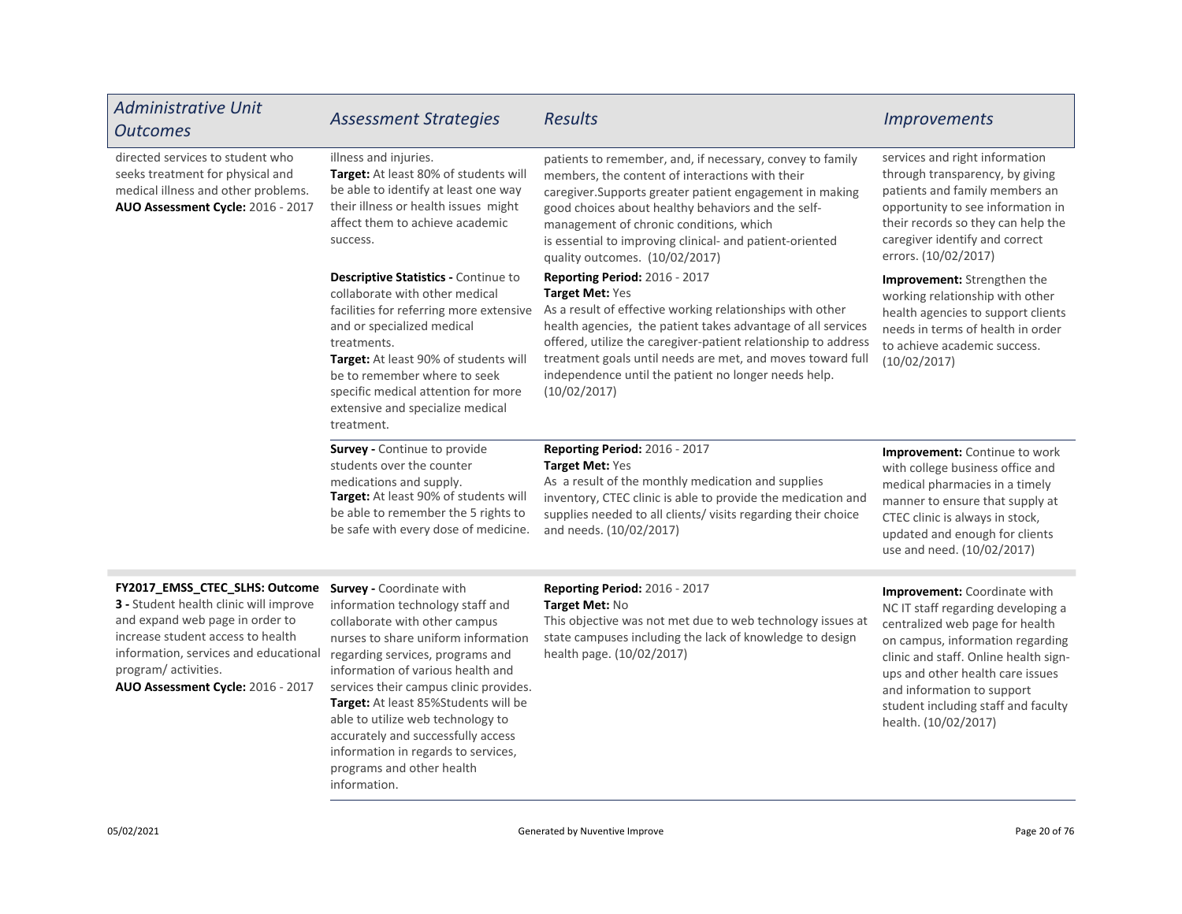| <b>Administrative Unit</b><br><b>Outcomes</b>                                                                                                                                                                                                         | <b>Assessment Strategies</b>                                                                                                                                                                                                                                                                                                                                                                                                                          | <b>Results</b>                                                                                                                                                                                                                                                                                                                                                                        | <b>Improvements</b>                                                                                                                                                                                                                                                                                                 |
|-------------------------------------------------------------------------------------------------------------------------------------------------------------------------------------------------------------------------------------------------------|-------------------------------------------------------------------------------------------------------------------------------------------------------------------------------------------------------------------------------------------------------------------------------------------------------------------------------------------------------------------------------------------------------------------------------------------------------|---------------------------------------------------------------------------------------------------------------------------------------------------------------------------------------------------------------------------------------------------------------------------------------------------------------------------------------------------------------------------------------|---------------------------------------------------------------------------------------------------------------------------------------------------------------------------------------------------------------------------------------------------------------------------------------------------------------------|
| directed services to student who<br>seeks treatment for physical and<br>medical illness and other problems.<br>AUO Assessment Cycle: 2016 - 2017                                                                                                      | illness and injuries.<br>Target: At least 80% of students will<br>be able to identify at least one way<br>their illness or health issues might<br>affect them to achieve academic<br>success.                                                                                                                                                                                                                                                         | patients to remember, and, if necessary, convey to family<br>members, the content of interactions with their<br>caregiver. Supports greater patient engagement in making<br>good choices about healthy behaviors and the self-<br>management of chronic conditions, which<br>is essential to improving clinical- and patient-oriented<br>quality outcomes. (10/02/2017)               | services and right information<br>through transparency, by giving<br>patients and family members an<br>opportunity to see information in<br>their records so they can help the<br>caregiver identify and correct<br>errors. (10/02/2017)                                                                            |
|                                                                                                                                                                                                                                                       | Descriptive Statistics - Continue to<br>collaborate with other medical<br>facilities for referring more extensive<br>and or specialized medical<br>treatments.<br>Target: At least 90% of students will<br>be to remember where to seek<br>specific medical attention for more<br>extensive and specialize medical<br>treatment.                                                                                                                      | Reporting Period: 2016 - 2017<br>Target Met: Yes<br>As a result of effective working relationships with other<br>health agencies, the patient takes advantage of all services<br>offered, utilize the caregiver-patient relationship to address<br>treatment goals until needs are met, and moves toward full<br>independence until the patient no longer needs help.<br>(10/02/2017) | <b>Improvement:</b> Strengthen the<br>working relationship with other<br>health agencies to support clients<br>needs in terms of health in order<br>to achieve academic success.<br>(10/02/2017)                                                                                                                    |
|                                                                                                                                                                                                                                                       | Survey - Continue to provide<br>students over the counter<br>medications and supply.<br>Target: At least 90% of students will<br>be able to remember the 5 rights to<br>be safe with every dose of medicine.                                                                                                                                                                                                                                          | Reporting Period: 2016 - 2017<br>Target Met: Yes<br>As a result of the monthly medication and supplies<br>inventory, CTEC clinic is able to provide the medication and<br>supplies needed to all clients/visits regarding their choice<br>and needs. (10/02/2017)                                                                                                                     | Improvement: Continue to work<br>with college business office and<br>medical pharmacies in a timely<br>manner to ensure that supply at<br>CTEC clinic is always in stock,<br>updated and enough for clients<br>use and need. (10/02/2017)                                                                           |
| FY2017_EMSS_CTEC_SLHS: Outcome<br>3 - Student health clinic will improve<br>and expand web page in order to<br>increase student access to health<br>information, services and educational<br>program/activities.<br>AUO Assessment Cycle: 2016 - 2017 | <b>Survey - Coordinate with</b><br>information technology staff and<br>collaborate with other campus<br>nurses to share uniform information<br>regarding services, programs and<br>information of various health and<br>services their campus clinic provides.<br>Target: At least 85%Students will be<br>able to utilize web technology to<br>accurately and successfully access<br>information in regards to services,<br>programs and other health | Reporting Period: 2016 - 2017<br>Target Met: No<br>This objective was not met due to web technology issues at<br>state campuses including the lack of knowledge to design<br>health page. (10/02/2017)                                                                                                                                                                                | Improvement: Coordinate with<br>NC IT staff regarding developing a<br>centralized web page for health<br>on campus, information regarding<br>clinic and staff. Online health sign-<br>ups and other health care issues<br>and information to support<br>student including staff and faculty<br>health. (10/02/2017) |

information.

÷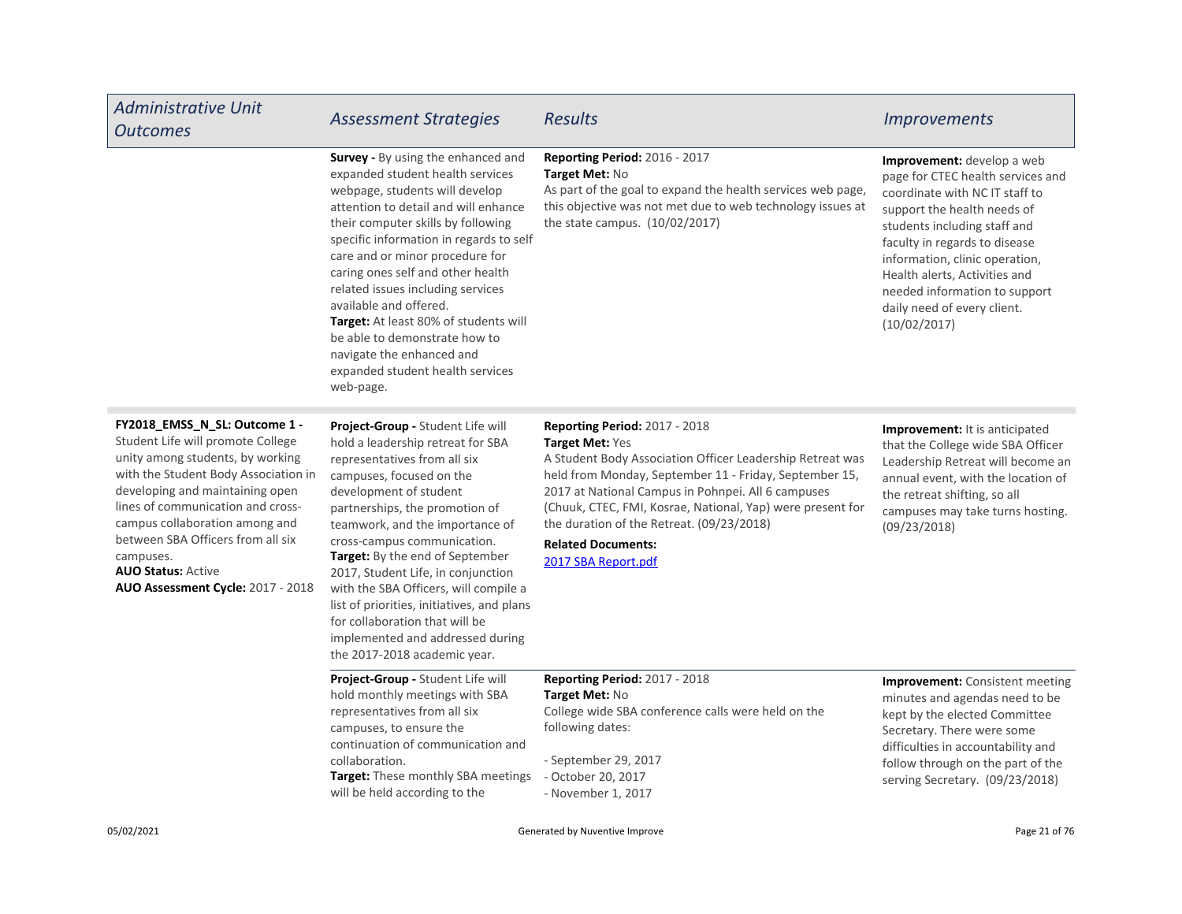| <b>Administrative Unit</b><br><b>Outcomes</b>                                                                                                                                                                                                                                                                                                                                | <b>Assessment Strategies</b>                                                                                                                                                                                                                                                                                                                                                                                                                                                                                                            | <b>Results</b>                                                                                                                                                                                                                                                                                                                                                                                      | <b>Improvements</b>                                                                                                                                                                                                                                                                                                                                         |
|------------------------------------------------------------------------------------------------------------------------------------------------------------------------------------------------------------------------------------------------------------------------------------------------------------------------------------------------------------------------------|-----------------------------------------------------------------------------------------------------------------------------------------------------------------------------------------------------------------------------------------------------------------------------------------------------------------------------------------------------------------------------------------------------------------------------------------------------------------------------------------------------------------------------------------|-----------------------------------------------------------------------------------------------------------------------------------------------------------------------------------------------------------------------------------------------------------------------------------------------------------------------------------------------------------------------------------------------------|-------------------------------------------------------------------------------------------------------------------------------------------------------------------------------------------------------------------------------------------------------------------------------------------------------------------------------------------------------------|
|                                                                                                                                                                                                                                                                                                                                                                              | <b>Survey - By using the enhanced and</b><br>expanded student health services<br>webpage, students will develop<br>attention to detail and will enhance<br>their computer skills by following<br>specific information in regards to self<br>care and or minor procedure for<br>caring ones self and other health<br>related issues including services<br>available and offered.<br>Target: At least 80% of students will<br>be able to demonstrate how to<br>navigate the enhanced and<br>expanded student health services<br>web-page. | <b>Reporting Period: 2016 - 2017</b><br>Target Met: No<br>As part of the goal to expand the health services web page,<br>this objective was not met due to web technology issues at<br>the state campus. (10/02/2017)                                                                                                                                                                               | <b>Improvement:</b> develop a web<br>page for CTEC health services and<br>coordinate with NC IT staff to<br>support the health needs of<br>students including staff and<br>faculty in regards to disease<br>information, clinic operation,<br>Health alerts, Activities and<br>needed information to support<br>daily need of every client.<br>(10/02/2017) |
| FY2018_EMSS_N_SL: Outcome 1 -<br>Student Life will promote College<br>unity among students, by working<br>with the Student Body Association in<br>developing and maintaining open<br>lines of communication and cross-<br>campus collaboration among and<br>between SBA Officers from all six<br>campuses.<br><b>AUO Status: Active</b><br>AUO Assessment Cycle: 2017 - 2018 | Project-Group - Student Life will<br>hold a leadership retreat for SBA<br>representatives from all six<br>campuses, focused on the<br>development of student<br>partnerships, the promotion of<br>teamwork, and the importance of<br>cross-campus communication.<br>Target: By the end of September<br>2017, Student Life, in conjunction<br>with the SBA Officers, will compile a<br>list of priorities, initiatives, and plans<br>for collaboration that will be<br>implemented and addressed during<br>the 2017-2018 academic year.  | <b>Reporting Period: 2017 - 2018</b><br>Target Met: Yes<br>A Student Body Association Officer Leadership Retreat was<br>held from Monday, September 11 - Friday, September 15,<br>2017 at National Campus in Pohnpei. All 6 campuses<br>(Chuuk, CTEC, FMI, Kosrae, National, Yap) were present for<br>the duration of the Retreat. (09/23/2018)<br><b>Related Documents:</b><br>2017 SBA Report.pdf | Improvement: It is anticipated<br>that the College wide SBA Officer<br>Leadership Retreat will become an<br>annual event, with the location of<br>the retreat shifting, so all<br>campuses may take turns hosting.<br>(09/23/2018)                                                                                                                          |
|                                                                                                                                                                                                                                                                                                                                                                              | Project-Group - Student Life will<br>hold monthly meetings with SBA<br>representatives from all six<br>campuses, to ensure the<br>continuation of communication and<br>collaboration.<br>Target: These monthly SBA meetings<br>will be held according to the                                                                                                                                                                                                                                                                            | <b>Reporting Period: 2017 - 2018</b><br>Target Met: No<br>College wide SBA conference calls were held on the<br>following dates:<br>- September 29, 2017<br>- October 20, 2017<br>- November 1, 2017                                                                                                                                                                                                | <b>Improvement:</b> Consistent meeting<br>minutes and agendas need to be<br>kept by the elected Committee<br>Secretary. There were some<br>difficulties in accountability and<br>follow through on the part of the<br>serving Secretary. (09/23/2018)                                                                                                       |

г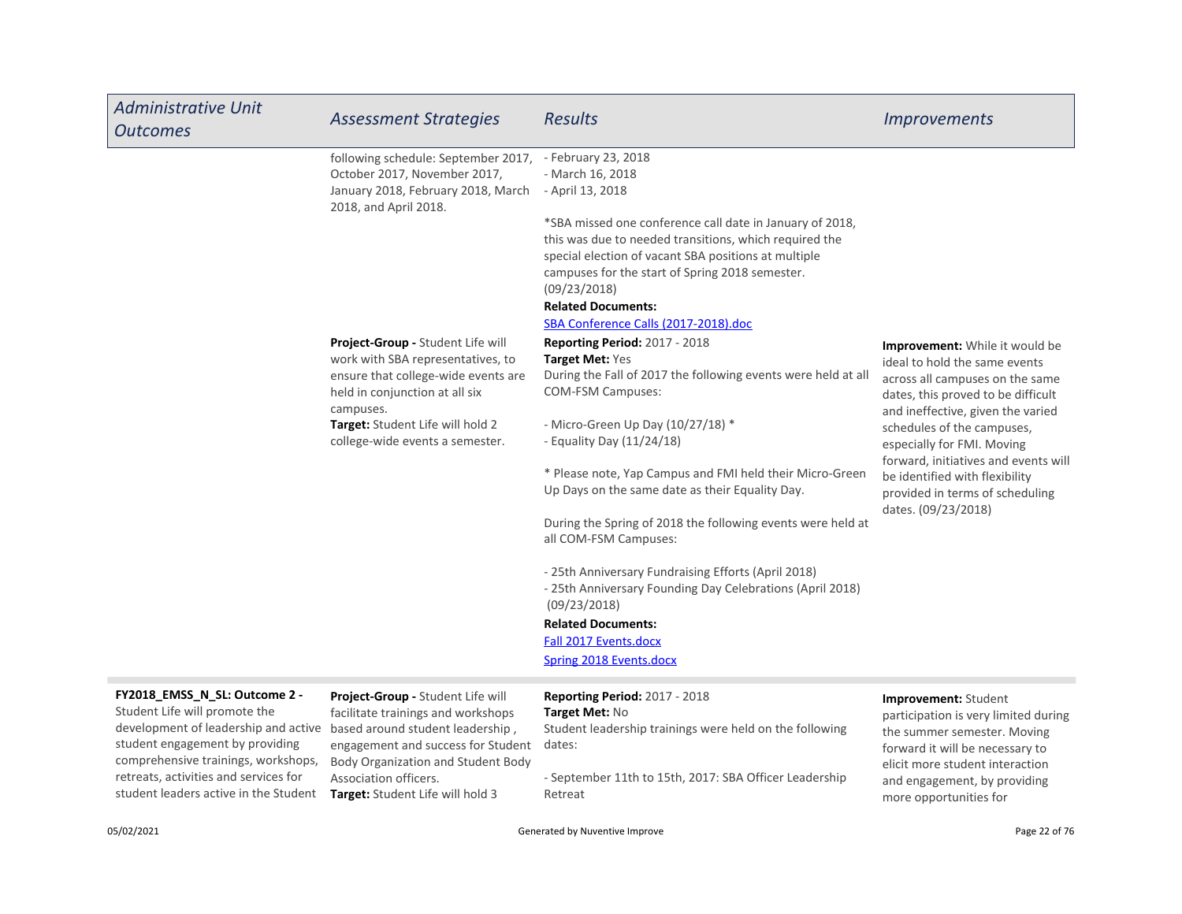| <b>Administrative Unit</b><br><b>Outcomes</b>                                      | <b>Assessment Strategies</b>                                                                                                                                 | <b>Results</b>                                                                                                                                                                                                                                                                                                     | <i><u><b>Improvements</b></u></i>                                                                                                                                                    |
|------------------------------------------------------------------------------------|--------------------------------------------------------------------------------------------------------------------------------------------------------------|--------------------------------------------------------------------------------------------------------------------------------------------------------------------------------------------------------------------------------------------------------------------------------------------------------------------|--------------------------------------------------------------------------------------------------------------------------------------------------------------------------------------|
|                                                                                    | following schedule: September 2017, - February 23, 2018<br>October 2017, November 2017,<br>January 2018, February 2018, March<br>2018, and April 2018.       | - March 16, 2018<br>- April 13, 2018                                                                                                                                                                                                                                                                               |                                                                                                                                                                                      |
|                                                                                    |                                                                                                                                                              | *SBA missed one conference call date in January of 2018,<br>this was due to needed transitions, which required the<br>special election of vacant SBA positions at multiple<br>campuses for the start of Spring 2018 semester.<br>(09/23/2018)<br><b>Related Documents:</b><br>SBA Conference Calls (2017-2018).doc |                                                                                                                                                                                      |
|                                                                                    | Project-Group - Student Life will<br>work with SBA representatives, to<br>ensure that college-wide events are<br>held in conjunction at all six<br>campuses. | <b>Reporting Period: 2017 - 2018</b><br>Target Met: Yes<br>During the Fall of 2017 the following events were held at all<br><b>COM-FSM Campuses:</b>                                                                                                                                                               | <b>Improvement:</b> While it would be<br>ideal to hold the same events<br>across all campuses on the same<br>dates, this proved to be difficult<br>and ineffective, given the varied |
|                                                                                    | Target: Student Life will hold 2<br>college-wide events a semester.                                                                                          | - Micro-Green Up Day (10/27/18) *<br>- Equality Day $(11/24/18)$                                                                                                                                                                                                                                                   | schedules of the campuses,<br>especially for FMI. Moving                                                                                                                             |
|                                                                                    |                                                                                                                                                              | * Please note, Yap Campus and FMI held their Micro-Green<br>Up Days on the same date as their Equality Day.                                                                                                                                                                                                        | forward, initiatives and events will<br>be identified with flexibility<br>provided in terms of scheduling                                                                            |
|                                                                                    |                                                                                                                                                              | During the Spring of 2018 the following events were held at<br>all COM-FSM Campuses:                                                                                                                                                                                                                               | dates. (09/23/2018)                                                                                                                                                                  |
|                                                                                    |                                                                                                                                                              | - 25th Anniversary Fundraising Efforts (April 2018)<br>- 25th Anniversary Founding Day Celebrations (April 2018)<br>(09/23/2018)                                                                                                                                                                                   |                                                                                                                                                                                      |
|                                                                                    |                                                                                                                                                              | <b>Related Documents:</b>                                                                                                                                                                                                                                                                                          |                                                                                                                                                                                      |
|                                                                                    |                                                                                                                                                              | Fall 2017 Events.docx<br><b>Spring 2018 Events.docx</b>                                                                                                                                                                                                                                                            |                                                                                                                                                                                      |
|                                                                                    |                                                                                                                                                              |                                                                                                                                                                                                                                                                                                                    |                                                                                                                                                                                      |
| FY2018_EMSS_N_SL: Outcome 2 -<br>والمستحق والمتحدث والترابي وأكثره والمحرور والمرا | Project-Group - Student Life will                                                                                                                            | <b>Reporting Period: 2017 - 2018</b>                                                                                                                                                                                                                                                                               | Improvement: Student                                                                                                                                                                 |

### development of leadership and active based around student leadership, Student Life will promote the student engagement by providing comprehensive trainings, workshops, retreats, activities and services for

student leaders active in the Student Target: Student Life will hold 3 engagement and success for Student dates: facilitate trainings and workshops Body Organization and Student Body Association officers.

# Target Met: No

Student leadership trainings were held on the following

- September 11th to 15th, 2017: SBA Officer Leadership Retreat

participation is very limited during the summer semester. Moving forward it will be necessary to elicit more student interaction and engagement, by providing more opportunities for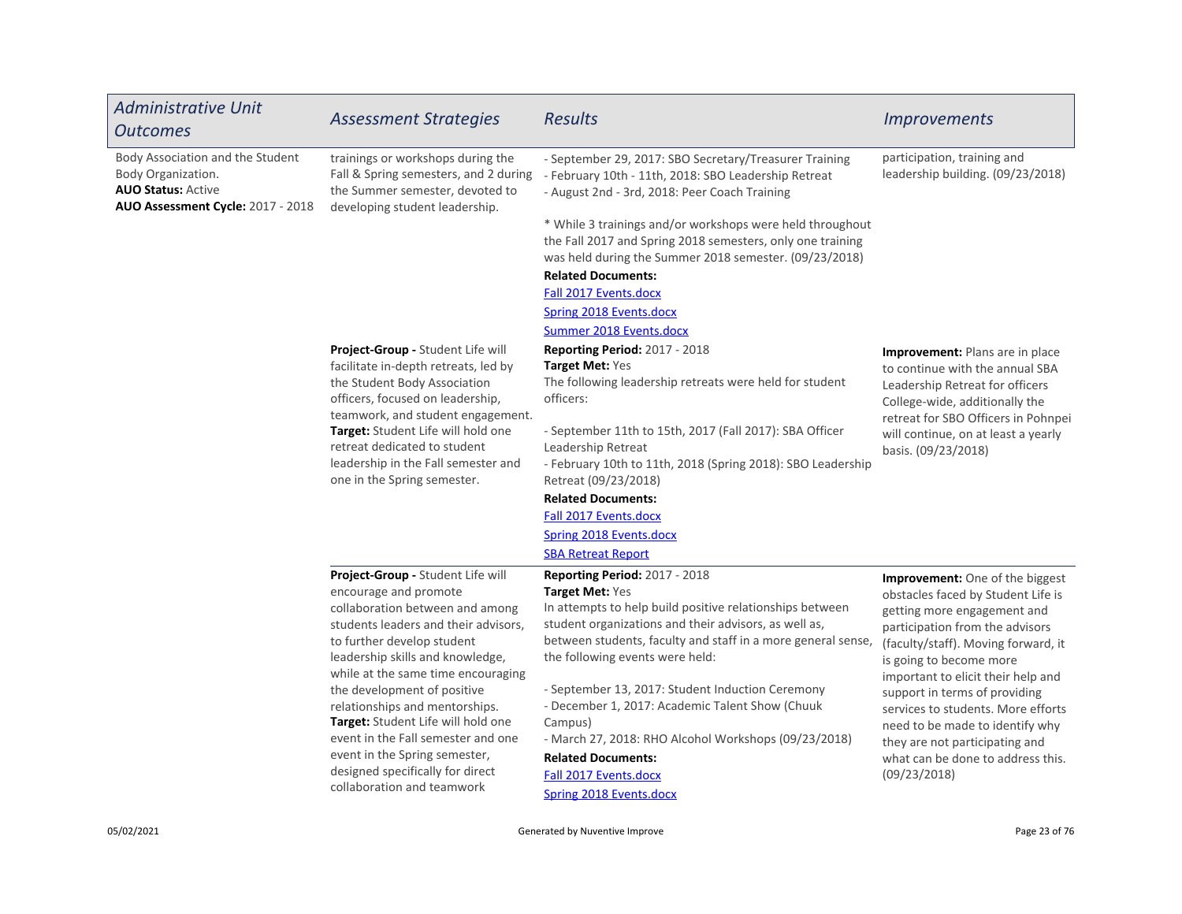| <b>Administrative Unit</b><br><b>Outcomes</b>                                                                            | <b>Assessment Strategies</b>                                                                                                                                                                                                                                                                                                                                                                                                                                                                  | <b>Results</b>                                                                                                                                                                                                                                                                                                                                                                                                                                                                                                                             | <i><u><b>Improvements</b></u></i>                                                                                                                                                                                                                                                                                                                                                                                                                       |
|--------------------------------------------------------------------------------------------------------------------------|-----------------------------------------------------------------------------------------------------------------------------------------------------------------------------------------------------------------------------------------------------------------------------------------------------------------------------------------------------------------------------------------------------------------------------------------------------------------------------------------------|--------------------------------------------------------------------------------------------------------------------------------------------------------------------------------------------------------------------------------------------------------------------------------------------------------------------------------------------------------------------------------------------------------------------------------------------------------------------------------------------------------------------------------------------|---------------------------------------------------------------------------------------------------------------------------------------------------------------------------------------------------------------------------------------------------------------------------------------------------------------------------------------------------------------------------------------------------------------------------------------------------------|
| Body Association and the Student<br>Body Organization.<br><b>AUO Status: Active</b><br>AUO Assessment Cycle: 2017 - 2018 | trainings or workshops during the<br>Fall & Spring semesters, and 2 during<br>the Summer semester, devoted to<br>developing student leadership.                                                                                                                                                                                                                                                                                                                                               | - September 29, 2017: SBO Secretary/Treasurer Training<br>- February 10th - 11th, 2018: SBO Leadership Retreat<br>- August 2nd - 3rd, 2018: Peer Coach Training<br>* While 3 trainings and/or workshops were held throughout<br>the Fall 2017 and Spring 2018 semesters, only one training<br>was held during the Summer 2018 semester. (09/23/2018)<br><b>Related Documents:</b><br>Fall 2017 Events.docx<br><b>Spring 2018 Events.docx</b><br><b>Summer 2018 Events.docx</b>                                                             | participation, training and<br>leadership building. (09/23/2018)                                                                                                                                                                                                                                                                                                                                                                                        |
|                                                                                                                          | Project-Group - Student Life will<br>facilitate in-depth retreats, led by<br>the Student Body Association<br>officers, focused on leadership,<br>teamwork, and student engagement.<br>Target: Student Life will hold one<br>retreat dedicated to student<br>leadership in the Fall semester and<br>one in the Spring semester.                                                                                                                                                                | Reporting Period: 2017 - 2018<br>Target Met: Yes<br>The following leadership retreats were held for student<br>officers:<br>- September 11th to 15th, 2017 (Fall 2017): SBA Officer<br>Leadership Retreat<br>- February 10th to 11th, 2018 (Spring 2018): SBO Leadership<br>Retreat (09/23/2018)<br><b>Related Documents:</b><br>Fall 2017 Events.docx<br><b>Spring 2018 Events.docx</b><br><b>SBA Retreat Report</b>                                                                                                                      | <b>Improvement:</b> Plans are in place<br>to continue with the annual SBA<br>Leadership Retreat for officers<br>College-wide, additionally the<br>retreat for SBO Officers in Pohnpei<br>will continue, on at least a yearly<br>basis. (09/23/2018)                                                                                                                                                                                                     |
|                                                                                                                          | Project-Group - Student Life will<br>encourage and promote<br>collaboration between and among<br>students leaders and their advisors,<br>to further develop student<br>leadership skills and knowledge,<br>while at the same time encouraging<br>the development of positive<br>relationships and mentorships.<br>Target: Student Life will hold one<br>event in the Fall semester and one<br>event in the Spring semester,<br>designed specifically for direct<br>collaboration and teamwork | Reporting Period: 2017 - 2018<br>Target Met: Yes<br>In attempts to help build positive relationships between<br>student organizations and their advisors, as well as,<br>between students, faculty and staff in a more general sense,<br>the following events were held:<br>- September 13, 2017: Student Induction Ceremony<br>- December 1, 2017: Academic Talent Show (Chuuk<br>Campus)<br>- March 27, 2018: RHO Alcohol Workshops (09/23/2018)<br><b>Related Documents:</b><br>Fall 2017 Events.docx<br><b>Spring 2018 Events.docx</b> | <b>Improvement:</b> One of the biggest<br>obstacles faced by Student Life is<br>getting more engagement and<br>participation from the advisors<br>(faculty/staff). Moving forward, it<br>is going to become more<br>important to elicit their help and<br>support in terms of providing<br>services to students. More efforts<br>need to be made to identify why<br>they are not participating and<br>what can be done to address this.<br>(09/23/2018) |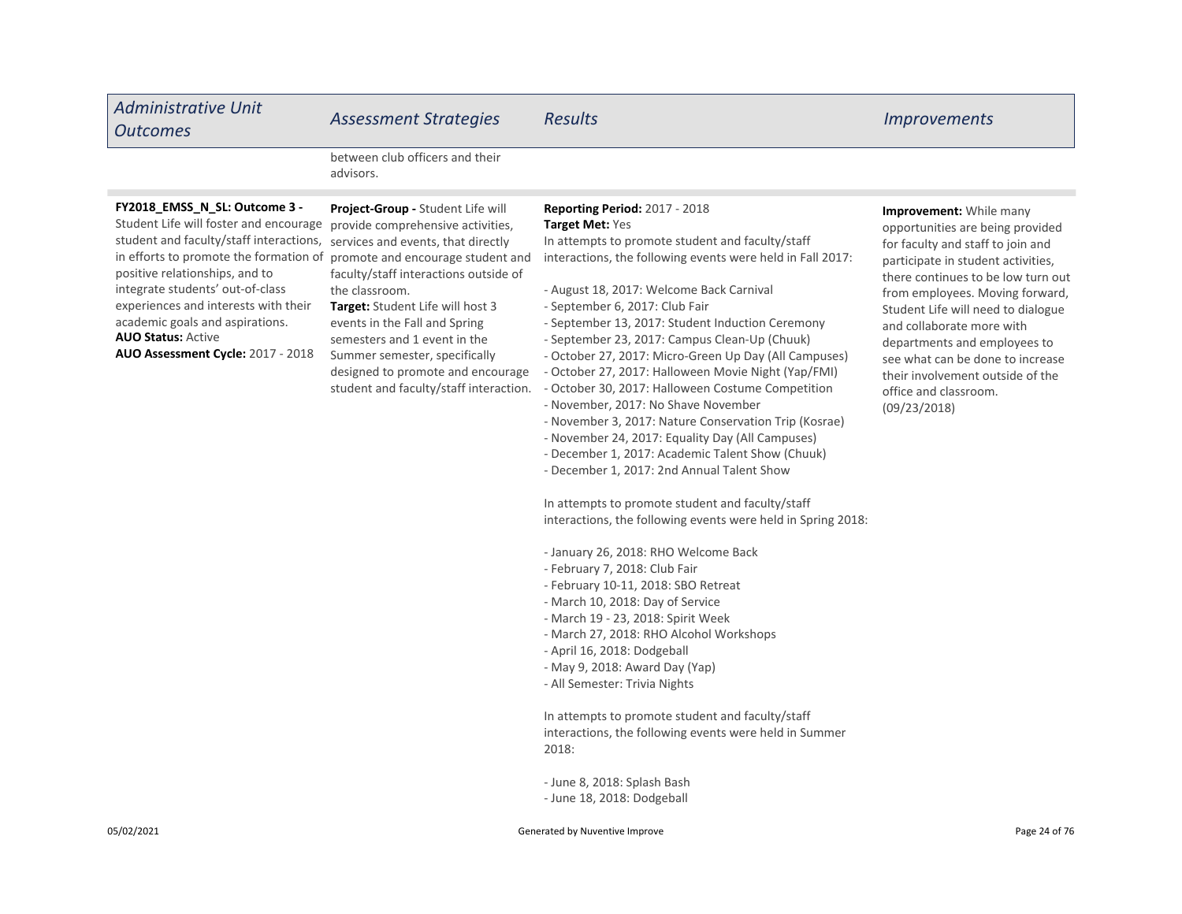| <b>Administrative Unit</b><br><b>Outcomes</b>                                                                                                                                                                                                                                                                                                                                   | <b>Assessment Strategies</b>                                                                                                                                                                                                                                                                                                                                                                                                      | <b>Results</b>                                                                                                                                                                                                                                                                                                                                                                                                                                                                                                                                                                                                                                                                                                                                                                                                                                                                                                                                                                                                                                                                                                                                                                                                                                                                                                                                                     | <i>Improvements</i>                                                                                                                                                                                                                                                                                                                                                                                                                 |
|---------------------------------------------------------------------------------------------------------------------------------------------------------------------------------------------------------------------------------------------------------------------------------------------------------------------------------------------------------------------------------|-----------------------------------------------------------------------------------------------------------------------------------------------------------------------------------------------------------------------------------------------------------------------------------------------------------------------------------------------------------------------------------------------------------------------------------|--------------------------------------------------------------------------------------------------------------------------------------------------------------------------------------------------------------------------------------------------------------------------------------------------------------------------------------------------------------------------------------------------------------------------------------------------------------------------------------------------------------------------------------------------------------------------------------------------------------------------------------------------------------------------------------------------------------------------------------------------------------------------------------------------------------------------------------------------------------------------------------------------------------------------------------------------------------------------------------------------------------------------------------------------------------------------------------------------------------------------------------------------------------------------------------------------------------------------------------------------------------------------------------------------------------------------------------------------------------------|-------------------------------------------------------------------------------------------------------------------------------------------------------------------------------------------------------------------------------------------------------------------------------------------------------------------------------------------------------------------------------------------------------------------------------------|
|                                                                                                                                                                                                                                                                                                                                                                                 | between club officers and their<br>advisors.                                                                                                                                                                                                                                                                                                                                                                                      |                                                                                                                                                                                                                                                                                                                                                                                                                                                                                                                                                                                                                                                                                                                                                                                                                                                                                                                                                                                                                                                                                                                                                                                                                                                                                                                                                                    |                                                                                                                                                                                                                                                                                                                                                                                                                                     |
| FY2018_EMSS_N_SL: Outcome 3 -<br>Student Life will foster and encourage<br>student and faculty/staff interactions,<br>in efforts to promote the formation of<br>positive relationships, and to<br>integrate students' out-of-class<br>experiences and interests with their<br>academic goals and aspirations.<br><b>AUO Status: Active</b><br>AUO Assessment Cycle: 2017 - 2018 | Project-Group - Student Life will<br>provide comprehensive activities,<br>services and events, that directly<br>promote and encourage student and<br>faculty/staff interactions outside of<br>the classroom.<br>Target: Student Life will host 3<br>events in the Fall and Spring<br>semesters and 1 event in the<br>Summer semester, specifically<br>designed to promote and encourage<br>student and faculty/staff interaction. | Reporting Period: 2017 - 2018<br>Target Met: Yes<br>In attempts to promote student and faculty/staff<br>interactions, the following events were held in Fall 2017:<br>- August 18, 2017: Welcome Back Carnival<br>- September 6, 2017: Club Fair<br>- September 13, 2017: Student Induction Ceremony<br>- September 23, 2017: Campus Clean-Up (Chuuk)<br>- October 27, 2017: Micro-Green Up Day (All Campuses)<br>- October 27, 2017: Halloween Movie Night (Yap/FMI)<br>- October 30, 2017: Halloween Costume Competition<br>- November, 2017: No Shave November<br>- November 3, 2017: Nature Conservation Trip (Kosrae)<br>- November 24, 2017: Equality Day (All Campuses)<br>- December 1, 2017: Academic Talent Show (Chuuk)<br>- December 1, 2017: 2nd Annual Talent Show<br>In attempts to promote student and faculty/staff<br>interactions, the following events were held in Spring 2018:<br>- January 26, 2018: RHO Welcome Back<br>- February 7, 2018: Club Fair<br>- February 10-11, 2018: SBO Retreat<br>- March 10, 2018: Day of Service<br>- March 19 - 23, 2018: Spirit Week<br>- March 27, 2018: RHO Alcohol Workshops<br>- April 16, 2018: Dodgeball<br>- May 9, 2018: Award Day (Yap)<br>- All Semester: Trivia Nights<br>In attempts to promote student and faculty/staff<br>interactions, the following events were held in Summer<br>2018: | Improvement: While many<br>opportunities are being provided<br>for faculty and staff to join and<br>participate in student activities,<br>there continues to be low turn out<br>from employees. Moving forward,<br>Student Life will need to dialogue<br>and collaborate more with<br>departments and employees to<br>see what can be done to increase<br>their involvement outside of the<br>office and classroom.<br>(09/23/2018) |
|                                                                                                                                                                                                                                                                                                                                                                                 |                                                                                                                                                                                                                                                                                                                                                                                                                                   | - June 8, 2018: Splash Bash                                                                                                                                                                                                                                                                                                                                                                                                                                                                                                                                                                                                                                                                                                                                                                                                                                                                                                                                                                                                                                                                                                                                                                                                                                                                                                                                        |                                                                                                                                                                                                                                                                                                                                                                                                                                     |

- June 18, 2018: Dodgeball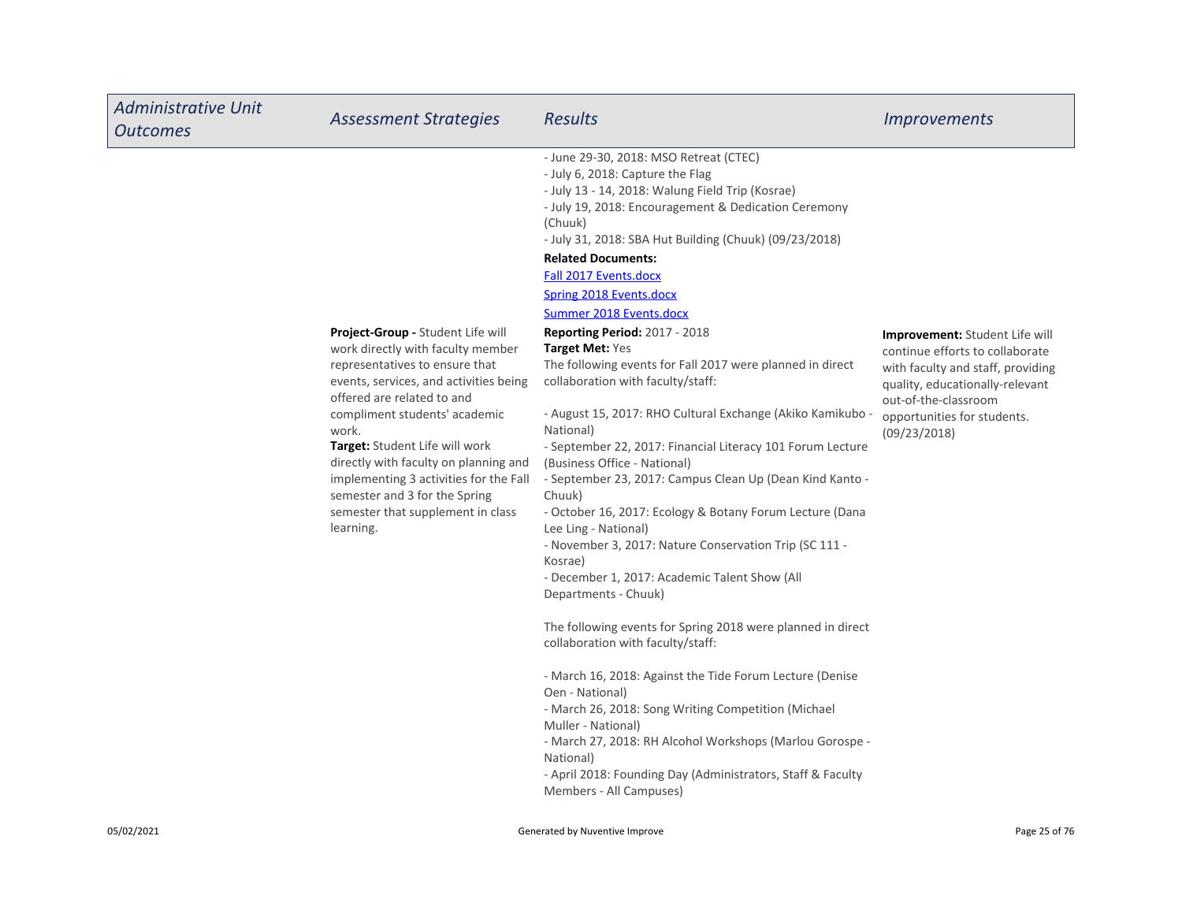| <b>Administrative Unit</b><br><b>Outcomes</b> | <b>Assessment Strategies</b>                                                                                                                                                                                                                                                                                                                                                                                                       | <b>Results</b>                                                                                                                                                                                                                                                                                                                                                                                                                                                                                                                                                                                                                                                                                                                                                                                                                                                                                                                                                                                                                                                                                                                                                                                                                                                                                                                                                                                                                              | <i><u><b>Improvements</b></u></i>                                                                                                                                                                                       |
|-----------------------------------------------|------------------------------------------------------------------------------------------------------------------------------------------------------------------------------------------------------------------------------------------------------------------------------------------------------------------------------------------------------------------------------------------------------------------------------------|---------------------------------------------------------------------------------------------------------------------------------------------------------------------------------------------------------------------------------------------------------------------------------------------------------------------------------------------------------------------------------------------------------------------------------------------------------------------------------------------------------------------------------------------------------------------------------------------------------------------------------------------------------------------------------------------------------------------------------------------------------------------------------------------------------------------------------------------------------------------------------------------------------------------------------------------------------------------------------------------------------------------------------------------------------------------------------------------------------------------------------------------------------------------------------------------------------------------------------------------------------------------------------------------------------------------------------------------------------------------------------------------------------------------------------------------|-------------------------------------------------------------------------------------------------------------------------------------------------------------------------------------------------------------------------|
|                                               | Project-Group - Student Life will<br>work directly with faculty member<br>representatives to ensure that<br>events, services, and activities being<br>offered are related to and<br>compliment students' academic<br>work.<br>Target: Student Life will work<br>directly with faculty on planning and<br>implementing 3 activities for the Fall<br>semester and 3 for the Spring<br>semester that supplement in class<br>learning. | - June 29-30, 2018: MSO Retreat (CTEC)<br>- July 6, 2018: Capture the Flag<br>- July 13 - 14, 2018: Walung Field Trip (Kosrae)<br>- July 19, 2018: Encouragement & Dedication Ceremony<br>(Chuuk)<br>- July 31, 2018: SBA Hut Building (Chuuk) (09/23/2018)<br><b>Related Documents:</b><br>Fall 2017 Events.docx<br><b>Spring 2018 Events.docx</b><br><b>Summer 2018 Events.docx</b><br><b>Reporting Period: 2017 - 2018</b><br>Target Met: Yes<br>The following events for Fall 2017 were planned in direct<br>collaboration with faculty/staff:<br>- August 15, 2017: RHO Cultural Exchange (Akiko Kamikubo -<br>National)<br>- September 22, 2017: Financial Literacy 101 Forum Lecture<br>(Business Office - National)<br>- September 23, 2017: Campus Clean Up (Dean Kind Kanto -<br>Chuuk)<br>- October 16, 2017: Ecology & Botany Forum Lecture (Dana<br>Lee Ling - National)<br>- November 3, 2017: Nature Conservation Trip (SC 111 -<br>Kosrae)<br>- December 1, 2017: Academic Talent Show (All<br>Departments - Chuuk)<br>The following events for Spring 2018 were planned in direct<br>collaboration with faculty/staff:<br>- March 16, 2018: Against the Tide Forum Lecture (Denise<br>Oen - National)<br>- March 26, 2018: Song Writing Competition (Michael<br>Muller - National)<br>- March 27, 2018: RH Alcohol Workshops (Marlou Gorospe -<br>National)<br>- April 2018: Founding Day (Administrators, Staff & Faculty | <b>Improvement:</b> Student Life will<br>continue efforts to collaborate<br>with faculty and staff, providing<br>quality, educationally-relevant<br>out-of-the-classroom<br>opportunities for students.<br>(09/23/2018) |
|                                               |                                                                                                                                                                                                                                                                                                                                                                                                                                    | Members - All Campuses)                                                                                                                                                                                                                                                                                                                                                                                                                                                                                                                                                                                                                                                                                                                                                                                                                                                                                                                                                                                                                                                                                                                                                                                                                                                                                                                                                                                                                     |                                                                                                                                                                                                                         |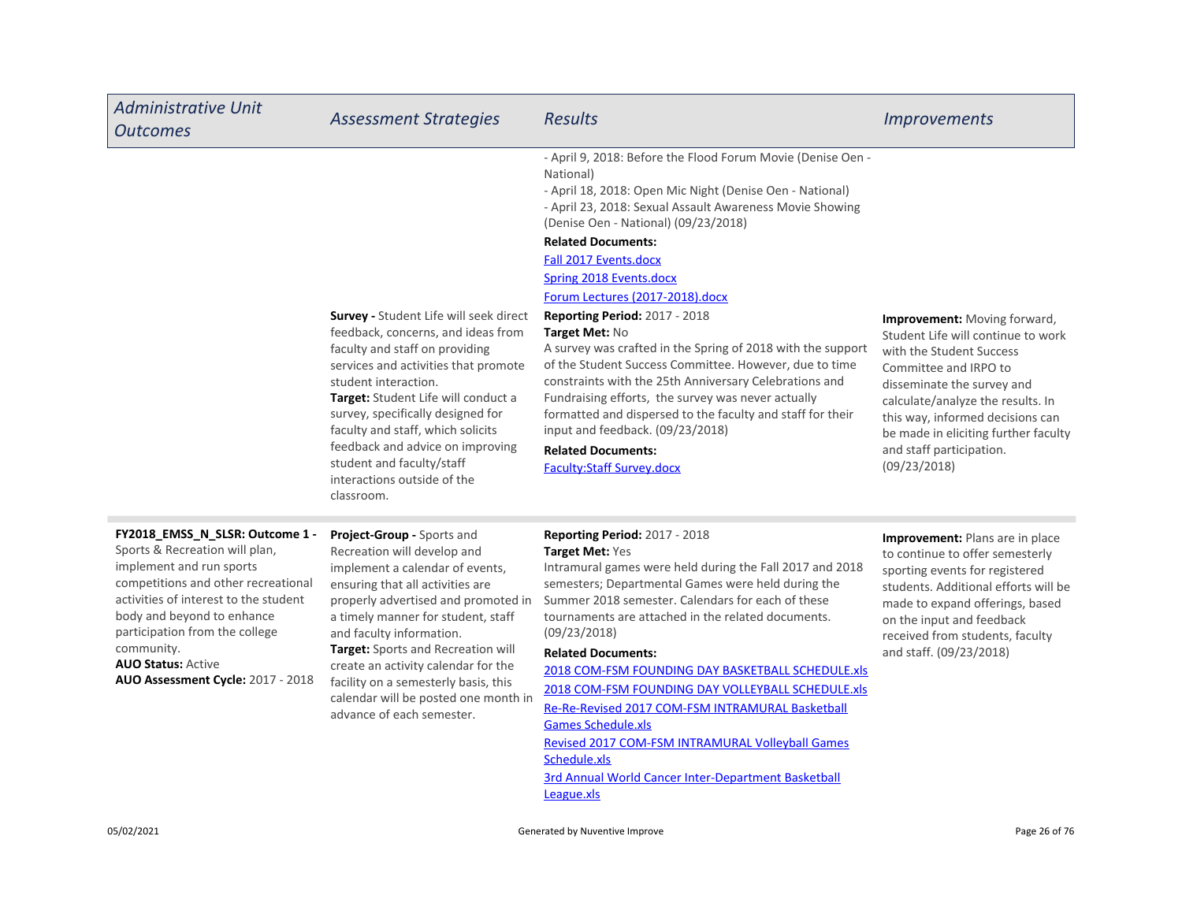| <b>Administrative Unit</b><br><b>Outcomes</b>                                                                                                                                                                                                                                                                                 | <b>Assessment Strategies</b>                                                                                                                                                                                                                                                                                                                                                                                                        | <b>Results</b>                                                                                                                                                                                                                                                                                                                                                                                                                                                                                                                                                                                                                                                                                                                                                                                                                            | <i><u><b>Improvements</b></u></i>                                                                                                                                                                                                                                                                                  |
|-------------------------------------------------------------------------------------------------------------------------------------------------------------------------------------------------------------------------------------------------------------------------------------------------------------------------------|-------------------------------------------------------------------------------------------------------------------------------------------------------------------------------------------------------------------------------------------------------------------------------------------------------------------------------------------------------------------------------------------------------------------------------------|-------------------------------------------------------------------------------------------------------------------------------------------------------------------------------------------------------------------------------------------------------------------------------------------------------------------------------------------------------------------------------------------------------------------------------------------------------------------------------------------------------------------------------------------------------------------------------------------------------------------------------------------------------------------------------------------------------------------------------------------------------------------------------------------------------------------------------------------|--------------------------------------------------------------------------------------------------------------------------------------------------------------------------------------------------------------------------------------------------------------------------------------------------------------------|
|                                                                                                                                                                                                                                                                                                                               | <b>Survey - Student Life will seek direct</b><br>feedback, concerns, and ideas from<br>faculty and staff on providing<br>services and activities that promote<br>student interaction.<br>Target: Student Life will conduct a<br>survey, specifically designed for<br>faculty and staff, which solicits<br>feedback and advice on improving<br>student and faculty/staff<br>interactions outside of the<br>classroom.                | - April 9, 2018: Before the Flood Forum Movie (Denise Oen -<br>National)<br>- April 18, 2018: Open Mic Night (Denise Oen - National)<br>- April 23, 2018: Sexual Assault Awareness Movie Showing<br>(Denise Oen - National) (09/23/2018)<br><b>Related Documents:</b><br>Fall 2017 Events.docx<br><b>Spring 2018 Events.docx</b><br>Forum Lectures (2017-2018).docx<br><b>Reporting Period: 2017 - 2018</b><br>Target Met: No<br>A survey was crafted in the Spring of 2018 with the support<br>of the Student Success Committee. However, due to time<br>constraints with the 25th Anniversary Celebrations and<br>Fundraising efforts, the survey was never actually<br>formatted and dispersed to the faculty and staff for their<br>input and feedback. (09/23/2018)<br><b>Related Documents:</b><br><b>Faculty:Staff Survey.docx</b> | Improvement: Moving forward,<br>Student Life will continue to work<br>with the Student Success<br>Committee and IRPO to<br>disseminate the survey and<br>calculate/analyze the results. In<br>this way, informed decisions can<br>be made in eliciting further faculty<br>and staff participation.<br>(09/23/2018) |
| FY2018_EMSS_N_SLSR: Outcome 1 -<br>Sports & Recreation will plan,<br>implement and run sports<br>competitions and other recreational<br>activities of interest to the student<br>body and beyond to enhance<br>participation from the college<br>community.<br><b>AUO Status: Active</b><br>AUO Assessment Cycle: 2017 - 2018 | Project-Group - Sports and<br>Recreation will develop and<br>implement a calendar of events,<br>ensuring that all activities are<br>properly advertised and promoted in<br>a timely manner for student, staff<br>and faculty information.<br>Target: Sports and Recreation will<br>create an activity calendar for the<br>facility on a semesterly basis, this<br>calendar will be posted one month in<br>advance of each semester. | <b>Reporting Period: 2017 - 2018</b><br>Target Met: Yes<br>Intramural games were held during the Fall 2017 and 2018<br>semesters; Departmental Games were held during the<br>Summer 2018 semester. Calendars for each of these<br>tournaments are attached in the related documents.<br>(09/23/2018)<br><b>Related Documents:</b><br>2018 COM-FSM FOUNDING DAY BASKETBALL SCHEDULE.xls<br>2018 COM-FSM FOUNDING DAY VOLLEYBALL SCHEDULE.xls<br>Re-Re-Revised 2017 COM-FSM INTRAMURAL Basketball<br><b>Games Schedule.xls</b><br>Revised 2017 COM-FSM INTRAMURAL Volleyball Games<br>Schedule.xls<br>and a stronger and a strong of the<br>- - -                                                                                                                                                                                           | Improvement: Plans are in place<br>to continue to offer semesterly<br>sporting events for registered<br>students. Additional efforts will be<br>made to expand offerings, based<br>on the input and feedback<br>received from students, faculty<br>and staff. (09/23/2018)                                         |

3rd Annual World Cancer Inter-Department Basketball League.xls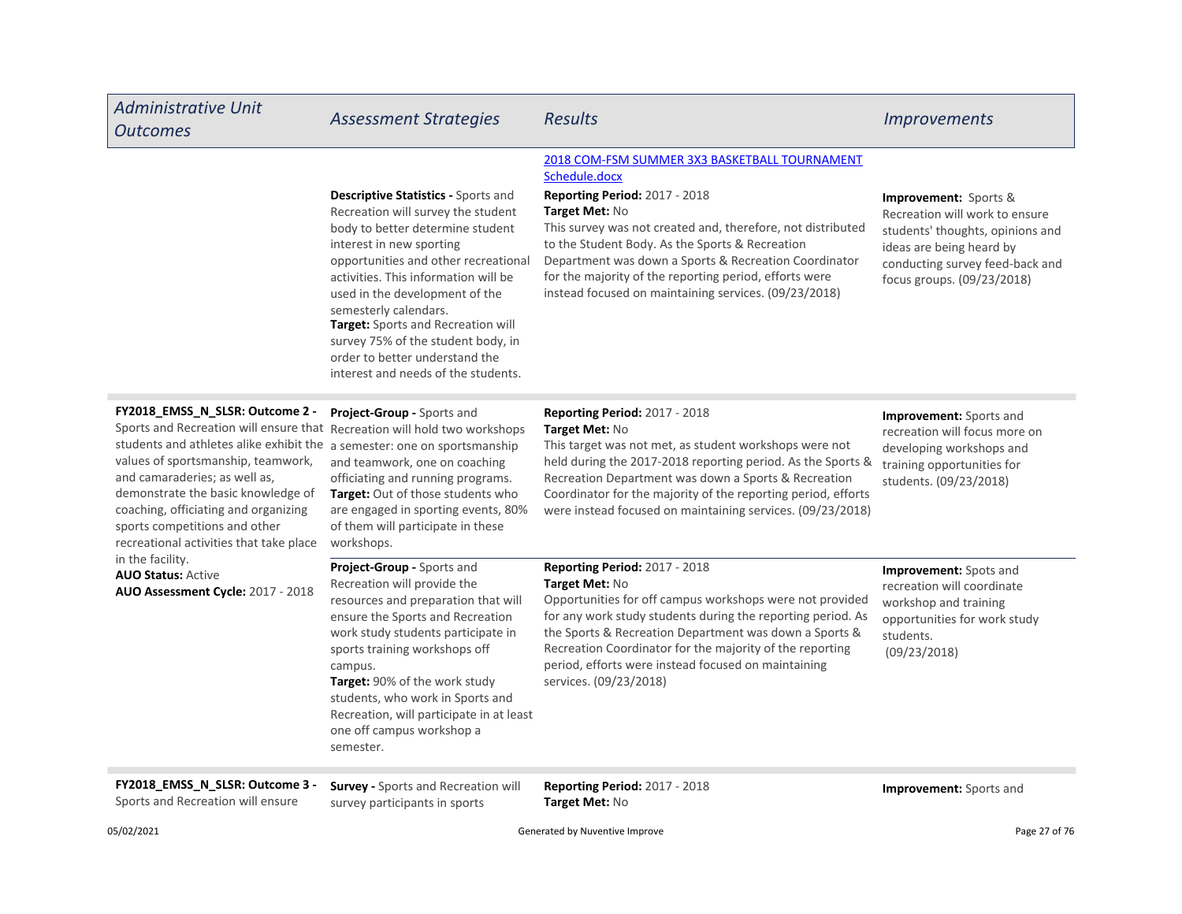| <b>Administrative Unit</b><br><b>Outcomes</b>                                                                                                                                                                                                                                                                                                                                                                             | <b>Assessment Strategies</b>                                                                                                                                                                                                                                                                                                                                                                                                              | <b>Results</b>                                                                                                                                                                                                                                                                                                                                                                                                  | <i><u><b>Improvements</b></u></i>                                                                                                                                                               |
|---------------------------------------------------------------------------------------------------------------------------------------------------------------------------------------------------------------------------------------------------------------------------------------------------------------------------------------------------------------------------------------------------------------------------|-------------------------------------------------------------------------------------------------------------------------------------------------------------------------------------------------------------------------------------------------------------------------------------------------------------------------------------------------------------------------------------------------------------------------------------------|-----------------------------------------------------------------------------------------------------------------------------------------------------------------------------------------------------------------------------------------------------------------------------------------------------------------------------------------------------------------------------------------------------------------|-------------------------------------------------------------------------------------------------------------------------------------------------------------------------------------------------|
|                                                                                                                                                                                                                                                                                                                                                                                                                           | Descriptive Statistics - Sports and<br>Recreation will survey the student<br>body to better determine student<br>interest in new sporting<br>opportunities and other recreational<br>activities. This information will be<br>used in the development of the<br>semesterly calendars.<br>Target: Sports and Recreation will<br>survey 75% of the student body, in<br>order to better understand the<br>interest and needs of the students. | 2018 COM-FSM SUMMER 3X3 BASKETBALL TOURNAMENT<br>Schedule.docx<br>Reporting Period: 2017 - 2018<br>Target Met: No<br>This survey was not created and, therefore, not distributed<br>to the Student Body. As the Sports & Recreation<br>Department was down a Sports & Recreation Coordinator<br>for the majority of the reporting period, efforts were<br>instead focused on maintaining services. (09/23/2018) | <b>Improvement:</b> Sports &<br>Recreation will work to ensure<br>students' thoughts, opinions and<br>ideas are being heard by<br>conducting survey feed-back and<br>focus groups. (09/23/2018) |
| FY2018_EMSS_N_SLSR: Outcome 2 -<br>Sports and Recreation will ensure that Recreation will hold two workshops<br>students and athletes alike exhibit the a semester: one on sportsmanship<br>values of sportsmanship, teamwork,<br>and camaraderies; as well as,<br>demonstrate the basic knowledge of<br>coaching, officiating and organizing<br>sports competitions and other<br>recreational activities that take place | Project-Group - Sports and<br>and teamwork, one on coaching<br>officiating and running programs.<br>Target: Out of those students who<br>are engaged in sporting events, 80%<br>of them will participate in these<br>workshops.                                                                                                                                                                                                           | <b>Reporting Period: 2017 - 2018</b><br>Target Met: No<br>This target was not met, as student workshops were not<br>held during the 2017-2018 reporting period. As the Sports &<br>Recreation Department was down a Sports & Recreation<br>Coordinator for the majority of the reporting period, efforts<br>were instead focused on maintaining services. (09/23/2018)                                          | <b>Improvement:</b> Sports and<br>recreation will focus more on<br>developing workshops and<br>training opportunities for<br>students. (09/23/2018)                                             |
| in the facility.<br><b>AUO Status: Active</b><br>AUO Assessment Cycle: 2017 - 2018                                                                                                                                                                                                                                                                                                                                        | Project-Group - Sports and<br>Recreation will provide the<br>resources and preparation that will<br>ensure the Sports and Recreation<br>work study students participate in<br>sports training workshops off<br>campus.<br>Target: 90% of the work study<br>students, who work in Sports and<br>Recreation, will participate in at least<br>one off campus workshop a<br>semester.                                                         | <b>Reporting Period: 2017 - 2018</b><br>Target Met: No<br>Opportunities for off campus workshops were not provided<br>for any work study students during the reporting period. As<br>the Sports & Recreation Department was down a Sports &<br>Recreation Coordinator for the majority of the reporting<br>period, efforts were instead focused on maintaining<br>services. (09/23/2018)                        | Improvement: Spots and<br>recreation will coordinate<br>workshop and training<br>opportunities for work study<br>students.<br>(09/23/2018)                                                      |
| FY2018 EMSS N SLSR: Outcome 3 -                                                                                                                                                                                                                                                                                                                                                                                           | <b>Survey - Sports and Recreation will</b>                                                                                                                                                                                                                                                                                                                                                                                                | Reporting Period: 2017 - 2018                                                                                                                                                                                                                                                                                                                                                                                   | <b>Improvement:</b> Sports and                                                                                                                                                                  |

Sports and Recreation will ensure

survey participants in sports

Reporting Period: 2017 - 2018 **Improvement:** Sports and Target Met: No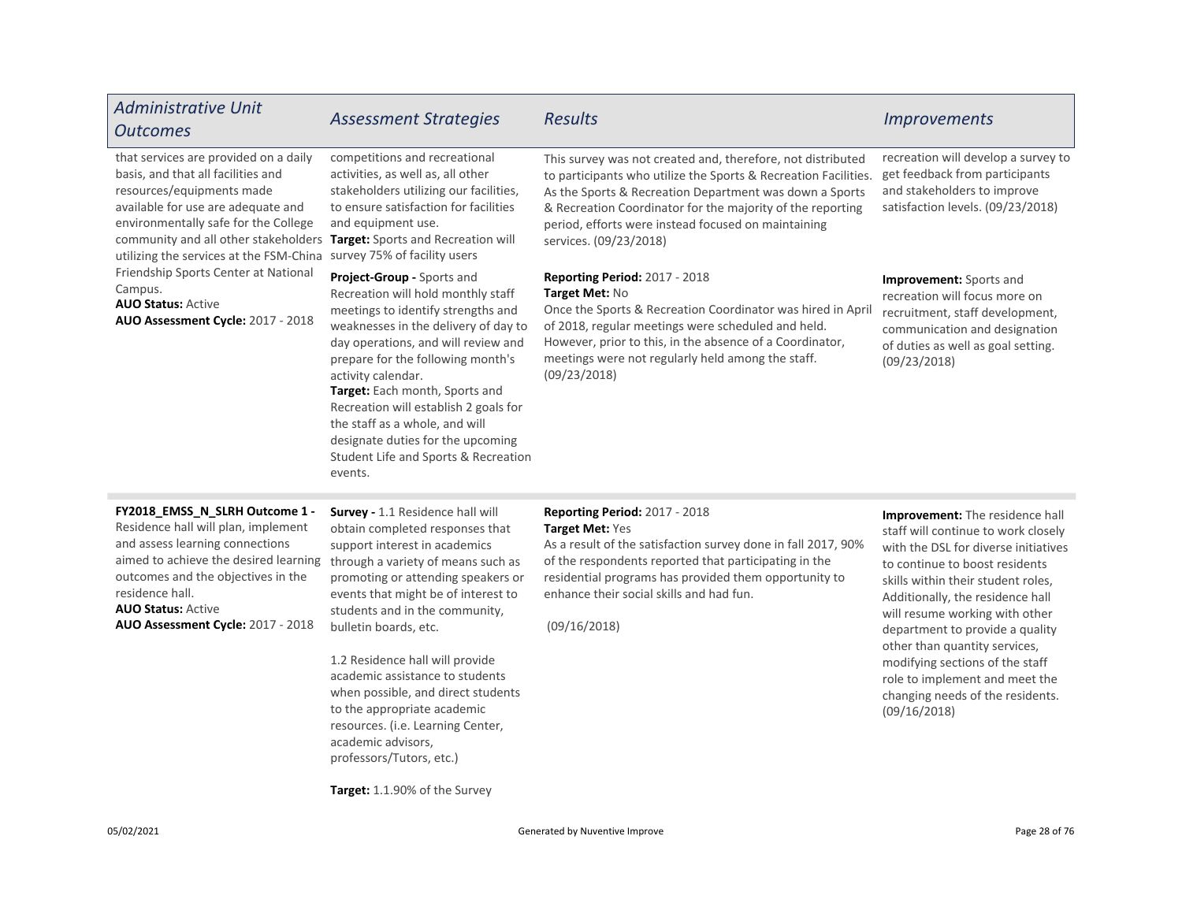| <b>Administrative Unit</b><br><b>Outcomes</b>                                                                                                                                                                                                                                                                                                                                                                                                                  | <b>Assessment Strategies</b>                                                                                                                                                                                                                                                                                                                                                                                                                                                             | Results                                                                                                                                                                                                                                                                                                                                  | <b>Improvements</b>                                                                                                                                                                                                                                                                                                                                                                                                                                       |
|----------------------------------------------------------------------------------------------------------------------------------------------------------------------------------------------------------------------------------------------------------------------------------------------------------------------------------------------------------------------------------------------------------------------------------------------------------------|------------------------------------------------------------------------------------------------------------------------------------------------------------------------------------------------------------------------------------------------------------------------------------------------------------------------------------------------------------------------------------------------------------------------------------------------------------------------------------------|------------------------------------------------------------------------------------------------------------------------------------------------------------------------------------------------------------------------------------------------------------------------------------------------------------------------------------------|-----------------------------------------------------------------------------------------------------------------------------------------------------------------------------------------------------------------------------------------------------------------------------------------------------------------------------------------------------------------------------------------------------------------------------------------------------------|
| that services are provided on a daily<br>basis, and that all facilities and<br>resources/equipments made<br>available for use are adequate and<br>environmentally safe for the College<br>community and all other stakeholders Target: Sports and Recreation will<br>utilizing the services at the FSM-China survey 75% of facility users<br>Friendship Sports Center at National<br>Campus.<br><b>AUO Status: Active</b><br>AUO Assessment Cycle: 2017 - 2018 | competitions and recreational<br>activities, as well as, all other<br>stakeholders utilizing our facilities,<br>to ensure satisfaction for facilities<br>and equipment use.                                                                                                                                                                                                                                                                                                              | This survey was not created and, therefore, not distributed<br>to participants who utilize the Sports & Recreation Facilities.<br>As the Sports & Recreation Department was down a Sports<br>& Recreation Coordinator for the majority of the reporting<br>period, efforts were instead focused on maintaining<br>services. (09/23/2018) | recreation will develop a survey to<br>get feedback from participants<br>and stakeholders to improve<br>satisfaction levels. (09/23/2018)                                                                                                                                                                                                                                                                                                                 |
|                                                                                                                                                                                                                                                                                                                                                                                                                                                                | Project-Group - Sports and<br>Recreation will hold monthly staff<br>meetings to identify strengths and<br>weaknesses in the delivery of day to<br>day operations, and will review and<br>prepare for the following month's<br>activity calendar.<br>Target: Each month, Sports and<br>Recreation will establish 2 goals for<br>the staff as a whole, and will<br>designate duties for the upcoming<br>Student Life and Sports & Recreation<br>events.                                    | Reporting Period: 2017 - 2018<br>Target Met: No<br>Once the Sports & Recreation Coordinator was hired in April<br>of 2018, regular meetings were scheduled and held.<br>However, prior to this, in the absence of a Coordinator,<br>meetings were not regularly held among the staff.<br>(09/23/2018)                                    | Improvement: Sports and<br>recreation will focus more on<br>recruitment, staff development,<br>communication and designation<br>of duties as well as goal setting.<br>(09/23/2018)                                                                                                                                                                                                                                                                        |
| FY2018_EMSS_N_SLRH Outcome 1 -<br>Residence hall will plan, implement<br>and assess learning connections<br>aimed to achieve the desired learning<br>outcomes and the objectives in the<br>residence hall.<br><b>AUO Status: Active</b><br>AUO Assessment Cycle: 2017 - 2018                                                                                                                                                                                   | Survey - 1.1 Residence hall will<br>obtain completed responses that<br>support interest in academics<br>through a variety of means such as<br>promoting or attending speakers or<br>events that might be of interest to<br>students and in the community,<br>bulletin boards, etc.<br>1.2 Residence hall will provide<br>academic assistance to students<br>when possible, and direct students<br>to the appropriate academic<br>resources. (i.e. Learning Center,<br>academic advisors, | <b>Reporting Period: 2017 - 2018</b><br>Target Met: Yes<br>As a result of the satisfaction survey done in fall 2017, 90%<br>of the respondents reported that participating in the<br>residential programs has provided them opportunity to<br>enhance their social skills and had fun.<br>(09/16/2018)                                   | Improvement: The residence hall<br>staff will continue to work closely<br>with the DSL for diverse initiatives<br>to continue to boost residents<br>skills within their student roles,<br>Additionally, the residence hall<br>will resume working with other<br>department to provide a quality<br>other than quantity services,<br>modifying sections of the staff<br>role to implement and meet the<br>changing needs of the residents.<br>(09/16/2018) |

Target: 1.1.90% of the Survey

professors/Tutors, etc.)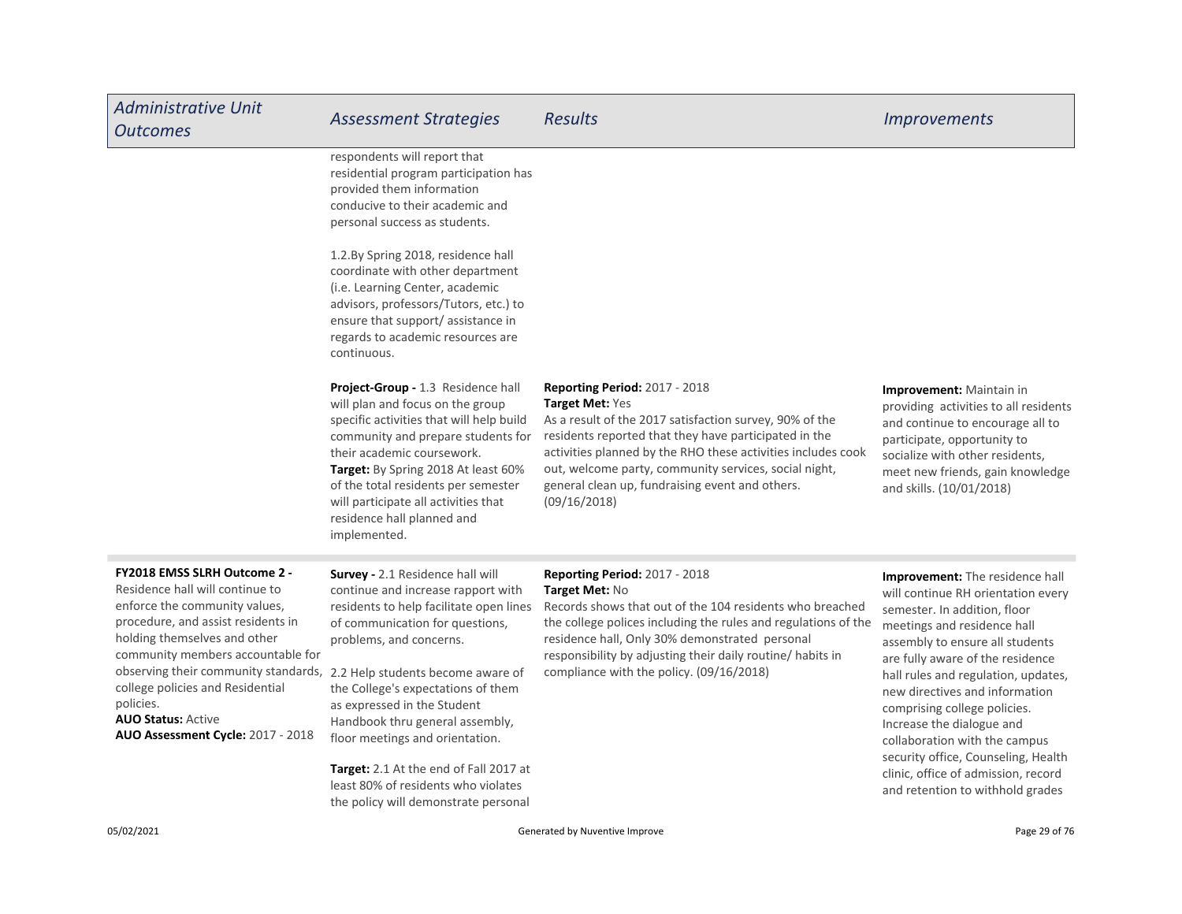| <b>Administrative Unit</b><br><b>Outcomes</b>                                                                                                                                                                                                                                                                                                                                                                   | <b>Assessment Strategies</b>                                                                                                                                                                                                                                                                                                                                                                                | <b>Results</b>                                                                                                                                                                                                                                                                                                                                                          | <b>Improvements</b>                                                                                                                                                                                                                                                                                                                                                                                                                                                                                  |
|-----------------------------------------------------------------------------------------------------------------------------------------------------------------------------------------------------------------------------------------------------------------------------------------------------------------------------------------------------------------------------------------------------------------|-------------------------------------------------------------------------------------------------------------------------------------------------------------------------------------------------------------------------------------------------------------------------------------------------------------------------------------------------------------------------------------------------------------|-------------------------------------------------------------------------------------------------------------------------------------------------------------------------------------------------------------------------------------------------------------------------------------------------------------------------------------------------------------------------|------------------------------------------------------------------------------------------------------------------------------------------------------------------------------------------------------------------------------------------------------------------------------------------------------------------------------------------------------------------------------------------------------------------------------------------------------------------------------------------------------|
|                                                                                                                                                                                                                                                                                                                                                                                                                 | respondents will report that<br>residential program participation has<br>provided them information<br>conducive to their academic and<br>personal success as students.                                                                                                                                                                                                                                      |                                                                                                                                                                                                                                                                                                                                                                         |                                                                                                                                                                                                                                                                                                                                                                                                                                                                                                      |
|                                                                                                                                                                                                                                                                                                                                                                                                                 | 1.2.By Spring 2018, residence hall<br>coordinate with other department<br>(i.e. Learning Center, academic<br>advisors, professors/Tutors, etc.) to<br>ensure that support/assistance in<br>regards to academic resources are<br>continuous.                                                                                                                                                                 |                                                                                                                                                                                                                                                                                                                                                                         |                                                                                                                                                                                                                                                                                                                                                                                                                                                                                                      |
|                                                                                                                                                                                                                                                                                                                                                                                                                 | Project-Group - 1.3 Residence hall<br>will plan and focus on the group<br>specific activities that will help build<br>community and prepare students for<br>their academic coursework.<br>Target: By Spring 2018 At least 60%<br>of the total residents per semester<br>will participate all activities that<br>residence hall planned and<br>implemented.                                                  | <b>Reporting Period: 2017 - 2018</b><br>Target Met: Yes<br>As a result of the 2017 satisfaction survey, 90% of the<br>residents reported that they have participated in the<br>activities planned by the RHO these activities includes cook<br>out, welcome party, community services, social night,<br>general clean up, fundraising event and others.<br>(09/16/2018) | Improvement: Maintain in<br>providing activities to all residents<br>and continue to encourage all to<br>participate, opportunity to<br>socialize with other residents,<br>meet new friends, gain knowledge<br>and skills. (10/01/2018)                                                                                                                                                                                                                                                              |
| <b>FY2018 EMSS SLRH Outcome 2 -</b><br>Residence hall will continue to<br>enforce the community values,<br>procedure, and assist residents in<br>holding themselves and other<br>community members accountable for<br>observing their community standards, 2.2 Help students become aware of<br>college policies and Residential<br>policies.<br><b>AUO Status: Active</b><br>AUO Assessment Cycle: 2017 - 2018 | Survey - 2.1 Residence hall will<br>continue and increase rapport with<br>residents to help facilitate open lines<br>of communication for questions,<br>problems, and concerns.<br>the College's expectations of them<br>as expressed in the Student<br>Handbook thru general assembly,<br>floor meetings and orientation.<br>Target: 2.1 At the end of Fall 2017 at<br>least 80% of residents who violates | Reporting Period: 2017 - 2018<br>Target Met: No<br>Records shows that out of the 104 residents who breached<br>the college polices including the rules and regulations of the<br>residence hall, Only 30% demonstrated personal<br>responsibility by adjusting their daily routine/ habits in<br>compliance with the policy. (09/16/2018)                               | Improvement: The residence hall<br>will continue RH orientation every<br>semester. In addition, floor<br>meetings and residence hall<br>assembly to ensure all students<br>are fully aware of the residence<br>hall rules and regulation, updates,<br>new directives and information<br>comprising college policies.<br>Increase the dialogue and<br>collaboration with the campus<br>security office, Counseling, Health<br>clinic, office of admission, record<br>and retention to withhold grades |

the policy will demonstrate personal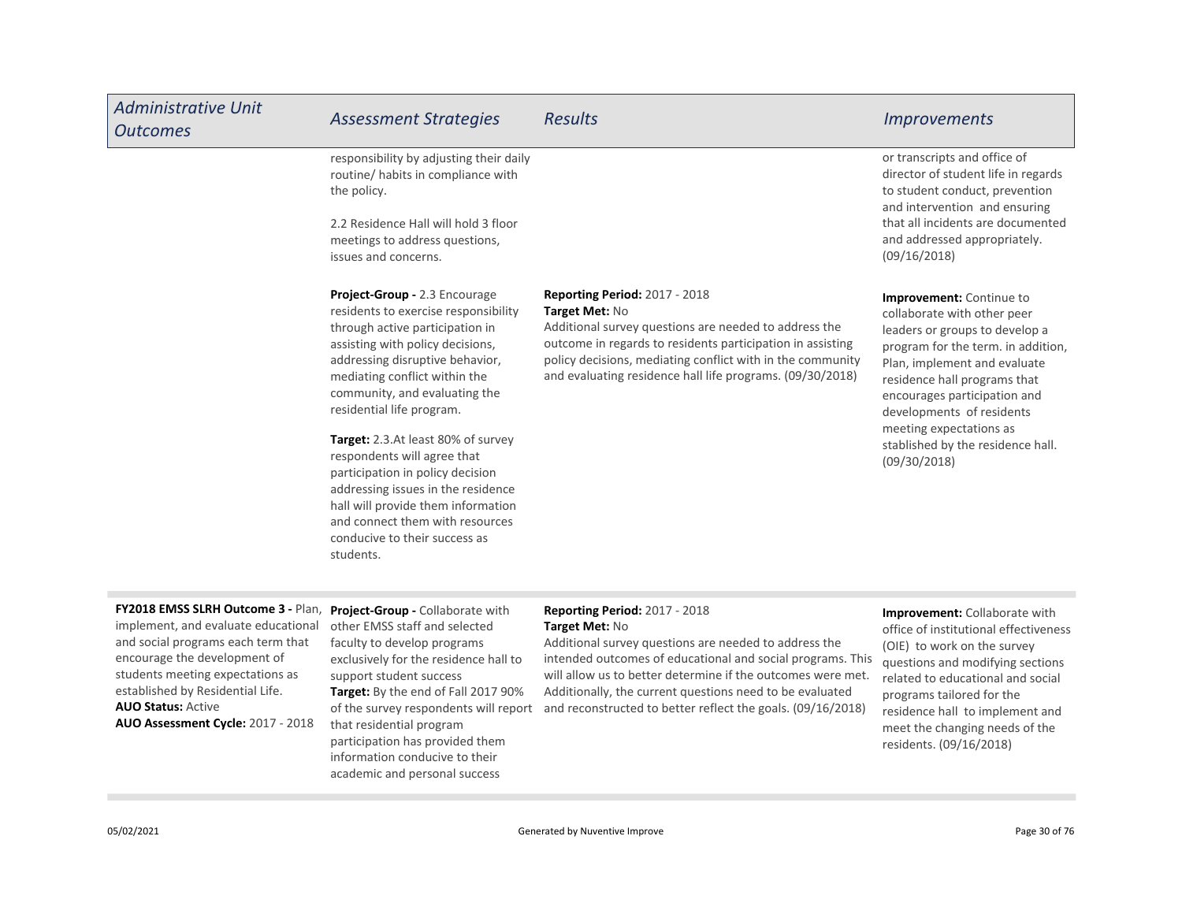| <b>Administrative Unit</b><br><b>Outcomes</b>                                                                                                                                                                                                                                             | <b>Assessment Strategies</b>                                                                                                                                                                                                                                                                                        | <b>Results</b>                                                                                                                                                                                                                                                                                                                                                          | <b>Improvements</b>                                                                                                                                                                                                                                                                                         |
|-------------------------------------------------------------------------------------------------------------------------------------------------------------------------------------------------------------------------------------------------------------------------------------------|---------------------------------------------------------------------------------------------------------------------------------------------------------------------------------------------------------------------------------------------------------------------------------------------------------------------|-------------------------------------------------------------------------------------------------------------------------------------------------------------------------------------------------------------------------------------------------------------------------------------------------------------------------------------------------------------------------|-------------------------------------------------------------------------------------------------------------------------------------------------------------------------------------------------------------------------------------------------------------------------------------------------------------|
|                                                                                                                                                                                                                                                                                           | responsibility by adjusting their daily<br>routine/ habits in compliance with<br>the policy.                                                                                                                                                                                                                        |                                                                                                                                                                                                                                                                                                                                                                         | or transcripts and office of<br>director of student life in regards<br>to student conduct, prevention<br>and intervention and ensuring                                                                                                                                                                      |
|                                                                                                                                                                                                                                                                                           | 2.2 Residence Hall will hold 3 floor<br>meetings to address questions,<br>issues and concerns.                                                                                                                                                                                                                      |                                                                                                                                                                                                                                                                                                                                                                         | that all incidents are documented<br>and addressed appropriately.<br>(09/16/2018)                                                                                                                                                                                                                           |
|                                                                                                                                                                                                                                                                                           | Project-Group - 2.3 Encourage<br>residents to exercise responsibility<br>through active participation in<br>assisting with policy decisions,<br>addressing disruptive behavior,<br>mediating conflict within the<br>community, and evaluating the<br>residential life program.                                      | <b>Reporting Period: 2017 - 2018</b><br>Target Met: No<br>Additional survey questions are needed to address the<br>outcome in regards to residents participation in assisting<br>policy decisions, mediating conflict with in the community<br>and evaluating residence hall life programs. (09/30/2018)                                                                | <b>Improvement:</b> Continue to<br>collaborate with other peer<br>leaders or groups to develop a<br>program for the term. in addition,<br>Plan, implement and evaluate<br>residence hall programs that<br>encourages participation and<br>developments of residents<br>meeting expectations as              |
|                                                                                                                                                                                                                                                                                           | Target: 2.3.At least 80% of survey<br>respondents will agree that<br>participation in policy decision<br>addressing issues in the residence<br>hall will provide them information<br>and connect them with resources<br>conducive to their success as<br>students.                                                  |                                                                                                                                                                                                                                                                                                                                                                         | stablished by the residence hall.<br>(09/30/2018)                                                                                                                                                                                                                                                           |
| FY2018 EMSS SLRH Outcome 3 - Plan,<br>implement, and evaluate educational<br>and social programs each term that<br>encourage the development of<br>students meeting expectations as<br>established by Residential Life.<br><b>AUO Status: Active</b><br>AUO Assessment Cycle: 2017 - 2018 | Project-Group - Collaborate with<br>other EMSS staff and selected<br>faculty to develop programs<br>exclusively for the residence hall to<br>support student success<br>Target: By the end of Fall 2017 90%<br>of the survey respondents will report<br>that residential program<br>participation has provided them | <b>Reporting Period: 2017 - 2018</b><br>Target Met: No<br>Additional survey questions are needed to address the<br>intended outcomes of educational and social programs. This<br>will allow us to better determine if the outcomes were met.<br>Additionally, the current questions need to be evaluated<br>and reconstructed to better reflect the goals. (09/16/2018) | Improvement: Collaborate with<br>office of institutional effectiveness<br>(OIE) to work on the survey<br>questions and modifying sections<br>related to educational and social<br>programs tailored for the<br>residence hall to implement and<br>meet the changing needs of the<br>residents. (09/16/2018) |

**College** 

information conducive to their academic and personal success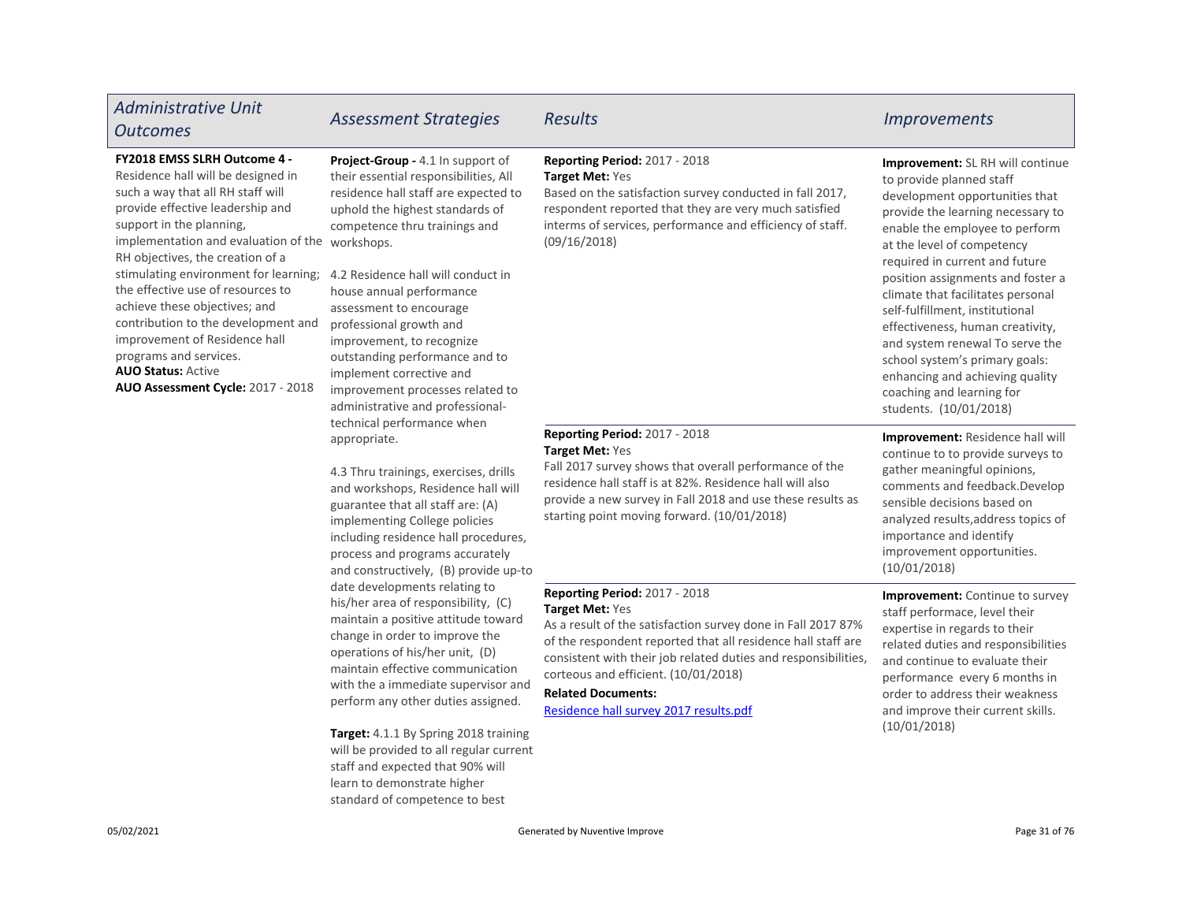| <b>Administrative Unit</b><br><b>Outcomes</b>                                                                                                                                                                                                                                                                                                                                                                                                                                                                                                                                                                                                                                                                                                                                                                                                                                                                                                                                                                                                                                                                                                                                                                                                                                                                                                                                                                                                                                                                                                                                                                                                                                                                                                                                              | <b>Assessment Strategies</b>                                                                                                                                                                                                                                                        | <b>Results</b>                                                                                                                                                                                                                                                                                                                                                    | <i><u><b>Improvements</b></u></i>                                                                                                                                                                                                                                                                                                                                                                                                                                                                                                                     |
|--------------------------------------------------------------------------------------------------------------------------------------------------------------------------------------------------------------------------------------------------------------------------------------------------------------------------------------------------------------------------------------------------------------------------------------------------------------------------------------------------------------------------------------------------------------------------------------------------------------------------------------------------------------------------------------------------------------------------------------------------------------------------------------------------------------------------------------------------------------------------------------------------------------------------------------------------------------------------------------------------------------------------------------------------------------------------------------------------------------------------------------------------------------------------------------------------------------------------------------------------------------------------------------------------------------------------------------------------------------------------------------------------------------------------------------------------------------------------------------------------------------------------------------------------------------------------------------------------------------------------------------------------------------------------------------------------------------------------------------------------------------------------------------------|-------------------------------------------------------------------------------------------------------------------------------------------------------------------------------------------------------------------------------------------------------------------------------------|-------------------------------------------------------------------------------------------------------------------------------------------------------------------------------------------------------------------------------------------------------------------------------------------------------------------------------------------------------------------|-------------------------------------------------------------------------------------------------------------------------------------------------------------------------------------------------------------------------------------------------------------------------------------------------------------------------------------------------------------------------------------------------------------------------------------------------------------------------------------------------------------------------------------------------------|
| FY2018 EMSS SLRH Outcome 4 -<br>Project-Group - 4.1 In support of<br>Residence hall will be designed in<br>their essential responsibilities, All<br>such a way that all RH staff will<br>residence hall staff are expected to<br>provide effective leadership and<br>uphold the highest standards of<br>support in the planning,<br>competence thru trainings and<br>implementation and evaluation of the workshops.<br>RH objectives, the creation of a<br>stimulating environment for learning;<br>4.2 Residence hall will conduct in<br>the effective use of resources to<br>house annual performance<br>achieve these objectives; and<br>assessment to encourage<br>contribution to the development and<br>professional growth and<br>improvement of Residence hall<br>improvement, to recognize<br>programs and services.<br>outstanding performance and to<br><b>AUO Status: Active</b><br>implement corrective and<br>AUO Assessment Cycle: 2017 - 2018<br>improvement processes related to<br>administrative and professional-<br>technical performance when<br>appropriate.<br>4.3 Thru trainings, exercises, drills<br>and workshops, Residence hall will<br>guarantee that all staff are: (A)<br>implementing College policies<br>including residence hall procedures,<br>process and programs accurately<br>and constructively, (B) provide up-to<br>date developments relating to<br>his/her area of responsibility, (C)<br>maintain a positive attitude toward<br>change in order to improve the<br>operations of his/her unit, (D)<br>maintain effective communication<br>with the a immediate supervisor and<br>perform any other duties assigned.<br>Target: 4.1.1 By Spring 2018 training<br>will be provided to all regular current<br>staff and expected that 90% will |                                                                                                                                                                                                                                                                                     | Reporting Period: 2017 - 2018<br>Target Met: Yes<br>Based on the satisfaction survey conducted in fall 2017,<br>respondent reported that they are very much satisfied<br>interms of services, performance and efficiency of staff.<br>(09/16/2018)                                                                                                                | Improvement: SL RH will continue<br>to provide planned staff<br>development opportunities that<br>provide the learning necessary to<br>enable the employee to perform<br>at the level of competency<br>required in current and future<br>position assignments and foster a<br>climate that facilitates personal<br>self-fulfillment, institutional<br>effectiveness, human creativity,<br>and system renewal To serve the<br>school system's primary goals:<br>enhancing and achieving quality<br>coaching and learning for<br>students. (10/01/2018) |
|                                                                                                                                                                                                                                                                                                                                                                                                                                                                                                                                                                                                                                                                                                                                                                                                                                                                                                                                                                                                                                                                                                                                                                                                                                                                                                                                                                                                                                                                                                                                                                                                                                                                                                                                                                                            | Reporting Period: 2017 - 2018<br>Target Met: Yes<br>Fall 2017 survey shows that overall performance of the<br>residence hall staff is at 82%. Residence hall will also<br>provide a new survey in Fall 2018 and use these results as<br>starting point moving forward. (10/01/2018) | Improvement: Residence hall will<br>continue to to provide surveys to<br>gather meaningful opinions,<br>comments and feedback.Develop<br>sensible decisions based on<br>analyzed results, address topics of<br>importance and identify<br>improvement opportunities.<br>(10/01/2018)                                                                              |                                                                                                                                                                                                                                                                                                                                                                                                                                                                                                                                                       |
|                                                                                                                                                                                                                                                                                                                                                                                                                                                                                                                                                                                                                                                                                                                                                                                                                                                                                                                                                                                                                                                                                                                                                                                                                                                                                                                                                                                                                                                                                                                                                                                                                                                                                                                                                                                            |                                                                                                                                                                                                                                                                                     | Reporting Period: 2017 - 2018<br>Target Met: Yes<br>As a result of the satisfaction survey done in Fall 2017 87%<br>of the respondent reported that all residence hall staff are<br>consistent with their job related duties and responsibilities,<br>corteous and efficient. (10/01/2018)<br><b>Related Documents:</b><br>Residence hall survey 2017 results.pdf | Improvement: Continue to survey<br>staff performace, level their<br>expertise in regards to their<br>related duties and responsibilities<br>and continue to evaluate their<br>performance every 6 months in<br>order to address their weakness<br>and improve their current skills.<br>(10/01/2018)                                                                                                                                                                                                                                                   |

learn to demonstrate higher standard of competence to best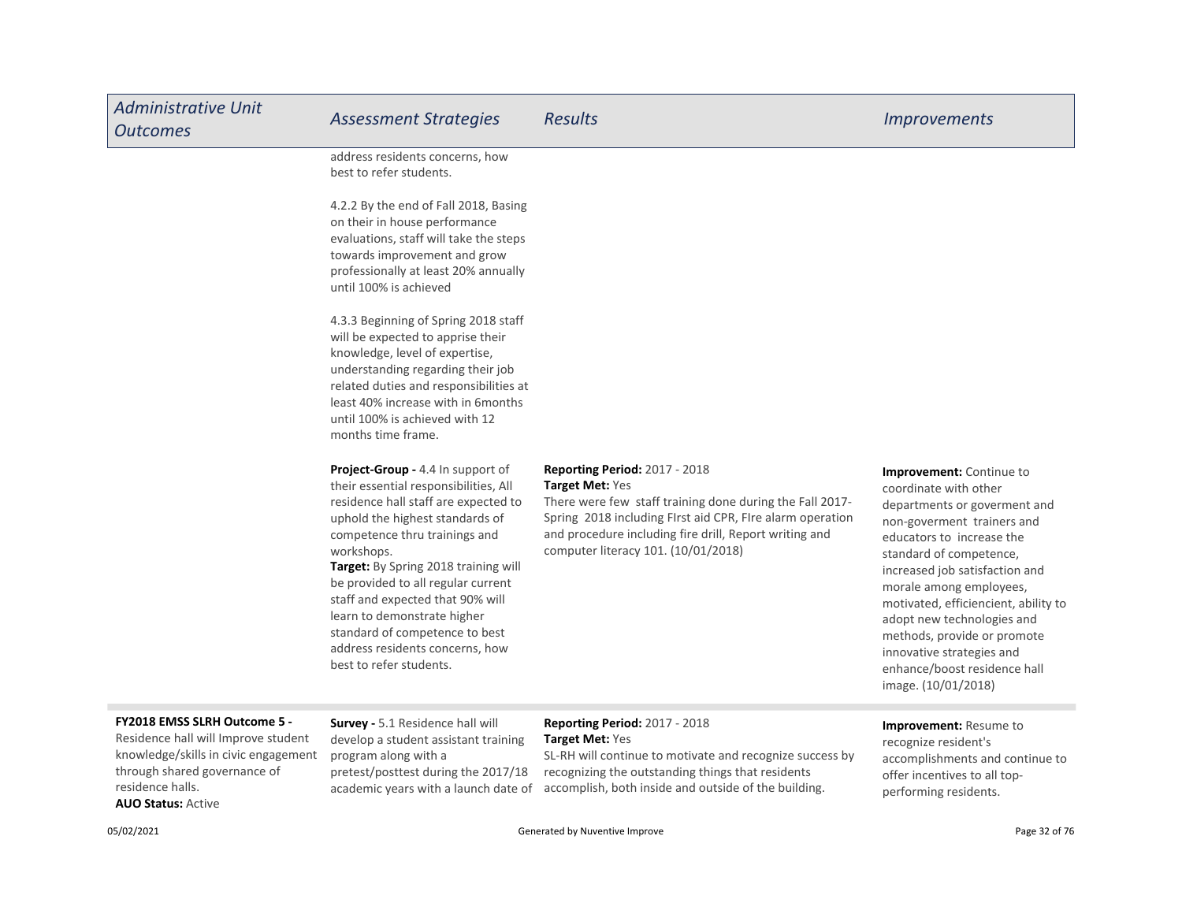| <b>Administrative Unit</b><br><b>Outcomes</b>                                                                                                                   | <b>Assessment Strategies</b>                                                                                                                                                                                                                                                                                                                                                                                                                          | <b>Results</b>                                                                                                                                                                                                                                                                           | <i><u><b>Improvements</b></u></i>                                                                                                                                                                                                                                                                                                                                                                                             |
|-----------------------------------------------------------------------------------------------------------------------------------------------------------------|-------------------------------------------------------------------------------------------------------------------------------------------------------------------------------------------------------------------------------------------------------------------------------------------------------------------------------------------------------------------------------------------------------------------------------------------------------|------------------------------------------------------------------------------------------------------------------------------------------------------------------------------------------------------------------------------------------------------------------------------------------|-------------------------------------------------------------------------------------------------------------------------------------------------------------------------------------------------------------------------------------------------------------------------------------------------------------------------------------------------------------------------------------------------------------------------------|
|                                                                                                                                                                 | address residents concerns, how<br>best to refer students.                                                                                                                                                                                                                                                                                                                                                                                            |                                                                                                                                                                                                                                                                                          |                                                                                                                                                                                                                                                                                                                                                                                                                               |
|                                                                                                                                                                 | 4.2.2 By the end of Fall 2018, Basing<br>on their in house performance<br>evaluations, staff will take the steps<br>towards improvement and grow<br>professionally at least 20% annually<br>until 100% is achieved                                                                                                                                                                                                                                    |                                                                                                                                                                                                                                                                                          |                                                                                                                                                                                                                                                                                                                                                                                                                               |
|                                                                                                                                                                 | 4.3.3 Beginning of Spring 2018 staff<br>will be expected to apprise their<br>knowledge, level of expertise,<br>understanding regarding their job<br>related duties and responsibilities at<br>least 40% increase with in 6 months<br>until 100% is achieved with 12<br>months time frame.                                                                                                                                                             |                                                                                                                                                                                                                                                                                          |                                                                                                                                                                                                                                                                                                                                                                                                                               |
|                                                                                                                                                                 | Project-Group - 4.4 In support of<br>their essential responsibilities, All<br>residence hall staff are expected to<br>uphold the highest standards of<br>competence thru trainings and<br>workshops.<br>Target: By Spring 2018 training will<br>be provided to all regular current<br>staff and expected that 90% will<br>learn to demonstrate higher<br>standard of competence to best<br>address residents concerns, how<br>best to refer students. | <b>Reporting Period: 2017 - 2018</b><br><b>Target Met: Yes</b><br>There were few staff training done during the Fall 2017-<br>Spring 2018 including FIrst aid CPR, FIre alarm operation<br>and procedure including fire drill, Report writing and<br>computer literacy 101. (10/01/2018) | Improvement: Continue to<br>coordinate with other<br>departments or goverment and<br>non-goverment trainers and<br>educators to increase the<br>standard of competence,<br>increased job satisfaction and<br>morale among employees,<br>motivated, efficiencient, ability to<br>adopt new technologies and<br>methods, provide or promote<br>innovative strategies and<br>enhance/boost residence hall<br>image. (10/01/2018) |
| FY2018 EMSS SLRH Outcome 5 -<br>Residence hall will Improve student<br>knowledge/skills in civic engagement<br>through shared governance of<br>residence halls. | Survey - 5.1 Residence hall will<br>develop a student assistant training<br>program along with a<br>pretest/posttest during the 2017/18<br>academic years with a launch date of                                                                                                                                                                                                                                                                       | Reporting Period: 2017 - 2018<br><b>Target Met: Yes</b><br>SL-RH will continue to motivate and recognize success by<br>recognizing the outstanding things that residents<br>accomplish, both inside and outside of the building.                                                         | Improvement: Resume to<br>recognize resident's<br>accomplishments and continue to<br>offer incentives to all top-<br>performing residents.                                                                                                                                                                                                                                                                                    |

AUO Status: Active

O5/02/2021 **Generated by Nuventive Improve** Generated by Nuventive Improve Page 32 of 76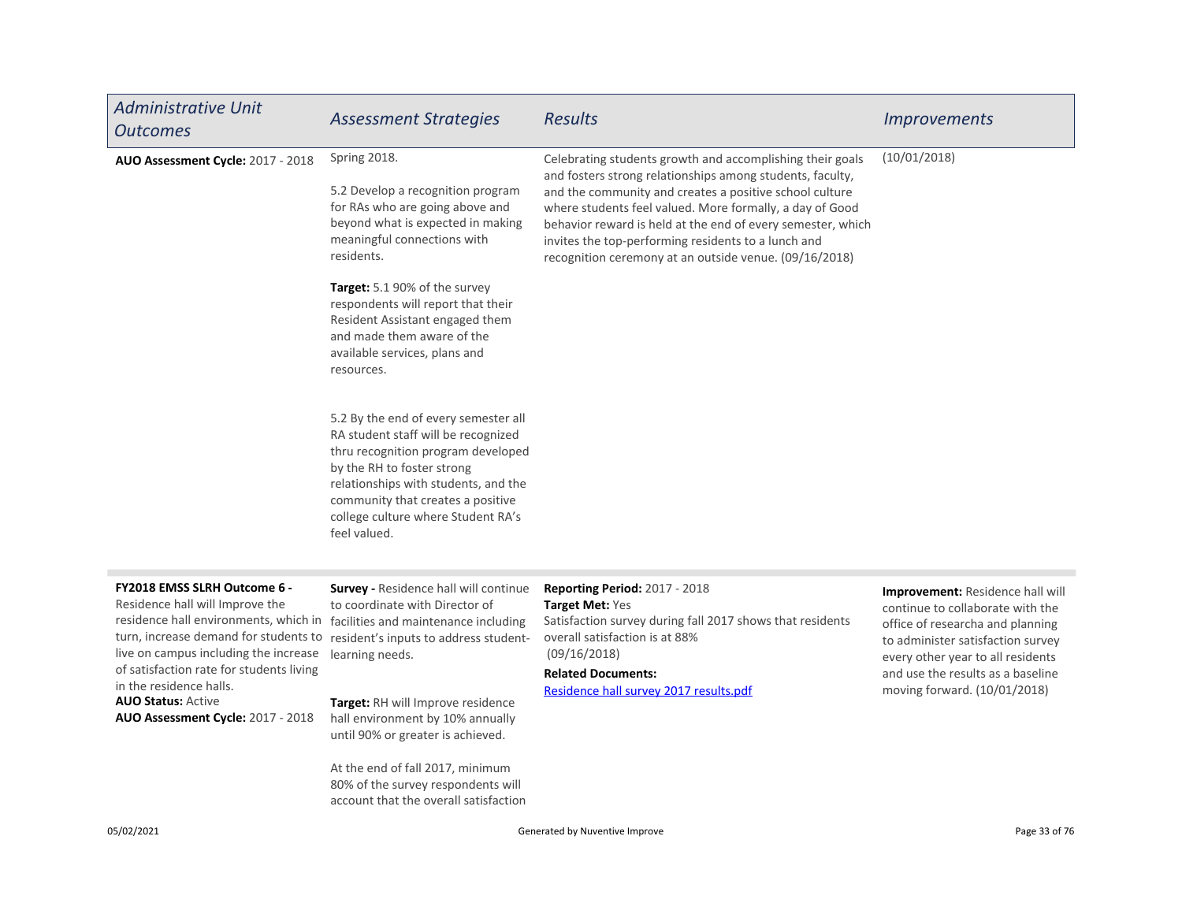| <b>Administrative Unit</b><br><b>Outcomes</b>                                                                                                                                                                                                                                                                                       | <b>Assessment Strategies</b>                                                                                                                                                                                                                                                       | <b>Results</b>                                                                                                                                                                                                                                                                                                                                                                                                                | <i><u><b>Improvements</b></u></i>                                                                                                                                                                                                                       |
|-------------------------------------------------------------------------------------------------------------------------------------------------------------------------------------------------------------------------------------------------------------------------------------------------------------------------------------|------------------------------------------------------------------------------------------------------------------------------------------------------------------------------------------------------------------------------------------------------------------------------------|-------------------------------------------------------------------------------------------------------------------------------------------------------------------------------------------------------------------------------------------------------------------------------------------------------------------------------------------------------------------------------------------------------------------------------|---------------------------------------------------------------------------------------------------------------------------------------------------------------------------------------------------------------------------------------------------------|
| AUO Assessment Cycle: 2017 - 2018                                                                                                                                                                                                                                                                                                   | Spring 2018.<br>5.2 Develop a recognition program<br>for RAs who are going above and<br>beyond what is expected in making<br>meaningful connections with<br>residents.                                                                                                             | Celebrating students growth and accomplishing their goals<br>and fosters strong relationships among students, faculty,<br>and the community and creates a positive school culture<br>where students feel valued. More formally, a day of Good<br>behavior reward is held at the end of every semester, which<br>invites the top-performing residents to a lunch and<br>recognition ceremony at an outside venue. (09/16/2018) | (10/01/2018)                                                                                                                                                                                                                                            |
|                                                                                                                                                                                                                                                                                                                                     | Target: 5.1 90% of the survey<br>respondents will report that their<br>Resident Assistant engaged them<br>and made them aware of the<br>available services, plans and<br>resources.                                                                                                |                                                                                                                                                                                                                                                                                                                                                                                                                               |                                                                                                                                                                                                                                                         |
|                                                                                                                                                                                                                                                                                                                                     | 5.2 By the end of every semester all<br>RA student staff will be recognized<br>thru recognition program developed<br>by the RH to foster strong<br>relationships with students, and the<br>community that creates a positive<br>college culture where Student RA's<br>feel valued. |                                                                                                                                                                                                                                                                                                                                                                                                                               |                                                                                                                                                                                                                                                         |
| FY2018 EMSS SLRH Outcome 6 -<br>Residence hall will Improve the<br>residence hall environments, which in facilities and maintenance including<br>turn, increase demand for students to<br>live on campus including the increase<br>of satisfaction rate for students living<br>in the residence halls.<br><b>AUO Status: Active</b> | Survey - Residence hall will continue<br>to coordinate with Director of<br>resident's inputs to address student-<br>learning needs.<br>Target: RH will Improve residence                                                                                                           | Reporting Period: 2017 - 2018<br><b>Target Met: Yes</b><br>Satisfaction survey during fall 2017 shows that residents<br>overall satisfaction is at 88%<br>(09/16/2018)<br><b>Related Documents:</b><br>Residence hall survey 2017 results.pdf                                                                                                                                                                                 | Improvement: Residence hall will<br>continue to collaborate with the<br>office of researcha and planning<br>to administer satisfaction survey<br>every other year to all residents<br>and use the results as a baseline<br>moving forward. (10/01/2018) |
| AUO Assessment Cycle: 2017 - 2018                                                                                                                                                                                                                                                                                                   | hall environment by 10% annually<br>until 90% or greater is achieved.<br>At the end of fall 2017, minimum<br>80% of the survey respondents will<br>account that the overall satisfaction                                                                                           |                                                                                                                                                                                                                                                                                                                                                                                                                               |                                                                                                                                                                                                                                                         |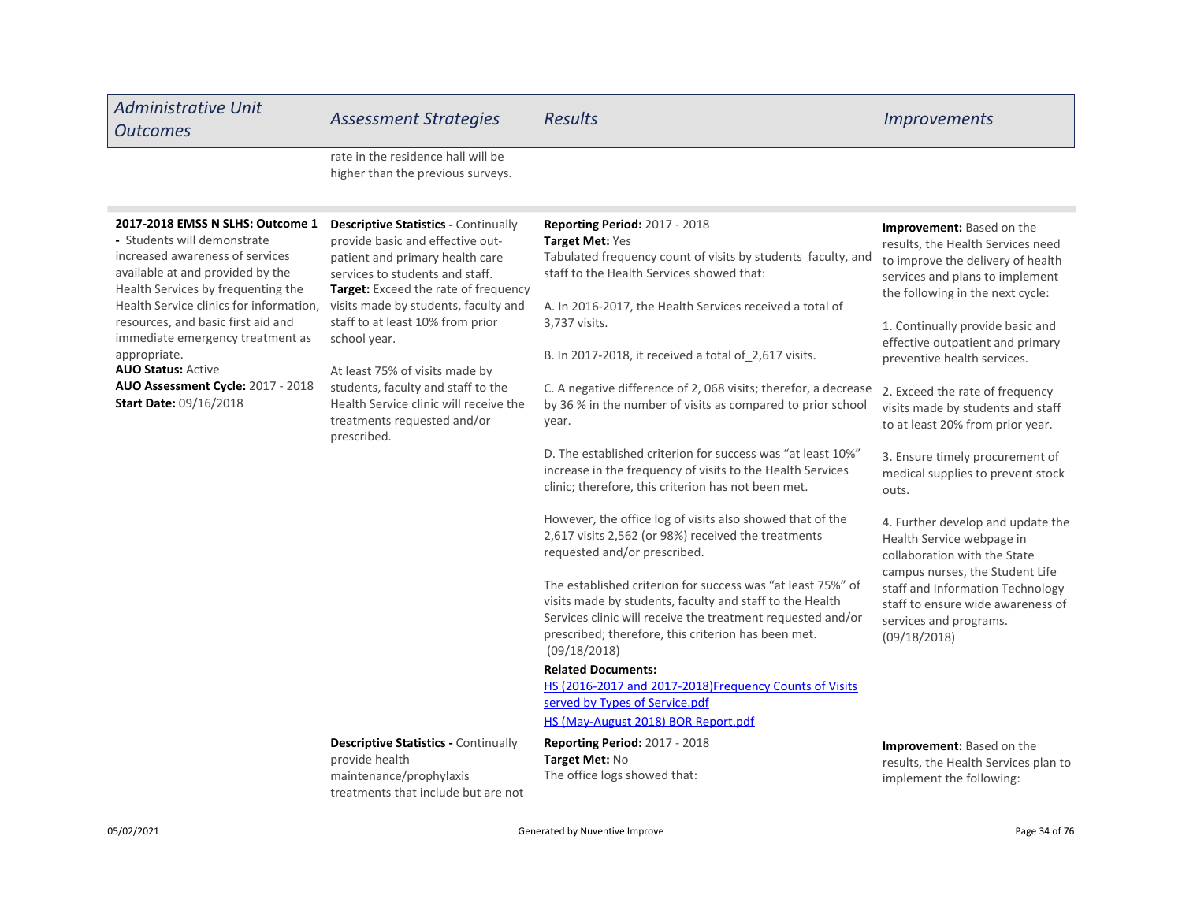| <b>Administrative Unit</b><br><b>Outcomes</b>                                                                                                                                                                                                                                                                                                                                                                        | <b>Assessment Strategies</b>                                                                                                                                                                                                                                                                                                                                                                                                                                     | <b>Results</b>                                                                                                                                                                                                                                                                                                                                                                                                                                                                                                                                                                                                                                                                                                                                                                                                                                                                                                                                                                                                                                                                                                                                                                                                                 | <i><u><b>Improvements</b></u></i>                                                                                                                                                                                                                                                                                                                                                                                                                                                                                                                                                                                                                                                                                                      |
|----------------------------------------------------------------------------------------------------------------------------------------------------------------------------------------------------------------------------------------------------------------------------------------------------------------------------------------------------------------------------------------------------------------------|------------------------------------------------------------------------------------------------------------------------------------------------------------------------------------------------------------------------------------------------------------------------------------------------------------------------------------------------------------------------------------------------------------------------------------------------------------------|--------------------------------------------------------------------------------------------------------------------------------------------------------------------------------------------------------------------------------------------------------------------------------------------------------------------------------------------------------------------------------------------------------------------------------------------------------------------------------------------------------------------------------------------------------------------------------------------------------------------------------------------------------------------------------------------------------------------------------------------------------------------------------------------------------------------------------------------------------------------------------------------------------------------------------------------------------------------------------------------------------------------------------------------------------------------------------------------------------------------------------------------------------------------------------------------------------------------------------|----------------------------------------------------------------------------------------------------------------------------------------------------------------------------------------------------------------------------------------------------------------------------------------------------------------------------------------------------------------------------------------------------------------------------------------------------------------------------------------------------------------------------------------------------------------------------------------------------------------------------------------------------------------------------------------------------------------------------------------|
|                                                                                                                                                                                                                                                                                                                                                                                                                      | rate in the residence hall will be<br>higher than the previous surveys.                                                                                                                                                                                                                                                                                                                                                                                          |                                                                                                                                                                                                                                                                                                                                                                                                                                                                                                                                                                                                                                                                                                                                                                                                                                                                                                                                                                                                                                                                                                                                                                                                                                |                                                                                                                                                                                                                                                                                                                                                                                                                                                                                                                                                                                                                                                                                                                                        |
| 2017-2018 EMSS N SLHS: Outcome 1<br>- Students will demonstrate<br>increased awareness of services<br>available at and provided by the<br>Health Services by frequenting the<br>Health Service clinics for information,<br>resources, and basic first aid and<br>immediate emergency treatment as<br>appropriate.<br><b>AUO Status: Active</b><br>AUO Assessment Cycle: 2017 - 2018<br><b>Start Date: 09/16/2018</b> | <b>Descriptive Statistics - Continually</b><br>provide basic and effective out-<br>patient and primary health care<br>services to students and staff.<br><b>Target:</b> Exceed the rate of frequency<br>visits made by students, faculty and<br>staff to at least 10% from prior<br>school year.<br>At least 75% of visits made by<br>students, faculty and staff to the<br>Health Service clinic will receive the<br>treatments requested and/or<br>prescribed. | <b>Reporting Period: 2017 - 2018</b><br>Target Met: Yes<br>Tabulated frequency count of visits by students faculty, and<br>staff to the Health Services showed that:<br>A. In 2016-2017, the Health Services received a total of<br>3,737 visits.<br>B. In 2017-2018, it received a total of 2,617 visits.<br>C. A negative difference of 2, 068 visits; therefor, a decrease<br>by 36 % in the number of visits as compared to prior school<br>year.<br>D. The established criterion for success was "at least 10%"<br>increase in the frequency of visits to the Health Services<br>clinic; therefore, this criterion has not been met.<br>However, the office log of visits also showed that of the<br>2,617 visits 2,562 (or 98%) received the treatments<br>requested and/or prescribed.<br>The established criterion for success was "at least 75%" of<br>visits made by students, faculty and staff to the Health<br>Services clinic will receive the treatment requested and/or<br>prescribed; therefore, this criterion has been met.<br>(09/18/2018)<br><b>Related Documents:</b><br>HS (2016-2017 and 2017-2018)Frequency Counts of Visits<br>served by Types of Service.pdf<br>HS (May-August 2018) BOR Report.pdf | Improvement: Based on the<br>results, the Health Services need<br>to improve the delivery of health<br>services and plans to implement<br>the following in the next cycle:<br>1. Continually provide basic and<br>effective outpatient and primary<br>preventive health services.<br>2. Exceed the rate of frequency<br>visits made by students and staff<br>to at least 20% from prior year.<br>3. Ensure timely procurement of<br>medical supplies to prevent stock<br>outs.<br>4. Further develop and update the<br>Health Service webpage in<br>collaboration with the State<br>campus nurses, the Student Life<br>staff and Information Technology<br>staff to ensure wide awareness of<br>services and programs.<br>(09/18/2018) |
|                                                                                                                                                                                                                                                                                                                                                                                                                      | <b>Descriptive Statistics - Continually</b><br>provide health<br>maintenance/prophylaxis<br>treatments that include but are not                                                                                                                                                                                                                                                                                                                                  | <b>Reporting Period: 2017 - 2018</b><br>Target Met: No<br>The office logs showed that:                                                                                                                                                                                                                                                                                                                                                                                                                                                                                                                                                                                                                                                                                                                                                                                                                                                                                                                                                                                                                                                                                                                                         | <b>Improvement:</b> Based on the<br>results, the Health Services plan to<br>implement the following:                                                                                                                                                                                                                                                                                                                                                                                                                                                                                                                                                                                                                                   |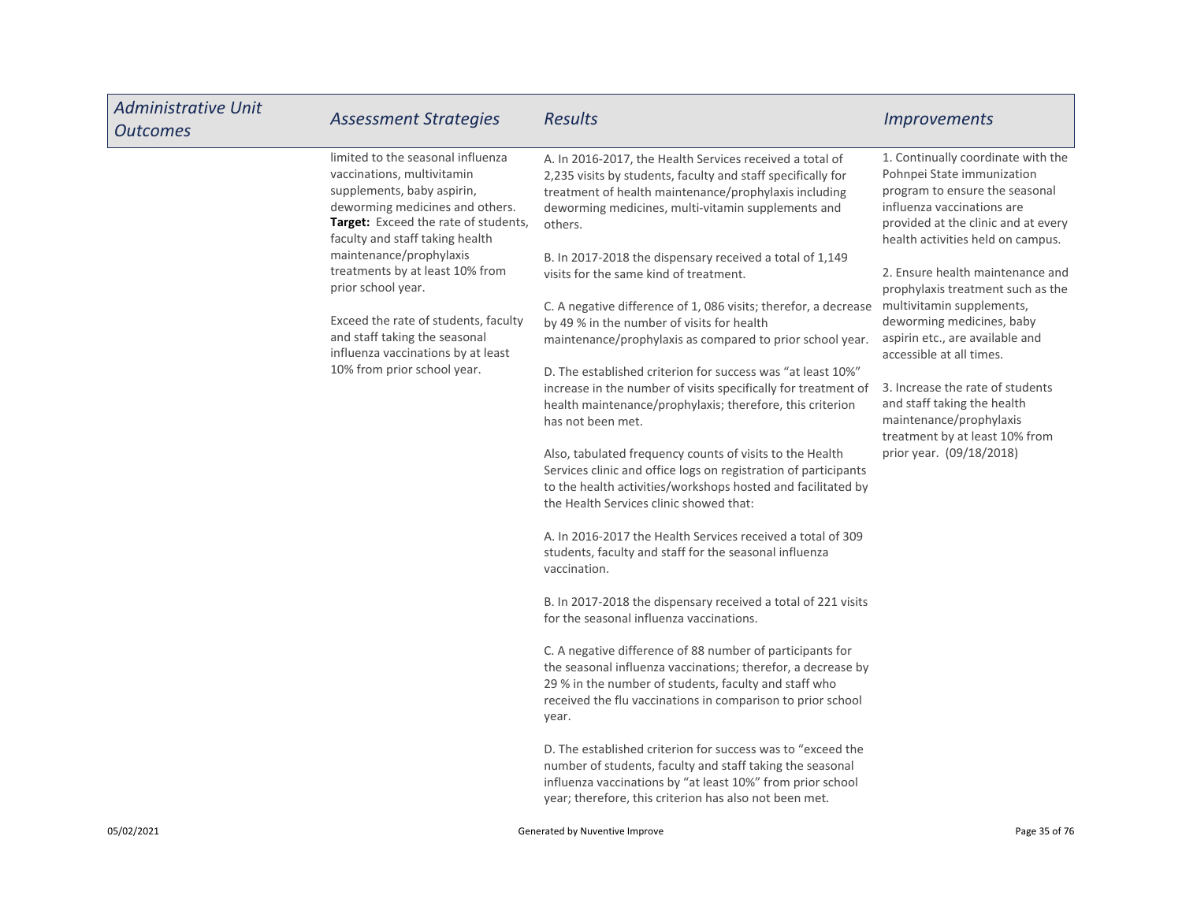| <b>Administrative Unit</b><br><b>Outcomes</b> | <b>Assessment Strategies</b>                                                                                                                                                                                                                                                                                                                                                                                                                         | <b>Results</b>                                                                                                                                                                                                                                                                                                                                                                                                                                                                                                                                                                                                                                                                                                                                                                                                                                                                                                                                                                                                                                                                                                                                                                                                                                                                                                                                                                                                                                                                                                                                                                                                                                                                                                                                                              | <b>Improvements</b>                                                                                                                                                                                                                                                                                                                                                                                                                                                                                                                                                        |
|-----------------------------------------------|------------------------------------------------------------------------------------------------------------------------------------------------------------------------------------------------------------------------------------------------------------------------------------------------------------------------------------------------------------------------------------------------------------------------------------------------------|-----------------------------------------------------------------------------------------------------------------------------------------------------------------------------------------------------------------------------------------------------------------------------------------------------------------------------------------------------------------------------------------------------------------------------------------------------------------------------------------------------------------------------------------------------------------------------------------------------------------------------------------------------------------------------------------------------------------------------------------------------------------------------------------------------------------------------------------------------------------------------------------------------------------------------------------------------------------------------------------------------------------------------------------------------------------------------------------------------------------------------------------------------------------------------------------------------------------------------------------------------------------------------------------------------------------------------------------------------------------------------------------------------------------------------------------------------------------------------------------------------------------------------------------------------------------------------------------------------------------------------------------------------------------------------------------------------------------------------------------------------------------------------|----------------------------------------------------------------------------------------------------------------------------------------------------------------------------------------------------------------------------------------------------------------------------------------------------------------------------------------------------------------------------------------------------------------------------------------------------------------------------------------------------------------------------------------------------------------------------|
|                                               | limited to the seasonal influenza<br>vaccinations, multivitamin<br>supplements, baby aspirin,<br>deworming medicines and others.<br><b>Target:</b> Exceed the rate of students,<br>faculty and staff taking health<br>maintenance/prophylaxis<br>treatments by at least 10% from<br>prior school year.<br>Exceed the rate of students, faculty<br>and staff taking the seasonal<br>influenza vaccinations by at least<br>10% from prior school year. | A. In 2016-2017, the Health Services received a total of<br>2,235 visits by students, faculty and staff specifically for<br>treatment of health maintenance/prophylaxis including<br>deworming medicines, multi-vitamin supplements and<br>others.<br>B. In 2017-2018 the dispensary received a total of 1,149<br>visits for the same kind of treatment.<br>C. A negative difference of 1, 086 visits; therefor, a decrease<br>by 49 % in the number of visits for health<br>maintenance/prophylaxis as compared to prior school year.<br>D. The established criterion for success was "at least 10%"<br>increase in the number of visits specifically for treatment of<br>health maintenance/prophylaxis; therefore, this criterion<br>has not been met.<br>Also, tabulated frequency counts of visits to the Health<br>Services clinic and office logs on registration of participants<br>to the health activities/workshops hosted and facilitated by<br>the Health Services clinic showed that:<br>A. In 2016-2017 the Health Services received a total of 309<br>students, faculty and staff for the seasonal influenza<br>vaccination.<br>B. In 2017-2018 the dispensary received a total of 221 visits<br>for the seasonal influenza vaccinations.<br>C. A negative difference of 88 number of participants for<br>the seasonal influenza vaccinations; therefor, a decrease by<br>29 % in the number of students, faculty and staff who<br>received the flu vaccinations in comparison to prior school<br>year.<br>D. The established criterion for success was to "exceed the<br>number of students, faculty and staff taking the seasonal<br>influenza vaccinations by "at least 10%" from prior school<br>year; therefore, this criterion has also not been met. | 1. Continually coordinate with the<br>Pohnpei State immunization<br>program to ensure the seasonal<br>influenza vaccinations are<br>provided at the clinic and at every<br>health activities held on campus.<br>2. Ensure health maintenance and<br>prophylaxis treatment such as the<br>multivitamin supplements,<br>deworming medicines, baby<br>aspirin etc., are available and<br>accessible at all times.<br>3. Increase the rate of students<br>and staff taking the health<br>maintenance/prophylaxis<br>treatment by at least 10% from<br>prior year. (09/18/2018) |
| 05/02/2021                                    |                                                                                                                                                                                                                                                                                                                                                                                                                                                      | Generated by Nuventive Improve                                                                                                                                                                                                                                                                                                                                                                                                                                                                                                                                                                                                                                                                                                                                                                                                                                                                                                                                                                                                                                                                                                                                                                                                                                                                                                                                                                                                                                                                                                                                                                                                                                                                                                                                              | Page 35 of 76                                                                                                                                                                                                                                                                                                                                                                                                                                                                                                                                                              |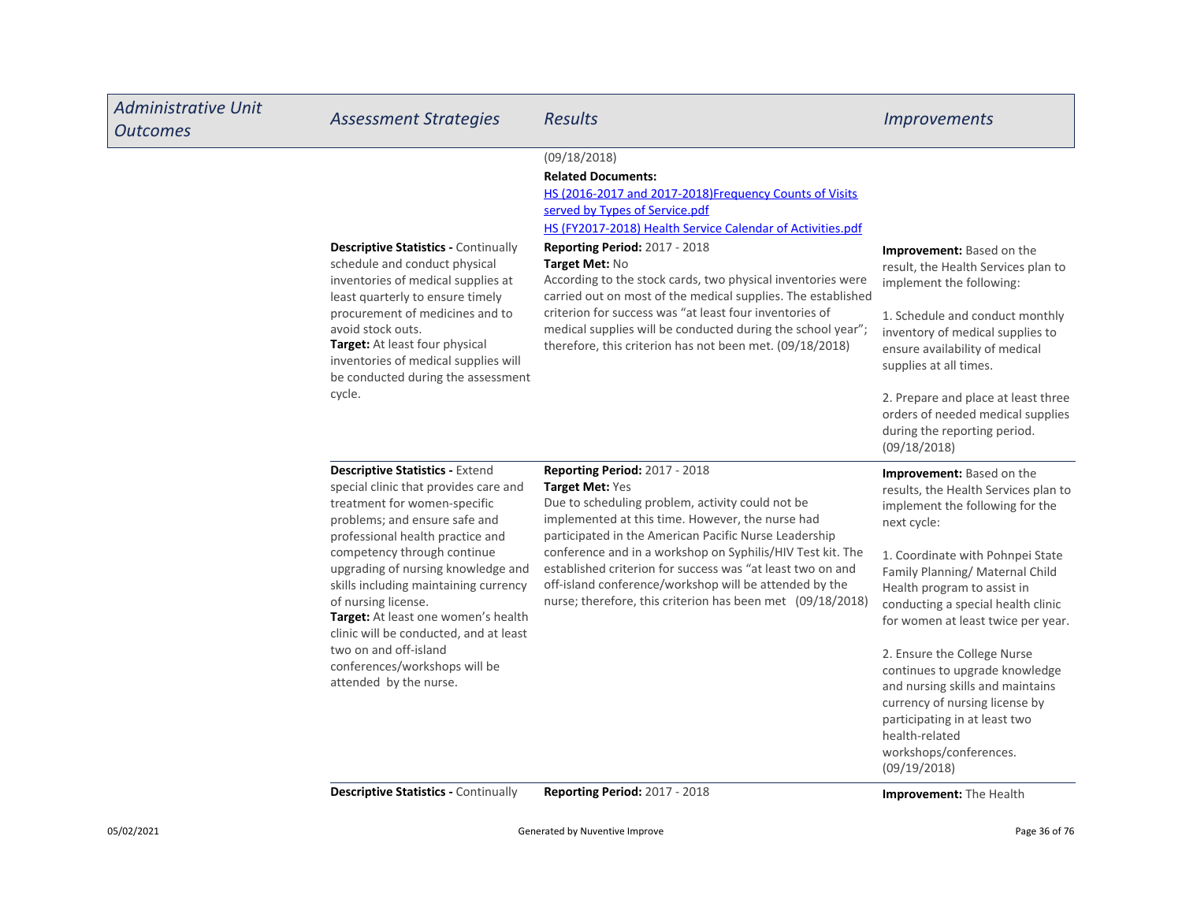| <b>Administrative Unit</b><br><b>Outcomes</b> | <b>Assessment Strategies</b>                                                                                                                                                                                                                                                                                                                                                                                                                                                                   | <b>Results</b>                                                                                                                                                                                                                                                                                                                                                                                                                                                                                                                                                              | <i><u><b>Improvements</b></u></i>                                                                                                                                                                                                                                                                                                                                                                                                                                                                                                               |
|-----------------------------------------------|------------------------------------------------------------------------------------------------------------------------------------------------------------------------------------------------------------------------------------------------------------------------------------------------------------------------------------------------------------------------------------------------------------------------------------------------------------------------------------------------|-----------------------------------------------------------------------------------------------------------------------------------------------------------------------------------------------------------------------------------------------------------------------------------------------------------------------------------------------------------------------------------------------------------------------------------------------------------------------------------------------------------------------------------------------------------------------------|-------------------------------------------------------------------------------------------------------------------------------------------------------------------------------------------------------------------------------------------------------------------------------------------------------------------------------------------------------------------------------------------------------------------------------------------------------------------------------------------------------------------------------------------------|
|                                               | <b>Descriptive Statistics - Continually</b><br>schedule and conduct physical<br>inventories of medical supplies at<br>least quarterly to ensure timely<br>procurement of medicines and to<br>avoid stock outs.<br>Target: At least four physical<br>inventories of medical supplies will<br>be conducted during the assessment<br>cycle.                                                                                                                                                       | (09/18/2018)<br><b>Related Documents:</b><br>HS (2016-2017 and 2017-2018)Frequency Counts of Visits<br>served by Types of Service.pdf<br>HS (FY2017-2018) Health Service Calendar of Activities.pdf<br>Reporting Period: 2017 - 2018<br>Target Met: No<br>According to the stock cards, two physical inventories were<br>carried out on most of the medical supplies. The established<br>criterion for success was "at least four inventories of<br>medical supplies will be conducted during the school year";<br>therefore, this criterion has not been met. (09/18/2018) | Improvement: Based on the<br>result, the Health Services plan to<br>implement the following:<br>1. Schedule and conduct monthly<br>inventory of medical supplies to<br>ensure availability of medical<br>supplies at all times.<br>2. Prepare and place at least three<br>orders of needed medical supplies<br>during the reporting period.<br>(09/18/2018)                                                                                                                                                                                     |
|                                               | <b>Descriptive Statistics - Extend</b><br>special clinic that provides care and<br>treatment for women-specific<br>problems; and ensure safe and<br>professional health practice and<br>competency through continue<br>upgrading of nursing knowledge and<br>skills including maintaining currency<br>of nursing license.<br>Target: At least one women's health<br>clinic will be conducted, and at least<br>two on and off-island<br>conferences/workshops will be<br>attended by the nurse. | <b>Reporting Period: 2017 - 2018</b><br>Target Met: Yes<br>Due to scheduling problem, activity could not be<br>implemented at this time. However, the nurse had<br>participated in the American Pacific Nurse Leadership<br>conference and in a workshop on Syphilis/HIV Test kit. The<br>established criterion for success was "at least two on and<br>off-island conference/workshop will be attended by the<br>nurse; therefore, this criterion has been met (09/18/2018)                                                                                                | <b>Improvement:</b> Based on the<br>results, the Health Services plan to<br>implement the following for the<br>next cycle:<br>1. Coordinate with Pohnpei State<br>Family Planning/Maternal Child<br>Health program to assist in<br>conducting a special health clinic<br>for women at least twice per year.<br>2. Ensure the College Nurse<br>continues to upgrade knowledge<br>and nursing skills and maintains<br>currency of nursing license by<br>participating in at least two<br>health-related<br>workshops/conferences.<br>(09/19/2018) |

Descriptive Statistics - Continually Reporting Period: 2017 - 2018 **Improvement:** The Health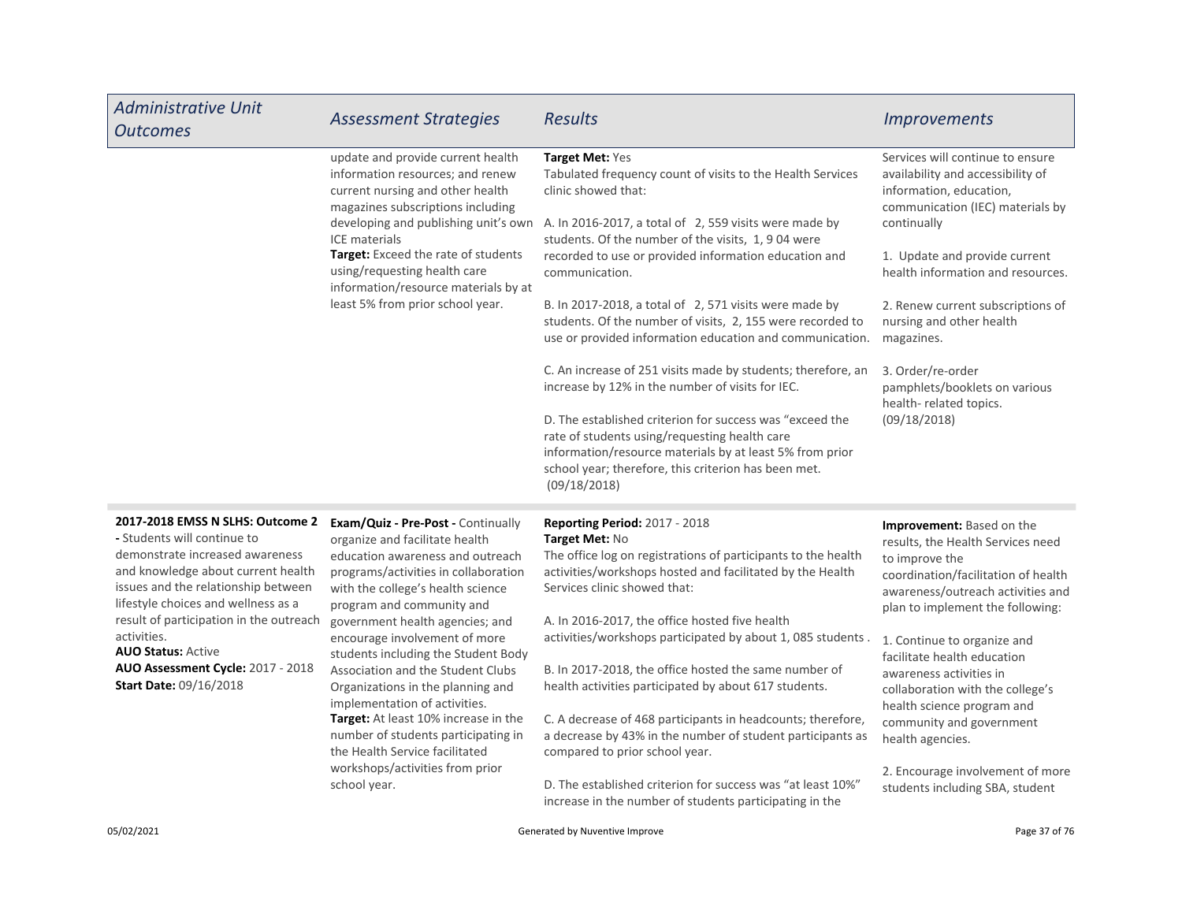| <b>Administrative Unit</b><br><b>Outcomes</b>                                                                                                                                                                                                                                                                                                                                       | <b>Assessment Strategies</b>                                                                                                                                                                                                                                                                                                                                                                                                                                                                                                                                                                                        | <b>Results</b>                                                                                                                                                                                                                                                                                                                                                                                                                                                                                                                                                                                                                                                                                                                                                                                                                                           | <b>Improvements</b>                                                                                                                                                                                                                                                                                                                                                                                                                                                                       |
|-------------------------------------------------------------------------------------------------------------------------------------------------------------------------------------------------------------------------------------------------------------------------------------------------------------------------------------------------------------------------------------|---------------------------------------------------------------------------------------------------------------------------------------------------------------------------------------------------------------------------------------------------------------------------------------------------------------------------------------------------------------------------------------------------------------------------------------------------------------------------------------------------------------------------------------------------------------------------------------------------------------------|----------------------------------------------------------------------------------------------------------------------------------------------------------------------------------------------------------------------------------------------------------------------------------------------------------------------------------------------------------------------------------------------------------------------------------------------------------------------------------------------------------------------------------------------------------------------------------------------------------------------------------------------------------------------------------------------------------------------------------------------------------------------------------------------------------------------------------------------------------|-------------------------------------------------------------------------------------------------------------------------------------------------------------------------------------------------------------------------------------------------------------------------------------------------------------------------------------------------------------------------------------------------------------------------------------------------------------------------------------------|
|                                                                                                                                                                                                                                                                                                                                                                                     | update and provide current health<br>information resources; and renew<br>current nursing and other health<br>magazines subscriptions including<br>developing and publishing unit's own<br>ICE materials<br>Target: Exceed the rate of students<br>using/requesting health care<br>information/resource materials by at<br>least 5% from prior school year.                                                                                                                                                                                                                                                          | Target Met: Yes<br>Tabulated frequency count of visits to the Health Services<br>clinic showed that:<br>A. In 2016-2017, a total of 2, 559 visits were made by<br>students. Of the number of the visits, 1, 904 were<br>recorded to use or provided information education and<br>communication.<br>B. In 2017-2018, a total of 2, 571 visits were made by<br>students. Of the number of visits, 2, 155 were recorded to<br>use or provided information education and communication.<br>C. An increase of 251 visits made by students; therefore, an<br>increase by 12% in the number of visits for IEC.<br>D. The established criterion for success was "exceed the<br>rate of students using/requesting health care<br>information/resource materials by at least 5% from prior<br>school year; therefore, this criterion has been met.<br>(09/18/2018) | Services will continue to ensure<br>availability and accessibility of<br>information, education,<br>communication (IEC) materials by<br>continually<br>1. Update and provide current<br>health information and resources.<br>2. Renew current subscriptions of<br>nursing and other health<br>magazines.<br>3. Order/re-order<br>pamphlets/booklets on various<br>health-related topics.<br>(09/18/2018)                                                                                  |
| 2017-2018 EMSS N SLHS: Outcome 2<br>- Students will continue to<br>demonstrate increased awareness<br>and knowledge about current health<br>issues and the relationship between<br>lifestyle choices and wellness as a<br>result of participation in the outreach<br>activities.<br><b>AUO Status: Active</b><br>AUO Assessment Cycle: 2017 - 2018<br><b>Start Date: 09/16/2018</b> | <b>Exam/Quiz - Pre-Post - Continually</b><br>organize and facilitate health<br>education awareness and outreach<br>programs/activities in collaboration<br>with the college's health science<br>program and community and<br>government health agencies; and<br>encourage involvement of more<br>students including the Student Body<br>Association and the Student Clubs<br>Organizations in the planning and<br>implementation of activities.<br>Target: At least 10% increase in the<br>number of students participating in<br>the Health Service facilitated<br>workshops/activities from prior<br>school year. | <b>Reporting Period: 2017 - 2018</b><br>Target Met: No<br>The office log on registrations of participants to the health<br>activities/workshops hosted and facilitated by the Health<br>Services clinic showed that:<br>A. In 2016-2017, the office hosted five health<br>activities/workshops participated by about 1, 085 students.<br>B. In 2017-2018, the office hosted the same number of<br>health activities participated by about 617 students.<br>C. A decrease of 468 participants in headcounts; therefore,<br>a decrease by 43% in the number of student participants as<br>compared to prior school year.<br>D. The established criterion for success was "at least 10%"<br>increase in the number of students participating in the                                                                                                         | <b>Improvement:</b> Based on the<br>results, the Health Services need<br>to improve the<br>coordination/facilitation of health<br>awareness/outreach activities and<br>plan to implement the following:<br>1. Continue to organize and<br>facilitate health education<br>awareness activities in<br>collaboration with the college's<br>health science program and<br>community and government<br>health agencies.<br>2. Encourage involvement of more<br>students including SBA, student |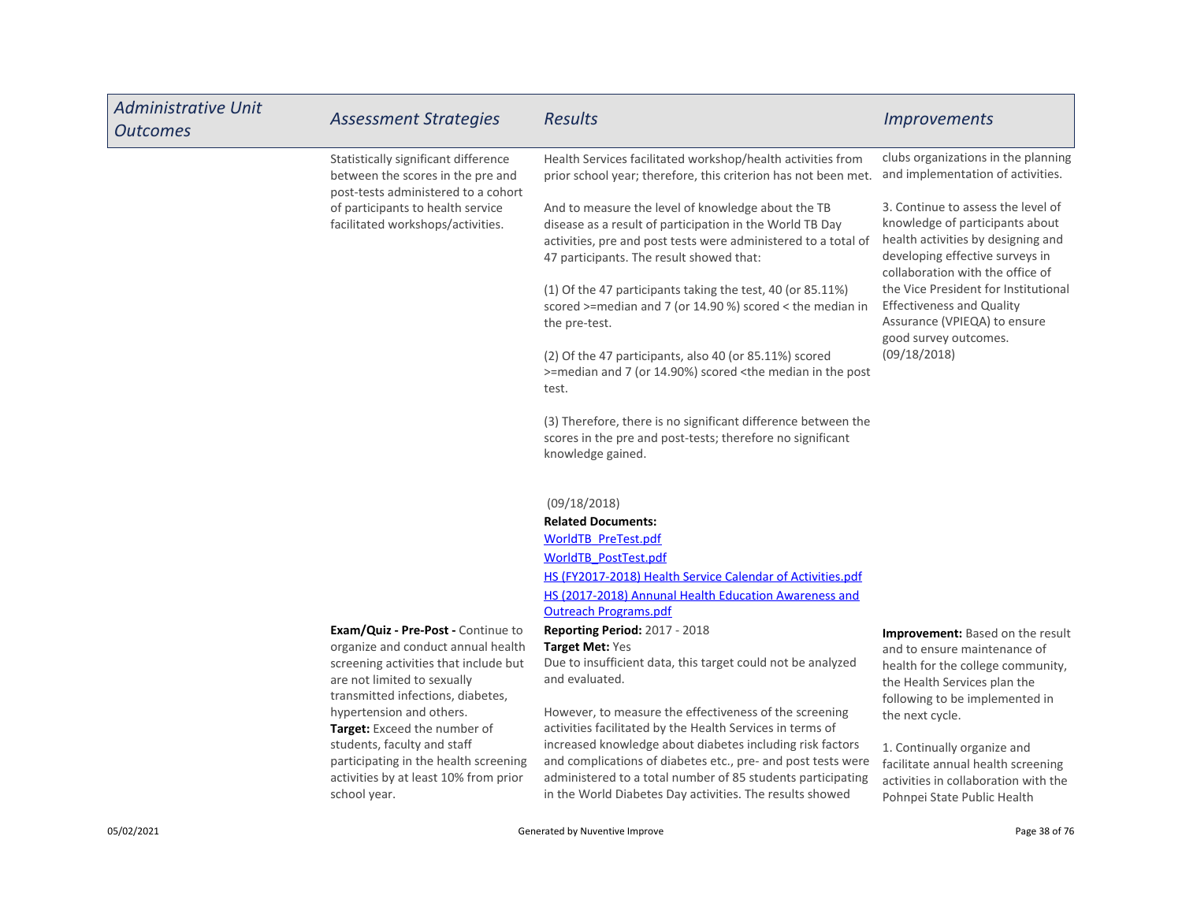| <b>Administrative Unit</b><br><b>Outcomes</b> | <b>Assessment Strategies</b>                                                                                                                                                                                             | <b>Results</b>                                                                                                                                                                                                                                                                                                    | <b>Improvements</b>                                                                                                                                                                               |
|-----------------------------------------------|--------------------------------------------------------------------------------------------------------------------------------------------------------------------------------------------------------------------------|-------------------------------------------------------------------------------------------------------------------------------------------------------------------------------------------------------------------------------------------------------------------------------------------------------------------|---------------------------------------------------------------------------------------------------------------------------------------------------------------------------------------------------|
|                                               | Statistically significant difference<br>between the scores in the pre and<br>post-tests administered to a cohort                                                                                                         | Health Services facilitated workshop/health activities from<br>prior school year; therefore, this criterion has not been met.                                                                                                                                                                                     | clubs organizations in the planning<br>and implementation of activities.                                                                                                                          |
|                                               | of participants to health service<br>facilitated workshops/activities.                                                                                                                                                   | And to measure the level of knowledge about the TB<br>disease as a result of participation in the World TB Day<br>activities, pre and post tests were administered to a total of<br>47 participants. The result showed that:                                                                                      | 3. Continue to assess the level of<br>knowledge of participants about<br>health activities by designing and<br>developing effective surveys in<br>collaboration with the office of                |
|                                               |                                                                                                                                                                                                                          | (1) Of the 47 participants taking the test, 40 (or 85.11%)<br>scored >=median and 7 (or 14.90 %) scored < the median in<br>the pre-test.                                                                                                                                                                          | the Vice President for Institutional<br><b>Effectiveness and Quality</b><br>Assurance (VPIEQA) to ensure<br>good survey outcomes.                                                                 |
|                                               |                                                                                                                                                                                                                          | (2) Of the 47 participants, also 40 (or 85.11%) scored<br>>=median and 7 (or 14.90%) scored <the in="" median="" post<br="" the="">test.</the>                                                                                                                                                                    | (09/18/2018)                                                                                                                                                                                      |
|                                               |                                                                                                                                                                                                                          | (3) Therefore, there is no significant difference between the<br>scores in the pre and post-tests; therefore no significant<br>knowledge gained.                                                                                                                                                                  |                                                                                                                                                                                                   |
|                                               |                                                                                                                                                                                                                          | (09/18/2018)<br><b>Related Documents:</b><br><b>WorldTB PreTest.pdf</b>                                                                                                                                                                                                                                           |                                                                                                                                                                                                   |
|                                               |                                                                                                                                                                                                                          | <b>WorldTB PostTest.pdf</b><br>HS (FY2017-2018) Health Service Calendar of Activities.pdf<br>HS (2017-2018) Annunal Health Education Awareness and                                                                                                                                                                |                                                                                                                                                                                                   |
|                                               | <b>Exam/Quiz - Pre-Post - Continue to</b><br>organize and conduct annual health<br>screening activities that include but<br>are not limited to sexually<br>transmitted infections, diabetes,<br>hypertension and others. | <b>Outreach Programs.pdf</b><br><b>Reporting Period: 2017 - 2018</b><br>Target Met: Yes<br>Due to insufficient data, this target could not be analyzed<br>and evaluated.<br>However, to measure the effectiveness of the screening                                                                                | <b>Improvement:</b> Based on the result<br>and to ensure maintenance of<br>health for the college community,<br>the Health Services plan the<br>following to be implemented in<br>the next cycle. |
|                                               | Target: Exceed the number of<br>students, faculty and staff<br>participating in the health screening<br>activities by at least 10% from prior<br>school year.                                                            | activities facilitated by the Health Services in terms of<br>increased knowledge about diabetes including risk factors<br>and complications of diabetes etc., pre- and post tests were<br>administered to a total number of 85 students participating<br>in the World Diabetes Day activities. The results showed | 1. Continually organize and<br>facilitate annual health screening<br>activities in collaboration with the<br>Pohnpei State Public Health                                                          |
| 05/02/2021                                    |                                                                                                                                                                                                                          | Generated by Nuventive Improve                                                                                                                                                                                                                                                                                    | Page 38 of 76                                                                                                                                                                                     |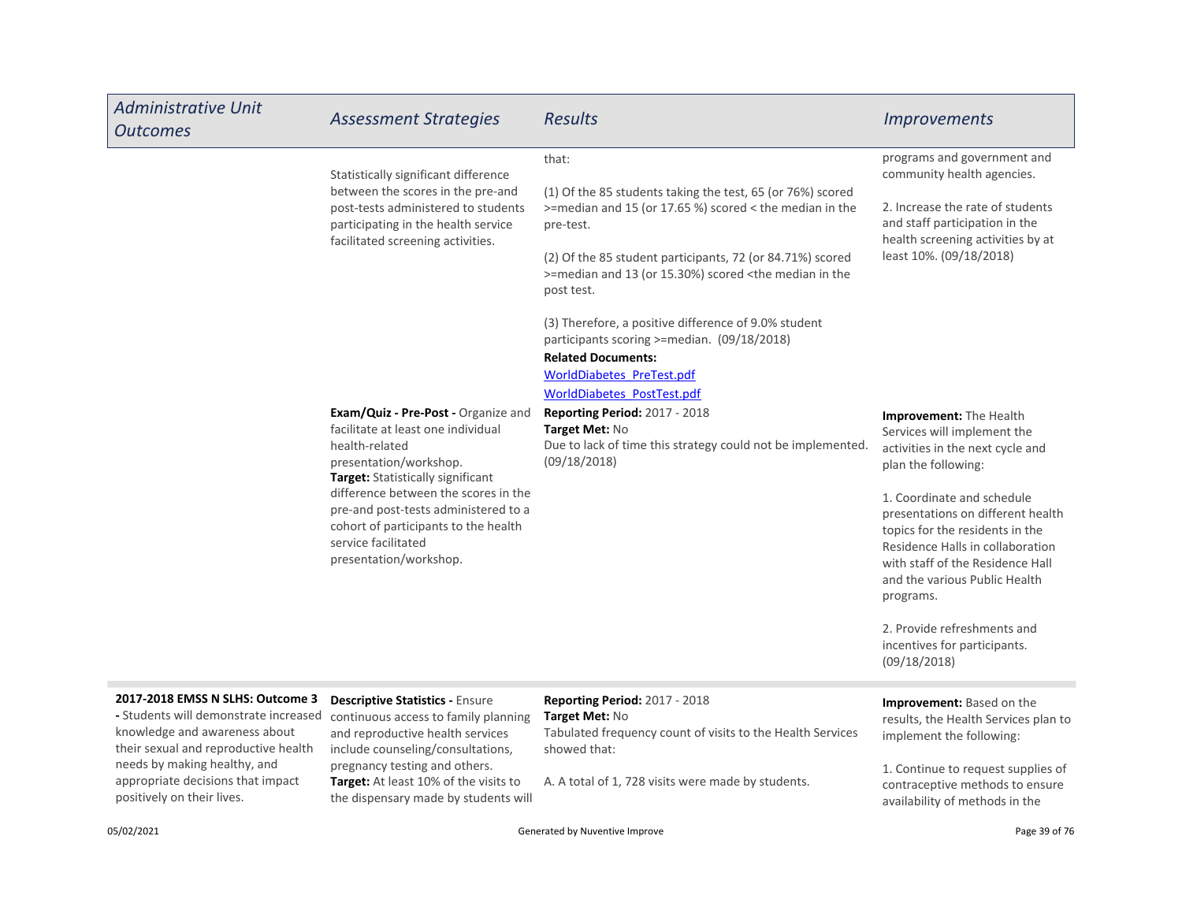| <b>Administrative Unit</b><br><b>Outcomes</b>                                                                                                      | <b>Assessment Strategies</b>                                                                                                                                                                 | <b>Results</b>                                                                                                                                  | <i><u><b>Improvements</b></u></i>                                                                                                                                                                                        |
|----------------------------------------------------------------------------------------------------------------------------------------------------|----------------------------------------------------------------------------------------------------------------------------------------------------------------------------------------------|-------------------------------------------------------------------------------------------------------------------------------------------------|--------------------------------------------------------------------------------------------------------------------------------------------------------------------------------------------------------------------------|
|                                                                                                                                                    | Statistically significant difference<br>between the scores in the pre-and<br>post-tests administered to students<br>participating in the health service<br>facilitated screening activities. | that:                                                                                                                                           | programs and government and<br>community health agencies.                                                                                                                                                                |
|                                                                                                                                                    |                                                                                                                                                                                              | (1) Of the 85 students taking the test, 65 (or 76%) scored<br>>=median and 15 (or 17.65 %) scored < the median in the<br>pre-test.              | 2. Increase the rate of students<br>and staff participation in the<br>health screening activities by at<br>least 10%. (09/18/2018)                                                                                       |
|                                                                                                                                                    |                                                                                                                                                                                              | (2) Of the 85 student participants, 72 (or 84.71%) scored<br>>=median and 13 (or 15.30%) scored <the in="" median="" the<br="">post test.</the> |                                                                                                                                                                                                                          |
|                                                                                                                                                    |                                                                                                                                                                                              | (3) Therefore, a positive difference of 9.0% student<br>participants scoring >=median. (09/18/2018)<br><b>Related Documents:</b>                |                                                                                                                                                                                                                          |
|                                                                                                                                                    |                                                                                                                                                                                              | WorldDiabetes PreTest.pdf<br>WorldDiabetes_PostTest.pdf                                                                                         |                                                                                                                                                                                                                          |
|                                                                                                                                                    | <b>Exam/Quiz - Pre-Post - Organize and</b><br>facilitate at least one individual<br>health-related<br>presentation/workshop.<br>Target: Statistically significant                            | <b>Reporting Period: 2017 - 2018</b><br>Target Met: No<br>Due to lack of time this strategy could not be implemented.<br>(09/18/2018)           | Improvement: The Health<br>Services will implement the<br>activities in the next cycle and<br>plan the following:                                                                                                        |
|                                                                                                                                                    | difference between the scores in the<br>pre-and post-tests administered to a<br>cohort of participants to the health<br>service facilitated<br>presentation/workshop.                        |                                                                                                                                                 | 1. Coordinate and schedule<br>presentations on different health<br>topics for the residents in the<br>Residence Halls in collaboration<br>with staff of the Residence Hall<br>and the various Public Health<br>programs. |
|                                                                                                                                                    |                                                                                                                                                                                              |                                                                                                                                                 | 2. Provide refreshments and<br>incentives for participants.<br>(09/18/2018)                                                                                                                                              |
| 2017-2018 EMSS N SLHS: Outcome 3<br>- Students will demonstrate increased<br>knowledge and awareness about<br>their sexual and reproductive health | <b>Descriptive Statistics - Ensure</b><br>continuous access to family planning<br>and reproductive health services<br>include counseling/consultations,                                      | Reporting Period: 2017 - 2018<br>Target Met: No<br>Tabulated frequency count of visits to the Health Services<br>showed that:                   | Improvement: Based on the<br>results, the Health Services plan to<br>implement the following:                                                                                                                            |
| needs by making healthy, and                                                                                                                       | pregnancy testing and others.                                                                                                                                                                |                                                                                                                                                 | 1. Continue to request supplies of                                                                                                                                                                                       |

1. Continue to request supplies of contraceptive methods to ensure availability of methods in the

appropriate decisions that impact

positively on their lives.

05/02/2021 Generated by Nuventive Improve Page 39 of 76

A. A total of 1, 728 visits were made by students.

Target: At least 10% of the visits to the dispensary made by students will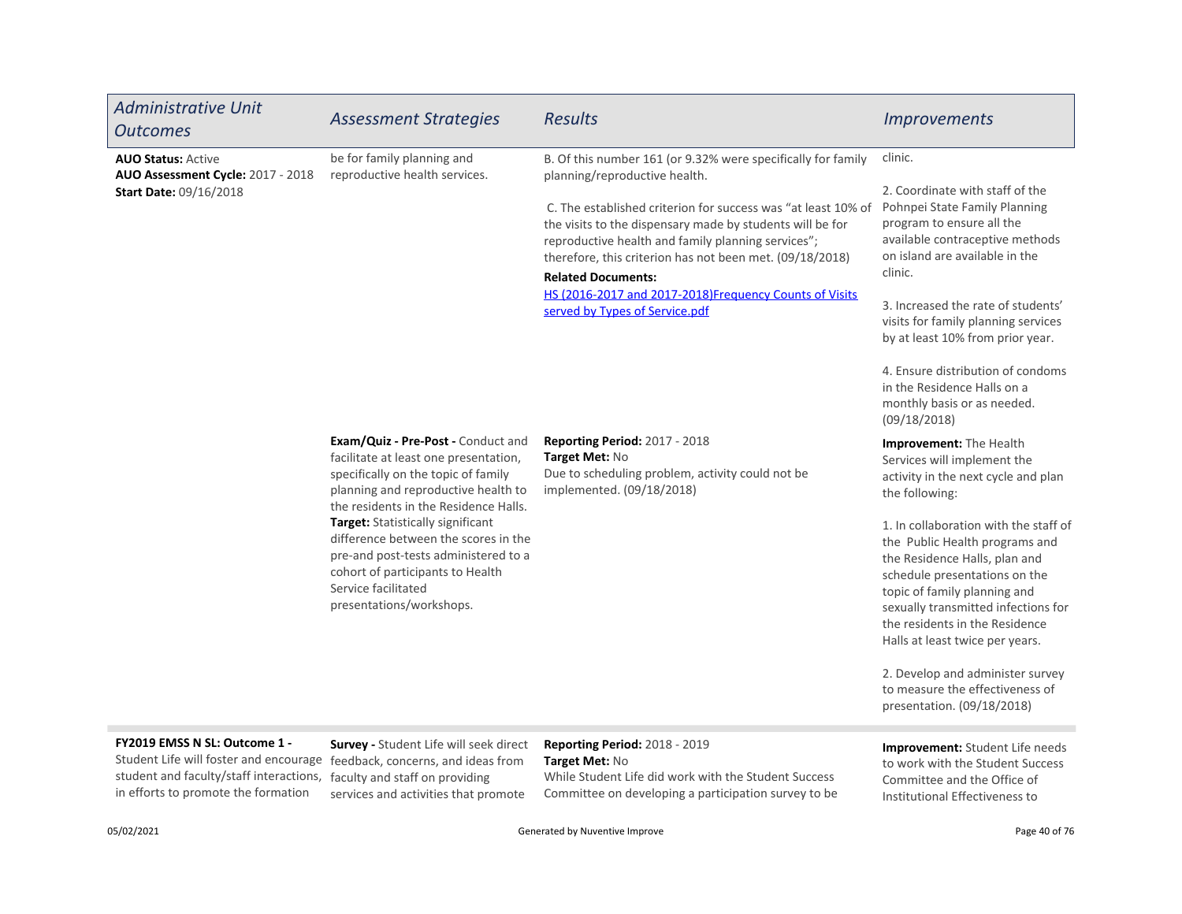| <b>Administrative Unit</b><br><b>Outcomes</b>                                                   | <b>Assessment Strategies</b>                                                                                                                                                                             | <b>Results</b>                                                                                                                                                                                                                                                                                                                                                                                                                                                         | <b>Improvements</b>                                                                                                                                                                                                                                                                                       |
|-------------------------------------------------------------------------------------------------|----------------------------------------------------------------------------------------------------------------------------------------------------------------------------------------------------------|------------------------------------------------------------------------------------------------------------------------------------------------------------------------------------------------------------------------------------------------------------------------------------------------------------------------------------------------------------------------------------------------------------------------------------------------------------------------|-----------------------------------------------------------------------------------------------------------------------------------------------------------------------------------------------------------------------------------------------------------------------------------------------------------|
| <b>AUO Status: Active</b><br>AUO Assessment Cycle: 2017 - 2018<br><b>Start Date: 09/16/2018</b> | be for family planning and<br>reproductive health services.                                                                                                                                              | B. Of this number 161 (or 9.32% were specifically for family<br>planning/reproductive health.<br>C. The established criterion for success was "at least 10% of<br>the visits to the dispensary made by students will be for<br>reproductive health and family planning services";<br>therefore, this criterion has not been met. (09/18/2018)<br><b>Related Documents:</b><br>HS (2016-2017 and 2017-2018)Frequency Counts of Visits<br>served by Types of Service.pdf | clinic.<br>2. Coordinate with staff of the<br>Pohnpei State Family Planning<br>program to ensure all the<br>available contraceptive methods<br>on island are available in the<br>clinic.<br>3. Increased the rate of students'<br>visits for family planning services<br>by at least 10% from prior year. |
|                                                                                                 |                                                                                                                                                                                                          |                                                                                                                                                                                                                                                                                                                                                                                                                                                                        | 4. Ensure distribution of condoms<br>in the Residence Halls on a<br>monthly basis or as needed.<br>(09/18/2018)                                                                                                                                                                                           |
|                                                                                                 | Exam/Quiz - Pre-Post - Conduct and<br>facilitate at least one presentation,<br>specifically on the topic of family<br>planning and reproductive health to<br>the residents in the Residence Halls.       | Reporting Period: 2017 - 2018<br>Target Met: No<br>Due to scheduling problem, activity could not be<br>implemented. (09/18/2018)                                                                                                                                                                                                                                                                                                                                       | Improvement: The Health<br>Services will implement the<br>activity in the next cycle and plan<br>the following:                                                                                                                                                                                           |
|                                                                                                 | Target: Statistically significant<br>difference between the scores in the<br>pre-and post-tests administered to a<br>cohort of participants to Health<br>Service facilitated<br>presentations/workshops. |                                                                                                                                                                                                                                                                                                                                                                                                                                                                        | 1. In collaboration with the staff of<br>the Public Health programs and<br>the Residence Halls, plan and<br>schedule presentations on the<br>topic of family planning and<br>sexually transmitted infections for<br>the residents in the Residence<br>Halls at least twice per years.                     |
|                                                                                                 |                                                                                                                                                                                                          |                                                                                                                                                                                                                                                                                                                                                                                                                                                                        | 2. Develop and administer survey<br>to measure the effectiveness of<br>presentation. (09/18/2018)                                                                                                                                                                                                         |
| EV3010 EMCC NLCL, Outcome 1                                                                     |                                                                                                                                                                                                          |                                                                                                                                                                                                                                                                                                                                                                                                                                                                        |                                                                                                                                                                                                                                                                                                           |

# FY2019 EMSS N SL: Outcome 1 -

student and faculty/staff interactions, faculty and staff on providing in efforts to promote the formation

Survey - Student Life will seek direct Student Life will foster and encourage feedback, concerns, and ideas from services and activities that promote

# Reporting Period: 2018 - 2019 Target Met: No

While Student Life did work with the Student Success Committee on developing a participation survey to be

# Improvement: Student Life needs to work with the Student Success Committee and the Office of Institutional Effectiveness to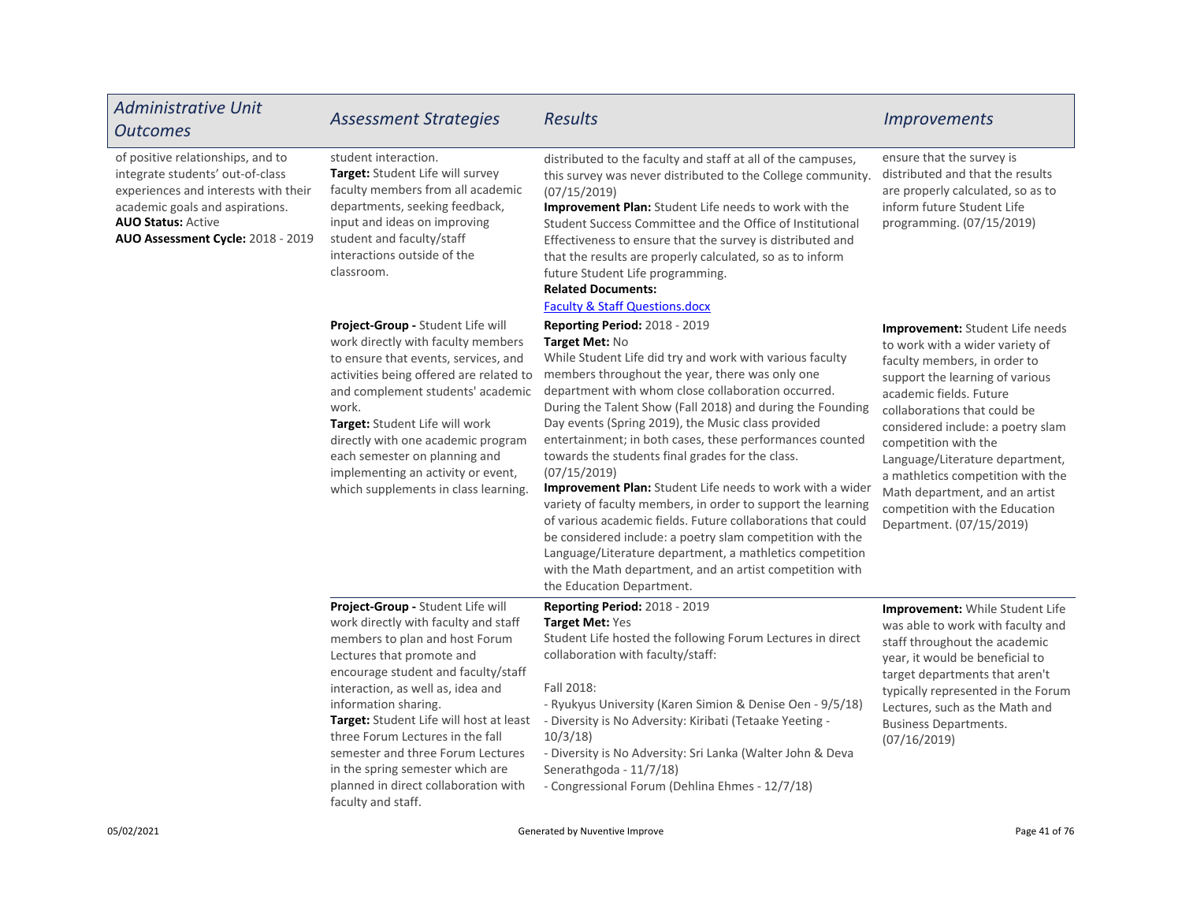| <b>Administrative Unit</b><br><b>Outcomes</b>                                                                                                                                                                      | <b>Assessment Strategies</b>                                                                                                                                                                                                                                                                                                                                                                                                                                       | Results                                                                                                                                                                                                                                                                                                                                                                                                                                                                                                                                                                                                                                                                                                                                                                                                                                                                                 | <b>Improvements</b>                                                                                                                                                                                                                                                                                                                                                                                                                   |
|--------------------------------------------------------------------------------------------------------------------------------------------------------------------------------------------------------------------|--------------------------------------------------------------------------------------------------------------------------------------------------------------------------------------------------------------------------------------------------------------------------------------------------------------------------------------------------------------------------------------------------------------------------------------------------------------------|-----------------------------------------------------------------------------------------------------------------------------------------------------------------------------------------------------------------------------------------------------------------------------------------------------------------------------------------------------------------------------------------------------------------------------------------------------------------------------------------------------------------------------------------------------------------------------------------------------------------------------------------------------------------------------------------------------------------------------------------------------------------------------------------------------------------------------------------------------------------------------------------|---------------------------------------------------------------------------------------------------------------------------------------------------------------------------------------------------------------------------------------------------------------------------------------------------------------------------------------------------------------------------------------------------------------------------------------|
| of positive relationships, and to<br>integrate students' out-of-class<br>experiences and interests with their<br>academic goals and aspirations.<br><b>AUO Status: Active</b><br>AUO Assessment Cycle: 2018 - 2019 | student interaction.<br>Target: Student Life will survey<br>faculty members from all academic<br>departments, seeking feedback,<br>input and ideas on improving<br>student and faculty/staff<br>interactions outside of the<br>classroom.                                                                                                                                                                                                                          | distributed to the faculty and staff at all of the campuses,<br>this survey was never distributed to the College community.<br>(07/15/2019)<br>Improvement Plan: Student Life needs to work with the<br>Student Success Committee and the Office of Institutional<br>Effectiveness to ensure that the survey is distributed and<br>that the results are properly calculated, so as to inform<br>future Student Life programming.<br><b>Related Documents:</b><br><b>Faculty &amp; Staff Questions.docx</b>                                                                                                                                                                                                                                                                                                                                                                              | ensure that the survey is<br>distributed and that the results<br>are properly calculated, so as to<br>inform future Student Life<br>programming. (07/15/2019)                                                                                                                                                                                                                                                                         |
|                                                                                                                                                                                                                    | Project-Group - Student Life will<br>work directly with faculty members<br>to ensure that events, services, and<br>activities being offered are related to<br>and complement students' academic<br>work.<br>Target: Student Life will work<br>directly with one academic program<br>each semester on planning and<br>implementing an activity or event,<br>which supplements in class learning.                                                                    | Reporting Period: 2018 - 2019<br>Target Met: No<br>While Student Life did try and work with various faculty<br>members throughout the year, there was only one<br>department with whom close collaboration occurred.<br>During the Talent Show (Fall 2018) and during the Founding<br>Day events (Spring 2019), the Music class provided<br>entertainment; in both cases, these performances counted<br>towards the students final grades for the class.<br>(07/15/2019)<br>Improvement Plan: Student Life needs to work with a wider<br>variety of faculty members, in order to support the learning<br>of various academic fields. Future collaborations that could<br>be considered include: a poetry slam competition with the<br>Language/Literature department, a mathletics competition<br>with the Math department, and an artist competition with<br>the Education Department. | Improvement: Student Life needs<br>to work with a wider variety of<br>faculty members, in order to<br>support the learning of various<br>academic fields. Future<br>collaborations that could be<br>considered include: a poetry slam<br>competition with the<br>Language/Literature department,<br>a mathletics competition with the<br>Math department, and an artist<br>competition with the Education<br>Department. (07/15/2019) |
|                                                                                                                                                                                                                    | Project-Group - Student Life will<br>work directly with faculty and staff<br>members to plan and host Forum<br>Lectures that promote and<br>encourage student and faculty/staff<br>interaction, as well as, idea and<br>information sharing.<br>Target: Student Life will host at least<br>three Forum Lectures in the fall<br>semester and three Forum Lectures<br>in the spring semester which are<br>planned in direct collaboration with<br>faculty and staff. | Reporting Period: 2018 - 2019<br>Target Met: Yes<br>Student Life hosted the following Forum Lectures in direct<br>collaboration with faculty/staff:<br>Fall 2018:<br>- Ryukyus University (Karen Simion & Denise Oen - 9/5/18)<br>- Diversity is No Adversity: Kiribati (Tetaake Yeeting -<br>10/3/18<br>- Diversity is No Adversity: Sri Lanka (Walter John & Deva<br>Senerathgoda - 11/7/18)<br>- Congressional Forum (Dehlina Ehmes - 12/7/18)                                                                                                                                                                                                                                                                                                                                                                                                                                       | <b>Improvement:</b> While Student Life<br>was able to work with faculty and<br>staff throughout the academic<br>year, it would be beneficial to<br>target departments that aren't<br>typically represented in the Forum<br>Lectures, such as the Math and<br><b>Business Departments.</b><br>(07/16/2019)                                                                                                                             |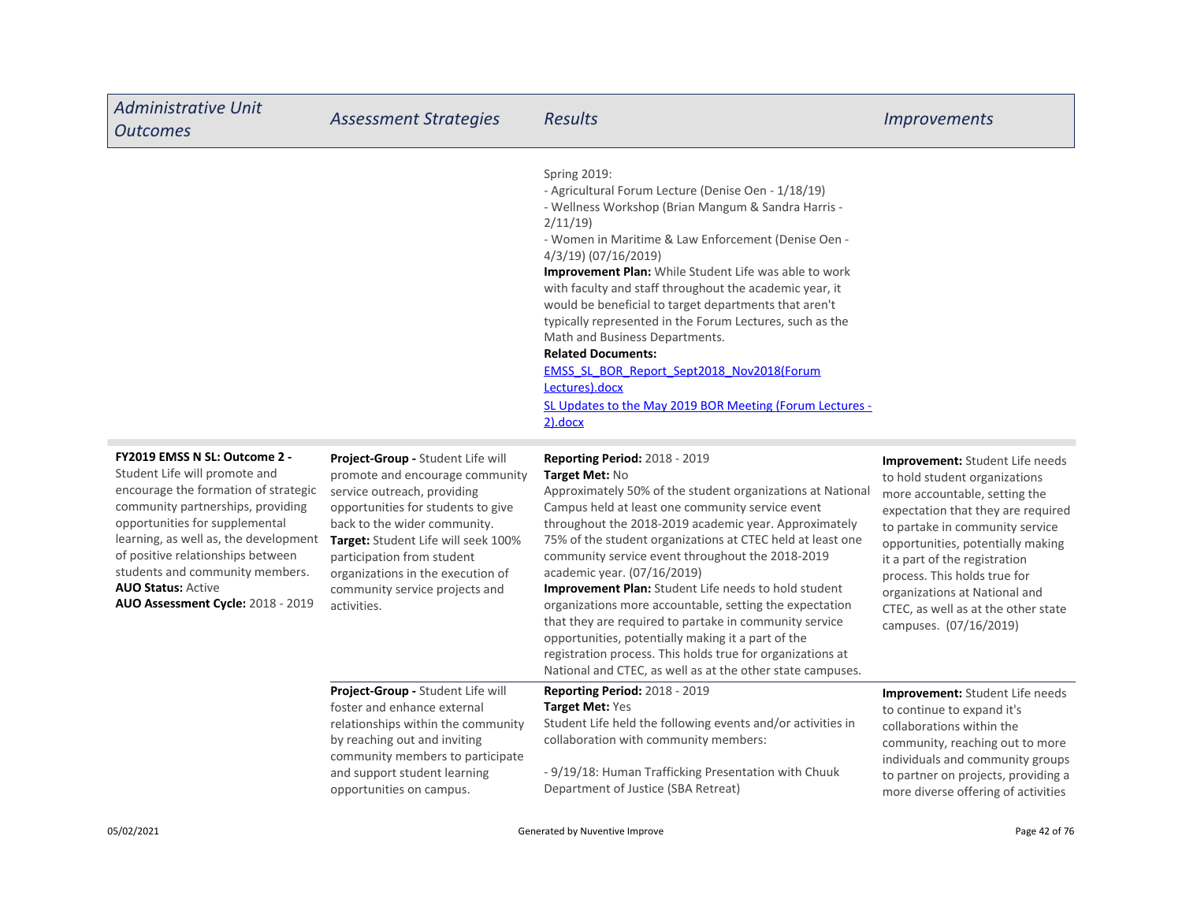| <b>Administrative Unit</b><br><b>Outcomes</b>                                                                                                                                                                                                                                                                                                                    | <b>Assessment Strategies</b>                                                                                                                                                                                                                                                                                                         | <b>Results</b>                                                                                                                                                                                                                                                                                                                                                                                                                                                                                                                                                                                                                                                                                                                                    | <i><u><b>Improvements</b></u></i>                                                                                                                                                                                                                                                                                                                                                  |
|------------------------------------------------------------------------------------------------------------------------------------------------------------------------------------------------------------------------------------------------------------------------------------------------------------------------------------------------------------------|--------------------------------------------------------------------------------------------------------------------------------------------------------------------------------------------------------------------------------------------------------------------------------------------------------------------------------------|---------------------------------------------------------------------------------------------------------------------------------------------------------------------------------------------------------------------------------------------------------------------------------------------------------------------------------------------------------------------------------------------------------------------------------------------------------------------------------------------------------------------------------------------------------------------------------------------------------------------------------------------------------------------------------------------------------------------------------------------------|------------------------------------------------------------------------------------------------------------------------------------------------------------------------------------------------------------------------------------------------------------------------------------------------------------------------------------------------------------------------------------|
|                                                                                                                                                                                                                                                                                                                                                                  |                                                                                                                                                                                                                                                                                                                                      | <b>Spring 2019:</b><br>- Agricultural Forum Lecture (Denise Oen - 1/18/19)<br>- Wellness Workshop (Brian Mangum & Sandra Harris -<br>2/11/19<br>- Women in Maritime & Law Enforcement (Denise Oen -<br>4/3/19) (07/16/2019)<br>Improvement Plan: While Student Life was able to work<br>with faculty and staff throughout the academic year, it<br>would be beneficial to target departments that aren't<br>typically represented in the Forum Lectures, such as the<br>Math and Business Departments.<br><b>Related Documents:</b><br><b>EMSS SL BOR Report Sept2018 Nov2018(Forum</b><br>Lectures).docx<br>SL Updates to the May 2019 BOR Meeting (Forum Lectures -<br>$2)$ .docx                                                               |                                                                                                                                                                                                                                                                                                                                                                                    |
| FY2019 EMSS N SL: Outcome 2 -<br>Student Life will promote and<br>encourage the formation of strategic<br>community partnerships, providing<br>opportunities for supplemental<br>learning, as well as, the development<br>of positive relationships between<br>students and community members.<br><b>AUO Status: Active</b><br>AUO Assessment Cycle: 2018 - 2019 | Project-Group - Student Life will<br>promote and encourage community<br>service outreach, providing<br>opportunities for students to give<br>back to the wider community.<br>Target: Student Life will seek 100%<br>participation from student<br>organizations in the execution of<br>community service projects and<br>activities. | <b>Reporting Period: 2018 - 2019</b><br>Target Met: No<br>Approximately 50% of the student organizations at National<br>Campus held at least one community service event<br>throughout the 2018-2019 academic year. Approximately<br>75% of the student organizations at CTEC held at least one<br>community service event throughout the 2018-2019<br>academic year. (07/16/2019)<br>Improvement Plan: Student Life needs to hold student<br>organizations more accountable, setting the expectation<br>that they are required to partake in community service<br>opportunities, potentially making it a part of the<br>registration process. This holds true for organizations at<br>National and CTEC, as well as at the other state campuses. | Improvement: Student Life needs<br>to hold student organizations<br>more accountable, setting the<br>expectation that they are required<br>to partake in community service<br>opportunities, potentially making<br>it a part of the registration<br>process. This holds true for<br>organizations at National and<br>CTEC, as well as at the other state<br>campuses. (07/16/2019) |

| Project-Group - Student Life will  | <b>Reporting Period: 2018 - 2019</b>                        | <b>Improvement:</b> Student Life needs |
|------------------------------------|-------------------------------------------------------------|----------------------------------------|
| foster and enhance external        | Target Met: Yes                                             | to continue to expand it's             |
| relationships within the community | Student Life held the following events and/or activities in | collaborations within the              |
| by reaching out and inviting       | collaboration with community members:                       | community, reaching out to more        |
| community members to participate   |                                                             | individuals and community groups       |
| and support student learning       | - 9/19/18: Human Trafficking Presentation with Chuuk        | to partner on projects, providing a    |
| opportunities on campus.           | Department of Justice (SBA Retreat)                         | more diverse offering of activities    |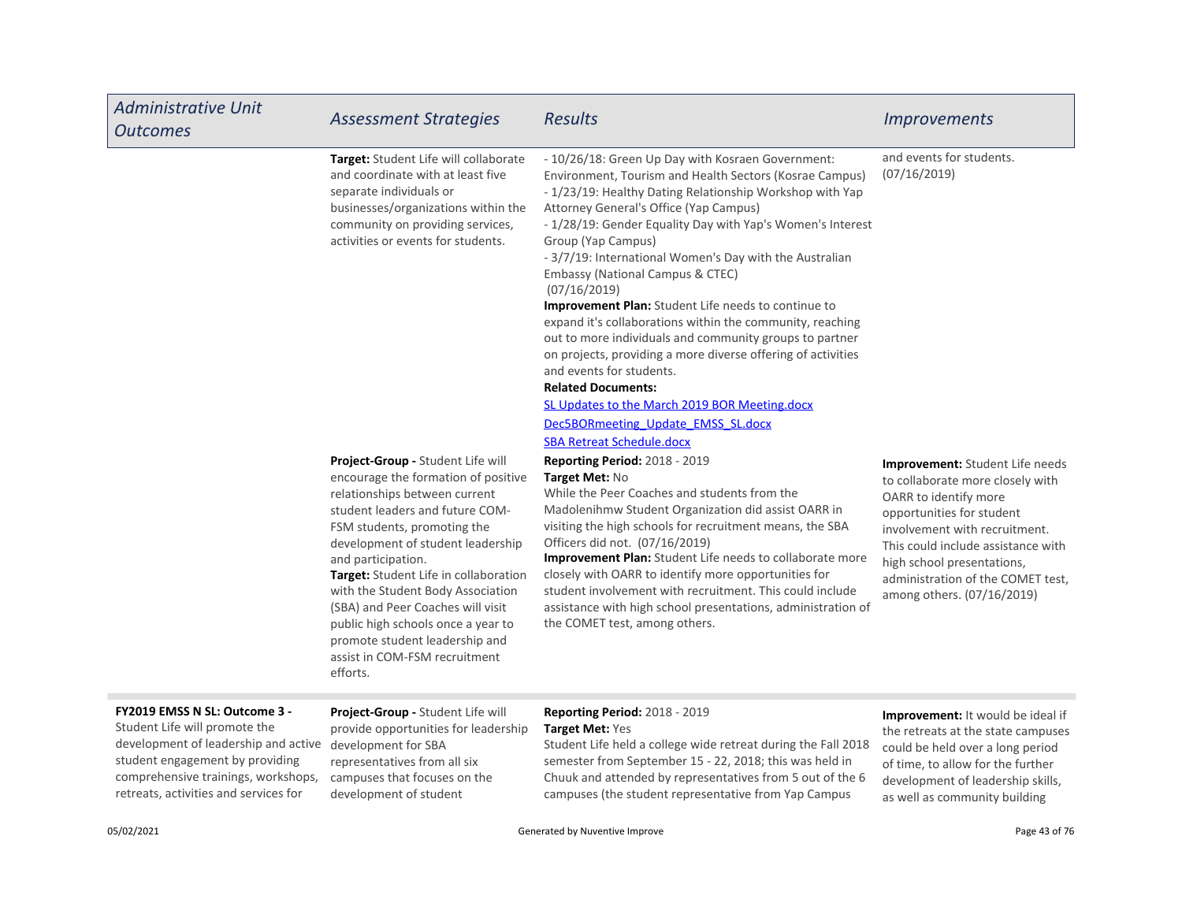| <b>Administrative Unit</b><br><b>Outcomes</b>                                                                                                                                    | <b>Assessment Strategies</b>                                                                                                                                                                                                                                                                                                                                                                                                                                                   | <b>Results</b>                                                                                                                                                                                                                                                                                                                                                                                                                                                                                                                                                                                                                                                                                                                                                                                                                                           | <i><u><b>Improvements</b></u></i>                                                                                                                                                                                                                                                                        |
|----------------------------------------------------------------------------------------------------------------------------------------------------------------------------------|--------------------------------------------------------------------------------------------------------------------------------------------------------------------------------------------------------------------------------------------------------------------------------------------------------------------------------------------------------------------------------------------------------------------------------------------------------------------------------|----------------------------------------------------------------------------------------------------------------------------------------------------------------------------------------------------------------------------------------------------------------------------------------------------------------------------------------------------------------------------------------------------------------------------------------------------------------------------------------------------------------------------------------------------------------------------------------------------------------------------------------------------------------------------------------------------------------------------------------------------------------------------------------------------------------------------------------------------------|----------------------------------------------------------------------------------------------------------------------------------------------------------------------------------------------------------------------------------------------------------------------------------------------------------|
|                                                                                                                                                                                  | Target: Student Life will collaborate<br>and coordinate with at least five<br>separate individuals or<br>businesses/organizations within the<br>community on providing services,<br>activities or events for students.                                                                                                                                                                                                                                                         | - 10/26/18: Green Up Day with Kosraen Government:<br>Environment, Tourism and Health Sectors (Kosrae Campus)<br>- 1/23/19: Healthy Dating Relationship Workshop with Yap<br>Attorney General's Office (Yap Campus)<br>- 1/28/19: Gender Equality Day with Yap's Women's Interest<br>Group (Yap Campus)<br>- 3/7/19: International Women's Day with the Australian<br>Embassy (National Campus & CTEC)<br>(07/16/2019)<br>Improvement Plan: Student Life needs to continue to<br>expand it's collaborations within the community, reaching<br>out to more individuals and community groups to partner<br>on projects, providing a more diverse offering of activities<br>and events for students.<br><b>Related Documents:</b><br>SL Updates to the March 2019 BOR Meeting.docx<br>Dec5BORmeeting Update EMSS SL.docx<br><b>SBA Retreat Schedule.docx</b> | and events for students.<br>(07/16/2019)                                                                                                                                                                                                                                                                 |
|                                                                                                                                                                                  | Project-Group - Student Life will<br>encourage the formation of positive<br>relationships between current<br>student leaders and future COM-<br>FSM students, promoting the<br>development of student leadership<br>and participation.<br>Target: Student Life in collaboration<br>with the Student Body Association<br>(SBA) and Peer Coaches will visit<br>public high schools once a year to<br>promote student leadership and<br>assist in COM-FSM recruitment<br>efforts. | Reporting Period: 2018 - 2019<br>Target Met: No<br>While the Peer Coaches and students from the<br>Madolenihmw Student Organization did assist OARR in<br>visiting the high schools for recruitment means, the SBA<br>Officers did not. (07/16/2019)<br>Improvement Plan: Student Life needs to collaborate more<br>closely with OARR to identify more opportunities for<br>student involvement with recruitment. This could include<br>assistance with high school presentations, administration of<br>the COMET test, among others.                                                                                                                                                                                                                                                                                                                    | <b>Improvement:</b> Student Life needs<br>to collaborate more closely with<br>OARR to identify more<br>opportunities for student<br>involvement with recruitment.<br>This could include assistance with<br>high school presentations,<br>administration of the COMET test,<br>among others. (07/16/2019) |
| FY2019 EMSS N SL: Outcome 3 -<br>Student Life will promote the<br>development of leadership and active<br>student engagement by providing<br>comprehensive trainings, workshops, | Project-Group - Student Life will<br>provide opportunities for leadership<br>development for SBA<br>representatives from all six<br>campuses that focuses on the                                                                                                                                                                                                                                                                                                               | <b>Reporting Period: 2018 - 2019</b><br>Target Met: Yes<br>Student Life held a college wide retreat during the Fall 2018<br>semester from September 15 - 22, 2018; this was held in<br>Chuuk and attended by representatives from 5 out of the 6                                                                                                                                                                                                                                                                                                                                                                                                                                                                                                                                                                                                         | <b>Improvement:</b> It would be ideal if<br>the retreats at the state campuses<br>could be held over a long period<br>of time, to allow for the further<br>development of leadership skills,                                                                                                             |

retreats, activities and services for

development of student

campuses (the student representative from Yap Campus

as well as community building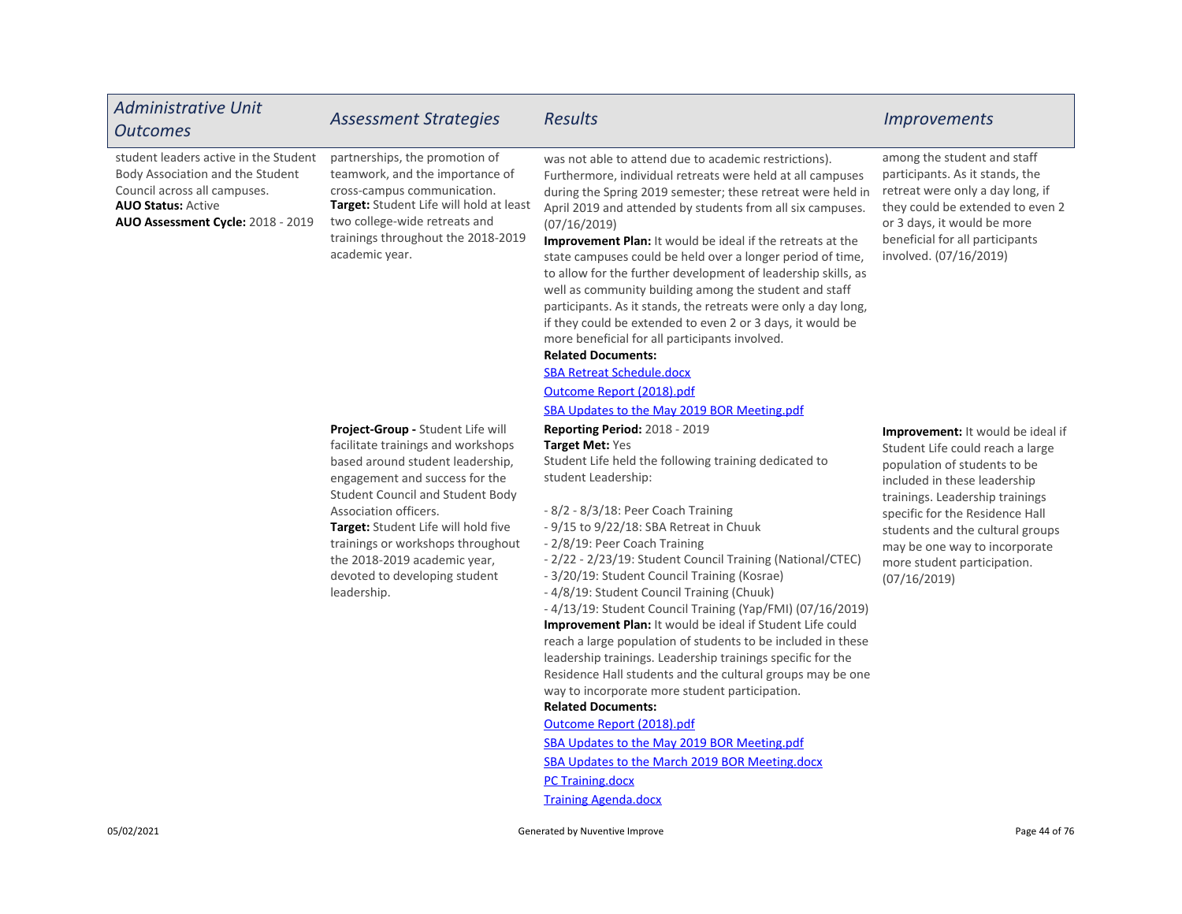| <b>Administrative Unit</b><br><b>Outcomes</b>                                                                                                                               | <b>Assessment Strategies</b>                                                                                                                                                                                                                                                                                                                                           | <b>Results</b>                                                                                                                                                                                                                                                                                                                                                                                                                                                                                                                                                                                                                                                                                                                                                                                                                                                                                                                                                                                                               | <i><u><b>Improvements</b></u></i>                                                                                                                                                                                                                                                                                                      |
|-----------------------------------------------------------------------------------------------------------------------------------------------------------------------------|------------------------------------------------------------------------------------------------------------------------------------------------------------------------------------------------------------------------------------------------------------------------------------------------------------------------------------------------------------------------|------------------------------------------------------------------------------------------------------------------------------------------------------------------------------------------------------------------------------------------------------------------------------------------------------------------------------------------------------------------------------------------------------------------------------------------------------------------------------------------------------------------------------------------------------------------------------------------------------------------------------------------------------------------------------------------------------------------------------------------------------------------------------------------------------------------------------------------------------------------------------------------------------------------------------------------------------------------------------------------------------------------------------|----------------------------------------------------------------------------------------------------------------------------------------------------------------------------------------------------------------------------------------------------------------------------------------------------------------------------------------|
| student leaders active in the Student<br>Body Association and the Student<br>Council across all campuses.<br><b>AUO Status: Active</b><br>AUO Assessment Cycle: 2018 - 2019 | partnerships, the promotion of<br>teamwork, and the importance of<br>cross-campus communication.<br><b>Target:</b> Student Life will hold at least<br>two college-wide retreats and<br>trainings throughout the 2018-2019<br>academic year.                                                                                                                            | was not able to attend due to academic restrictions).<br>Furthermore, individual retreats were held at all campuses<br>during the Spring 2019 semester; these retreat were held in<br>April 2019 and attended by students from all six campuses.<br>(07/16/2019)<br><b>Improvement Plan:</b> It would be ideal if the retreats at the<br>state campuses could be held over a longer period of time,<br>to allow for the further development of leadership skills, as<br>well as community building among the student and staff<br>participants. As it stands, the retreats were only a day long,<br>if they could be extended to even 2 or 3 days, it would be<br>more beneficial for all participants involved.<br><b>Related Documents:</b><br><b>SBA Retreat Schedule.docx</b><br>Outcome Report (2018).pdf<br>SBA Updates to the May 2019 BOR Meeting.pdf                                                                                                                                                                | among the student and staff<br>participants. As it stands, the<br>retreat were only a day long, if<br>they could be extended to even 2<br>or 3 days, it would be more<br>beneficial for all participants<br>involved. (07/16/2019)                                                                                                     |
|                                                                                                                                                                             | Project-Group - Student Life will<br>facilitate trainings and workshops<br>based around student leadership,<br>engagement and success for the<br>Student Council and Student Body<br>Association officers.<br>Target: Student Life will hold five<br>trainings or workshops throughout<br>the 2018-2019 academic year,<br>devoted to developing student<br>leadership. | <b>Reporting Period: 2018 - 2019</b><br><b>Target Met: Yes</b><br>Student Life held the following training dedicated to<br>student Leadership:<br>$-8/2 - 8/3/18$ : Peer Coach Training<br>- 9/15 to 9/22/18: SBA Retreat in Chuuk<br>- 2/8/19: Peer Coach Training<br>- 2/22 - 2/23/19: Student Council Training (National/CTEC)<br>- 3/20/19: Student Council Training (Kosrae)<br>-4/8/19: Student Council Training (Chuuk)<br>-4/13/19: Student Council Training (Yap/FMI) (07/16/2019)<br>Improvement Plan: It would be ideal if Student Life could<br>reach a large population of students to be included in these<br>leadership trainings. Leadership trainings specific for the<br>Residence Hall students and the cultural groups may be one<br>way to incorporate more student participation.<br><b>Related Documents:</b><br>Outcome Report (2018).pdf<br>SBA Updates to the May 2019 BOR Meeting.pdf<br>SBA Updates to the March 2019 BOR Meeting.docx<br><b>PC Training.docx</b><br><b>Training Agenda.docx</b> | <b>Improvement:</b> It would be ideal if<br>Student Life could reach a large<br>population of students to be<br>included in these leadership<br>trainings. Leadership trainings<br>specific for the Residence Hall<br>students and the cultural groups<br>may be one way to incorporate<br>more student participation.<br>(07/16/2019) |
| 05/02/2021                                                                                                                                                                  |                                                                                                                                                                                                                                                                                                                                                                        | Generated by Nuventive Improve                                                                                                                                                                                                                                                                                                                                                                                                                                                                                                                                                                                                                                                                                                                                                                                                                                                                                                                                                                                               | Page 44 of 76                                                                                                                                                                                                                                                                                                                          |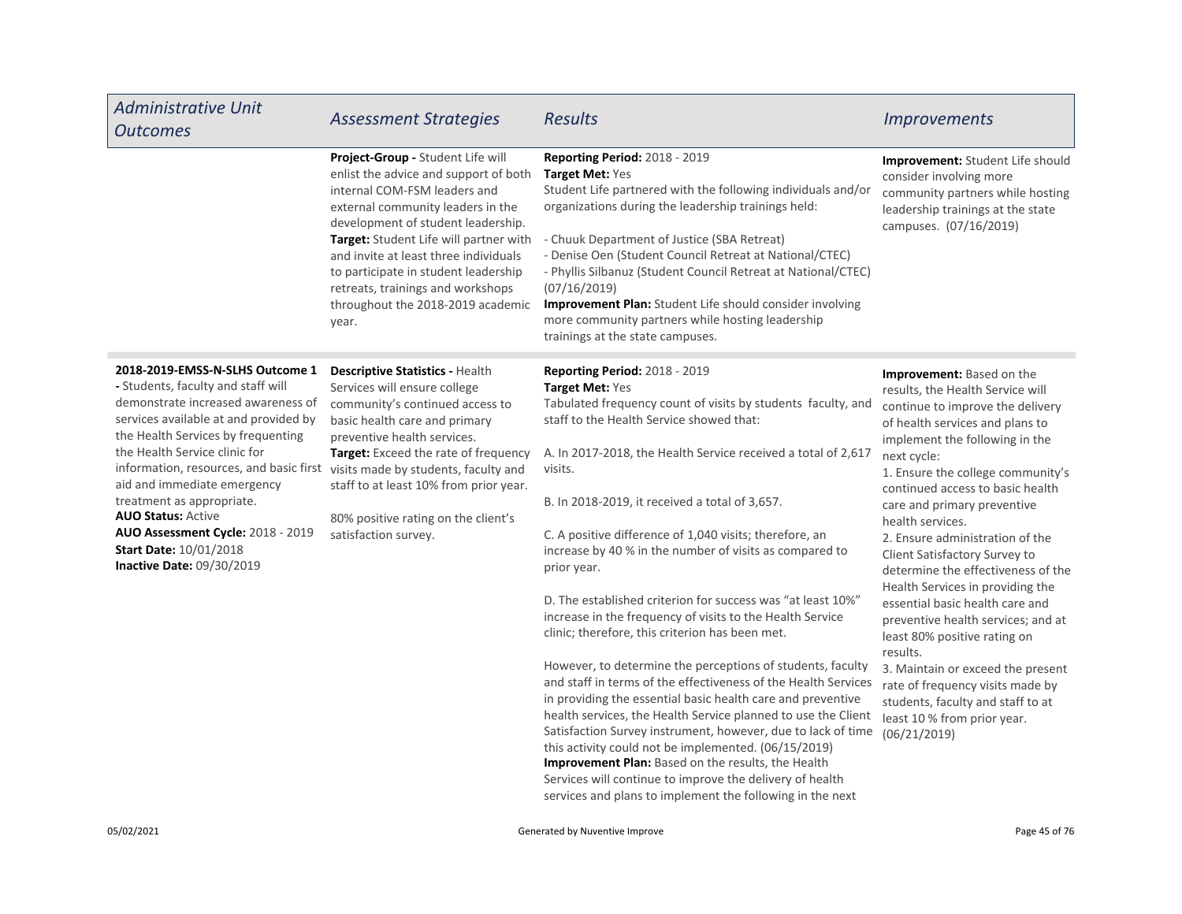| <b>Administrative Unit</b><br><b>Outcomes</b>                                                                                                                                                                                                                                                                                                                                                                                                                                                           | <b>Assessment Strategies</b>                                                                                                                                                                                                                                                                                                                                                                        | <b>Results</b>                                                                                                                                                                                                                                                                                                                                                                                                                                                                                                                                                                                                                                                                                                                                                                                                                                                                                                                                                                                                                                                                                                                                                                                      | <b>Improvements</b>                                                                                                                                                                                                                                                                                                                                                                                                                                                                                                                                                                                                                                                                                                                               |
|---------------------------------------------------------------------------------------------------------------------------------------------------------------------------------------------------------------------------------------------------------------------------------------------------------------------------------------------------------------------------------------------------------------------------------------------------------------------------------------------------------|-----------------------------------------------------------------------------------------------------------------------------------------------------------------------------------------------------------------------------------------------------------------------------------------------------------------------------------------------------------------------------------------------------|-----------------------------------------------------------------------------------------------------------------------------------------------------------------------------------------------------------------------------------------------------------------------------------------------------------------------------------------------------------------------------------------------------------------------------------------------------------------------------------------------------------------------------------------------------------------------------------------------------------------------------------------------------------------------------------------------------------------------------------------------------------------------------------------------------------------------------------------------------------------------------------------------------------------------------------------------------------------------------------------------------------------------------------------------------------------------------------------------------------------------------------------------------------------------------------------------------|---------------------------------------------------------------------------------------------------------------------------------------------------------------------------------------------------------------------------------------------------------------------------------------------------------------------------------------------------------------------------------------------------------------------------------------------------------------------------------------------------------------------------------------------------------------------------------------------------------------------------------------------------------------------------------------------------------------------------------------------------|
|                                                                                                                                                                                                                                                                                                                                                                                                                                                                                                         | Project-Group - Student Life will<br>enlist the advice and support of both<br>internal COM-FSM leaders and<br>external community leaders in the<br>development of student leadership.<br>Target: Student Life will partner with<br>and invite at least three individuals<br>to participate in student leadership<br>retreats, trainings and workshops<br>throughout the 2018-2019 academic<br>year. | Reporting Period: 2018 - 2019<br>Target Met: Yes<br>Student Life partnered with the following individuals and/or<br>organizations during the leadership trainings held:<br>- Chuuk Department of Justice (SBA Retreat)<br>- Denise Oen (Student Council Retreat at National/CTEC)<br>- Phyllis Silbanuz (Student Council Retreat at National/CTEC)<br>(07/16/2019)<br>Improvement Plan: Student Life should consider involving<br>more community partners while hosting leadership<br>trainings at the state campuses.                                                                                                                                                                                                                                                                                                                                                                                                                                                                                                                                                                                                                                                                              | Improvement: Student Life should<br>consider involving more<br>community partners while hosting<br>leadership trainings at the state<br>campuses. (07/16/2019)                                                                                                                                                                                                                                                                                                                                                                                                                                                                                                                                                                                    |
| 2018-2019-EMSS-N-SLHS Outcome 1<br>- Students, faculty and staff will<br>demonstrate increased awareness of<br>services available at and provided by<br>the Health Services by frequenting<br>the Health Service clinic for<br>information, resources, and basic first visits made by students, faculty and<br>aid and immediate emergency<br>treatment as appropriate.<br><b>AUO Status: Active</b><br>AUO Assessment Cycle: 2018 - 2019<br><b>Start Date: 10/01/2018</b><br>Inactive Date: 09/30/2019 | <b>Descriptive Statistics - Health</b><br>Services will ensure college<br>community's continued access to<br>basic health care and primary<br>preventive health services.<br>Target: Exceed the rate of frequency<br>staff to at least 10% from prior year.<br>80% positive rating on the client's<br>satisfaction survey.                                                                          | <b>Reporting Period: 2018 - 2019</b><br><b>Target Met: Yes</b><br>Tabulated frequency count of visits by students faculty, and<br>staff to the Health Service showed that:<br>A. In 2017-2018, the Health Service received a total of 2,617<br>visits.<br>B. In 2018-2019, it received a total of 3,657.<br>C. A positive difference of 1,040 visits; therefore, an<br>increase by 40 % in the number of visits as compared to<br>prior year.<br>D. The established criterion for success was "at least 10%"<br>increase in the frequency of visits to the Health Service<br>clinic; therefore, this criterion has been met.<br>However, to determine the perceptions of students, faculty<br>and staff in terms of the effectiveness of the Health Services<br>in providing the essential basic health care and preventive<br>health services, the Health Service planned to use the Client<br>Satisfaction Survey instrument, however, due to lack of time<br>this activity could not be implemented. (06/15/2019)<br>Improvement Plan: Based on the results, the Health<br>Services will continue to improve the delivery of health<br>services and plans to implement the following in the next | Improvement: Based on the<br>results, the Health Service will<br>continue to improve the delivery<br>of health services and plans to<br>implement the following in the<br>next cycle:<br>1. Ensure the college community's<br>continued access to basic health<br>care and primary preventive<br>health services.<br>2. Ensure administration of the<br>Client Satisfactory Survey to<br>determine the effectiveness of the<br>Health Services in providing the<br>essential basic health care and<br>preventive health services; and at<br>least 80% positive rating on<br>results.<br>3. Maintain or exceed the present<br>rate of frequency visits made by<br>students, faculty and staff to at<br>least 10 % from prior year.<br>(06/21/2019) |

F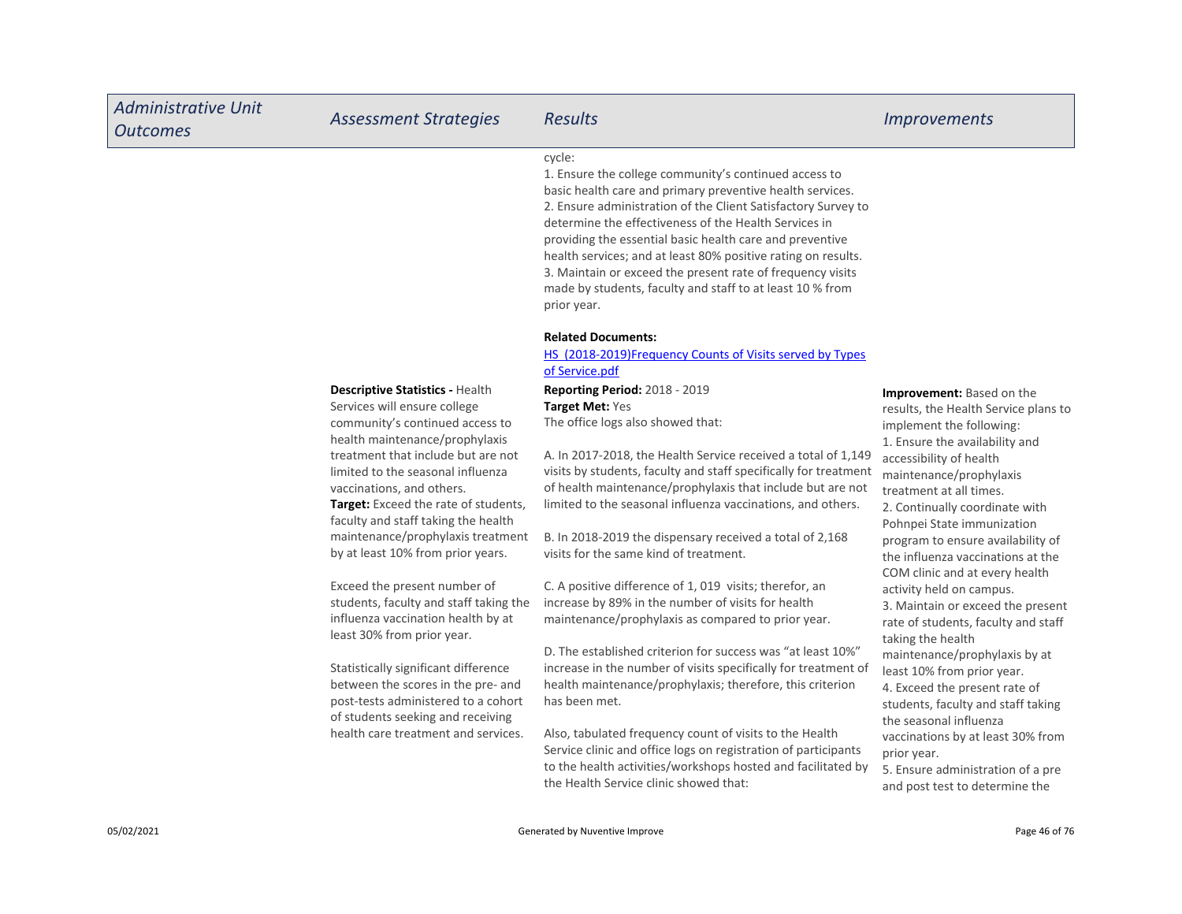| <b>Administrative Unit</b><br><b>Outcomes</b> | <b>Assessment Strategies</b>                                                                                                                           | <b>Results</b>                                                                                                                                                                                                                                                                                                                                                                                                                                                                                                                | <i><u><b>Improvements</b></u></i>                                                                                                                 |
|-----------------------------------------------|--------------------------------------------------------------------------------------------------------------------------------------------------------|-------------------------------------------------------------------------------------------------------------------------------------------------------------------------------------------------------------------------------------------------------------------------------------------------------------------------------------------------------------------------------------------------------------------------------------------------------------------------------------------------------------------------------|---------------------------------------------------------------------------------------------------------------------------------------------------|
|                                               |                                                                                                                                                        | cycle:<br>1. Ensure the college community's continued access to<br>basic health care and primary preventive health services.<br>2. Ensure administration of the Client Satisfactory Survey to<br>determine the effectiveness of the Health Services in<br>providing the essential basic health care and preventive<br>health services; and at least 80% positive rating on results.<br>3. Maintain or exceed the present rate of frequency visits<br>made by students, faculty and staff to at least 10 % from<br>prior year. |                                                                                                                                                   |
|                                               |                                                                                                                                                        | <b>Related Documents:</b><br>HS (2018-2019)Frequency Counts of Visits served by Types<br>of Service.pdf                                                                                                                                                                                                                                                                                                                                                                                                                       |                                                                                                                                                   |
|                                               | <b>Descriptive Statistics - Health</b><br>Services will ensure college<br>community's continued access to<br>health maintenance/prophylaxis            | Reporting Period: 2018 - 2019<br>Target Met: Yes<br>The office logs also showed that:                                                                                                                                                                                                                                                                                                                                                                                                                                         | <b>Improvement:</b> Based on the<br>results, the Health Service plans to<br>implement the following:                                              |
|                                               | treatment that include but are not<br>limited to the seasonal influenza<br>vaccinations, and others.<br><b>Target:</b> Exceed the rate of students,    | A. In 2017-2018, the Health Service received a total of 1,149<br>visits by students, faculty and staff specifically for treatment<br>of health maintenance/prophylaxis that include but are not<br>limited to the seasonal influenza vaccinations, and others.                                                                                                                                                                                                                                                                | 1. Ensure the availability and<br>accessibility of health<br>maintenance/prophylaxis<br>treatment at all times.<br>2. Continually coordinate with |
|                                               | faculty and staff taking the health<br>maintenance/prophylaxis treatment<br>by at least 10% from prior years.                                          | B. In 2018-2019 the dispensary received a total of 2,168<br>visits for the same kind of treatment.                                                                                                                                                                                                                                                                                                                                                                                                                            | Pohnpei State immunization<br>program to ensure availability of<br>the influenza vaccinations at the<br>COM clinic and at every health            |
|                                               | Exceed the present number of<br>students, faculty and staff taking the<br>influenza vaccination health by at<br>least 30% from prior year.             | C. A positive difference of 1, 019 visits; therefor, an<br>increase by 89% in the number of visits for health<br>maintenance/prophylaxis as compared to prior year.                                                                                                                                                                                                                                                                                                                                                           | activity held on campus.<br>3. Maintain or exceed the present<br>rate of students, faculty and staff<br>taking the health                         |
|                                               | Statistically significant difference<br>between the scores in the pre- and<br>post-tests administered to a cohort<br>of students seeking and receiving | D. The established criterion for success was "at least 10%"<br>increase in the number of visits specifically for treatment of<br>health maintenance/prophylaxis; therefore, this criterion<br>has been met.                                                                                                                                                                                                                                                                                                                   | maintenance/prophylaxis by at<br>least 10% from prior year.<br>4. Exceed the present rate of<br>students, faculty and staff taking                |
|                                               | health care treatment and services.                                                                                                                    | Also, tabulated frequency count of visits to the Health<br>Service clinic and office logs on registration of participants<br>to the health activities/workshops hosted and facilitated by<br>the Health Service clinic showed that:                                                                                                                                                                                                                                                                                           | the seasonal influenza<br>vaccinations by at least 30% from<br>prior year.<br>5. Ensure administration of a pre<br>and post test to determine the |
| 05/02/2021                                    |                                                                                                                                                        | Generated by Nuventive Improve                                                                                                                                                                                                                                                                                                                                                                                                                                                                                                | Page 46 of 76                                                                                                                                     |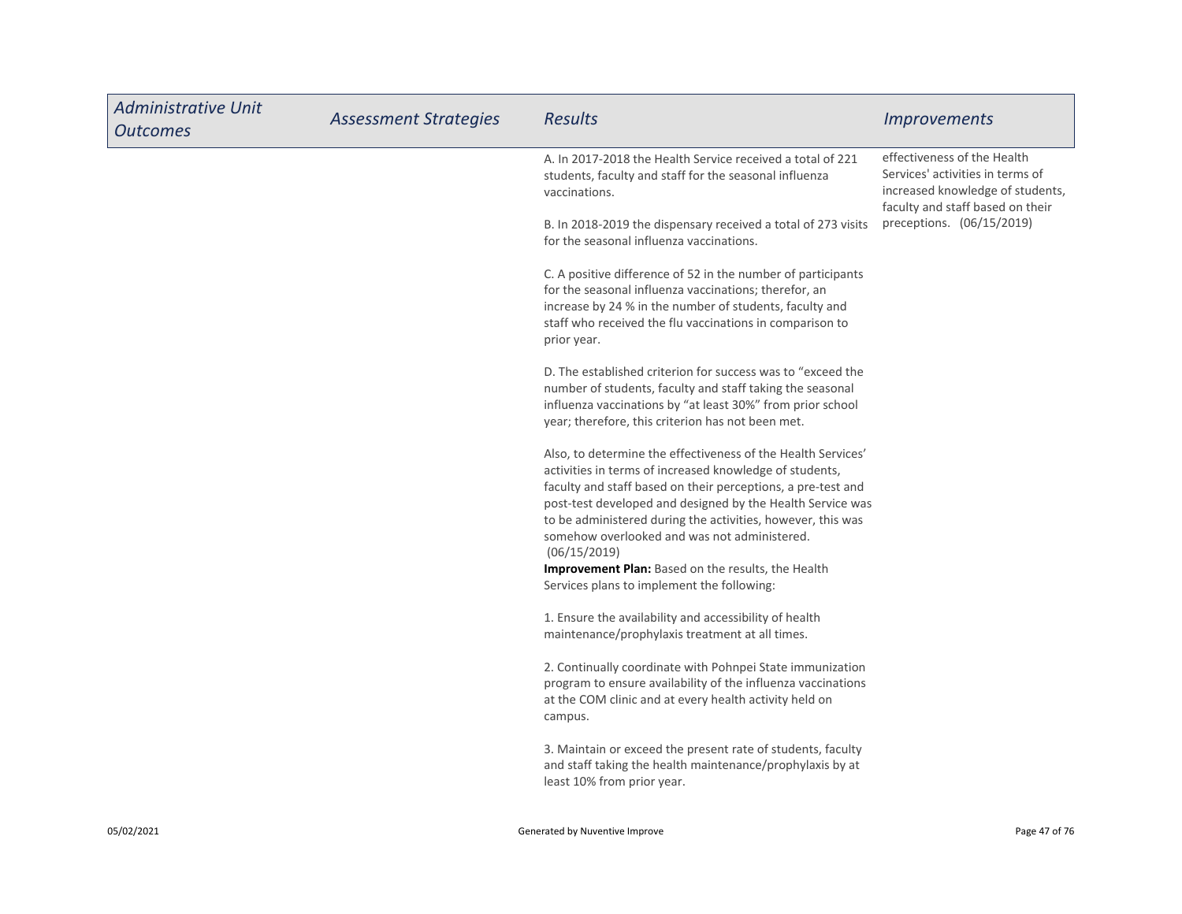| <b>Administrative Unit</b><br><b>Outcomes</b> | <b>Assessment Strategies</b> | <b>Results</b>                                                                                                                                                                                                                                                                                                                                                                                                                             | <i><u><b>Improvements</b></u></i>                                                                                                       |
|-----------------------------------------------|------------------------------|--------------------------------------------------------------------------------------------------------------------------------------------------------------------------------------------------------------------------------------------------------------------------------------------------------------------------------------------------------------------------------------------------------------------------------------------|-----------------------------------------------------------------------------------------------------------------------------------------|
|                                               |                              | A. In 2017-2018 the Health Service received a total of 221<br>students, faculty and staff for the seasonal influenza<br>vaccinations.                                                                                                                                                                                                                                                                                                      | effectiveness of the Health<br>Services' activities in terms of<br>increased knowledge of students,<br>faculty and staff based on their |
|                                               |                              | B. In 2018-2019 the dispensary received a total of 273 visits<br>for the seasonal influenza vaccinations.                                                                                                                                                                                                                                                                                                                                  | preceptions. (06/15/2019)                                                                                                               |
|                                               |                              | C. A positive difference of 52 in the number of participants<br>for the seasonal influenza vaccinations; therefor, an<br>increase by 24 % in the number of students, faculty and<br>staff who received the flu vaccinations in comparison to<br>prior year.                                                                                                                                                                                |                                                                                                                                         |
|                                               |                              | D. The established criterion for success was to "exceed the<br>number of students, faculty and staff taking the seasonal<br>influenza vaccinations by "at least 30%" from prior school<br>year; therefore, this criterion has not been met.                                                                                                                                                                                                |                                                                                                                                         |
|                                               |                              | Also, to determine the effectiveness of the Health Services'<br>activities in terms of increased knowledge of students,<br>faculty and staff based on their perceptions, a pre-test and<br>post-test developed and designed by the Health Service was<br>to be administered during the activities, however, this was<br>somehow overlooked and was not administered.<br>(06/15/2019)<br>Improvement Plan: Based on the results, the Health |                                                                                                                                         |
|                                               |                              | Services plans to implement the following:<br>1. Ensure the availability and accessibility of health<br>maintenance/prophylaxis treatment at all times.                                                                                                                                                                                                                                                                                    |                                                                                                                                         |
|                                               |                              | 2. Continually coordinate with Pohnpei State immunization<br>program to ensure availability of the influenza vaccinations<br>at the COM clinic and at every health activity held on<br>campus.                                                                                                                                                                                                                                             |                                                                                                                                         |
|                                               |                              | 3. Maintain or exceed the present rate of students, faculty<br>and staff taking the health maintenance/prophylaxis by at<br>least 10% from prior year.                                                                                                                                                                                                                                                                                     |                                                                                                                                         |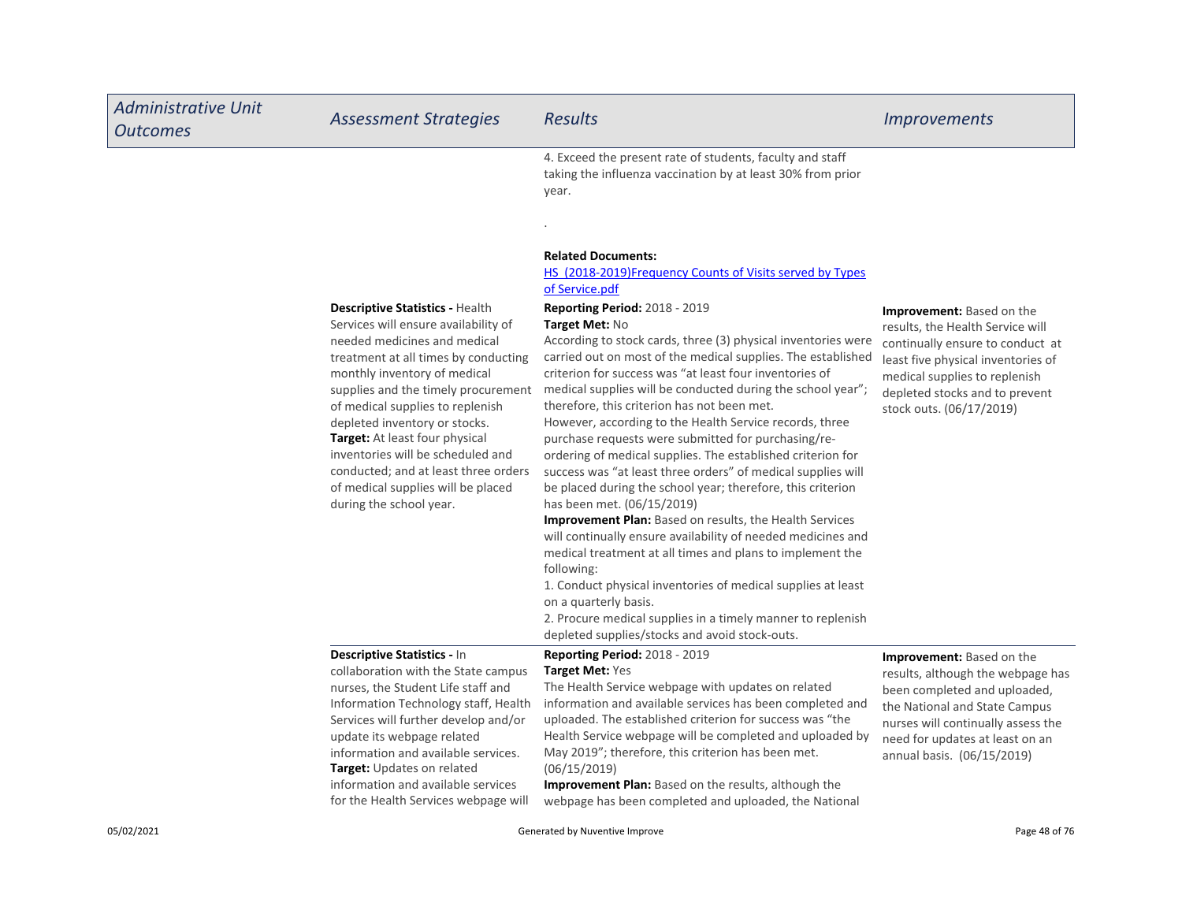| <b>Administrative Unit</b><br><b>Outcomes</b> | <b>Assessment Strategies</b>                                                                                                                                                                                                                                                                                                                                                                                                                                                       | <b>Results</b>                                                                                                                                                                                                                                                                                                                                                                                                                                                                                                                                                                                                                                                                                                                                                                                                                                                                                                                                                                                                                                                                                                                                                                                                                                                                                                                                                                         | <b>Improvements</b>                                                                                                                                                                                                                           |
|-----------------------------------------------|------------------------------------------------------------------------------------------------------------------------------------------------------------------------------------------------------------------------------------------------------------------------------------------------------------------------------------------------------------------------------------------------------------------------------------------------------------------------------------|----------------------------------------------------------------------------------------------------------------------------------------------------------------------------------------------------------------------------------------------------------------------------------------------------------------------------------------------------------------------------------------------------------------------------------------------------------------------------------------------------------------------------------------------------------------------------------------------------------------------------------------------------------------------------------------------------------------------------------------------------------------------------------------------------------------------------------------------------------------------------------------------------------------------------------------------------------------------------------------------------------------------------------------------------------------------------------------------------------------------------------------------------------------------------------------------------------------------------------------------------------------------------------------------------------------------------------------------------------------------------------------|-----------------------------------------------------------------------------------------------------------------------------------------------------------------------------------------------------------------------------------------------|
|                                               | <b>Descriptive Statistics - Health</b><br>Services will ensure availability of<br>needed medicines and medical<br>treatment at all times by conducting<br>monthly inventory of medical<br>supplies and the timely procurement<br>of medical supplies to replenish<br>depleted inventory or stocks.<br>Target: At least four physical<br>inventories will be scheduled and<br>conducted; and at least three orders<br>of medical supplies will be placed<br>during the school year. | 4. Exceed the present rate of students, faculty and staff<br>taking the influenza vaccination by at least 30% from prior<br>year.<br><b>Related Documents:</b><br><b>HS</b> (2018-2019) Frequency Counts of Visits served by Types<br>of Service.pdf<br>Reporting Period: 2018 - 2019<br><b>Target Met: No</b><br>According to stock cards, three (3) physical inventories were<br>carried out on most of the medical supplies. The established<br>criterion for success was "at least four inventories of<br>medical supplies will be conducted during the school year";<br>therefore, this criterion has not been met.<br>However, according to the Health Service records, three<br>purchase requests were submitted for purchasing/re-<br>ordering of medical supplies. The established criterion for<br>success was "at least three orders" of medical supplies will<br>be placed during the school year; therefore, this criterion<br>has been met. (06/15/2019)<br>Improvement Plan: Based on results, the Health Services<br>will continually ensure availability of needed medicines and<br>medical treatment at all times and plans to implement the<br>following:<br>1. Conduct physical inventories of medical supplies at least<br>on a quarterly basis.<br>2. Procure medical supplies in a timely manner to replenish<br>depleted supplies/stocks and avoid stock-outs. | <b>Improvement:</b> Based on the<br>results, the Health Service will<br>continually ensure to conduct at<br>least five physical inventories of<br>medical supplies to replenish<br>depleted stocks and to prevent<br>stock outs. (06/17/2019) |
|                                               | Descriptive Statistics - In<br>collaboration with the State campus<br>nurses, the Student Life staff and<br>Information Technology staff, Health<br>Services will further develop and/or<br>update its webpage related<br>information and available services.<br>Target: Updates on related<br>information and available services<br>for the Health Services webpage will                                                                                                          | Reporting Period: 2018 - 2019<br>Target Met: Yes<br>The Health Service webpage with updates on related<br>information and available services has been completed and<br>uploaded. The established criterion for success was "the<br>Health Service webpage will be completed and uploaded by<br>May 2019"; therefore, this criterion has been met.<br>(06/15/2019)<br>Improvement Plan: Based on the results, although the<br>webpage has been completed and uploaded, the National                                                                                                                                                                                                                                                                                                                                                                                                                                                                                                                                                                                                                                                                                                                                                                                                                                                                                                     | <b>Improvement:</b> Based on the<br>results, although the webpage has<br>been completed and uploaded,<br>the National and State Campus<br>nurses will continually assess the<br>need for updates at least on an<br>annual basis. (06/15/2019) |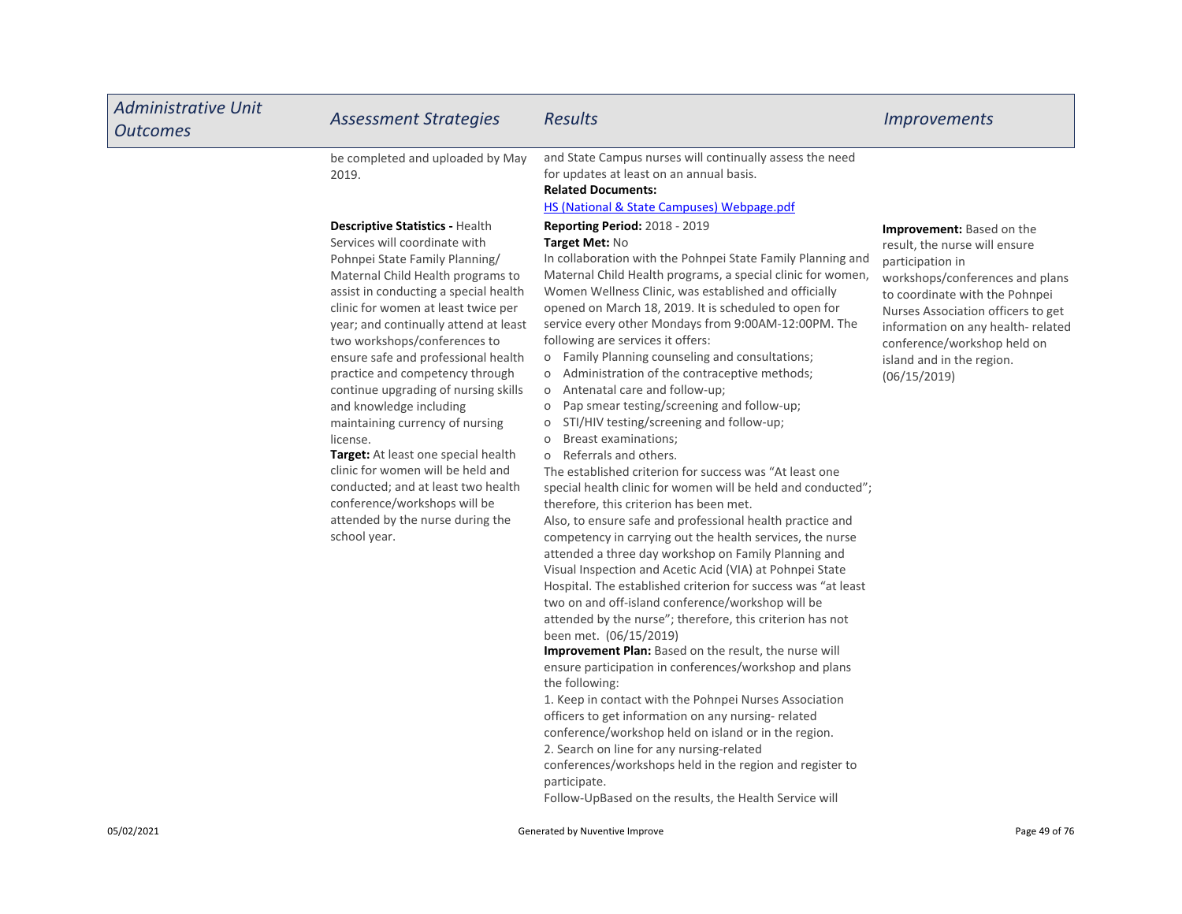| <b>Administrative Unit</b><br><b>Outcomes</b> | <b>Assessment Strategies</b>                                                                                                                                                                                                                                                                                                                                                                                                                                                                                                                                                                                                                                                                              | <b>Results</b>                                                                                                                                                                                                                                                                                                                                                                                                                                                                                                                                                                                                                                                                                                                                                                                                                                                                                                                                                                                                                                                                                                                                                                                                                                                                                                                                                                                                                                                                                                                                                                                                                                                                                                                                                                                                   | <i><u><b>Improvements</b></u></i>                                                                                                                                                                                                                                                                                 |
|-----------------------------------------------|-----------------------------------------------------------------------------------------------------------------------------------------------------------------------------------------------------------------------------------------------------------------------------------------------------------------------------------------------------------------------------------------------------------------------------------------------------------------------------------------------------------------------------------------------------------------------------------------------------------------------------------------------------------------------------------------------------------|------------------------------------------------------------------------------------------------------------------------------------------------------------------------------------------------------------------------------------------------------------------------------------------------------------------------------------------------------------------------------------------------------------------------------------------------------------------------------------------------------------------------------------------------------------------------------------------------------------------------------------------------------------------------------------------------------------------------------------------------------------------------------------------------------------------------------------------------------------------------------------------------------------------------------------------------------------------------------------------------------------------------------------------------------------------------------------------------------------------------------------------------------------------------------------------------------------------------------------------------------------------------------------------------------------------------------------------------------------------------------------------------------------------------------------------------------------------------------------------------------------------------------------------------------------------------------------------------------------------------------------------------------------------------------------------------------------------------------------------------------------------------------------------------------------------|-------------------------------------------------------------------------------------------------------------------------------------------------------------------------------------------------------------------------------------------------------------------------------------------------------------------|
|                                               | be completed and uploaded by May<br>2019.                                                                                                                                                                                                                                                                                                                                                                                                                                                                                                                                                                                                                                                                 | and State Campus nurses will continually assess the need<br>for updates at least on an annual basis.<br><b>Related Documents:</b><br><b>HS (National &amp; State Campuses) Webpage.pdf</b>                                                                                                                                                                                                                                                                                                                                                                                                                                                                                                                                                                                                                                                                                                                                                                                                                                                                                                                                                                                                                                                                                                                                                                                                                                                                                                                                                                                                                                                                                                                                                                                                                       |                                                                                                                                                                                                                                                                                                                   |
|                                               | <b>Descriptive Statistics - Health</b><br>Services will coordinate with<br>Pohnpei State Family Planning/<br>Maternal Child Health programs to<br>assist in conducting a special health<br>clinic for women at least twice per<br>year; and continually attend at least<br>two workshops/conferences to<br>ensure safe and professional health<br>practice and competency through<br>continue upgrading of nursing skills<br>and knowledge including<br>maintaining currency of nursing<br>license.<br>Target: At least one special health<br>clinic for women will be held and<br>conducted; and at least two health<br>conference/workshops will be<br>attended by the nurse during the<br>school year. | <b>Reporting Period: 2018 - 2019</b><br>Target Met: No<br>In collaboration with the Pohnpei State Family Planning and<br>Maternal Child Health programs, a special clinic for women,<br>Women Wellness Clinic, was established and officially<br>opened on March 18, 2019. It is scheduled to open for<br>service every other Mondays from 9:00AM-12:00PM. The<br>following are services it offers:<br>Family Planning counseling and consultations;<br>O<br>Administration of the contraceptive methods;<br>$\mathsf O$<br>Antenatal care and follow-up;<br>O<br>Pap smear testing/screening and follow-up;<br>O<br>STI/HIV testing/screening and follow-up;<br>O<br>Breast examinations;<br>$\circ$<br>Referrals and others.<br>$\circ$<br>The established criterion for success was "At least one<br>special health clinic for women will be held and conducted";<br>therefore, this criterion has been met.<br>Also, to ensure safe and professional health practice and<br>competency in carrying out the health services, the nurse<br>attended a three day workshop on Family Planning and<br>Visual Inspection and Acetic Acid (VIA) at Pohnpei State<br>Hospital. The established criterion for success was "at least<br>two on and off-island conference/workshop will be<br>attended by the nurse"; therefore, this criterion has not<br>been met. (06/15/2019)<br>Improvement Plan: Based on the result, the nurse will<br>ensure participation in conferences/workshop and plans<br>the following:<br>1. Keep in contact with the Pohnpei Nurses Association<br>officers to get information on any nursing-related<br>conference/workshop held on island or in the region.<br>2. Search on line for any nursing-related<br>conferences/workshops held in the region and register to<br>participate. | <b>Improvement:</b> Based on the<br>result, the nurse will ensure<br>participation in<br>workshops/conferences and plans<br>to coordinate with the Pohnpei<br>Nurses Association officers to get<br>information on any health-related<br>conference/workshop held on<br>island and in the region.<br>(06/15/2019) |

Follow-UpBased on the results, the Health Service will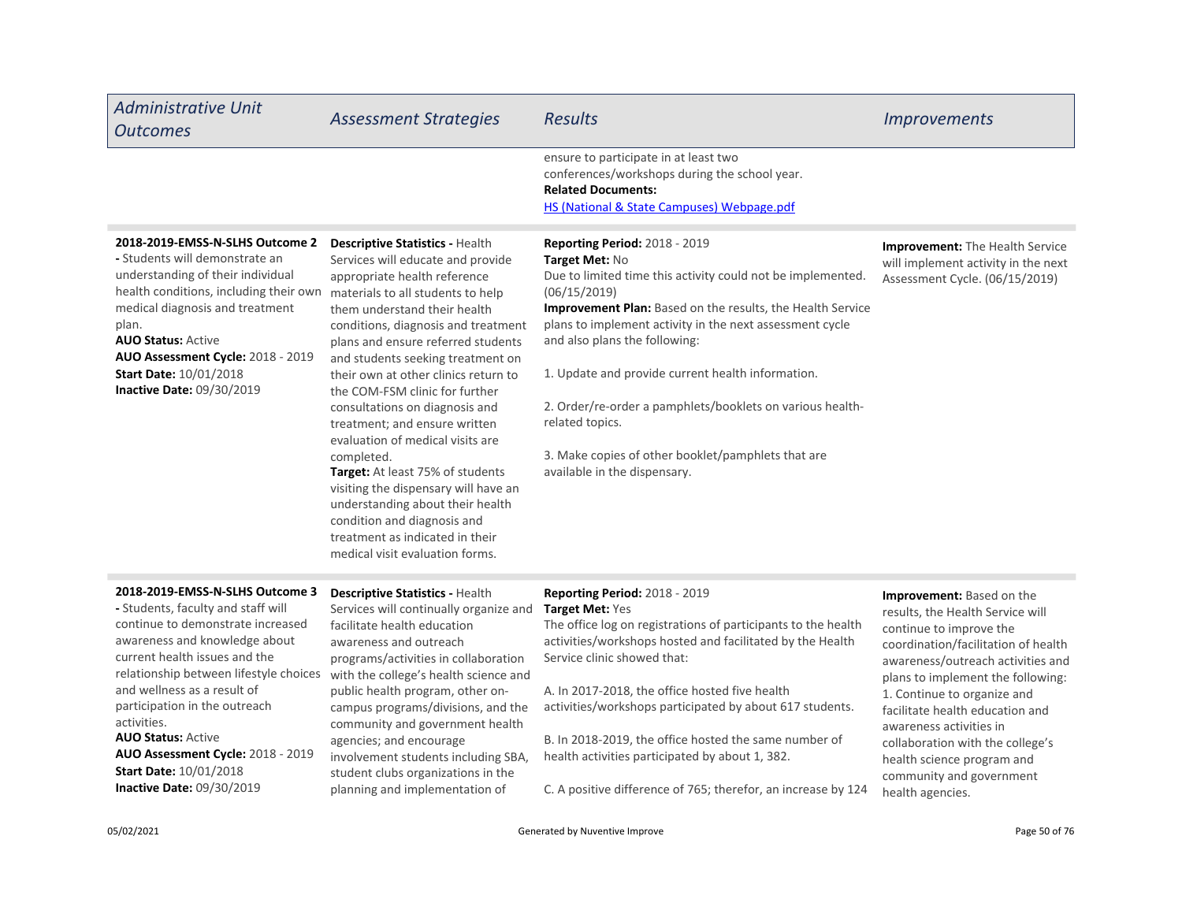| <b>Administrative Unit</b><br><b>Outcomes</b>                                                                                                                                                                                                                                                                                                                                                                                         | <b>Assessment Strategies</b>                                                                                                                                                                                                                                                                                                                                                                                                                                                                                                                                                                                                                                                                                    | <b>Results</b>                                                                                                                                                                                                                                                                                                                                                                                                                                                                                                              | <b>Improvements</b>                                                                                                                                                                                                                                                                                                                                                                                                             |
|---------------------------------------------------------------------------------------------------------------------------------------------------------------------------------------------------------------------------------------------------------------------------------------------------------------------------------------------------------------------------------------------------------------------------------------|-----------------------------------------------------------------------------------------------------------------------------------------------------------------------------------------------------------------------------------------------------------------------------------------------------------------------------------------------------------------------------------------------------------------------------------------------------------------------------------------------------------------------------------------------------------------------------------------------------------------------------------------------------------------------------------------------------------------|-----------------------------------------------------------------------------------------------------------------------------------------------------------------------------------------------------------------------------------------------------------------------------------------------------------------------------------------------------------------------------------------------------------------------------------------------------------------------------------------------------------------------------|---------------------------------------------------------------------------------------------------------------------------------------------------------------------------------------------------------------------------------------------------------------------------------------------------------------------------------------------------------------------------------------------------------------------------------|
|                                                                                                                                                                                                                                                                                                                                                                                                                                       |                                                                                                                                                                                                                                                                                                                                                                                                                                                                                                                                                                                                                                                                                                                 | ensure to participate in at least two<br>conferences/workshops during the school year.<br><b>Related Documents:</b><br><b>HS (National &amp; State Campuses) Webpage.pdf</b>                                                                                                                                                                                                                                                                                                                                                |                                                                                                                                                                                                                                                                                                                                                                                                                                 |
| 2018-2019-EMSS-N-SLHS Outcome 2<br>- Students will demonstrate an<br>understanding of their individual<br>health conditions, including their own<br>medical diagnosis and treatment<br>plan.<br><b>AUO Status: Active</b><br>AUO Assessment Cycle: 2018 - 2019<br><b>Start Date: 10/01/2018</b><br>Inactive Date: 09/30/2019                                                                                                          | Descriptive Statistics - Health<br>Services will educate and provide<br>appropriate health reference<br>materials to all students to help<br>them understand their health<br>conditions, diagnosis and treatment<br>plans and ensure referred students<br>and students seeking treatment on<br>their own at other clinics return to<br>the COM-FSM clinic for further<br>consultations on diagnosis and<br>treatment; and ensure written<br>evaluation of medical visits are<br>completed.<br>Target: At least 75% of students<br>visiting the dispensary will have an<br>understanding about their health<br>condition and diagnosis and<br>treatment as indicated in their<br>medical visit evaluation forms. | <b>Reporting Period: 2018 - 2019</b><br>Target Met: No<br>Due to limited time this activity could not be implemented.<br>(06/15/2019)<br>Improvement Plan: Based on the results, the Health Service<br>plans to implement activity in the next assessment cycle<br>and also plans the following:<br>1. Update and provide current health information.<br>2. Order/re-order a pamphlets/booklets on various health-<br>related topics.<br>3. Make copies of other booklet/pamphlets that are<br>available in the dispensary. | Improvement: The Health Service<br>will implement activity in the next<br>Assessment Cycle. (06/15/2019)                                                                                                                                                                                                                                                                                                                        |
| 2018-2019-EMSS-N-SLHS Outcome 3<br>- Students, faculty and staff will<br>continue to demonstrate increased<br>awareness and knowledge about<br>current health issues and the<br>relationship between lifestyle choices<br>and wellness as a result of<br>participation in the outreach<br>activities.<br><b>AUO Status: Active</b><br>AUO Assessment Cycle: 2018 - 2019<br><b>Start Date: 10/01/2018</b><br>Inactive Date: 09/30/2019 | Descriptive Statistics - Health<br>Services will continually organize and<br>facilitate health education<br>awareness and outreach<br>programs/activities in collaboration<br>with the college's health science and<br>public health program, other on-<br>campus programs/divisions, and the<br>community and government health<br>agencies; and encourage<br>involvement students including SBA,<br>student clubs organizations in the<br>planning and implementation of                                                                                                                                                                                                                                      | <b>Reporting Period: 2018 - 2019</b><br>Target Met: Yes<br>The office log on registrations of participants to the health<br>activities/workshops hosted and facilitated by the Health<br>Service clinic showed that:<br>A. In 2017-2018, the office hosted five health<br>activities/workshops participated by about 617 students.<br>B. In 2018-2019, the office hosted the same number of<br>health activities participated by about 1, 382.<br>C. A positive difference of 765; therefor, an increase by 124             | <b>Improvement:</b> Based on the<br>results, the Health Service will<br>continue to improve the<br>coordination/facilitation of health<br>awareness/outreach activities and<br>plans to implement the following:<br>1. Continue to organize and<br>facilitate health education and<br>awareness activities in<br>collaboration with the college's<br>health science program and<br>community and government<br>health agencies. |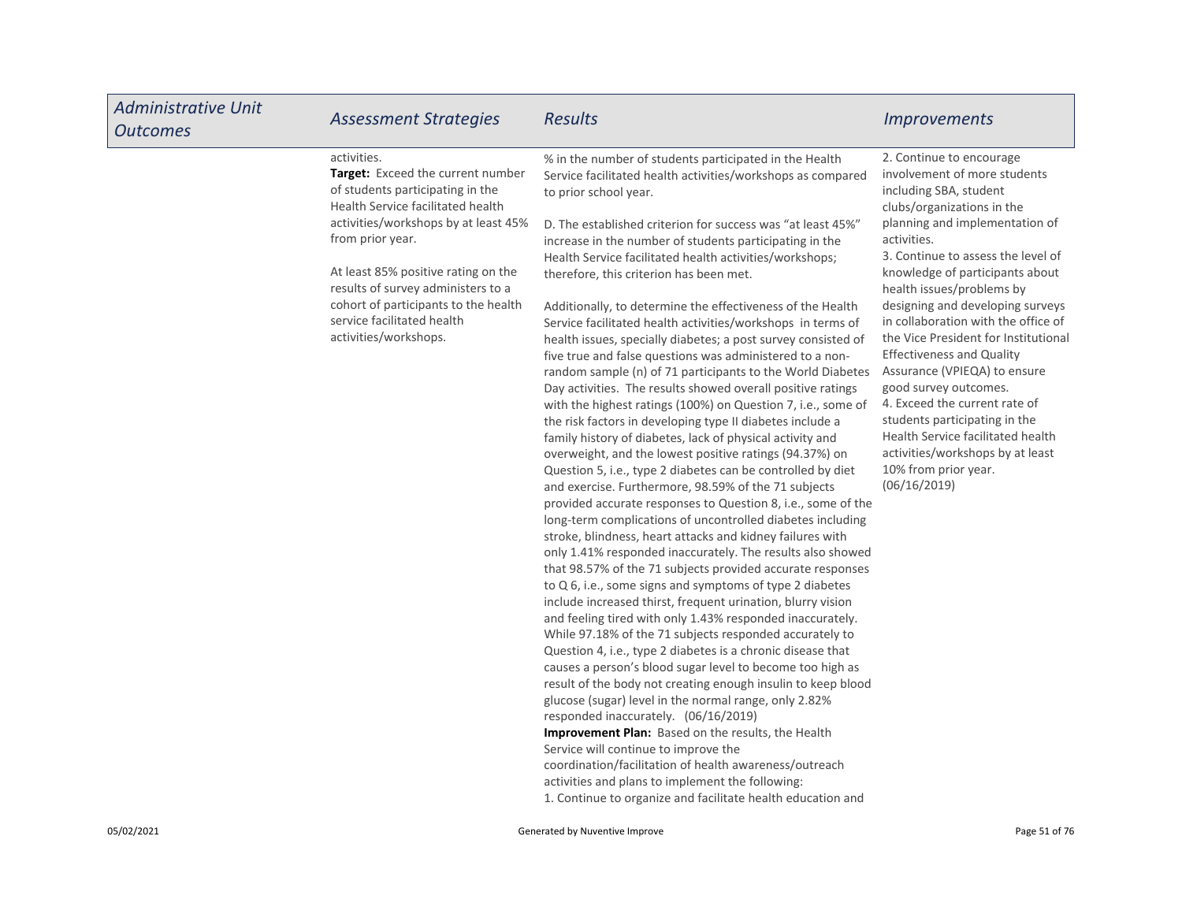| <b>Administrative Unit</b><br><b>Outcomes</b> | <b>Assessment Strategies</b>                                                                                                                                                                                                                                                                                                                                      | <b>Results</b>                                                                                                                                                                                                                                                                                                                                                                                                                                                                                                                                                                                                                                                                                                                                                                                                                                                                                                                                                                                                                                                                                                                                                                                                                                                                                                                                                                                                                                                                                                                                                                                                                                                                                                                                                                                                                                                                                                                                                                                                                                                                                                                                                                                                                                                                                             | <i><u><b>Improvements</b></u></i>                                                                                                                                                                                                                                                                                                                                                                                                                                                                                                                                                                                                                                          |
|-----------------------------------------------|-------------------------------------------------------------------------------------------------------------------------------------------------------------------------------------------------------------------------------------------------------------------------------------------------------------------------------------------------------------------|------------------------------------------------------------------------------------------------------------------------------------------------------------------------------------------------------------------------------------------------------------------------------------------------------------------------------------------------------------------------------------------------------------------------------------------------------------------------------------------------------------------------------------------------------------------------------------------------------------------------------------------------------------------------------------------------------------------------------------------------------------------------------------------------------------------------------------------------------------------------------------------------------------------------------------------------------------------------------------------------------------------------------------------------------------------------------------------------------------------------------------------------------------------------------------------------------------------------------------------------------------------------------------------------------------------------------------------------------------------------------------------------------------------------------------------------------------------------------------------------------------------------------------------------------------------------------------------------------------------------------------------------------------------------------------------------------------------------------------------------------------------------------------------------------------------------------------------------------------------------------------------------------------------------------------------------------------------------------------------------------------------------------------------------------------------------------------------------------------------------------------------------------------------------------------------------------------------------------------------------------------------------------------------------------------|----------------------------------------------------------------------------------------------------------------------------------------------------------------------------------------------------------------------------------------------------------------------------------------------------------------------------------------------------------------------------------------------------------------------------------------------------------------------------------------------------------------------------------------------------------------------------------------------------------------------------------------------------------------------------|
|                                               | activities.<br>Target: Exceed the current number<br>of students participating in the<br>Health Service facilitated health<br>activities/workshops by at least 45%<br>from prior year.<br>At least 85% positive rating on the<br>results of survey administers to a<br>cohort of participants to the health<br>service facilitated health<br>activities/workshops. | % in the number of students participated in the Health<br>Service facilitated health activities/workshops as compared<br>to prior school year.<br>D. The established criterion for success was "at least 45%"<br>increase in the number of students participating in the<br>Health Service facilitated health activities/workshops;<br>therefore, this criterion has been met.<br>Additionally, to determine the effectiveness of the Health<br>Service facilitated health activities/workshops in terms of<br>health issues, specially diabetes; a post survey consisted of<br>five true and false questions was administered to a non-<br>random sample (n) of 71 participants to the World Diabetes<br>Day activities. The results showed overall positive ratings<br>with the highest ratings (100%) on Question 7, i.e., some of<br>the risk factors in developing type II diabetes include a<br>family history of diabetes, lack of physical activity and<br>overweight, and the lowest positive ratings (94.37%) on<br>Question 5, i.e., type 2 diabetes can be controlled by diet<br>and exercise. Furthermore, 98.59% of the 71 subjects<br>provided accurate responses to Question 8, i.e., some of the<br>long-term complications of uncontrolled diabetes including<br>stroke, blindness, heart attacks and kidney failures with<br>only 1.41% responded inaccurately. The results also showed<br>that 98.57% of the 71 subjects provided accurate responses<br>to Q 6, i.e., some signs and symptoms of type 2 diabetes<br>include increased thirst, frequent urination, blurry vision<br>and feeling tired with only 1.43% responded inaccurately.<br>While 97.18% of the 71 subjects responded accurately to<br>Question 4, i.e., type 2 diabetes is a chronic disease that<br>causes a person's blood sugar level to become too high as<br>result of the body not creating enough insulin to keep blood<br>glucose (sugar) level in the normal range, only 2.82%<br>responded inaccurately. (06/16/2019)<br><b>Improvement Plan:</b> Based on the results, the Health<br>Service will continue to improve the<br>coordination/facilitation of health awareness/outreach<br>activities and plans to implement the following:<br>1. Continue to organize and facilitate health education and | 2. Continue to encourage<br>involvement of more students<br>including SBA, student<br>clubs/organizations in the<br>planning and implementation of<br>activities.<br>3. Continue to assess the level of<br>knowledge of participants about<br>health issues/problems by<br>designing and developing surveys<br>in collaboration with the office of<br>the Vice President for Institutional<br><b>Effectiveness and Quality</b><br>Assurance (VPIEQA) to ensure<br>good survey outcomes.<br>4. Exceed the current rate of<br>students participating in the<br>Health Service facilitated health<br>activities/workshops by at least<br>10% from prior year.<br>(06/16/2019) |
| 05/02/2021                                    |                                                                                                                                                                                                                                                                                                                                                                   | Generated by Nuventive Improve                                                                                                                                                                                                                                                                                                                                                                                                                                                                                                                                                                                                                                                                                                                                                                                                                                                                                                                                                                                                                                                                                                                                                                                                                                                                                                                                                                                                                                                                                                                                                                                                                                                                                                                                                                                                                                                                                                                                                                                                                                                                                                                                                                                                                                                                             | Page 51 of 76                                                                                                                                                                                                                                                                                                                                                                                                                                                                                                                                                                                                                                                              |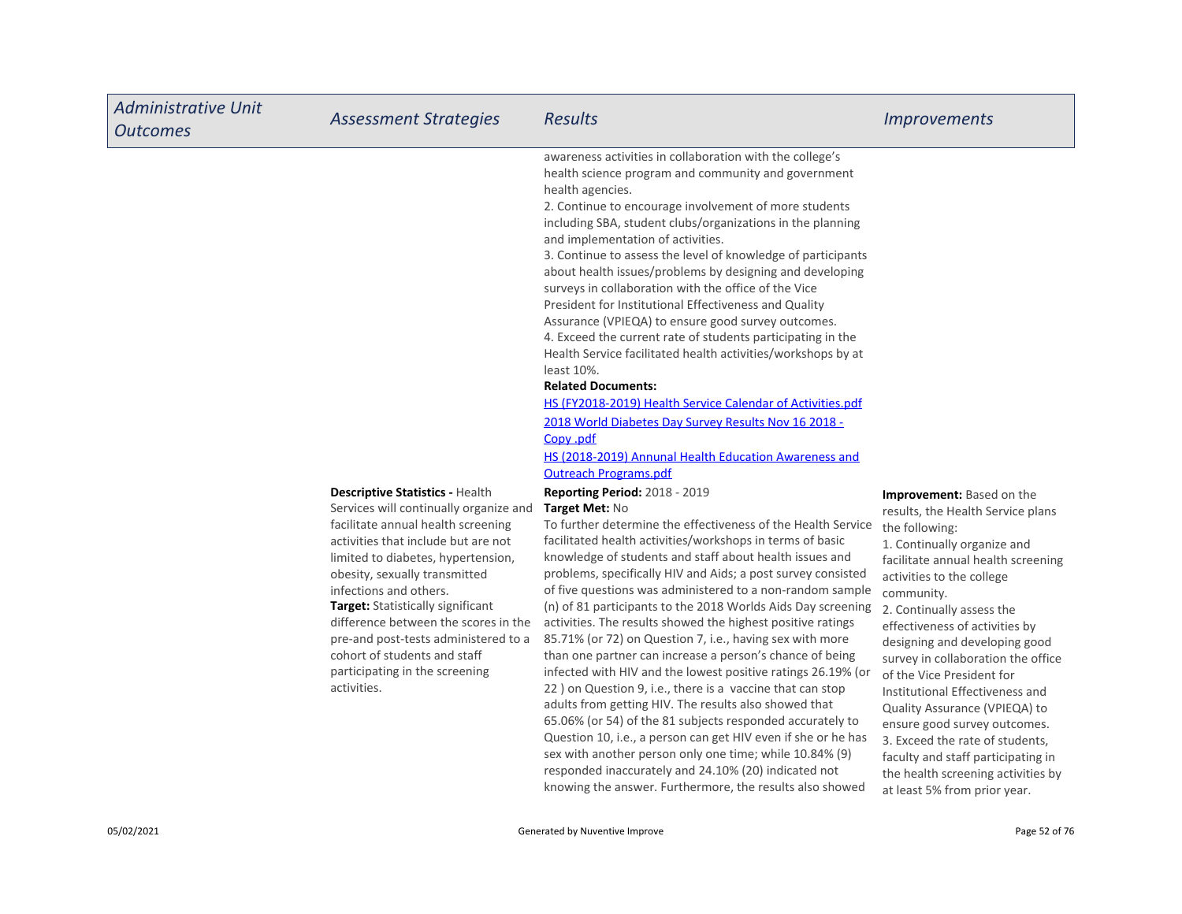| <b>Administrative Unit</b><br><b>Outcomes</b> | <b>Assessment Strategies</b>                                                                                                                                                                                                                                                                                                                                                                                                                                         | <b>Results</b>                                                                                                                                                                                                                                                                                                                                                                                                                                                                                                                                                                                                                                                                                                                                                                                                                                                                                                                                                                                                                                                                                                                                                                                                                                                                                                                                                                                                                                                                                                                                                                                                                                                                                                                                                                                                                                                                                                                                                                                                                                                                                                                                           | <i><u><b>Improvements</b></u></i>                                                                                                                                                                                                                                                                                                                                                                                                                                                                                                                                                                                             |
|-----------------------------------------------|----------------------------------------------------------------------------------------------------------------------------------------------------------------------------------------------------------------------------------------------------------------------------------------------------------------------------------------------------------------------------------------------------------------------------------------------------------------------|----------------------------------------------------------------------------------------------------------------------------------------------------------------------------------------------------------------------------------------------------------------------------------------------------------------------------------------------------------------------------------------------------------------------------------------------------------------------------------------------------------------------------------------------------------------------------------------------------------------------------------------------------------------------------------------------------------------------------------------------------------------------------------------------------------------------------------------------------------------------------------------------------------------------------------------------------------------------------------------------------------------------------------------------------------------------------------------------------------------------------------------------------------------------------------------------------------------------------------------------------------------------------------------------------------------------------------------------------------------------------------------------------------------------------------------------------------------------------------------------------------------------------------------------------------------------------------------------------------------------------------------------------------------------------------------------------------------------------------------------------------------------------------------------------------------------------------------------------------------------------------------------------------------------------------------------------------------------------------------------------------------------------------------------------------------------------------------------------------------------------------------------------------|-------------------------------------------------------------------------------------------------------------------------------------------------------------------------------------------------------------------------------------------------------------------------------------------------------------------------------------------------------------------------------------------------------------------------------------------------------------------------------------------------------------------------------------------------------------------------------------------------------------------------------|
|                                               | <b>Descriptive Statistics - Health</b><br>Services will continually organize and<br>facilitate annual health screening<br>activities that include but are not<br>limited to diabetes, hypertension,<br>obesity, sexually transmitted<br>infections and others.<br>Target: Statistically significant<br>difference between the scores in the<br>pre-and post-tests administered to a<br>cohort of students and staff<br>participating in the screening<br>activities. | awareness activities in collaboration with the college's<br>health science program and community and government<br>health agencies.<br>2. Continue to encourage involvement of more students<br>including SBA, student clubs/organizations in the planning<br>and implementation of activities.<br>3. Continue to assess the level of knowledge of participants<br>about health issues/problems by designing and developing<br>surveys in collaboration with the office of the Vice<br>President for Institutional Effectiveness and Quality<br>Assurance (VPIEQA) to ensure good survey outcomes.<br>4. Exceed the current rate of students participating in the<br>Health Service facilitated health activities/workshops by at<br>least 10%.<br><b>Related Documents:</b><br><b>HS (FY2018-2019) Health Service Calendar of Activities.pdf</b><br>2018 World Diabetes Day Survey Results Nov 16 2018 -<br><u>Copy</u> .pdf<br>HS (2018-2019) Annunal Health Education Awareness and<br><b>Outreach Programs.pdf</b><br>Reporting Period: 2018 - 2019<br>Target Met: No<br>To further determine the effectiveness of the Health Service<br>facilitated health activities/workshops in terms of basic<br>knowledge of students and staff about health issues and<br>problems, specifically HIV and Aids; a post survey consisted<br>of five questions was administered to a non-random sample<br>(n) of 81 participants to the 2018 Worlds Aids Day screening<br>activities. The results showed the highest positive ratings<br>85.71% (or 72) on Question 7, i.e., having sex with more<br>than one partner can increase a person's chance of being<br>infected with HIV and the lowest positive ratings 26.19% (or<br>22) on Question 9, i.e., there is a vaccine that can stop<br>adults from getting HIV. The results also showed that<br>65.06% (or 54) of the 81 subjects responded accurately to<br>Question 10, i.e., a person can get HIV even if she or he has<br>sex with another person only one time; while 10.84% (9)<br>responded inaccurately and 24.10% (20) indicated not<br>knowing the answer. Furthermore, the results also showed | <b>Improvement:</b> Based on the<br>results, the Health Service plans<br>the following:<br>1. Continually organize and<br>facilitate annual health screening<br>activities to the college<br>community.<br>2. Continually assess the<br>effectiveness of activities by<br>designing and developing good<br>survey in collaboration the office<br>of the Vice President for<br>Institutional Effectiveness and<br>Quality Assurance (VPIEQA) to<br>ensure good survey outcomes.<br>3. Exceed the rate of students,<br>faculty and staff participating in<br>the health screening activities by<br>at least 5% from prior year. |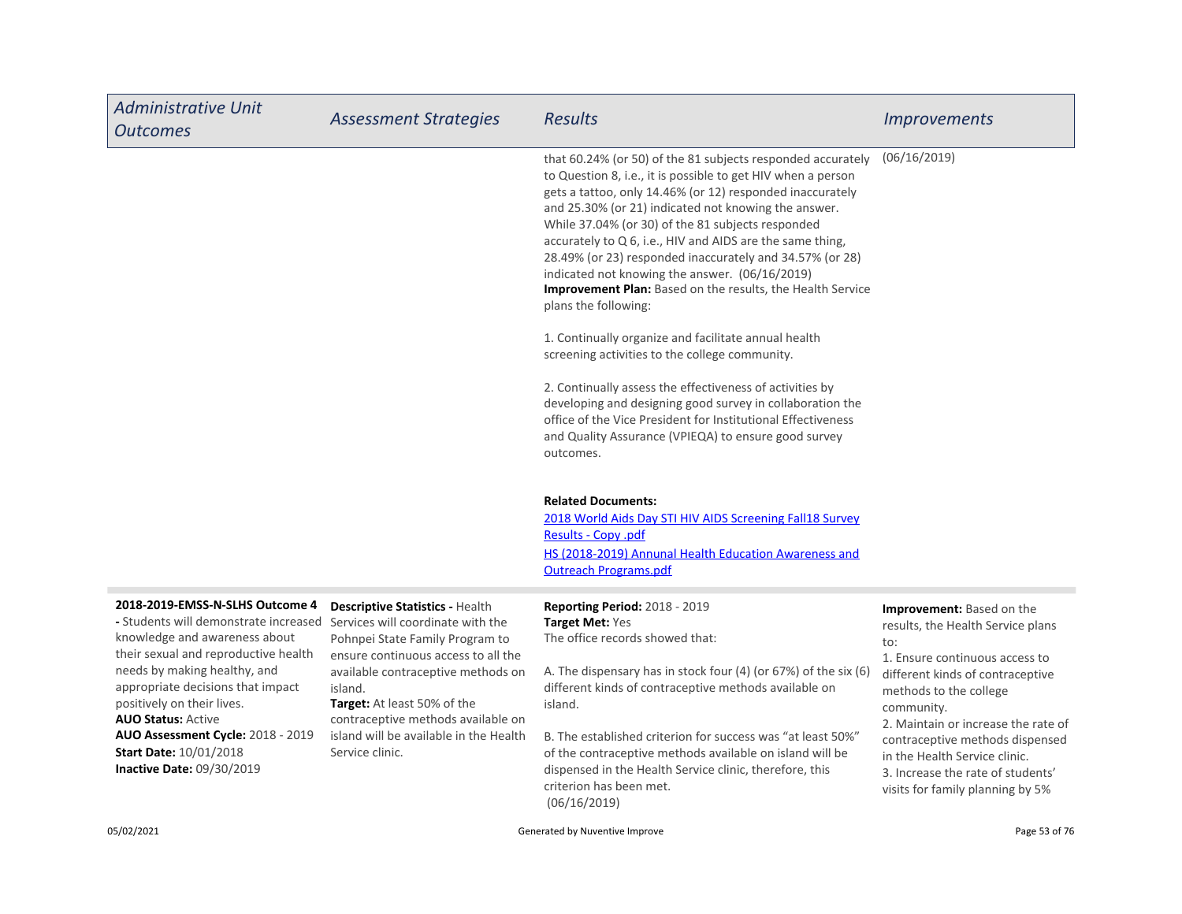| <b>Administrative Unit</b><br><b>Outcomes</b>                                                                                                                                                                                                                                                                                                                                        | <b>Assessment Strategies</b>                                                                                                                                                                                                                                                                                                      | <b>Results</b>                                                                                                                                                                                                                                                                                                                                                                                                                                                                                                                                                         | <i><u><b>Improvements</b></u></i>                                                                                                                                                                                                                                                                                                                                              |
|--------------------------------------------------------------------------------------------------------------------------------------------------------------------------------------------------------------------------------------------------------------------------------------------------------------------------------------------------------------------------------------|-----------------------------------------------------------------------------------------------------------------------------------------------------------------------------------------------------------------------------------------------------------------------------------------------------------------------------------|------------------------------------------------------------------------------------------------------------------------------------------------------------------------------------------------------------------------------------------------------------------------------------------------------------------------------------------------------------------------------------------------------------------------------------------------------------------------------------------------------------------------------------------------------------------------|--------------------------------------------------------------------------------------------------------------------------------------------------------------------------------------------------------------------------------------------------------------------------------------------------------------------------------------------------------------------------------|
|                                                                                                                                                                                                                                                                                                                                                                                      |                                                                                                                                                                                                                                                                                                                                   | that 60.24% (or 50) of the 81 subjects responded accurately<br>to Question 8, i.e., it is possible to get HIV when a person<br>gets a tattoo, only 14.46% (or 12) responded inaccurately<br>and 25.30% (or 21) indicated not knowing the answer.<br>While 37.04% (or 30) of the 81 subjects responded<br>accurately to Q 6, i.e., HIV and AIDS are the same thing,<br>28.49% (or 23) responded inaccurately and 34.57% (or 28)<br>indicated not knowing the answer. (06/16/2019)<br>Improvement Plan: Based on the results, the Health Service<br>plans the following: | (06/16/2019)                                                                                                                                                                                                                                                                                                                                                                   |
|                                                                                                                                                                                                                                                                                                                                                                                      |                                                                                                                                                                                                                                                                                                                                   | 1. Continually organize and facilitate annual health<br>screening activities to the college community.                                                                                                                                                                                                                                                                                                                                                                                                                                                                 |                                                                                                                                                                                                                                                                                                                                                                                |
|                                                                                                                                                                                                                                                                                                                                                                                      |                                                                                                                                                                                                                                                                                                                                   | 2. Continually assess the effectiveness of activities by<br>developing and designing good survey in collaboration the<br>office of the Vice President for Institutional Effectiveness<br>and Quality Assurance (VPIEQA) to ensure good survey<br>outcomes.                                                                                                                                                                                                                                                                                                             |                                                                                                                                                                                                                                                                                                                                                                                |
|                                                                                                                                                                                                                                                                                                                                                                                      |                                                                                                                                                                                                                                                                                                                                   | <b>Related Documents:</b><br>2018 World Aids Day STI HIV AIDS Screening Fall18 Survey<br>Results - Copy .pdf<br>HS (2018-2019) Annunal Health Education Awareness and<br><b>Outreach Programs.pdf</b>                                                                                                                                                                                                                                                                                                                                                                  |                                                                                                                                                                                                                                                                                                                                                                                |
| 2018-2019-EMSS-N-SLHS Outcome 4<br>- Students will demonstrate increased<br>knowledge and awareness about<br>their sexual and reproductive health<br>needs by making healthy, and<br>appropriate decisions that impact<br>positively on their lives.<br><b>AUO Status: Active</b><br>AUO Assessment Cycle: 2018 - 2019<br><b>Start Date: 10/01/2018</b><br>Inactive Date: 09/30/2019 | Descriptive Statistics - Health<br>Services will coordinate with the<br>Pohnpei State Family Program to<br>ensure continuous access to all the<br>available contraceptive methods on<br>island.<br>Target: At least 50% of the<br>contraceptive methods available on<br>island will be available in the Health<br>Service clinic. | <b>Reporting Period: 2018 - 2019</b><br>Target Met: Yes<br>The office records showed that:<br>A. The dispensary has in stock four (4) (or 67%) of the six (6)<br>different kinds of contraceptive methods available on<br>island.<br>B. The established criterion for success was "at least 50%"<br>of the contraceptive methods available on island will be<br>dispensed in the Health Service clinic, therefore, this<br>criterion has been met.<br>(06/16/2019)                                                                                                     | <b>Improvement:</b> Based on the<br>results, the Health Service plans<br>to:<br>1. Ensure continuous access to<br>different kinds of contraceptive<br>methods to the college<br>community.<br>2. Maintain or increase the rate of<br>contraceptive methods dispensed<br>in the Health Service clinic.<br>3. Increase the rate of students'<br>visits for family planning by 5% |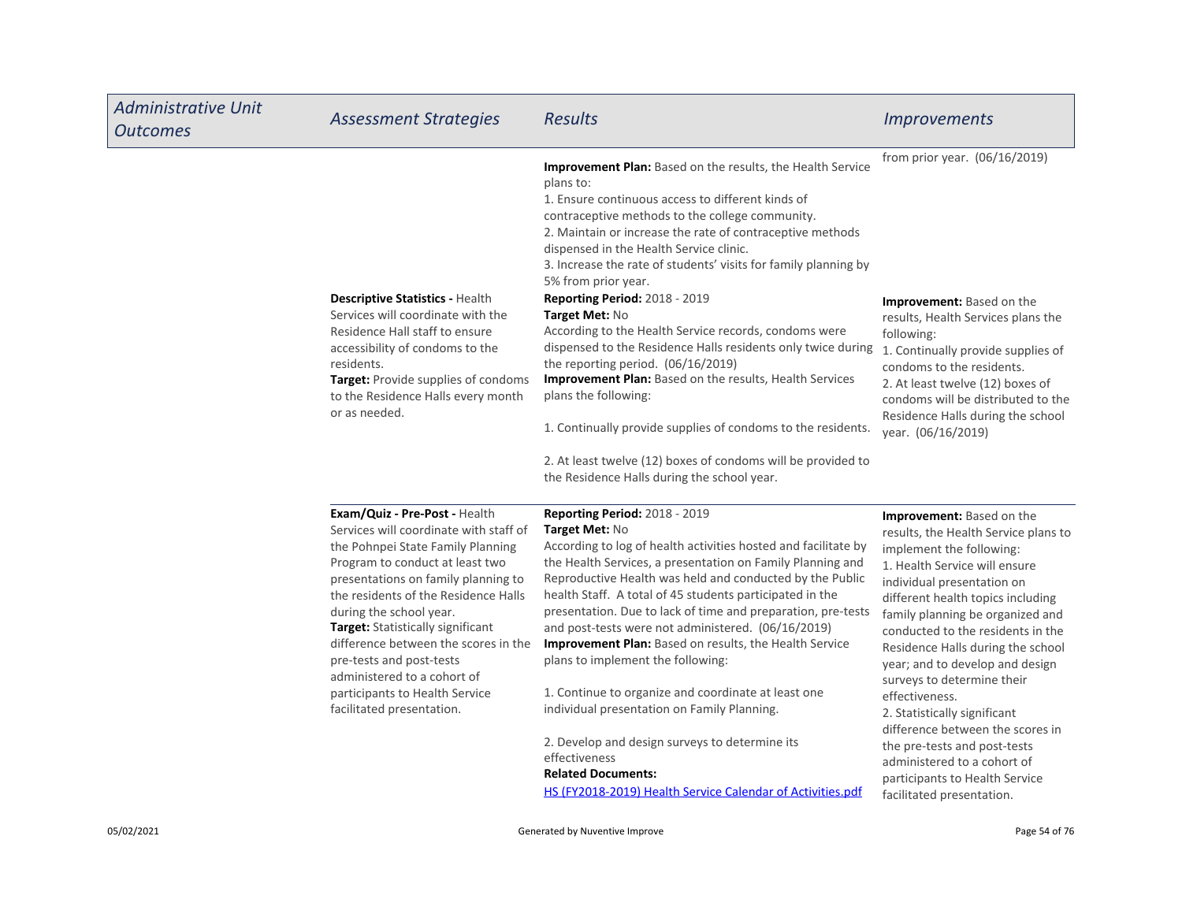| <b>Administrative Unit</b><br><b>Outcomes</b> | <b>Assessment Strategies</b>                                                                                                                                                                                                                                                                                                                                                                                                                                     | <b>Results</b>                                                                                                                                                                                                                                                                                                                                                                                                                                                                                                                                                                                                                                                                           | <i><u><b>Improvements</b></u></i>                                                                                                                                                                                                                                                                                                                                                                                                                                             |
|-----------------------------------------------|------------------------------------------------------------------------------------------------------------------------------------------------------------------------------------------------------------------------------------------------------------------------------------------------------------------------------------------------------------------------------------------------------------------------------------------------------------------|------------------------------------------------------------------------------------------------------------------------------------------------------------------------------------------------------------------------------------------------------------------------------------------------------------------------------------------------------------------------------------------------------------------------------------------------------------------------------------------------------------------------------------------------------------------------------------------------------------------------------------------------------------------------------------------|-------------------------------------------------------------------------------------------------------------------------------------------------------------------------------------------------------------------------------------------------------------------------------------------------------------------------------------------------------------------------------------------------------------------------------------------------------------------------------|
|                                               |                                                                                                                                                                                                                                                                                                                                                                                                                                                                  | Improvement Plan: Based on the results, the Health Service<br>plans to:<br>1. Ensure continuous access to different kinds of<br>contraceptive methods to the college community.<br>2. Maintain or increase the rate of contraceptive methods<br>dispensed in the Health Service clinic.<br>3. Increase the rate of students' visits for family planning by<br>5% from prior year.                                                                                                                                                                                                                                                                                                        | from prior year. (06/16/2019)                                                                                                                                                                                                                                                                                                                                                                                                                                                 |
|                                               | <b>Descriptive Statistics - Health</b><br>Services will coordinate with the<br>Residence Hall staff to ensure<br>accessibility of condoms to the<br>residents.<br>Target: Provide supplies of condoms<br>to the Residence Halls every month<br>or as needed.                                                                                                                                                                                                     | <b>Reporting Period: 2018 - 2019</b><br>Target Met: No<br>According to the Health Service records, condoms were<br>dispensed to the Residence Halls residents only twice during<br>the reporting period. (06/16/2019)<br>Improvement Plan: Based on the results, Health Services<br>plans the following:<br>1. Continually provide supplies of condoms to the residents.<br>2. At least twelve (12) boxes of condoms will be provided to                                                                                                                                                                                                                                                 | <b>Improvement:</b> Based on the<br>results, Health Services plans the<br>following:<br>1. Continually provide supplies of<br>condoms to the residents.<br>2. At least twelve (12) boxes of<br>condoms will be distributed to the<br>Residence Halls during the school<br>year. (06/16/2019)                                                                                                                                                                                  |
|                                               | Exam/Quiz - Pre-Post - Health<br>Services will coordinate with staff of<br>the Pohnpei State Family Planning<br>Program to conduct at least two<br>presentations on family planning to<br>the residents of the Residence Halls<br>during the school year.<br>Target: Statistically significant<br>difference between the scores in the<br>pre-tests and post-tests<br>administered to a cohort of<br>participants to Health Service<br>facilitated presentation. | the Residence Halls during the school year.<br><b>Reporting Period: 2018 - 2019</b><br>Target Met: No<br>According to log of health activities hosted and facilitate by<br>the Health Services, a presentation on Family Planning and<br>Reproductive Health was held and conducted by the Public<br>health Staff. A total of 45 students participated in the<br>presentation. Due to lack of time and preparation, pre-tests<br>and post-tests were not administered. (06/16/2019)<br>Improvement Plan: Based on results, the Health Service<br>plans to implement the following:<br>1. Continue to organize and coordinate at least one<br>individual presentation on Family Planning. | <b>Improvement:</b> Based on the<br>results, the Health Service plans to<br>implement the following:<br>1. Health Service will ensure<br>individual presentation on<br>different health topics including<br>family planning be organized and<br>conducted to the residents in the<br>Residence Halls during the school<br>year; and to develop and design<br>surveys to determine their<br>effectiveness.<br>2. Statistically significant<br>difference between the scores in |
|                                               |                                                                                                                                                                                                                                                                                                                                                                                                                                                                  | 2. Develop and design surveys to determine its<br>effectiveness<br><b>Related Documents:</b><br>HS (FY2018-2019) Health Service Calendar of Activities.pdf                                                                                                                                                                                                                                                                                                                                                                                                                                                                                                                               | the pre-tests and post-tests<br>administered to a cohort of<br>participants to Health Service<br>facilitated presentation.                                                                                                                                                                                                                                                                                                                                                    |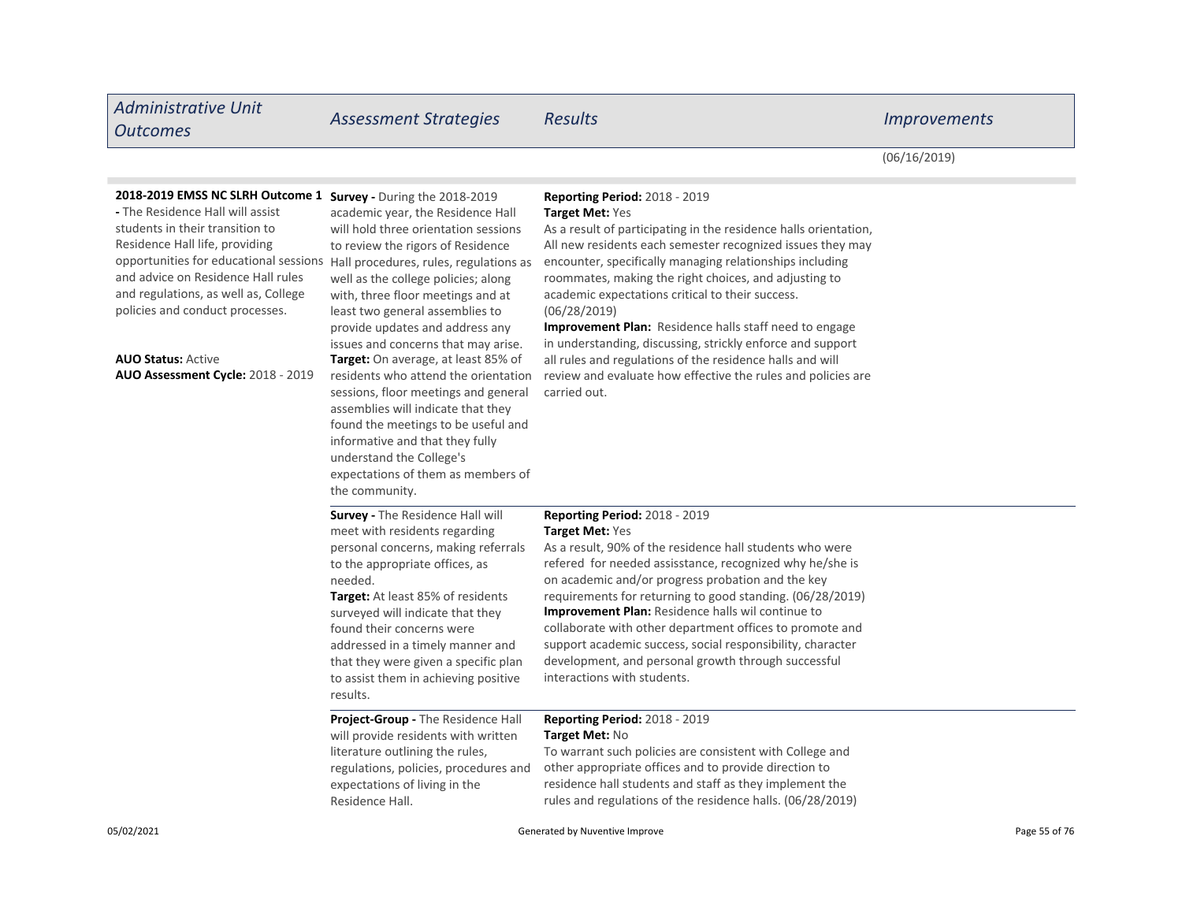| <b>Administrative Unit</b><br><b>Outcomes</b>                                                                                                                                                                                                                                                                                                                                                                                               | <b>Assessment Strategies</b>                                                                                                                                                                                                                                                                                                                                                                                                                                                                                                                                                                                                              | <b>Results</b>                                                                                                                                                                                                                                                                                                                                                                                                                                                                                                                                                                                                                                          | <i><u><b>Improvements</b></u></i> |
|---------------------------------------------------------------------------------------------------------------------------------------------------------------------------------------------------------------------------------------------------------------------------------------------------------------------------------------------------------------------------------------------------------------------------------------------|-------------------------------------------------------------------------------------------------------------------------------------------------------------------------------------------------------------------------------------------------------------------------------------------------------------------------------------------------------------------------------------------------------------------------------------------------------------------------------------------------------------------------------------------------------------------------------------------------------------------------------------------|---------------------------------------------------------------------------------------------------------------------------------------------------------------------------------------------------------------------------------------------------------------------------------------------------------------------------------------------------------------------------------------------------------------------------------------------------------------------------------------------------------------------------------------------------------------------------------------------------------------------------------------------------------|-----------------------------------|
|                                                                                                                                                                                                                                                                                                                                                                                                                                             |                                                                                                                                                                                                                                                                                                                                                                                                                                                                                                                                                                                                                                           |                                                                                                                                                                                                                                                                                                                                                                                                                                                                                                                                                                                                                                                         | (06/16/2019)                      |
| 2018-2019 EMSS NC SLRH Outcome 1 Survey - During the 2018-2019<br>- The Residence Hall will assist<br>students in their transition to<br>Residence Hall life, providing<br>opportunities for educational sessions Hall procedures, rules, regulations as<br>and advice on Residence Hall rules<br>and regulations, as well as, College<br>policies and conduct processes.<br><b>AUO Status: Active</b><br>AUO Assessment Cycle: 2018 - 2019 | academic year, the Residence Hall<br>will hold three orientation sessions<br>to review the rigors of Residence<br>well as the college policies; along<br>with, three floor meetings and at<br>least two general assemblies to<br>provide updates and address any<br>issues and concerns that may arise.<br><b>Target:</b> On average, at least 85% of<br>residents who attend the orientation<br>sessions, floor meetings and general<br>assemblies will indicate that they<br>found the meetings to be useful and<br>informative and that they fully<br>understand the College's<br>expectations of them as members of<br>the community. | <b>Reporting Period: 2018 - 2019</b><br>Target Met: Yes<br>As a result of participating in the residence halls orientation,<br>All new residents each semester recognized issues they may<br>encounter, specifically managing relationships including<br>roommates, making the right choices, and adjusting to<br>academic expectations critical to their success.<br>(06/28/2019)<br>Improvement Plan: Residence halls staff need to engage<br>in understanding, discussing, strickly enforce and support<br>all rules and regulations of the residence halls and will<br>review and evaluate how effective the rules and policies are<br>carried out. |                                   |
|                                                                                                                                                                                                                                                                                                                                                                                                                                             | Survey - The Residence Hall will<br>meet with residents regarding<br>personal concerns, making referrals<br>to the appropriate offices, as<br>needed.<br><b>Target:</b> At least 85% of residents<br>surveyed will indicate that they<br>found their concerns were<br>addressed in a timely manner and<br>that they were given a specific plan<br>to assist them in achieving positive<br>results.                                                                                                                                                                                                                                        | Reporting Period: 2018 - 2019<br>Target Met: Yes<br>As a result, 90% of the residence hall students who were<br>refered for needed assisstance, recognized why he/she is<br>on academic and/or progress probation and the key<br>requirements for returning to good standing. (06/28/2019)<br><b>Improvement Plan:</b> Residence halls wil continue to<br>collaborate with other department offices to promote and<br>support academic success, social responsibility, character<br>development, and personal growth through successful<br>interactions with students.                                                                                  |                                   |
|                                                                                                                                                                                                                                                                                                                                                                                                                                             | Project-Group - The Residence Hall<br>will provide residents with written<br>literature outlining the rules,<br>regulations, policies, procedures and<br>expectations of living in the<br>Residence Hall.                                                                                                                                                                                                                                                                                                                                                                                                                                 | Reporting Period: 2018 - 2019<br><b>Target Met: No</b><br>To warrant such policies are consistent with College and<br>other appropriate offices and to provide direction to<br>residence hall students and staff as they implement the<br>rules and regulations of the residence halls. (06/28/2019)                                                                                                                                                                                                                                                                                                                                                    |                                   |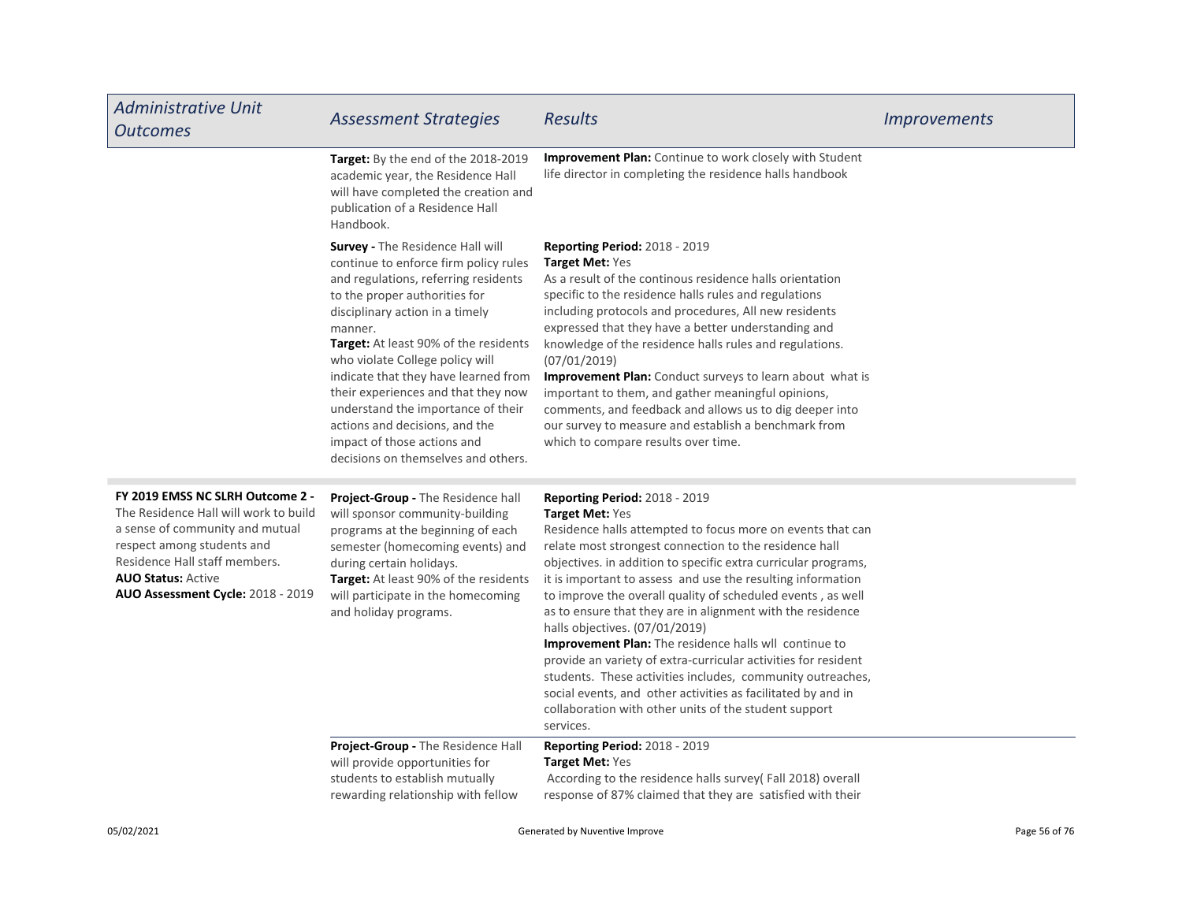| <b>Administrative Unit</b><br><b>Outcomes</b>                                                                                                                                                                                                 | <b>Assessment Strategies</b>                                                                                                                                                                                                                                                                                                                                                                                                                                                                              | <b>Results</b>                                                                                                                                                                                                                                                                                                                                                                                                                                                                                                                                                                                                                                                                                                                                                                                                 | <i><u><b>Improvements</b></u></i> |
|-----------------------------------------------------------------------------------------------------------------------------------------------------------------------------------------------------------------------------------------------|-----------------------------------------------------------------------------------------------------------------------------------------------------------------------------------------------------------------------------------------------------------------------------------------------------------------------------------------------------------------------------------------------------------------------------------------------------------------------------------------------------------|----------------------------------------------------------------------------------------------------------------------------------------------------------------------------------------------------------------------------------------------------------------------------------------------------------------------------------------------------------------------------------------------------------------------------------------------------------------------------------------------------------------------------------------------------------------------------------------------------------------------------------------------------------------------------------------------------------------------------------------------------------------------------------------------------------------|-----------------------------------|
|                                                                                                                                                                                                                                               | Target: By the end of the 2018-2019<br>academic year, the Residence Hall<br>will have completed the creation and<br>publication of a Residence Hall<br>Handbook.                                                                                                                                                                                                                                                                                                                                          | <b>Improvement Plan:</b> Continue to work closely with Student<br>life director in completing the residence halls handbook                                                                                                                                                                                                                                                                                                                                                                                                                                                                                                                                                                                                                                                                                     |                                   |
|                                                                                                                                                                                                                                               | Survey - The Residence Hall will<br>continue to enforce firm policy rules<br>and regulations, referring residents<br>to the proper authorities for<br>disciplinary action in a timely<br>manner.<br>Target: At least 90% of the residents<br>who violate College policy will<br>indicate that they have learned from<br>their experiences and that they now<br>understand the importance of their<br>actions and decisions, and the<br>impact of those actions and<br>decisions on themselves and others. | <b>Reporting Period: 2018 - 2019</b><br>Target Met: Yes<br>As a result of the continous residence halls orientation<br>specific to the residence halls rules and regulations<br>including protocols and procedures, All new residents<br>expressed that they have a better understanding and<br>knowledge of the residence halls rules and regulations.<br>(07/01/2019)<br>Improvement Plan: Conduct surveys to learn about what is<br>important to them, and gather meaningful opinions,<br>comments, and feedback and allows us to dig deeper into<br>our survey to measure and establish a benchmark from<br>which to compare results over time.                                                                                                                                                            |                                   |
| FY 2019 EMSS NC SLRH Outcome 2 -<br>The Residence Hall will work to build<br>a sense of community and mutual<br>respect among students and<br>Residence Hall staff members.<br><b>AUO Status: Active</b><br>AUO Assessment Cycle: 2018 - 2019 | Project-Group - The Residence hall<br>will sponsor community-building<br>programs at the beginning of each<br>semester (homecoming events) and<br>during certain holidays.<br>Target: At least 90% of the residents<br>will participate in the homecoming<br>and holiday programs.                                                                                                                                                                                                                        | <b>Reporting Period: 2018 - 2019</b><br>Target Met: Yes<br>Residence halls attempted to focus more on events that can<br>relate most strongest connection to the residence hall<br>objectives. in addition to specific extra curricular programs,<br>it is important to assess and use the resulting information<br>to improve the overall quality of scheduled events, as well<br>as to ensure that they are in alignment with the residence<br>halls objectives. (07/01/2019)<br>Improvement Plan: The residence halls wll continue to<br>provide an variety of extra-curricular activities for resident<br>students. These activities includes, community outreaches,<br>social events, and other activities as facilitated by and in<br>collaboration with other units of the student support<br>services. |                                   |
|                                                                                                                                                                                                                                               | Project-Group - The Residence Hall<br>will provide opportunities for<br>students to establish mutually<br>rewarding relationship with fellow                                                                                                                                                                                                                                                                                                                                                              | <b>Reporting Period: 2018 - 2019</b><br><b>Target Met: Yes</b><br>According to the residence halls survey(Fall 2018) overall<br>response of 87% claimed that they are satisfied with their                                                                                                                                                                                                                                                                                                                                                                                                                                                                                                                                                                                                                     |                                   |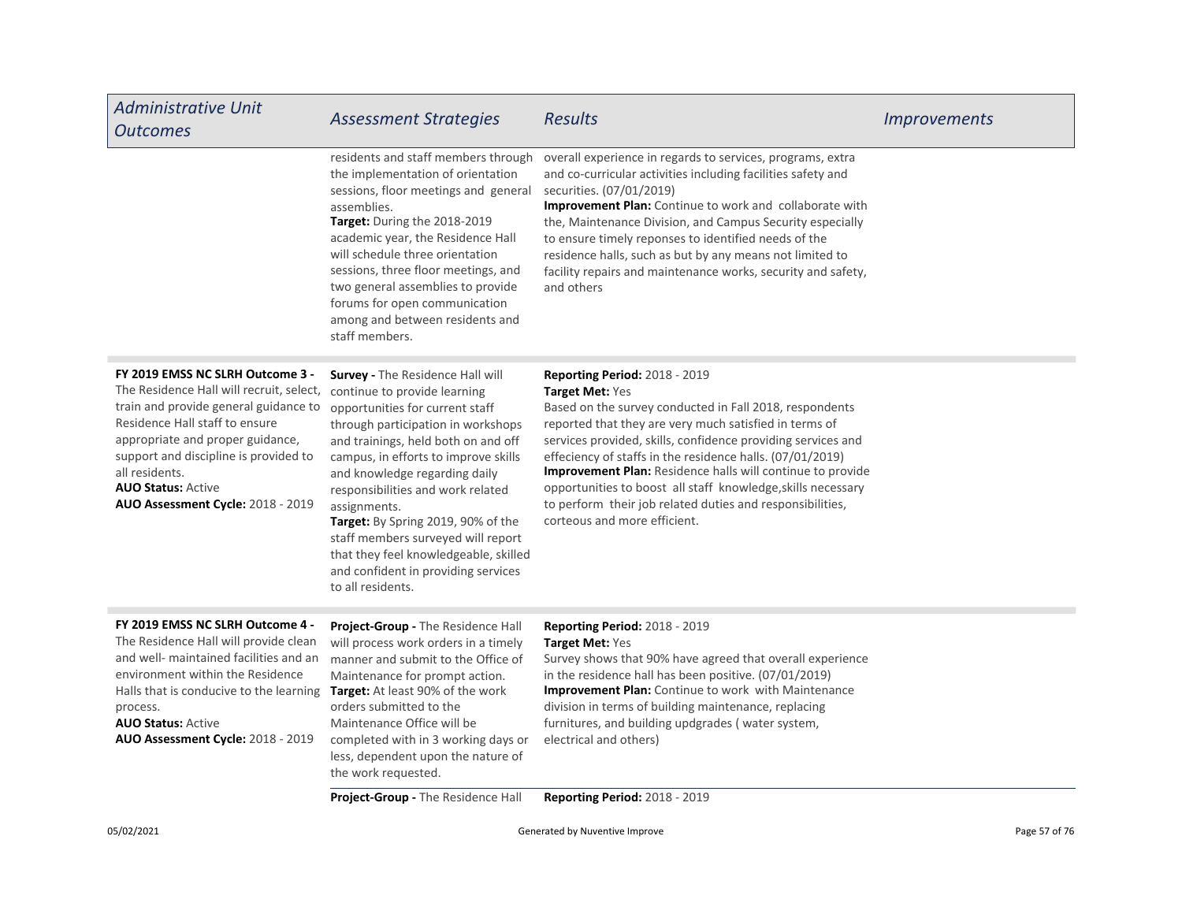| <b>Administrative Unit</b><br><b>Outcomes</b>                                                                                                                                                                                                                                                                            | <b>Assessment Strategies</b>                                                                                                                                                                                                                                                                                                                                                                                                                                                                    | <b>Results</b>                                                                                                                                                                                                                                                                                                                                                                                                                                                                                                                | <i><u><b>Improvements</b></u></i> |
|--------------------------------------------------------------------------------------------------------------------------------------------------------------------------------------------------------------------------------------------------------------------------------------------------------------------------|-------------------------------------------------------------------------------------------------------------------------------------------------------------------------------------------------------------------------------------------------------------------------------------------------------------------------------------------------------------------------------------------------------------------------------------------------------------------------------------------------|-------------------------------------------------------------------------------------------------------------------------------------------------------------------------------------------------------------------------------------------------------------------------------------------------------------------------------------------------------------------------------------------------------------------------------------------------------------------------------------------------------------------------------|-----------------------------------|
|                                                                                                                                                                                                                                                                                                                          | residents and staff members through<br>the implementation of orientation<br>sessions, floor meetings and general<br>assemblies.<br>Target: During the 2018-2019<br>academic year, the Residence Hall<br>will schedule three orientation<br>sessions, three floor meetings, and<br>two general assemblies to provide<br>forums for open communication<br>among and between residents and<br>staff members.                                                                                       | overall experience in regards to services, programs, extra<br>and co-curricular activities including facilities safety and<br>securities. (07/01/2019)<br>Improvement Plan: Continue to work and collaborate with<br>the, Maintenance Division, and Campus Security especially<br>to ensure timely reponses to identified needs of the<br>residence halls, such as but by any means not limited to<br>facility repairs and maintenance works, security and safety,<br>and others                                              |                                   |
| FY 2019 EMSS NC SLRH Outcome 3 -<br>The Residence Hall will recruit, select,<br>train and provide general guidance to<br>Residence Hall staff to ensure<br>appropriate and proper guidance,<br>support and discipline is provided to<br>all residents.<br><b>AUO Status: Active</b><br>AUO Assessment Cycle: 2018 - 2019 | Survey - The Residence Hall will<br>continue to provide learning<br>opportunities for current staff<br>through participation in workshops<br>and trainings, held both on and off<br>campus, in efforts to improve skills<br>and knowledge regarding daily<br>responsibilities and work related<br>assignments.<br>Target: By Spring 2019, 90% of the<br>staff members surveyed will report<br>that they feel knowledgeable, skilled<br>and confident in providing services<br>to all residents. | Reporting Period: 2018 - 2019<br>Target Met: Yes<br>Based on the survey conducted in Fall 2018, respondents<br>reported that they are very much satisfied in terms of<br>services provided, skills, confidence providing services and<br>effeciency of staffs in the residence halls. (07/01/2019)<br>Improvement Plan: Residence halls will continue to provide<br>opportunities to boost all staff knowledge, skills necessary<br>to perform their job related duties and responsibilities,<br>corteous and more efficient. |                                   |
| FY 2019 EMSS NC SLRH Outcome 4 -<br>The Residence Hall will provide clean<br>and well- maintained facilities and an<br>environment within the Residence<br>Halls that is conducive to the learning Target: At least 90% of the work<br>process.<br><b>AUO Status: Active</b><br>AUO Assessment Cycle: 2018 - 2019        | Project-Group - The Residence Hall<br>will process work orders in a timely<br>manner and submit to the Office of<br>Maintenance for prompt action.<br>orders submitted to the<br>Maintenance Office will be<br>completed with in 3 working days or<br>less, dependent upon the nature of<br>the work requested.                                                                                                                                                                                 | <b>Reporting Period: 2018 - 2019</b><br><b>Target Met: Yes</b><br>Survey shows that 90% have agreed that overall experience<br>in the residence hall has been positive. (07/01/2019)<br><b>Improvement Plan:</b> Continue to work with Maintenance<br>division in terms of building maintenance, replacing<br>furnitures, and building updgrades (water system,<br>electrical and others)                                                                                                                                     |                                   |
|                                                                                                                                                                                                                                                                                                                          | <b>Project-Group - The Residence Hall</b>                                                                                                                                                                                                                                                                                                                                                                                                                                                       | <b>Reporting Period: 2018 - 2019</b>                                                                                                                                                                                                                                                                                                                                                                                                                                                                                          |                                   |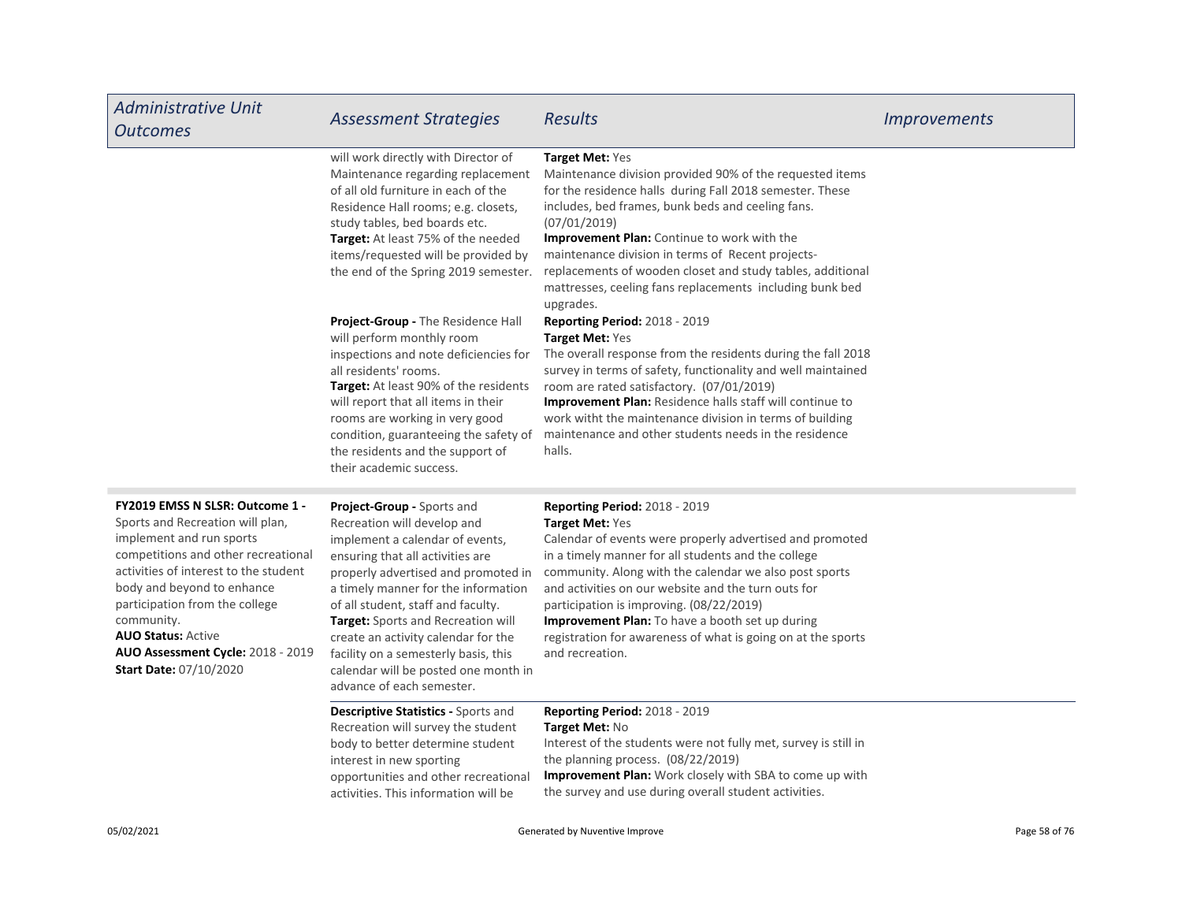| <b>Administrative Unit</b><br><b>Outcomes</b>                                                                                                                                                                                                                 | <b>Assessment Strategies</b>                                                                                                                                                                                                                                                                                                                                | <b>Results</b>                                                                                                                                                                                                                                                                                                                                                                                                                                          | <i>Improvements</i> |
|---------------------------------------------------------------------------------------------------------------------------------------------------------------------------------------------------------------------------------------------------------------|-------------------------------------------------------------------------------------------------------------------------------------------------------------------------------------------------------------------------------------------------------------------------------------------------------------------------------------------------------------|---------------------------------------------------------------------------------------------------------------------------------------------------------------------------------------------------------------------------------------------------------------------------------------------------------------------------------------------------------------------------------------------------------------------------------------------------------|---------------------|
|                                                                                                                                                                                                                                                               | will work directly with Director of<br>Maintenance regarding replacement<br>of all old furniture in each of the<br>Residence Hall rooms; e.g. closets,<br>study tables, bed boards etc.<br>Target: At least 75% of the needed<br>items/requested will be provided by<br>the end of the Spring 2019 semester.                                                | Target Met: Yes<br>Maintenance division provided 90% of the requested items<br>for the residence halls during Fall 2018 semester. These<br>includes, bed frames, bunk beds and ceeling fans.<br>(07/01/2019)<br>Improvement Plan: Continue to work with the<br>maintenance division in terms of Recent projects-<br>replacements of wooden closet and study tables, additional<br>mattresses, ceeling fans replacements including bunk bed<br>upgrades. |                     |
|                                                                                                                                                                                                                                                               | Project-Group - The Residence Hall<br>will perform monthly room<br>inspections and note deficiencies for<br>all residents' rooms.<br>Target: At least 90% of the residents<br>will report that all items in their<br>rooms are working in very good<br>condition, guaranteeing the safety of<br>the residents and the support of<br>their academic success. | <b>Reporting Period: 2018 - 2019</b><br>Target Met: Yes<br>The overall response from the residents during the fall 2018<br>survey in terms of safety, functionality and well maintained<br>room are rated satisfactory. (07/01/2019)<br><b>Improvement Plan:</b> Residence halls staff will continue to<br>work witht the maintenance division in terms of building<br>maintenance and other students needs in the residence<br>halls.                  |                     |
| FY2019 EMSS N SLSR: Outcome 1 -<br>Sports and Recreation will plan,<br>implement and run sports<br>competitions and other recreational<br>activities of interest to the student<br>body and beyond to enhance<br>participation from the college<br>community. | Project-Group - Sports and<br>Recreation will develop and<br>implement a calendar of events,<br>ensuring that all activities are<br>properly advertised and promoted in<br>a timely manner for the information<br>of all student, staff and faculty.<br><b>Target:</b> Sports and Recreation will                                                           | <b>Reporting Period: 2018 - 2019</b><br>Target Met: Yes<br>Calendar of events were properly advertised and promoted<br>in a timely manner for all students and the college<br>community. Along with the calendar we also post sports<br>and activities on our website and the turn outs for<br>participation is improving. (08/22/2019)<br><b>Improvement Plan:</b> To have a booth set up during                                                       |                     |

AUO Status: Active AUO Assessment Cycle: 2018 - 2019 Start Date: 07/10/2020

**Target:** Sports and Recreation will create an activity calendar for the facility on a semesterly basis, this calendar will be posted one month in advance of each semester.

**Improvement Plan:** To have a booth set up during registration for awareness of what is going on at the sports and recreation.

# Descriptive Statistics - Sports and Recreation will survey the student body to better determine student interest in new sporting opportunities and other recreational activities. This information will be

# Reporting Period: 2018 - 2019

# Target Met: No

Improvement Plan: Work closely with SBA to come up with the survey and use during overall student activities. Interest of the students were not fully met, survey is still in the planning process. (08/22/2019)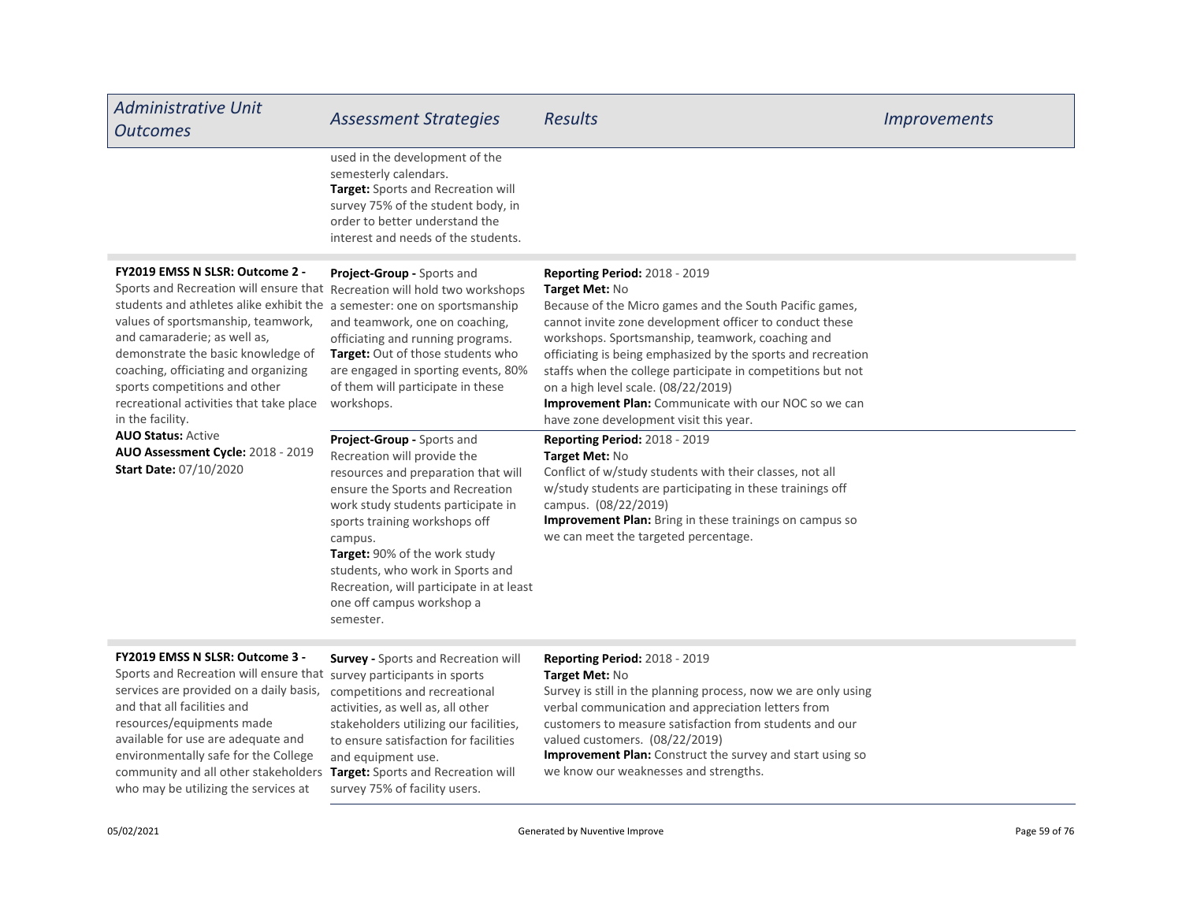| <b>Administrative Unit</b><br><b>Outcomes</b>                                                                                                                                                                                                                                                                                                                                                               | <b>Assessment Strategies</b>                                                                                                                                                                                                                                                                                                                                                      | Results                                                                                                                                                                                                                                                                                                                                                                                                                                                                                                  | <i>Improvements</i> |
|-------------------------------------------------------------------------------------------------------------------------------------------------------------------------------------------------------------------------------------------------------------------------------------------------------------------------------------------------------------------------------------------------------------|-----------------------------------------------------------------------------------------------------------------------------------------------------------------------------------------------------------------------------------------------------------------------------------------------------------------------------------------------------------------------------------|----------------------------------------------------------------------------------------------------------------------------------------------------------------------------------------------------------------------------------------------------------------------------------------------------------------------------------------------------------------------------------------------------------------------------------------------------------------------------------------------------------|---------------------|
|                                                                                                                                                                                                                                                                                                                                                                                                             | used in the development of the<br>semesterly calendars.<br>Target: Sports and Recreation will<br>survey 75% of the student body, in<br>order to better understand the<br>interest and needs of the students.                                                                                                                                                                      |                                                                                                                                                                                                                                                                                                                                                                                                                                                                                                          |                     |
| FY2019 EMSS N SLSR: Outcome 2 -<br>Sports and Recreation will ensure that Recreation will hold two workshops<br>students and athletes alike exhibit the<br>values of sportsmanship, teamwork,<br>and camaraderie; as well as,<br>demonstrate the basic knowledge of<br>coaching, officiating and organizing<br>sports competitions and other<br>recreational activities that take place<br>in the facility. | Project-Group - Sports and<br>a semester: one on sportsmanship<br>and teamwork, one on coaching,<br>officiating and running programs.<br>Target: Out of those students who<br>are engaged in sporting events, 80%<br>of them will participate in these<br>workshops.                                                                                                              | <b>Reporting Period: 2018 - 2019</b><br>Target Met: No<br>Because of the Micro games and the South Pacific games,<br>cannot invite zone development officer to conduct these<br>workshops. Sportsmanship, teamwork, coaching and<br>officiating is being emphasized by the sports and recreation<br>staffs when the college participate in competitions but not<br>on a high level scale. (08/22/2019)<br>Improvement Plan: Communicate with our NOC so we can<br>have zone development visit this year. |                     |
| <b>AUO Status: Active</b><br>AUO Assessment Cycle: 2018 - 2019<br><b>Start Date: 07/10/2020</b>                                                                                                                                                                                                                                                                                                             | Project-Group - Sports and<br>Recreation will provide the<br>resources and preparation that will<br>ensure the Sports and Recreation<br>work study students participate in<br>sports training workshops off<br>campus.<br>Target: 90% of the work study<br>students, who work in Sports and<br>Recreation, will participate in at least<br>one off campus workshop a<br>semester. | <b>Reporting Period: 2018 - 2019</b><br>Target Met: No<br>Conflict of w/study students with their classes, not all<br>w/study students are participating in these trainings off<br>campus. (08/22/2019)<br>Improvement Plan: Bring in these trainings on campus so<br>we can meet the targeted percentage.                                                                                                                                                                                               |                     |
| FY2019 EMSS N SLSR: Outcome 3 -<br>Sports and Recreation will ensure that survey participants in sports<br>services are provided on a daily basis,                                                                                                                                                                                                                                                          | <b>Survey - Sports and Recreation will</b><br>competitions and recreational                                                                                                                                                                                                                                                                                                       | <b>Reporting Period: 2018 - 2019</b><br>Target Met: No<br>Survey is still in the planning process, now we are only using                                                                                                                                                                                                                                                                                                                                                                                 |                     |

and that all facilities and resources/equipments made available for use are adequate and environmentally safe for the College community and all other stakeholders who may be utilizing the services at

Target: Sports and Recreation will survey 75% of facility users. competitions and recreational activities, as well as, all other stakeholders utilizing our facilities, to ensure satisfaction for facilities and equipment use.

Improvement Plan: Construct the survey and start using so verbal communication and appreciation letters from customers to measure satisfaction from students and our valued customers. (08/22/2019)

we know our weaknesses and strengths.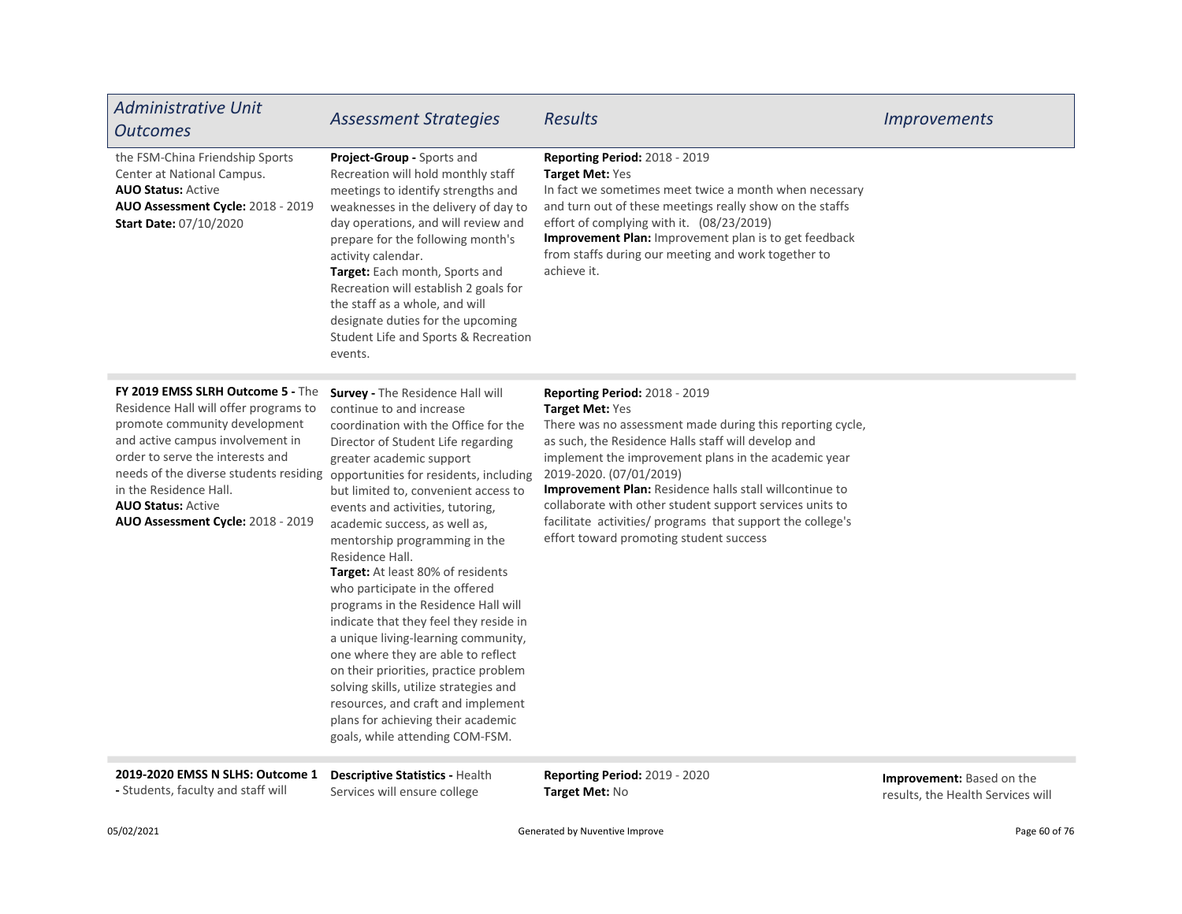| <b>Administrative Unit</b><br><b>Outcomes</b>                                                                                                                                                                                                                                                                                                                    | <b>Assessment Strategies</b>                                                                                                                                                                                                                                                                                                                                                                                                                                                                                                                                                                                                                                                                                                                                                   | <b>Results</b>                                                                                                                                                                                                                                                                                                                                                                                                                                                                                 | <i>Improvements</i> |
|------------------------------------------------------------------------------------------------------------------------------------------------------------------------------------------------------------------------------------------------------------------------------------------------------------------------------------------------------------------|--------------------------------------------------------------------------------------------------------------------------------------------------------------------------------------------------------------------------------------------------------------------------------------------------------------------------------------------------------------------------------------------------------------------------------------------------------------------------------------------------------------------------------------------------------------------------------------------------------------------------------------------------------------------------------------------------------------------------------------------------------------------------------|------------------------------------------------------------------------------------------------------------------------------------------------------------------------------------------------------------------------------------------------------------------------------------------------------------------------------------------------------------------------------------------------------------------------------------------------------------------------------------------------|---------------------|
| the FSM-China Friendship Sports<br>Center at National Campus.<br><b>AUO Status: Active</b><br>AUO Assessment Cycle: 2018 - 2019<br>Start Date: 07/10/2020                                                                                                                                                                                                        | Project-Group - Sports and<br>Recreation will hold monthly staff<br>meetings to identify strengths and<br>weaknesses in the delivery of day to<br>day operations, and will review and<br>prepare for the following month's<br>activity calendar.<br>Target: Each month, Sports and<br>Recreation will establish 2 goals for<br>the staff as a whole, and will<br>designate duties for the upcoming<br>Student Life and Sports & Recreation<br>events.                                                                                                                                                                                                                                                                                                                          | Reporting Period: 2018 - 2019<br>Target Met: Yes<br>In fact we sometimes meet twice a month when necessary<br>and turn out of these meetings really show on the staffs<br>effort of complying with it. (08/23/2019)<br>Improvement Plan: Improvement plan is to get feedback<br>from staffs during our meeting and work together to<br>achieve it.                                                                                                                                             |                     |
| FY 2019 EMSS SLRH Outcome 5 - The<br>Residence Hall will offer programs to<br>promote community development<br>and active campus involvement in<br>order to serve the interests and<br>needs of the diverse students residing opportunities for residents, including<br>in the Residence Hall.<br><b>AUO Status: Active</b><br>AUO Assessment Cycle: 2018 - 2019 | Survey - The Residence Hall will<br>continue to and increase<br>coordination with the Office for the<br>Director of Student Life regarding<br>greater academic support<br>but limited to, convenient access to<br>events and activities, tutoring,<br>academic success, as well as,<br>mentorship programming in the<br>Residence Hall.<br>Target: At least 80% of residents<br>who participate in the offered<br>programs in the Residence Hall will<br>indicate that they feel they reside in<br>a unique living-learning community,<br>one where they are able to reflect<br>on their priorities, practice problem<br>solving skills, utilize strategies and<br>resources, and craft and implement<br>plans for achieving their academic<br>goals, while attending COM-FSM. | <b>Reporting Period: 2018 - 2019</b><br>Target Met: Yes<br>There was no assessment made during this reporting cycle,<br>as such, the Residence Halls staff will develop and<br>implement the improvement plans in the academic year<br>2019-2020. (07/01/2019)<br>Improvement Plan: Residence halls stall willcontinue to<br>collaborate with other student support services units to<br>facilitate activities/ programs that support the college's<br>effort toward promoting student success |                     |

2019-2020 EMSS N SLHS: Outcome 1 Descriptive Statistics - Health - Students, faculty and staff will

Services will ensure college

Reporting Period: 2019 - 2020 Target Met: No

Improvement: Based on the results, the Health Services will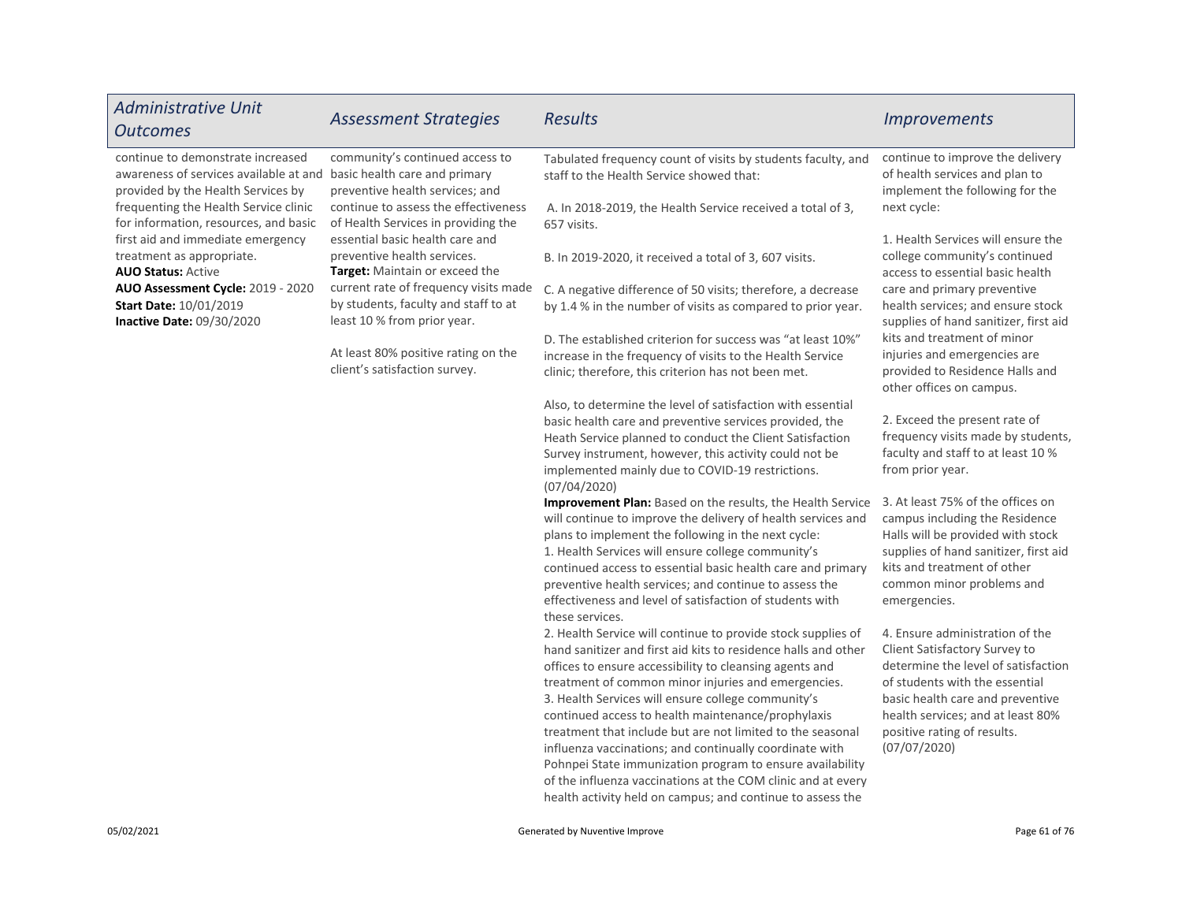| <b>Administrative Unit</b><br><b>Outcomes</b>                                                                                                   | <b>Assessment Strategies</b>                                                                                 | <b>Results</b>                                                                                                                                                                                                                                                                                                                                                                                                                                                                                                                                                                                                                                                                   | <b>Improvements</b>                                                                                                                                                                                                                                               |
|-------------------------------------------------------------------------------------------------------------------------------------------------|--------------------------------------------------------------------------------------------------------------|----------------------------------------------------------------------------------------------------------------------------------------------------------------------------------------------------------------------------------------------------------------------------------------------------------------------------------------------------------------------------------------------------------------------------------------------------------------------------------------------------------------------------------------------------------------------------------------------------------------------------------------------------------------------------------|-------------------------------------------------------------------------------------------------------------------------------------------------------------------------------------------------------------------------------------------------------------------|
| continue to demonstrate increased<br>awareness of services available at and basic health care and primary<br>provided by the Health Services by | community's continued access to<br>preventive health services; and                                           | Tabulated frequency count of visits by students faculty, and<br>staff to the Health Service showed that:                                                                                                                                                                                                                                                                                                                                                                                                                                                                                                                                                                         | continue to improve the delivery<br>of health services and plan to<br>implement the following for the                                                                                                                                                             |
| frequenting the Health Service clinic<br>for information, resources, and basic                                                                  | continue to assess the effectiveness<br>of Health Services in providing the                                  | A. In 2018-2019, the Health Service received a total of 3,<br>657 visits.                                                                                                                                                                                                                                                                                                                                                                                                                                                                                                                                                                                                        | next cycle:<br>1. Health Services will ensure the                                                                                                                                                                                                                 |
| first aid and immediate emergency<br>treatment as appropriate.<br><b>AUO Status: Active</b>                                                     | essential basic health care and<br>preventive health services.<br>Target: Maintain or exceed the             | B. In 2019-2020, it received a total of 3, 607 visits.                                                                                                                                                                                                                                                                                                                                                                                                                                                                                                                                                                                                                           | college community's continued<br>access to essential basic health                                                                                                                                                                                                 |
| AUO Assessment Cycle: 2019 - 2020<br><b>Start Date: 10/01/2019</b><br>Inactive Date: 09/30/2020                                                 | current rate of frequency visits made<br>by students, faculty and staff to at<br>least 10 % from prior year. | C. A negative difference of 50 visits; therefore, a decrease<br>by 1.4 % in the number of visits as compared to prior year.                                                                                                                                                                                                                                                                                                                                                                                                                                                                                                                                                      | care and primary preventive<br>health services; and ensure stock<br>supplies of hand sanitizer, first aid                                                                                                                                                         |
|                                                                                                                                                 | At least 80% positive rating on the<br>client's satisfaction survey.                                         | D. The established criterion for success was "at least 10%"<br>increase in the frequency of visits to the Health Service<br>clinic; therefore, this criterion has not been met.                                                                                                                                                                                                                                                                                                                                                                                                                                                                                                  | kits and treatment of minor<br>injuries and emergencies are<br>provided to Residence Halls and<br>other offices on campus.                                                                                                                                        |
|                                                                                                                                                 |                                                                                                              | Also, to determine the level of satisfaction with essential<br>basic health care and preventive services provided, the<br>Heath Service planned to conduct the Client Satisfaction<br>Survey instrument, however, this activity could not be<br>implemented mainly due to COVID-19 restrictions.<br>(07/04/2020)                                                                                                                                                                                                                                                                                                                                                                 | 2. Exceed the present rate of<br>frequency visits made by students,<br>faculty and staff to at least 10 %<br>from prior year.                                                                                                                                     |
|                                                                                                                                                 |                                                                                                              | Improvement Plan: Based on the results, the Health Service<br>will continue to improve the delivery of health services and<br>plans to implement the following in the next cycle:<br>1. Health Services will ensure college community's<br>continued access to essential basic health care and primary<br>preventive health services; and continue to assess the<br>effectiveness and level of satisfaction of students with<br>these services.                                                                                                                                                                                                                                  | 3. At least 75% of the offices on<br>campus including the Residence<br>Halls will be provided with stock<br>supplies of hand sanitizer, first aid<br>kits and treatment of other<br>common minor problems and<br>emergencies.                                     |
|                                                                                                                                                 |                                                                                                              | 2. Health Service will continue to provide stock supplies of<br>hand sanitizer and first aid kits to residence halls and other<br>offices to ensure accessibility to cleansing agents and<br>treatment of common minor injuries and emergencies.<br>3. Health Services will ensure college community's<br>continued access to health maintenance/prophylaxis<br>treatment that include but are not limited to the seasonal<br>influenza vaccinations; and continually coordinate with<br>Pohnpei State immunization program to ensure availability<br>of the influenza vaccinations at the COM clinic and at every<br>health activity held on campus; and continue to assess the | 4. Ensure administration of the<br>Client Satisfactory Survey to<br>determine the level of satisfaction<br>of students with the essential<br>basic health care and preventive<br>health services; and at least 80%<br>positive rating of results.<br>(07/07/2020) |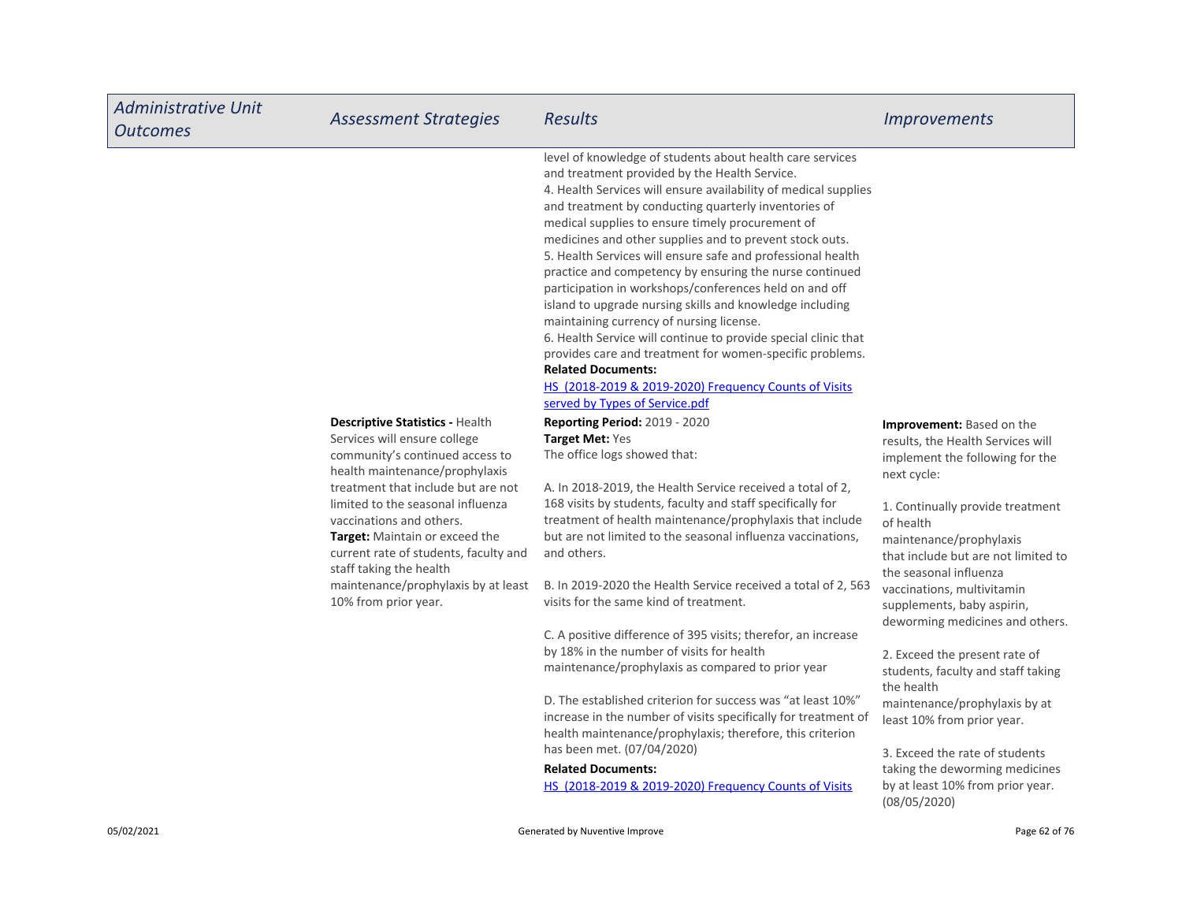| <b>Administrative Unit</b><br><b>Outcomes</b> | <b>Assessment Strategies</b>                                                                                                                                                      | <b>Results</b>                                                                                                                                                                                                                                                                                                                                                                                                                                                                                                                                                                                                                                                                                                                                                                                                                                                                                         | <b>Improvements</b>                                                                                                                       |
|-----------------------------------------------|-----------------------------------------------------------------------------------------------------------------------------------------------------------------------------------|--------------------------------------------------------------------------------------------------------------------------------------------------------------------------------------------------------------------------------------------------------------------------------------------------------------------------------------------------------------------------------------------------------------------------------------------------------------------------------------------------------------------------------------------------------------------------------------------------------------------------------------------------------------------------------------------------------------------------------------------------------------------------------------------------------------------------------------------------------------------------------------------------------|-------------------------------------------------------------------------------------------------------------------------------------------|
|                                               |                                                                                                                                                                                   | level of knowledge of students about health care services<br>and treatment provided by the Health Service.<br>4. Health Services will ensure availability of medical supplies<br>and treatment by conducting quarterly inventories of<br>medical supplies to ensure timely procurement of<br>medicines and other supplies and to prevent stock outs.<br>5. Health Services will ensure safe and professional health<br>practice and competency by ensuring the nurse continued<br>participation in workshops/conferences held on and off<br>island to upgrade nursing skills and knowledge including<br>maintaining currency of nursing license.<br>6. Health Service will continue to provide special clinic that<br>provides care and treatment for women-specific problems.<br><b>Related Documents:</b><br>HS (2018-2019 & 2019-2020) Frequency Counts of Visits<br>served by Types of Service.pdf |                                                                                                                                           |
|                                               | <b>Descriptive Statistics - Health</b><br>Services will ensure college<br>community's continued access to<br>health maintenance/prophylaxis<br>treatment that include but are not | Reporting Period: 2019 - 2020<br>Target Met: Yes<br>The office logs showed that:<br>A. In 2018-2019, the Health Service received a total of 2,                                                                                                                                                                                                                                                                                                                                                                                                                                                                                                                                                                                                                                                                                                                                                         | <b>Improvement:</b> Based on the<br>results, the Health Services will<br>implement the following for the<br>next cycle:                   |
|                                               | limited to the seasonal influenza<br>vaccinations and others.<br><b>Target:</b> Maintain or exceed the<br>current rate of students, faculty and<br>staff taking the health        | 168 visits by students, faculty and staff specifically for<br>treatment of health maintenance/prophylaxis that include<br>but are not limited to the seasonal influenza vaccinations,<br>and others.                                                                                                                                                                                                                                                                                                                                                                                                                                                                                                                                                                                                                                                                                                   | 1. Continually provide treatment<br>of health<br>maintenance/prophylaxis<br>that include but are not limited to<br>the seasonal influenza |
|                                               | maintenance/prophylaxis by at least<br>10% from prior year.                                                                                                                       | B. In 2019-2020 the Health Service received a total of 2, 563<br>visits for the same kind of treatment.                                                                                                                                                                                                                                                                                                                                                                                                                                                                                                                                                                                                                                                                                                                                                                                                | vaccinations, multivitamin<br>supplements, baby aspirin,<br>deworming medicines and others.                                               |
|                                               |                                                                                                                                                                                   | C. A positive difference of 395 visits; therefor, an increase<br>by 18% in the number of visits for health<br>maintenance/prophylaxis as compared to prior year                                                                                                                                                                                                                                                                                                                                                                                                                                                                                                                                                                                                                                                                                                                                        | 2. Exceed the present rate of<br>students, faculty and staff taking<br>the health                                                         |
|                                               |                                                                                                                                                                                   | D. The established criterion for success was "at least 10%"<br>increase in the number of visits specifically for treatment of<br>health maintenance/prophylaxis; therefore, this criterion                                                                                                                                                                                                                                                                                                                                                                                                                                                                                                                                                                                                                                                                                                             | maintenance/prophylaxis by at<br>least 10% from prior year.                                                                               |
|                                               |                                                                                                                                                                                   | has been met. (07/04/2020)<br><b>Related Documents:</b><br>HS (2018-2019 & 2019-2020) Frequency Counts of Visits                                                                                                                                                                                                                                                                                                                                                                                                                                                                                                                                                                                                                                                                                                                                                                                       | 3. Exceed the rate of students<br>taking the deworming medicines<br>by at least 10% from prior year.<br>(08/05/2020)                      |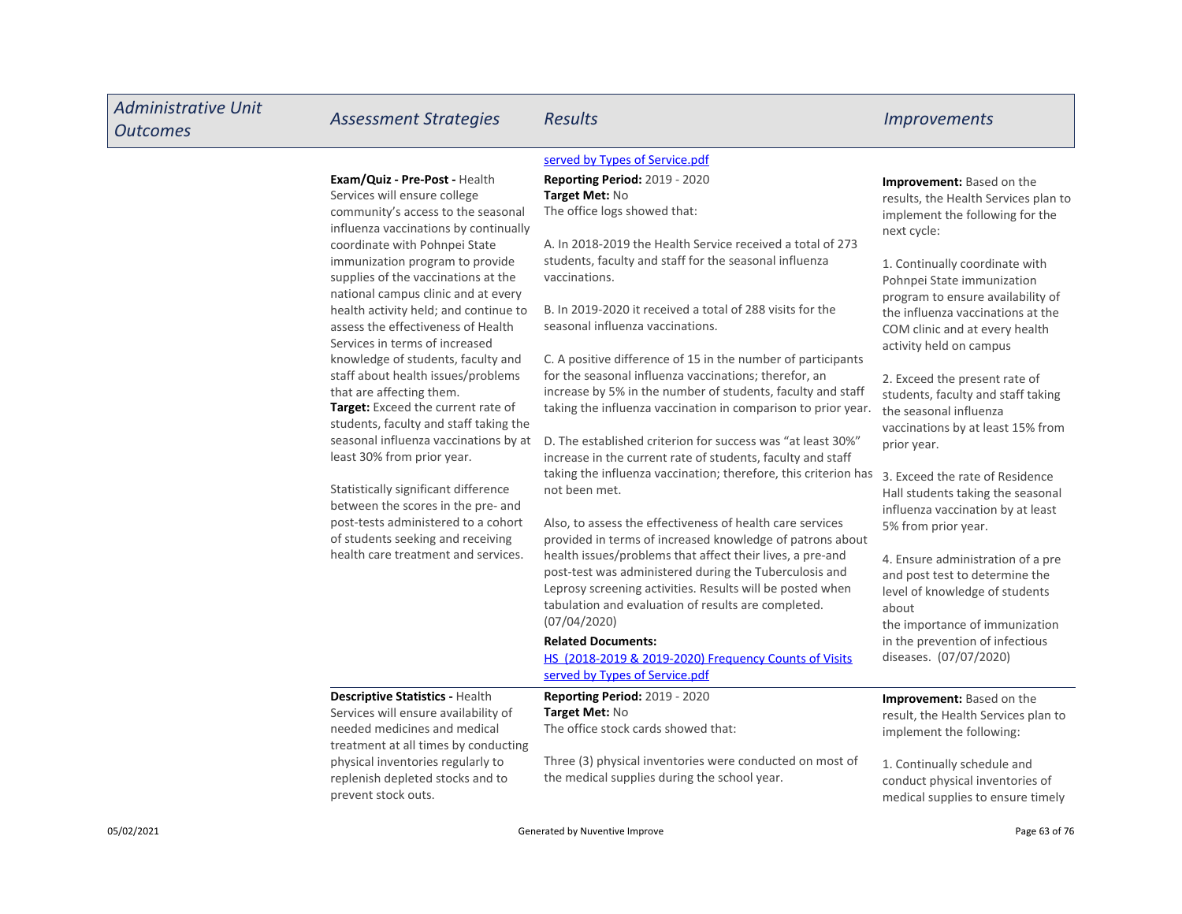| <b>Administrative Unit</b><br><b>Outcomes</b> | <b>Assessment Strategies</b>                                                                                                                                                                                                                                                                                                                                                                                                                                                                                                                                                                                                                                                                                                                                                                                                                                                    | <b>Results</b>                                                                                                                                                                                                                                                                                                                                                                                                                                                                                                                                                                                                                                                                                                                                                                                                                                                                                                                                                                                                                                                                                                                                                                                                                                                                                                                                             | <b>Improvements</b>                                                                                                                                                                                                                                                                                                                                                                                                                                                                                                                                                                                                                                                                                                                                                                                                                         |
|-----------------------------------------------|---------------------------------------------------------------------------------------------------------------------------------------------------------------------------------------------------------------------------------------------------------------------------------------------------------------------------------------------------------------------------------------------------------------------------------------------------------------------------------------------------------------------------------------------------------------------------------------------------------------------------------------------------------------------------------------------------------------------------------------------------------------------------------------------------------------------------------------------------------------------------------|------------------------------------------------------------------------------------------------------------------------------------------------------------------------------------------------------------------------------------------------------------------------------------------------------------------------------------------------------------------------------------------------------------------------------------------------------------------------------------------------------------------------------------------------------------------------------------------------------------------------------------------------------------------------------------------------------------------------------------------------------------------------------------------------------------------------------------------------------------------------------------------------------------------------------------------------------------------------------------------------------------------------------------------------------------------------------------------------------------------------------------------------------------------------------------------------------------------------------------------------------------------------------------------------------------------------------------------------------------|---------------------------------------------------------------------------------------------------------------------------------------------------------------------------------------------------------------------------------------------------------------------------------------------------------------------------------------------------------------------------------------------------------------------------------------------------------------------------------------------------------------------------------------------------------------------------------------------------------------------------------------------------------------------------------------------------------------------------------------------------------------------------------------------------------------------------------------------|
|                                               | Exam/Quiz - Pre-Post - Health<br>Services will ensure college<br>community's access to the seasonal<br>influenza vaccinations by continually<br>coordinate with Pohnpei State<br>immunization program to provide<br>supplies of the vaccinations at the<br>national campus clinic and at every<br>health activity held; and continue to<br>assess the effectiveness of Health<br>Services in terms of increased<br>knowledge of students, faculty and<br>staff about health issues/problems<br>that are affecting them.<br>Target: Exceed the current rate of<br>students, faculty and staff taking the<br>seasonal influenza vaccinations by at<br>least 30% from prior year.<br>Statistically significant difference<br>between the scores in the pre- and<br>post-tests administered to a cohort<br>of students seeking and receiving<br>health care treatment and services. | served by Types of Service.pdf<br><b>Reporting Period: 2019 - 2020</b><br>Target Met: No<br>The office logs showed that:<br>A. In 2018-2019 the Health Service received a total of 273<br>students, faculty and staff for the seasonal influenza<br>vaccinations.<br>B. In 2019-2020 it received a total of 288 visits for the<br>seasonal influenza vaccinations.<br>C. A positive difference of 15 in the number of participants<br>for the seasonal influenza vaccinations; therefor, an<br>increase by 5% in the number of students, faculty and staff<br>taking the influenza vaccination in comparison to prior year.<br>D. The established criterion for success was "at least 30%"<br>increase in the current rate of students, faculty and staff<br>taking the influenza vaccination; therefore, this criterion has<br>not been met.<br>Also, to assess the effectiveness of health care services<br>provided in terms of increased knowledge of patrons about<br>health issues/problems that affect their lives, a pre-and<br>post-test was administered during the Tuberculosis and<br>Leprosy screening activities. Results will be posted when<br>tabulation and evaluation of results are completed.<br>(07/04/2020)<br><b>Related Documents:</b><br>HS (2018-2019 & 2019-2020) Frequency Counts of Visits<br>served by Types of Service.pdf | <b>Improvement:</b> Based on the<br>results, the Health Services plan to<br>implement the following for the<br>next cycle:<br>1. Continually coordinate with<br>Pohnpei State immunization<br>program to ensure availability of<br>the influenza vaccinations at the<br>COM clinic and at every health<br>activity held on campus<br>2. Exceed the present rate of<br>students, faculty and staff taking<br>the seasonal influenza<br>vaccinations by at least 15% from<br>prior year.<br>3. Exceed the rate of Residence<br>Hall students taking the seasonal<br>influenza vaccination by at least<br>5% from prior year.<br>4. Ensure administration of a pre<br>and post test to determine the<br>level of knowledge of students<br>about<br>the importance of immunization<br>in the prevention of infectious<br>diseases. (07/07/2020) |
|                                               | Descriptive Statistics - Health<br>Services will ensure availability of<br>needed medicines and medical<br>treatment at all times by conducting<br>physical inventories regularly to<br>replenish depleted stocks and to<br>prevent stock outs.                                                                                                                                                                                                                                                                                                                                                                                                                                                                                                                                                                                                                                 | <b>Reporting Period: 2019 - 2020</b><br>Target Met: No<br>The office stock cards showed that:<br>Three (3) physical inventories were conducted on most of<br>the medical supplies during the school year.                                                                                                                                                                                                                                                                                                                                                                                                                                                                                                                                                                                                                                                                                                                                                                                                                                                                                                                                                                                                                                                                                                                                                  | <b>Improvement:</b> Based on the<br>result, the Health Services plan to<br>implement the following:<br>1. Continually schedule and<br>conduct physical inventories of<br>medical supplies to ensure timely                                                                                                                                                                                                                                                                                                                                                                                                                                                                                                                                                                                                                                  |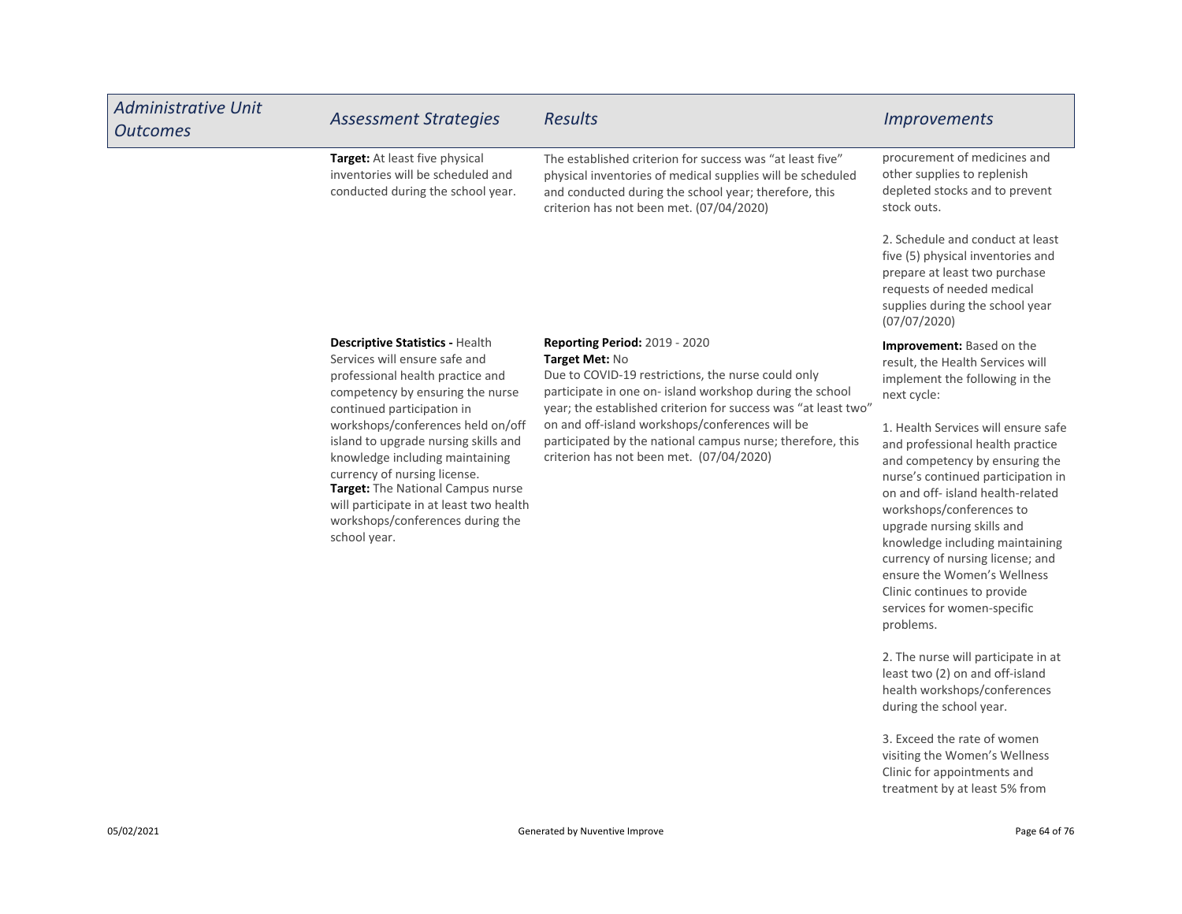| <b>Administrative Unit</b><br><b>Outcomes</b>                                                                                                                                                                                                                                    | <b>Assessment Strategies</b>                                                                                                                                                  | <b>Results</b>                                                                                                                                                                                                                                                                                                                                                                                                                  | <b>Improvements</b>                                                                                                                                                                     |
|----------------------------------------------------------------------------------------------------------------------------------------------------------------------------------------------------------------------------------------------------------------------------------|-------------------------------------------------------------------------------------------------------------------------------------------------------------------------------|---------------------------------------------------------------------------------------------------------------------------------------------------------------------------------------------------------------------------------------------------------------------------------------------------------------------------------------------------------------------------------------------------------------------------------|-----------------------------------------------------------------------------------------------------------------------------------------------------------------------------------------|
|                                                                                                                                                                                                                                                                                  | Target: At least five physical<br>inventories will be scheduled and<br>conducted during the school year.                                                                      | The established criterion for success was "at least five"<br>physical inventories of medical supplies will be scheduled<br>and conducted during the school year; therefore, this<br>criterion has not been met. (07/04/2020)                                                                                                                                                                                                    | procurement of medicines and<br>other supplies to replenish<br>depleted stocks and to prevent<br>stock outs.                                                                            |
|                                                                                                                                                                                                                                                                                  |                                                                                                                                                                               |                                                                                                                                                                                                                                                                                                                                                                                                                                 | 2. Schedule and conduct at least<br>five (5) physical inventories and<br>prepare at least two purchase<br>requests of needed medical<br>supplies during the school year<br>(07/07/2020) |
|                                                                                                                                                                                                                                                                                  | <b>Descriptive Statistics - Health</b><br>Services will ensure safe and<br>professional health practice and<br>competency by ensuring the nurse<br>continued participation in | <b>Reporting Period: 2019 - 2020</b><br>Target Met: No<br>Due to COVID-19 restrictions, the nurse could only<br>participate in one on- island workshop during the school<br>year; the established criterion for success was "at least two"                                                                                                                                                                                      | Improvement: Based on the<br>result, the Health Services will<br>implement the following in the<br>next cycle:                                                                          |
| workshops/conferences held on/off<br>island to upgrade nursing skills and<br>knowledge including maintaining<br>currency of nursing license.<br>Target: The National Campus nurse<br>will participate in at least two health<br>workshops/conferences during the<br>school year. | on and off-island workshops/conferences will be<br>participated by the national campus nurse; therefore, this<br>criterion has not been met. (07/04/2020)                     | 1. Health Services will ensure safe<br>and professional health practice<br>and competency by ensuring the<br>nurse's continued participation in<br>on and off- island health-related<br>workshops/conferences to<br>upgrade nursing skills and<br>knowledge including maintaining<br>currency of nursing license; and<br>ensure the Women's Wellness<br>Clinic continues to provide<br>services for women-specific<br>problems. |                                                                                                                                                                                         |
|                                                                                                                                                                                                                                                                                  |                                                                                                                                                                               |                                                                                                                                                                                                                                                                                                                                                                                                                                 | 2. The nurse will participate in at                                                                                                                                                     |

least two (2) on and off-island health workshops/conferences during the school year.

3. Exceed the rate of women visiting the Women's Wellness Clinic for appointments and treatment by at least 5% from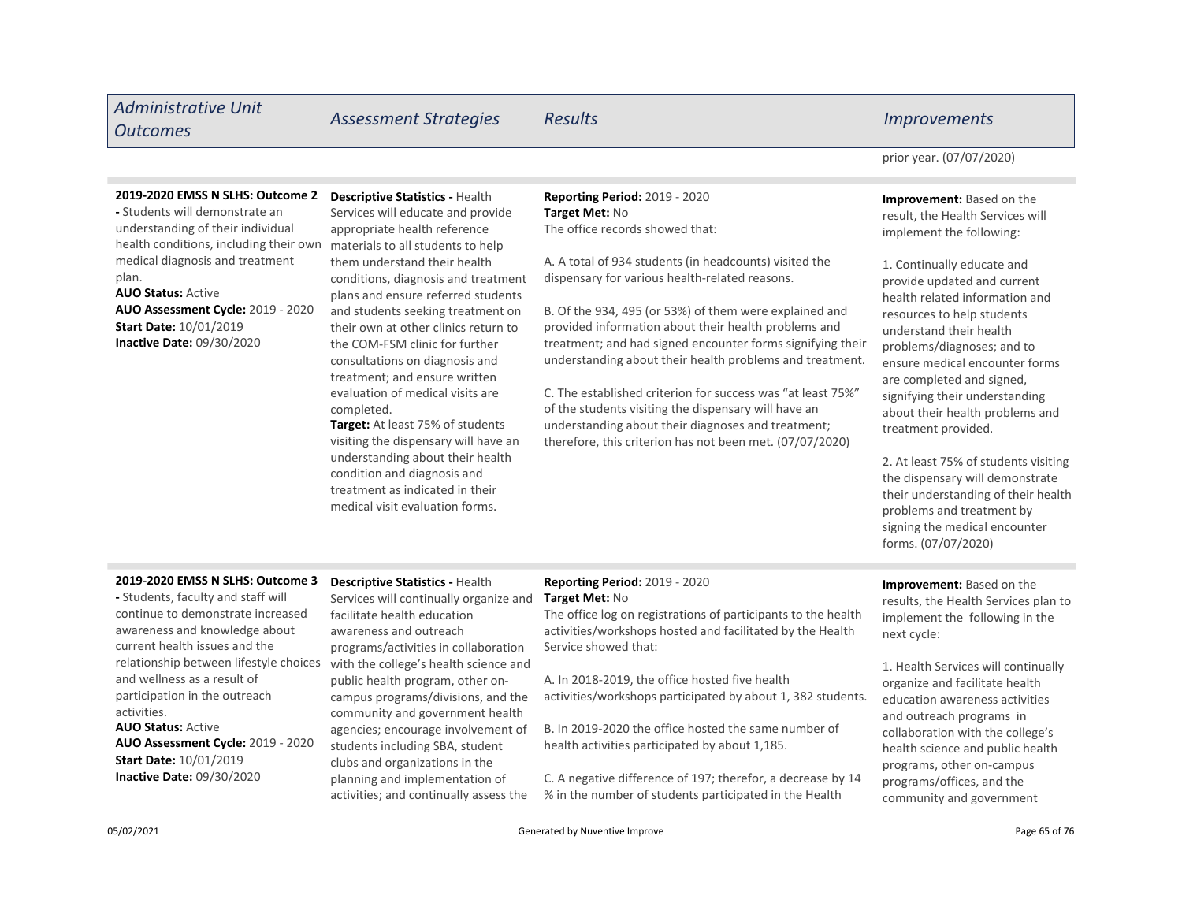# Administrative Unit

- Students will demonstrate an understanding of their individual health conditions, including their own medical diagnosis and treatment

AUO Status: Active

plan.

Inactive Date: 09/30/2020

Start Date: 10/01/2019

AUO Assessment Cycle: 2019 - 2020

# Outcomes Assessment Strategies Results Improvements

prior year. (07/07/2020)

Improvement: Based on the result, the Health Services will implement the following:

1. Continually educate and provide updated and current health related information and resources to help students understand their health problems/diagnoses; and to ensure medical encounter forms are completed and signed, signifying their understanding about their health problems and treatment provided.

2. At least 75% of students visiting the dispensary will demonstrate their understanding of their health problems and treatment by signing the medical encounter forms. (07/07/2020)

# 2019-2020 EMSS N SLHS: Outcome 3

AUO Status: Active AUO Assessment Cycle: 2019 - 2020 - Students, faculty and staff will continue to demonstrate increased awareness and knowledge about current health issues and the relationship between lifestyle choices and wellness as a result of participation in the outreach activities. Start Date: 10/01/2019

Inactive Date: 09/30/2020

### Descriptive Statistics - Health 2019-2020 EMSS N SLHS: Outcome 2

Services will educate and provide appropriate health reference materials to all students to help them understand their health conditions, diagnosis and treatment plans and ensure referred students and students seeking treatment on their own at other clinics return to the COM-FSM clinic for further consultations on diagnosis and treatment; and ensure written evaluation of medical visits are completed.

Target: At least 75% of students visiting the dispensary will have an understanding about their health condition and diagnosis and treatment as indicated in their medical visit evaluation forms.

Descriptive Statistics - Health Services will continually organize and

programs/activities in collaboration with the college's health science and public health program, other oncampus programs/divisions, and the community and government health agencies; encourage involvement of students including SBA, student clubs and organizations in the planning and implementation of activities; and continually assess the

facilitate health education awareness and outreach

# Reporting Period: 2019 - 2020 Target Met: No

Reporting Period: 2019 - 2020

The office records showed that:

A. A total of 934 students (in headcounts) visited the dispensary for various health-related reasons.

B. Of the 934, 495 (or 53%) of them were explained and provided information about their health problems and treatment; and had signed encounter forms signifying their understanding about their health problems and treatment.

C. The established criterion for success was "at least 75%" of the students visiting the dispensary will have an understanding about their diagnoses and treatment; therefore, this criterion has not been met. (07/07/2020)

Target Met: No

The office log on registrations of participants to the health activities/workshops hosted and facilitated by the Health Service showed that:

A. In 2018-2019, the office hosted five health activities/workshops participated by about 1, 382 students.

B. In 2019-2020 the office hosted the same number of health activities participated by about 1,185.

C. A negative difference of 197; therefor, a decrease by 14 % in the number of students participated in the Health

Improvement: Based on the results, the Health Services plan to implement the following in the next cycle:

1. Health Services will continually organize and facilitate health education awareness activities and outreach programs in collaboration with the college's health science and public health programs, other on-campus programs/offices, and the community and government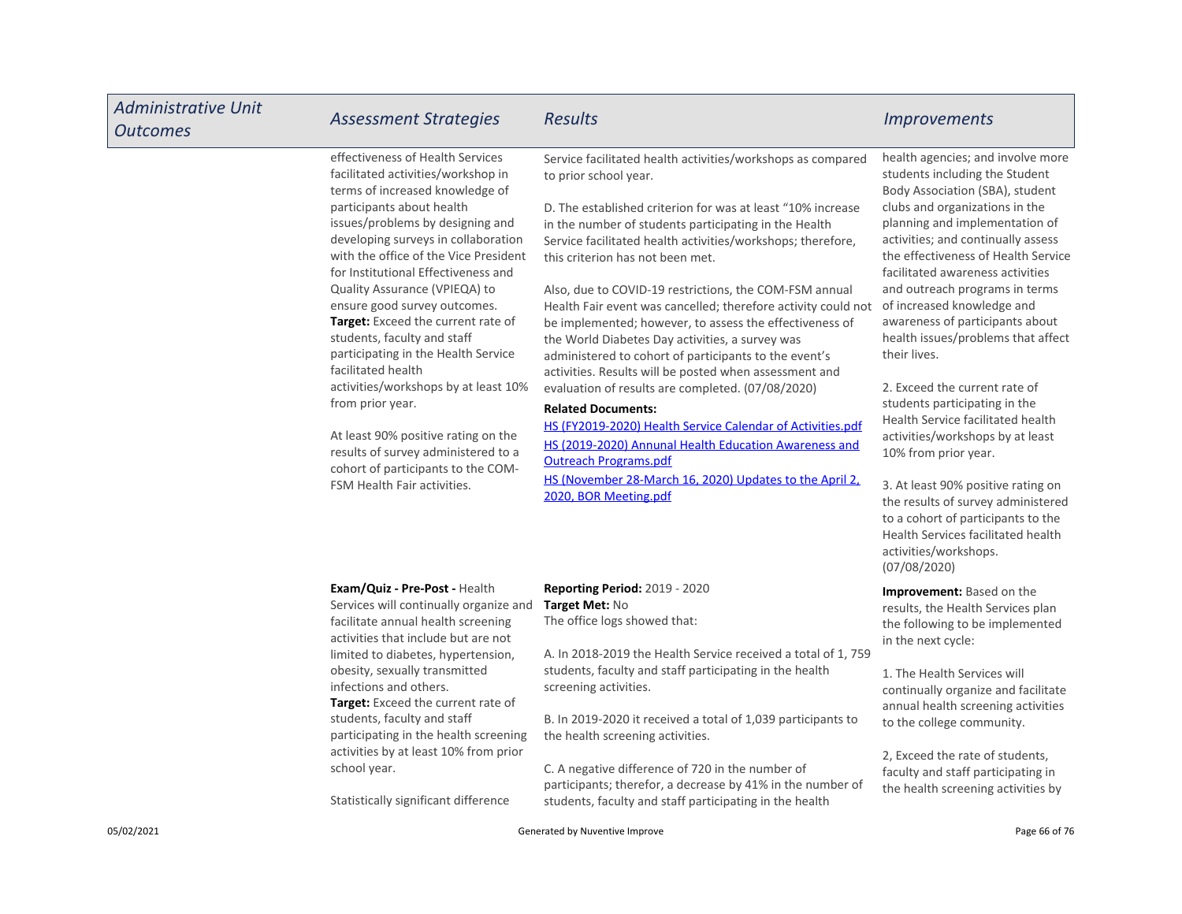| <b>Administrative Unit</b><br><b>Outcomes</b> | <b>Assessment Strategies</b>                                                                                                                                                                                                                                                                                                                                                                                                                                                                                                                                                                                                                                                                                        | <b>Results</b>                                                                                                                                                                                                                                                                                                                                                                                                                                                                                                                                                                                                                                                                                                                                                                                                                                                                                                                                                                                           | <i><u><b>Improvements</b></u></i>                                                                                                                                                                                                                                                                                                                                                                                                                                                                                                                                                                                                                                                                                                                                                                                        |
|-----------------------------------------------|---------------------------------------------------------------------------------------------------------------------------------------------------------------------------------------------------------------------------------------------------------------------------------------------------------------------------------------------------------------------------------------------------------------------------------------------------------------------------------------------------------------------------------------------------------------------------------------------------------------------------------------------------------------------------------------------------------------------|----------------------------------------------------------------------------------------------------------------------------------------------------------------------------------------------------------------------------------------------------------------------------------------------------------------------------------------------------------------------------------------------------------------------------------------------------------------------------------------------------------------------------------------------------------------------------------------------------------------------------------------------------------------------------------------------------------------------------------------------------------------------------------------------------------------------------------------------------------------------------------------------------------------------------------------------------------------------------------------------------------|--------------------------------------------------------------------------------------------------------------------------------------------------------------------------------------------------------------------------------------------------------------------------------------------------------------------------------------------------------------------------------------------------------------------------------------------------------------------------------------------------------------------------------------------------------------------------------------------------------------------------------------------------------------------------------------------------------------------------------------------------------------------------------------------------------------------------|
|                                               | effectiveness of Health Services<br>facilitated activities/workshop in<br>terms of increased knowledge of<br>participants about health<br>issues/problems by designing and<br>developing surveys in collaboration<br>with the office of the Vice President<br>for Institutional Effectiveness and<br>Quality Assurance (VPIEQA) to<br>ensure good survey outcomes.<br>Target: Exceed the current rate of<br>students, faculty and staff<br>participating in the Health Service<br>facilitated health<br>activities/workshops by at least 10%<br>from prior year.<br>At least 90% positive rating on the<br>results of survey administered to a<br>cohort of participants to the COM-<br>FSM Health Fair activities. | Service facilitated health activities/workshops as compared<br>to prior school year.<br>D. The established criterion for was at least "10% increase<br>in the number of students participating in the Health<br>Service facilitated health activities/workshops; therefore,<br>this criterion has not been met.<br>Also, due to COVID-19 restrictions, the COM-FSM annual<br>Health Fair event was cancelled; therefore activity could not<br>be implemented; however, to assess the effectiveness of<br>the World Diabetes Day activities, a survey was<br>administered to cohort of participants to the event's<br>activities. Results will be posted when assessment and<br>evaluation of results are completed. (07/08/2020)<br><b>Related Documents:</b><br>HS (FY2019-2020) Health Service Calendar of Activities.pdf<br>HS (2019-2020) Annunal Health Education Awareness and<br><b>Outreach Programs.pdf</b><br>HS (November 28-March 16, 2020) Updates to the April 2,<br>2020, BOR Meeting.pdf | health agencies; and involve more<br>students including the Student<br>Body Association (SBA), student<br>clubs and organizations in the<br>planning and implementation of<br>activities; and continually assess<br>the effectiveness of Health Service<br>facilitated awareness activities<br>and outreach programs in terms<br>of increased knowledge and<br>awareness of participants about<br>health issues/problems that affect<br>their lives.<br>2. Exceed the current rate of<br>students participating in the<br>Health Service facilitated health<br>activities/workshops by at least<br>10% from prior year.<br>3. At least 90% positive rating on<br>the results of survey administered<br>to a cohort of participants to the<br>Health Services facilitated health<br>activities/workshops.<br>(07/08/2020) |
|                                               | Exam/Quiz - Pre-Post - Health<br>Services will continually organize and<br>facilitate annual health screening<br>activities that include but are not<br>limited to diabetes, hypertension,<br>obesity, sexually transmitted<br>infections and others.<br><b>Target:</b> Exceed the current rate of<br>students, faculty and staff<br>participating in the health screening<br>activities by at least 10% from prior<br>school year.<br>Statistically significant difference                                                                                                                                                                                                                                         | <b>Reporting Period: 2019 - 2020</b><br>Target Met: No<br>The office logs showed that:<br>A. In 2018-2019 the Health Service received a total of 1, 759<br>students, faculty and staff participating in the health<br>screening activities.<br>B. In 2019-2020 it received a total of 1,039 participants to<br>the health screening activities.<br>C. A negative difference of 720 in the number of<br>participants; therefor, a decrease by 41% in the number of<br>students, faculty and staff participating in the health                                                                                                                                                                                                                                                                                                                                                                                                                                                                             | Improvement: Based on the<br>results, the Health Services plan<br>the following to be implemented<br>in the next cycle:<br>1. The Health Services will<br>continually organize and facilitate<br>annual health screening activities<br>to the college community.<br>2, Exceed the rate of students,<br>faculty and staff participating in<br>the health screening activities by                                                                                                                                                                                                                                                                                                                                                                                                                                          |
| 05/02/2021                                    |                                                                                                                                                                                                                                                                                                                                                                                                                                                                                                                                                                                                                                                                                                                     | Generated by Nuventive Improve                                                                                                                                                                                                                                                                                                                                                                                                                                                                                                                                                                                                                                                                                                                                                                                                                                                                                                                                                                           | Page 66 of 76                                                                                                                                                                                                                                                                                                                                                                                                                                                                                                                                                                                                                                                                                                                                                                                                            |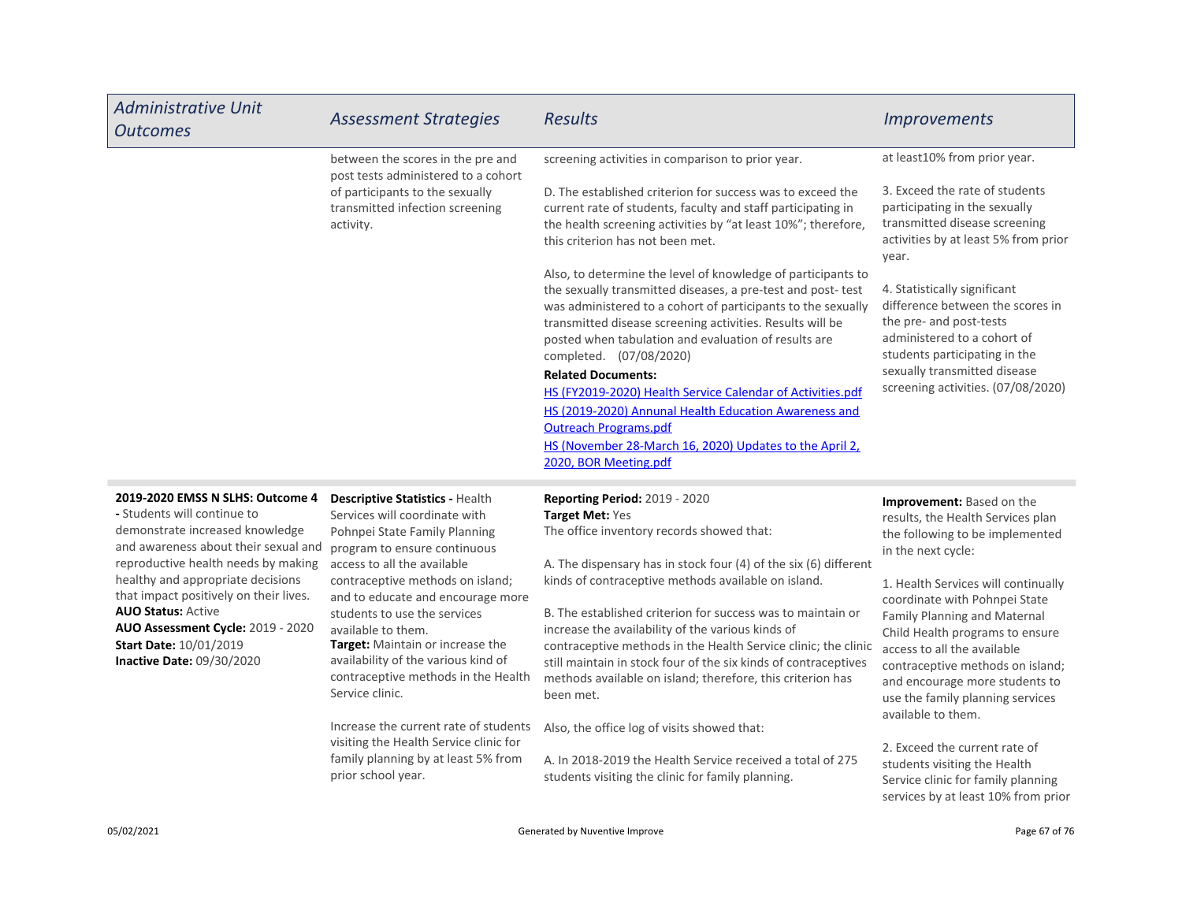| Administrative Unit<br><b>Outcomes</b> | <b>Assessment Strategies</b>                                                    | <b>Results</b>                                                                                                                                                                                                                                                                                                                                                                                                                                                                                                                                                                                                      | <i>Improvements</i>                                                                                                                                                                                                               |
|----------------------------------------|---------------------------------------------------------------------------------|---------------------------------------------------------------------------------------------------------------------------------------------------------------------------------------------------------------------------------------------------------------------------------------------------------------------------------------------------------------------------------------------------------------------------------------------------------------------------------------------------------------------------------------------------------------------------------------------------------------------|-----------------------------------------------------------------------------------------------------------------------------------------------------------------------------------------------------------------------------------|
|                                        | between the scores in the pre and<br>post tests administered to a cohort        | screening activities in comparison to prior year.                                                                                                                                                                                                                                                                                                                                                                                                                                                                                                                                                                   | at least10% from prior year.                                                                                                                                                                                                      |
|                                        | of participants to the sexually<br>transmitted infection screening<br>activity. | D. The established criterion for success was to exceed the<br>current rate of students, faculty and staff participating in<br>the health screening activities by "at least 10%"; therefore,<br>this criterion has not been met.                                                                                                                                                                                                                                                                                                                                                                                     | 3. Exceed the rate of students<br>participating in the sexually<br>transmitted disease screening<br>activities by at least 5% from prior<br>year.                                                                                 |
|                                        |                                                                                 | Also, to determine the level of knowledge of participants to<br>the sexually transmitted diseases, a pre-test and post-test<br>was administered to a cohort of participants to the sexually<br>transmitted disease screening activities. Results will be<br>posted when tabulation and evaluation of results are<br>completed. (07/08/2020)<br><b>Related Documents:</b><br>HS (FY2019-2020) Health Service Calendar of Activities.pdf<br>HS (2019-2020) Annunal Health Education Awareness and<br><b>Outreach Programs.pdf</b><br>HS (November 28-March 16, 2020) Updates to the April 2,<br>2020, BOR Meeting.pdf | 4. Statistically significant<br>difference between the scores in<br>the pre- and post-tests<br>administered to a cohort of<br>students participating in the<br>sexually transmitted disease<br>screening activities. (07/08/2020) |

### 2019-2020 EMSS N SLHS: Outcome 4

AUO Status: Active Inactive Date: 09/30/2020 AUO Assessment Cycle: 2019 - 2020 available to them. - Students will continue to demonstrate increased knowledge and awareness about their sexual and reproductive health needs by making healthy and appropriate decisions that impact positively on their lives. Start Date: 10/01/2019

Target: Maintain or increase the Descriptive Statistics - Health Services will coordinate with Pohnpei State Family Planning program to ensure continuous access to all the available contraceptive methods on island; and to educate and encourage more students to use the services

availability of the various kind of contraceptive methods in the Health Service clinic.

Increase the current rate of students visiting the Health Service clinic for family planning by at least 5% from prior school year.

Reporting Period: 2019 - 2020 Target Met: Yes The office inventory records showed that:

A. The dispensary has in stock four (4) of the six (6) different kinds of contraceptive methods available on island.

B. The established criterion for success was to maintain or increase the availability of the various kinds of contraceptive methods in the Health Service clinic; the clinic still maintain in stock four of the six kinds of contraceptives methods available on island; therefore, this criterion has been met.

Also, the office log of visits showed that:

A. In 2018-2019 the Health Service received a total of 275 students visiting the clinic for family planning.

Improvement: Based on the results, the Health Services plan the following to be implemented in the next cycle:

1. Health Services will continually coordinate with Pohnpei State Family Planning and Maternal Child Health programs to ensure access to all the available contraceptive methods on island; and encourage more students to use the family planning services available to them.

2. Exceed the current rate of students visiting the Health Service clinic for family planning services by at least 10% from prior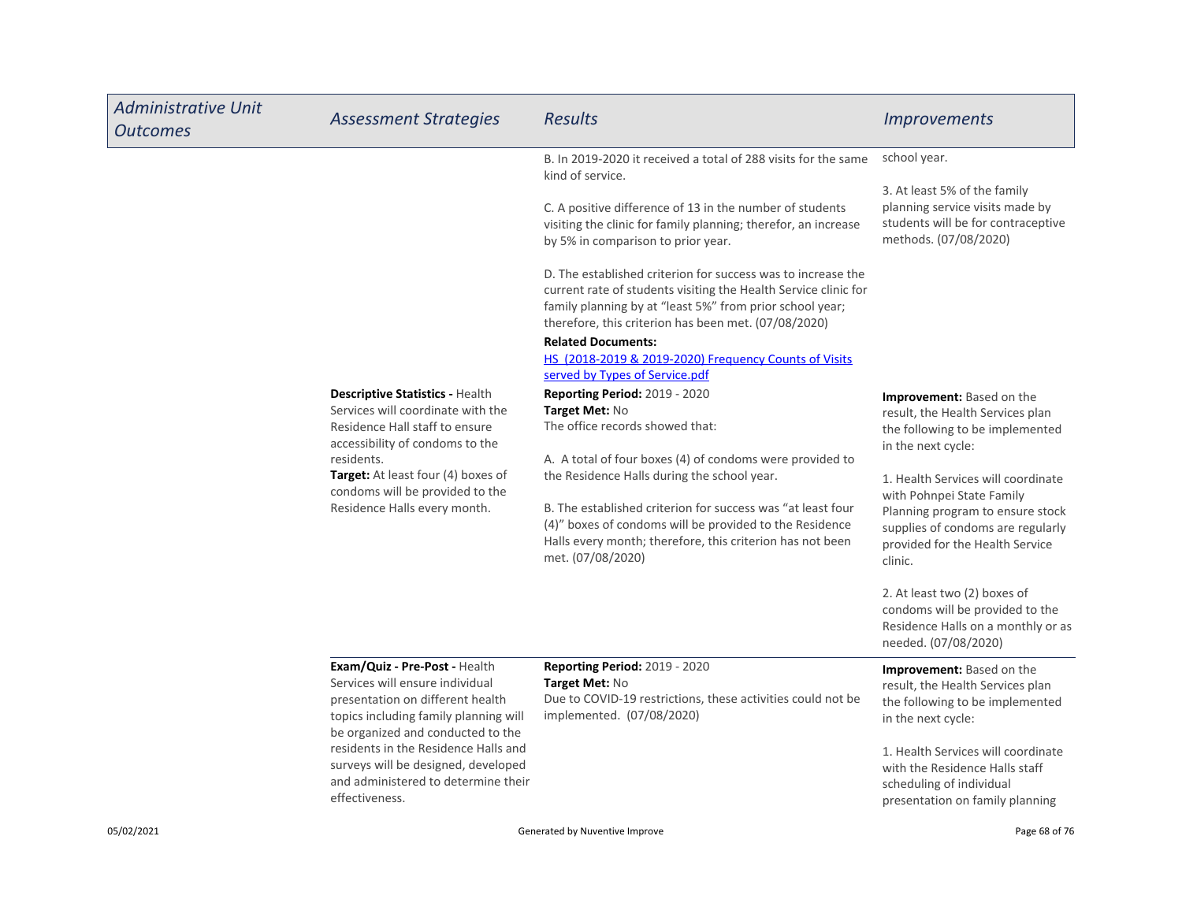| <b>Administrative Unit</b><br><b>Outcomes</b> | <b>Assessment Strategies</b>                                                                                                                                                                                                                                                                                               | <b>Results</b>                                                                                                                                                                                                                                                                                                                                                                                                                                                                                                                                                                                                                                                                                                                                                                                                                                                                                                                                                                                                                                     | <i><u><b>Improvements</b></u></i>                                                                                                                                                                                                                                                                                                                                                                                                                                                                                                                                                                          |
|-----------------------------------------------|----------------------------------------------------------------------------------------------------------------------------------------------------------------------------------------------------------------------------------------------------------------------------------------------------------------------------|----------------------------------------------------------------------------------------------------------------------------------------------------------------------------------------------------------------------------------------------------------------------------------------------------------------------------------------------------------------------------------------------------------------------------------------------------------------------------------------------------------------------------------------------------------------------------------------------------------------------------------------------------------------------------------------------------------------------------------------------------------------------------------------------------------------------------------------------------------------------------------------------------------------------------------------------------------------------------------------------------------------------------------------------------|------------------------------------------------------------------------------------------------------------------------------------------------------------------------------------------------------------------------------------------------------------------------------------------------------------------------------------------------------------------------------------------------------------------------------------------------------------------------------------------------------------------------------------------------------------------------------------------------------------|
|                                               | <b>Descriptive Statistics - Health</b><br>Services will coordinate with the<br>Residence Hall staff to ensure<br>accessibility of condoms to the<br>residents.<br>Target: At least four (4) boxes of<br>condoms will be provided to the<br>Residence Halls every month.                                                    | B. In 2019-2020 it received a total of 288 visits for the same<br>kind of service.<br>C. A positive difference of 13 in the number of students<br>visiting the clinic for family planning; therefor, an increase<br>by 5% in comparison to prior year.<br>D. The established criterion for success was to increase the<br>current rate of students visiting the Health Service clinic for<br>family planning by at "least 5%" from prior school year;<br>therefore, this criterion has been met. (07/08/2020)<br><b>Related Documents:</b><br>HS (2018-2019 & 2019-2020) Frequency Counts of Visits<br>served by Types of Service.pdf<br>Reporting Period: 2019 - 2020<br>Target Met: No<br>The office records showed that:<br>A. A total of four boxes (4) of condoms were provided to<br>the Residence Halls during the school year.<br>B. The established criterion for success was "at least four<br>(4)" boxes of condoms will be provided to the Residence<br>Halls every month; therefore, this criterion has not been<br>met. (07/08/2020) | school year.<br>3. At least 5% of the family<br>planning service visits made by<br>students will be for contraceptive<br>methods. (07/08/2020)<br><b>Improvement:</b> Based on the<br>result, the Health Services plan<br>the following to be implemented<br>in the next cycle:<br>1. Health Services will coordinate<br>with Pohnpei State Family<br>Planning program to ensure stock<br>supplies of condoms are regularly<br>provided for the Health Service<br>clinic.<br>2. At least two (2) boxes of<br>condoms will be provided to the<br>Residence Halls on a monthly or as<br>needed. (07/08/2020) |
|                                               | Exam/Quiz - Pre-Post - Health<br>Services will ensure individual<br>presentation on different health<br>topics including family planning will<br>be organized and conducted to the<br>residents in the Residence Halls and<br>surveys will be designed, developed<br>and administered to determine their<br>effectiveness. | <b>Reporting Period: 2019 - 2020</b><br>Target Met: No<br>Due to COVID-19 restrictions, these activities could not be<br>implemented. (07/08/2020)                                                                                                                                                                                                                                                                                                                                                                                                                                                                                                                                                                                                                                                                                                                                                                                                                                                                                                 | Improvement: Based on the<br>result, the Health Services plan<br>the following to be implemented<br>in the next cycle:<br>1. Health Services will coordinate<br>with the Residence Halls staff<br>scheduling of individual<br>presentation on family planning                                                                                                                                                                                                                                                                                                                                              |
| 05/02/2021                                    |                                                                                                                                                                                                                                                                                                                            | Generated by Nuventive Improve                                                                                                                                                                                                                                                                                                                                                                                                                                                                                                                                                                                                                                                                                                                                                                                                                                                                                                                                                                                                                     | Page 68 of 76                                                                                                                                                                                                                                                                                                                                                                                                                                                                                                                                                                                              |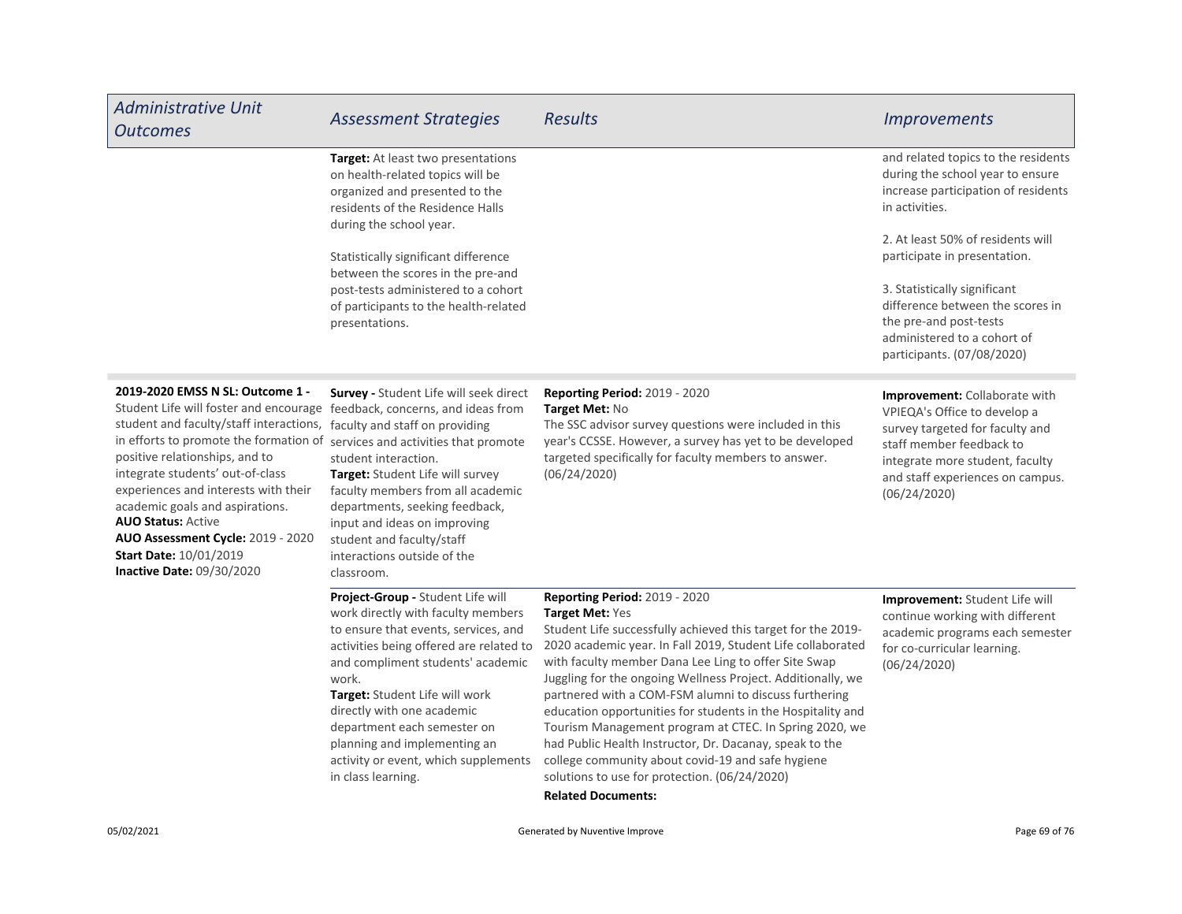| <b>Administrative Unit</b><br><b>Outcomes</b>                                                                                                                                                                                                                                                                                                                                                                                                                                                                      | <b>Assessment Strategies</b>                                                                                                                                                                                                                                                                                                                                                                          | <b>Results</b>                                                                                                                                                                                                                                                                                                                                                                                                                                                                                                                                                                                                                                                                                       | <b>Improvements</b>                                                                                                                                                                                                 |
|--------------------------------------------------------------------------------------------------------------------------------------------------------------------------------------------------------------------------------------------------------------------------------------------------------------------------------------------------------------------------------------------------------------------------------------------------------------------------------------------------------------------|-------------------------------------------------------------------------------------------------------------------------------------------------------------------------------------------------------------------------------------------------------------------------------------------------------------------------------------------------------------------------------------------------------|------------------------------------------------------------------------------------------------------------------------------------------------------------------------------------------------------------------------------------------------------------------------------------------------------------------------------------------------------------------------------------------------------------------------------------------------------------------------------------------------------------------------------------------------------------------------------------------------------------------------------------------------------------------------------------------------------|---------------------------------------------------------------------------------------------------------------------------------------------------------------------------------------------------------------------|
|                                                                                                                                                                                                                                                                                                                                                                                                                                                                                                                    | Target: At least two presentations<br>on health-related topics will be<br>organized and presented to the<br>residents of the Residence Halls<br>during the school year.                                                                                                                                                                                                                               |                                                                                                                                                                                                                                                                                                                                                                                                                                                                                                                                                                                                                                                                                                      | and related topics to the residents<br>during the school year to ensure<br>increase participation of residents<br>in activities.                                                                                    |
|                                                                                                                                                                                                                                                                                                                                                                                                                                                                                                                    | Statistically significant difference                                                                                                                                                                                                                                                                                                                                                                  |                                                                                                                                                                                                                                                                                                                                                                                                                                                                                                                                                                                                                                                                                                      | 2. At least 50% of residents will<br>participate in presentation.                                                                                                                                                   |
|                                                                                                                                                                                                                                                                                                                                                                                                                                                                                                                    | between the scores in the pre-and<br>post-tests administered to a cohort<br>of participants to the health-related<br>presentations.                                                                                                                                                                                                                                                                   |                                                                                                                                                                                                                                                                                                                                                                                                                                                                                                                                                                                                                                                                                                      | 3. Statistically significant<br>difference between the scores in<br>the pre-and post-tests<br>administered to a cohort of<br>participants. (07/08/2020)                                                             |
| 2019-2020 EMSS N SL: Outcome 1 -<br>Student Life will foster and encourage feedback, concerns, and ideas from<br>student and faculty/staff interactions, faculty and staff on providing<br>in efforts to promote the formation of<br>positive relationships, and to<br>integrate students' out-of-class<br>experiences and interests with their<br>academic goals and aspirations.<br><b>AUO Status: Active</b><br>AUO Assessment Cycle: 2019 - 2020<br><b>Start Date: 10/01/2019</b><br>Inactive Date: 09/30/2020 | Survey - Student Life will seek direct<br>services and activities that promote<br>student interaction.<br>Target: Student Life will survey<br>faculty members from all academic<br>departments, seeking feedback,<br>input and ideas on improving<br>student and faculty/staff<br>interactions outside of the<br>classroom.                                                                           | <b>Reporting Period: 2019 - 2020</b><br>Target Met: No<br>The SSC advisor survey questions were included in this<br>year's CCSSE. However, a survey has yet to be developed<br>targeted specifically for faculty members to answer.<br>(06/24/2020)                                                                                                                                                                                                                                                                                                                                                                                                                                                  | Improvement: Collaborate with<br>VPIEQA's Office to develop a<br>survey targeted for faculty and<br>staff member feedback to<br>integrate more student, faculty<br>and staff experiences on campus.<br>(06/24/2020) |
|                                                                                                                                                                                                                                                                                                                                                                                                                                                                                                                    | Project-Group - Student Life will<br>work directly with faculty members<br>to ensure that events, services, and<br>activities being offered are related to<br>and compliment students' academic<br>work.<br>Target: Student Life will work<br>directly with one academic<br>department each semester on<br>planning and implementing an<br>activity or event, which supplements<br>in class learning. | <b>Reporting Period: 2019 - 2020</b><br><b>Target Met: Yes</b><br>Student Life successfully achieved this target for the 2019-<br>2020 academic year. In Fall 2019, Student Life collaborated<br>with faculty member Dana Lee Ling to offer Site Swap<br>Juggling for the ongoing Wellness Project. Additionally, we<br>partnered with a COM-FSM alumni to discuss furthering<br>education opportunities for students in the Hospitality and<br>Tourism Management program at CTEC. In Spring 2020, we<br>had Public Health Instructor, Dr. Dacanay, speak to the<br>college community about covid-19 and safe hygiene<br>solutions to use for protection. (06/24/2020)<br><b>Related Documents:</b> | Improvement: Student Life will<br>continue working with different<br>academic programs each semester<br>for co-curricular learning.<br>(06/24/2020)                                                                 |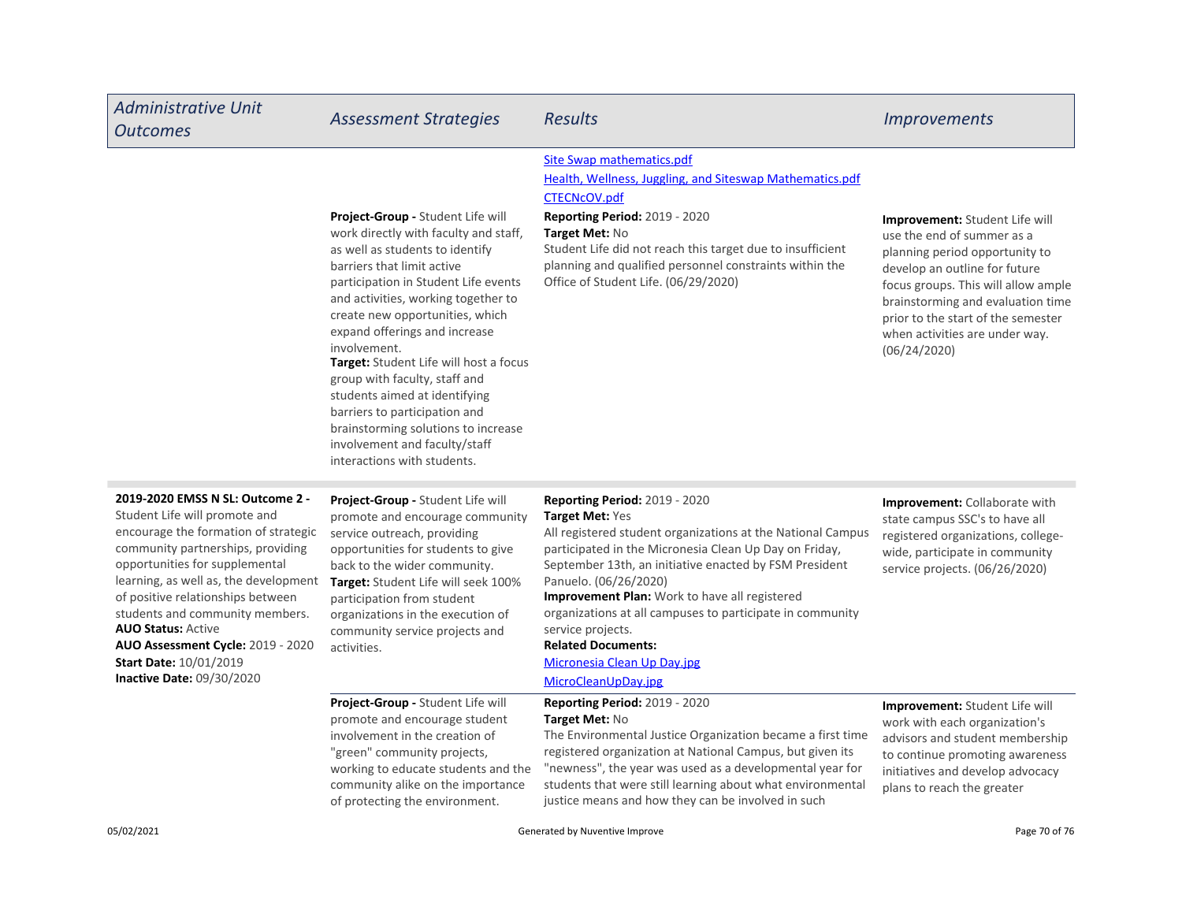| <b>Administrative Unit</b><br><b>Outcomes</b>                                                                                                                                                                                                                                                                                                                                                                                                   | <b>Assessment Strategies</b>                                                                                                                                                                                                                                                                                                                                                                                                                                                                                                                                              | <b>Results</b>                                                                                                                                                                                                                                                                                                                                                                                                                                                                            | <i><u><b>Improvements</b></u></i>                                                                                                                                                                                                                                                                          |
|-------------------------------------------------------------------------------------------------------------------------------------------------------------------------------------------------------------------------------------------------------------------------------------------------------------------------------------------------------------------------------------------------------------------------------------------------|---------------------------------------------------------------------------------------------------------------------------------------------------------------------------------------------------------------------------------------------------------------------------------------------------------------------------------------------------------------------------------------------------------------------------------------------------------------------------------------------------------------------------------------------------------------------------|-------------------------------------------------------------------------------------------------------------------------------------------------------------------------------------------------------------------------------------------------------------------------------------------------------------------------------------------------------------------------------------------------------------------------------------------------------------------------------------------|------------------------------------------------------------------------------------------------------------------------------------------------------------------------------------------------------------------------------------------------------------------------------------------------------------|
|                                                                                                                                                                                                                                                                                                                                                                                                                                                 | <b>Project-Group - Student Life will</b><br>work directly with faculty and staff,<br>as well as students to identify<br>barriers that limit active<br>participation in Student Life events<br>and activities, working together to<br>create new opportunities, which<br>expand offerings and increase<br>involvement.<br>Target: Student Life will host a focus<br>group with faculty, staff and<br>students aimed at identifying<br>barriers to participation and<br>brainstorming solutions to increase<br>involvement and faculty/staff<br>interactions with students. | Site Swap mathematics.pdf<br>Health, Wellness, Juggling, and Siteswap Mathematics.pdf<br><b>CTECNcOV.pdf</b><br><b>Reporting Period: 2019 - 2020</b><br>Target Met: No<br>Student Life did not reach this target due to insufficient<br>planning and qualified personnel constraints within the<br>Office of Student Life. (06/29/2020)                                                                                                                                                   | <b>Improvement:</b> Student Life will<br>use the end of summer as a<br>planning period opportunity to<br>develop an outline for future<br>focus groups. This will allow ample<br>brainstorming and evaluation time<br>prior to the start of the semester<br>when activities are under way.<br>(06/24/2020) |
| 2019-2020 EMSS N SL: Outcome 2 -<br>Student Life will promote and<br>encourage the formation of strategic<br>community partnerships, providing<br>opportunities for supplemental<br>learning, as well as, the development<br>of positive relationships between<br>students and community members.<br><b>AUO Status: Active</b><br><b>AUO Assessment Cycle: 2019 - 2020</b><br><b>Start Date: 10/01/2019</b><br><b>Inactive Date: 09/30/2020</b> | Project-Group - Student Life will<br>promote and encourage community<br>service outreach, providing<br>opportunities for students to give<br>back to the wider community.<br>Target: Student Life will seek 100%<br>participation from student<br>organizations in the execution of<br>community service projects and<br>activities.                                                                                                                                                                                                                                      | <b>Reporting Period: 2019 - 2020</b><br>Target Met: Yes<br>All registered student organizations at the National Campus<br>participated in the Micronesia Clean Up Day on Friday,<br>September 13th, an initiative enacted by FSM President<br>Panuelo. (06/26/2020)<br>Improvement Plan: Work to have all registered<br>organizations at all campuses to participate in community<br>service projects.<br><b>Related Documents:</b><br>Micronesia Clean Up Day.jpg<br>MicroCleanUpDay.jpg | Improvement: Collaborate with<br>state campus SSC's to have all<br>registered organizations, college-<br>wide, participate in community<br>service projects. (06/26/2020)                                                                                                                                  |
|                                                                                                                                                                                                                                                                                                                                                                                                                                                 | Project-Group - Student Life will<br>promote and encourage student<br>involvement in the creation of<br>"green" community projects,<br>working to educate students and the<br>community alike on the importance<br>of protecting the environment.                                                                                                                                                                                                                                                                                                                         | Reporting Period: 2019 - 2020<br>Target Met: No<br>The Environmental Justice Organization became a first time<br>registered organization at National Campus, but given its<br>"newness", the year was used as a developmental year for<br>students that were still learning about what environmental<br>justice means and how they can be involved in such                                                                                                                                | Improvement: Student Life will<br>work with each organization's<br>advisors and student membership<br>to continue promoting awareness<br>initiatives and develop advocacy<br>plans to reach the greater                                                                                                    |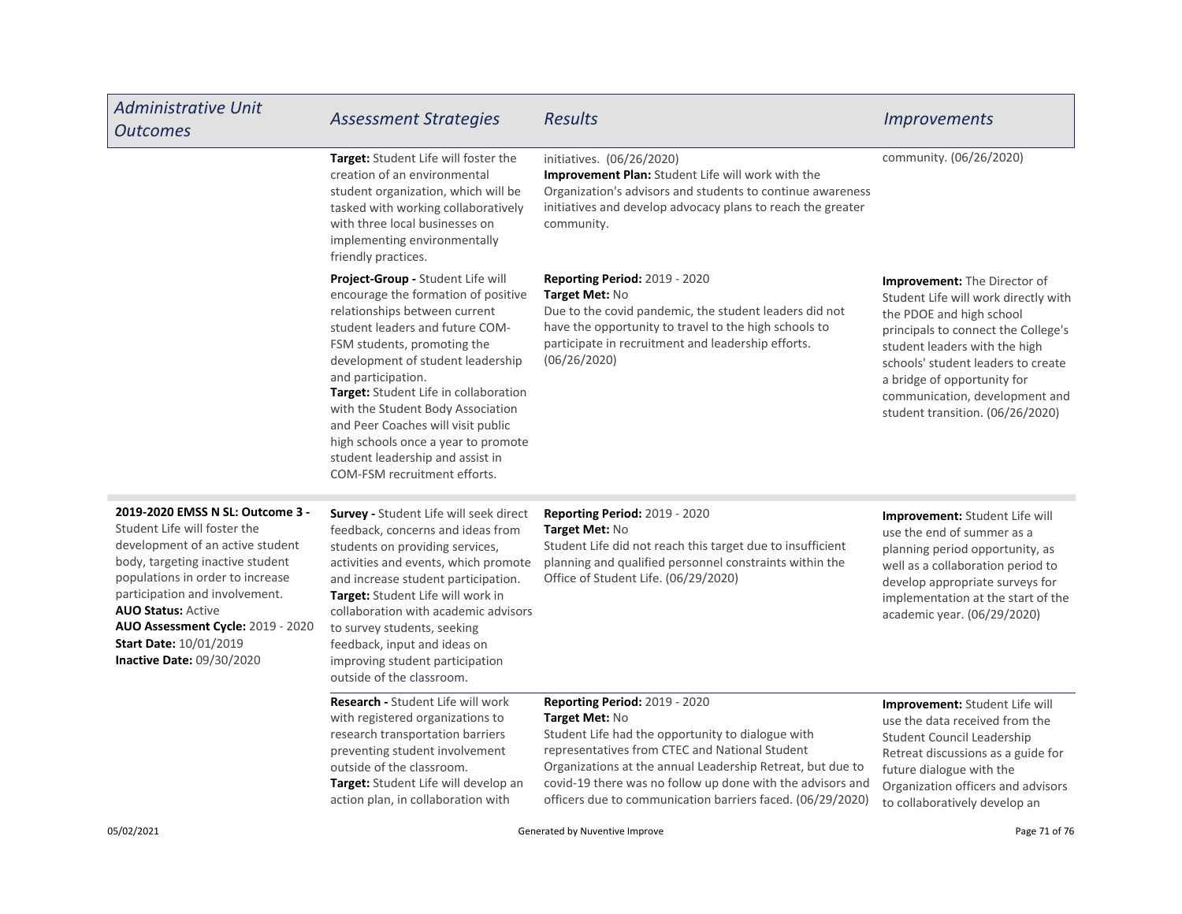| <b>Administrative Unit</b><br><b>Outcomes</b>                                                                                                                                                                                                                                                                                                  | <b>Assessment Strategies</b>                                                                                                                                                                                                                                                                                                                                                                                                                                          | <b>Results</b>                                                                                                                                                                                                                                                                                                                                          | <i><u><b>Improvements</b></u></i>                                                                                                                                                                                                                                                                                          |
|------------------------------------------------------------------------------------------------------------------------------------------------------------------------------------------------------------------------------------------------------------------------------------------------------------------------------------------------|-----------------------------------------------------------------------------------------------------------------------------------------------------------------------------------------------------------------------------------------------------------------------------------------------------------------------------------------------------------------------------------------------------------------------------------------------------------------------|---------------------------------------------------------------------------------------------------------------------------------------------------------------------------------------------------------------------------------------------------------------------------------------------------------------------------------------------------------|----------------------------------------------------------------------------------------------------------------------------------------------------------------------------------------------------------------------------------------------------------------------------------------------------------------------------|
|                                                                                                                                                                                                                                                                                                                                                | Target: Student Life will foster the<br>creation of an environmental<br>student organization, which will be<br>tasked with working collaboratively<br>with three local businesses on<br>implementing environmentally<br>friendly practices.                                                                                                                                                                                                                           | initiatives. (06/26/2020)<br>Improvement Plan: Student Life will work with the<br>Organization's advisors and students to continue awareness<br>initiatives and develop advocacy plans to reach the greater<br>community.                                                                                                                               | community. (06/26/2020)                                                                                                                                                                                                                                                                                                    |
|                                                                                                                                                                                                                                                                                                                                                | Project-Group - Student Life will<br>encourage the formation of positive<br>relationships between current<br>student leaders and future COM-<br>FSM students, promoting the<br>development of student leadership<br>and participation.<br>Target: Student Life in collaboration<br>with the Student Body Association<br>and Peer Coaches will visit public<br>high schools once a year to promote<br>student leadership and assist in<br>COM-FSM recruitment efforts. | <b>Reporting Period: 2019 - 2020</b><br>Target Met: No<br>Due to the covid pandemic, the student leaders did not<br>have the opportunity to travel to the high schools to<br>participate in recruitment and leadership efforts.<br>(06/26/2020)                                                                                                         | <b>Improvement:</b> The Director of<br>Student Life will work directly with<br>the PDOE and high school<br>principals to connect the College's<br>student leaders with the high<br>schools' student leaders to create<br>a bridge of opportunity for<br>communication, development and<br>student transition. (06/26/2020) |
| 2019-2020 EMSS N SL: Outcome 3 -<br>Student Life will foster the<br>development of an active student<br>body, targeting inactive student<br>populations in order to increase<br>participation and involvement.<br><b>AUO Status: Active</b><br>AUO Assessment Cycle: 2019 - 2020<br><b>Start Date: 10/01/2019</b><br>Inactive Date: 09/30/2020 | Survey - Student Life will seek direct<br>feedback, concerns and ideas from<br>students on providing services,<br>activities and events, which promote<br>and increase student participation.<br>Target: Student Life will work in<br>collaboration with academic advisors<br>to survey students, seeking<br>feedback, input and ideas on<br>improving student participation<br>outside of the classroom.                                                             | <b>Reporting Period: 2019 - 2020</b><br>Target Met: No<br>Student Life did not reach this target due to insufficient<br>planning and qualified personnel constraints within the<br>Office of Student Life. (06/29/2020)                                                                                                                                 | Improvement: Student Life will<br>use the end of summer as a<br>planning period opportunity, as<br>well as a collaboration period to<br>develop appropriate surveys for<br>implementation at the start of the<br>academic year. (06/29/2020)                                                                               |
|                                                                                                                                                                                                                                                                                                                                                | Research - Student Life will work<br>with registered organizations to<br>research transportation barriers<br>preventing student involvement<br>outside of the classroom.<br>Target: Student Life will develop an<br>action plan, in collaboration with                                                                                                                                                                                                                | <b>Reporting Period: 2019 - 2020</b><br>Target Met: No<br>Student Life had the opportunity to dialogue with<br>representatives from CTEC and National Student<br>Organizations at the annual Leadership Retreat, but due to<br>covid-19 there was no follow up done with the advisors and<br>officers due to communication barriers faced. (06/29/2020) | Improvement: Student Life will<br>use the data received from the<br>Student Council Leadership<br>Retreat discussions as a guide for<br>future dialogue with the<br>Organization officers and advisors<br>to collaboratively develop an                                                                                    |
| 05/02/2021                                                                                                                                                                                                                                                                                                                                     | Generated by Nuventive Improve                                                                                                                                                                                                                                                                                                                                                                                                                                        |                                                                                                                                                                                                                                                                                                                                                         | Page 71 of 76                                                                                                                                                                                                                                                                                                              |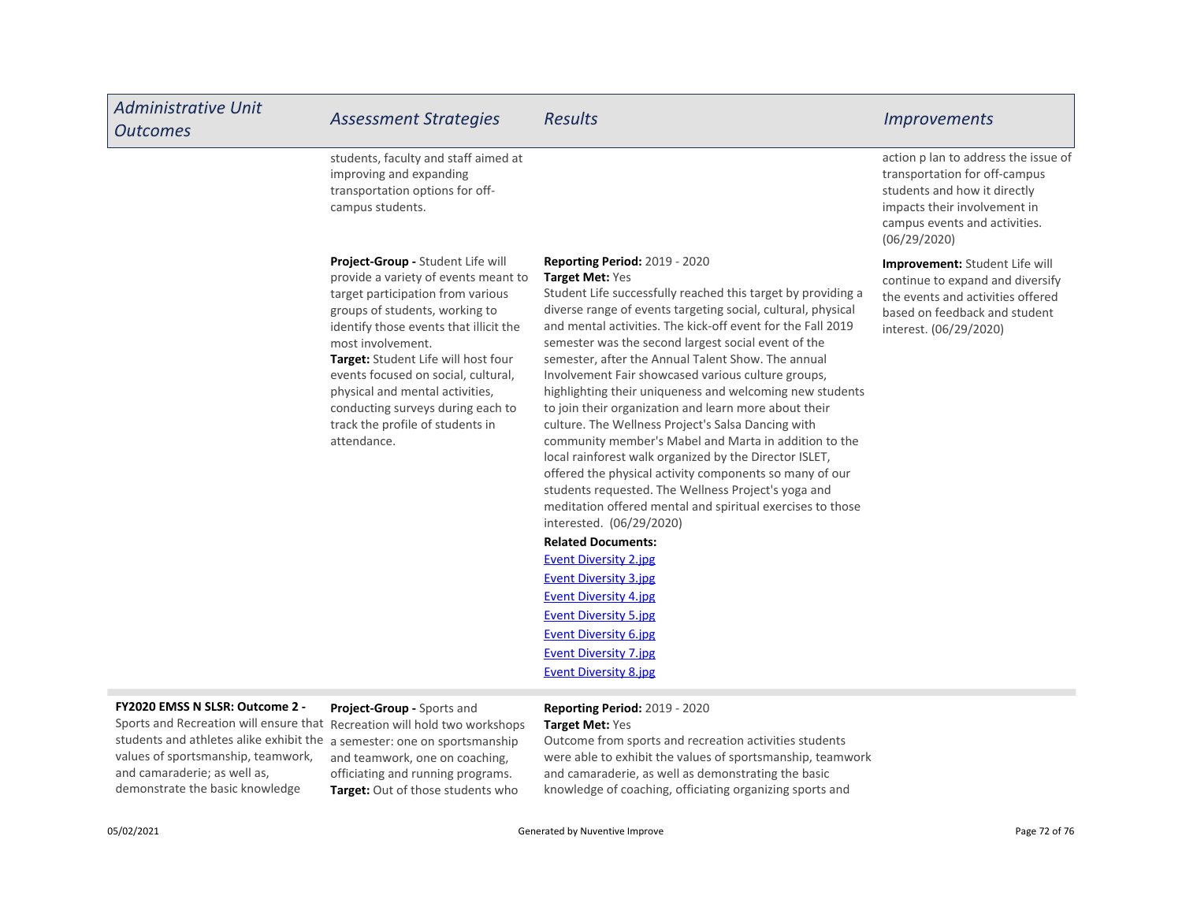| <b>Administrative Unit</b><br><b>Outcomes</b> | <b>Assessment Strategies</b>                                                                                                                                                                                                                                                                                                                                                                                             | <b>Results</b>                                                                                                                                                                                                                                                                                                                                                                                                                                                                                                                                                                                                                                                                                                                                                                                                                                                                                                                      | <b>Improvements</b>                                                                                                                                                                    |
|-----------------------------------------------|--------------------------------------------------------------------------------------------------------------------------------------------------------------------------------------------------------------------------------------------------------------------------------------------------------------------------------------------------------------------------------------------------------------------------|-------------------------------------------------------------------------------------------------------------------------------------------------------------------------------------------------------------------------------------------------------------------------------------------------------------------------------------------------------------------------------------------------------------------------------------------------------------------------------------------------------------------------------------------------------------------------------------------------------------------------------------------------------------------------------------------------------------------------------------------------------------------------------------------------------------------------------------------------------------------------------------------------------------------------------------|----------------------------------------------------------------------------------------------------------------------------------------------------------------------------------------|
|                                               | students, faculty and staff aimed at<br>improving and expanding<br>transportation options for off-<br>campus students.                                                                                                                                                                                                                                                                                                   |                                                                                                                                                                                                                                                                                                                                                                                                                                                                                                                                                                                                                                                                                                                                                                                                                                                                                                                                     | action p lan to address the issue of<br>transportation for off-campus<br>students and how it directly<br>impacts their involvement in<br>campus events and activities.<br>(06/29/2020) |
|                                               | Project-Group - Student Life will<br>provide a variety of events meant to<br>target participation from various<br>groups of students, working to<br>identify those events that illicit the<br>most involvement.<br>Target: Student Life will host four<br>events focused on social, cultural,<br>physical and mental activities,<br>conducting surveys during each to<br>track the profile of students in<br>attendance. | <b>Reporting Period: 2019 - 2020</b><br>Target Met: Yes<br>Student Life successfully reached this target by providing a<br>diverse range of events targeting social, cultural, physical<br>and mental activities. The kick-off event for the Fall 2019<br>semester was the second largest social event of the<br>semester, after the Annual Talent Show. The annual<br>Involvement Fair showcased various culture groups,<br>highlighting their uniqueness and welcoming new students<br>to join their organization and learn more about their<br>culture. The Wellness Project's Salsa Dancing with<br>community member's Mabel and Marta in addition to the<br>local rainforest walk organized by the Director ISLET,<br>offered the physical activity components so many of our<br>students requested. The Wellness Project's yoga and<br>meditation offered mental and spiritual exercises to those<br>interested. (06/29/2020) | Improvement: Student Life will<br>continue to expand and diversify<br>the events and activities offered<br>based on feedback and student<br>interest. (06/29/2020)                     |
|                                               |                                                                                                                                                                                                                                                                                                                                                                                                                          | <b>Related Documents:</b>                                                                                                                                                                                                                                                                                                                                                                                                                                                                                                                                                                                                                                                                                                                                                                                                                                                                                                           |                                                                                                                                                                                        |
|                                               |                                                                                                                                                                                                                                                                                                                                                                                                                          | <b>Event Diversity 2.jpg</b>                                                                                                                                                                                                                                                                                                                                                                                                                                                                                                                                                                                                                                                                                                                                                                                                                                                                                                        |                                                                                                                                                                                        |
|                                               |                                                                                                                                                                                                                                                                                                                                                                                                                          | <b>Event Diversity 3.jpg</b>                                                                                                                                                                                                                                                                                                                                                                                                                                                                                                                                                                                                                                                                                                                                                                                                                                                                                                        |                                                                                                                                                                                        |
|                                               |                                                                                                                                                                                                                                                                                                                                                                                                                          | <b>Event Diversity 4.jpg</b>                                                                                                                                                                                                                                                                                                                                                                                                                                                                                                                                                                                                                                                                                                                                                                                                                                                                                                        |                                                                                                                                                                                        |
|                                               |                                                                                                                                                                                                                                                                                                                                                                                                                          | <b>Event Diversity 5.jpg</b>                                                                                                                                                                                                                                                                                                                                                                                                                                                                                                                                                                                                                                                                                                                                                                                                                                                                                                        |                                                                                                                                                                                        |
|                                               |                                                                                                                                                                                                                                                                                                                                                                                                                          | <b>Event Diversity 6.jpg</b>                                                                                                                                                                                                                                                                                                                                                                                                                                                                                                                                                                                                                                                                                                                                                                                                                                                                                                        |                                                                                                                                                                                        |
|                                               |                                                                                                                                                                                                                                                                                                                                                                                                                          | <b>Event Diversity 7.jpg</b>                                                                                                                                                                                                                                                                                                                                                                                                                                                                                                                                                                                                                                                                                                                                                                                                                                                                                                        |                                                                                                                                                                                        |

# FY2020 EMSS N SLSR: Outcome 2 -

Sports and Recreation will ensure that Recreation will hold two workshops students and athletes alike exhibit the a semester: one on sportsmanship values of sportsmanship, teamwork, and camaraderie; as well as, demonstrate the basic knowledge

# Project-Group - Sports and

Target: Out of those students who and teamwork, one on coaching, officiating and running programs.

# Reporting Period: 2019 - 2020 Target Met: Yes

Event Diversity 8.jpg

Outcome from sports and recreation activities students were able to exhibit the values of sportsmanship, teamwork and camaraderie, as well as demonstrating the basic knowledge of coaching, officiating organizing sports and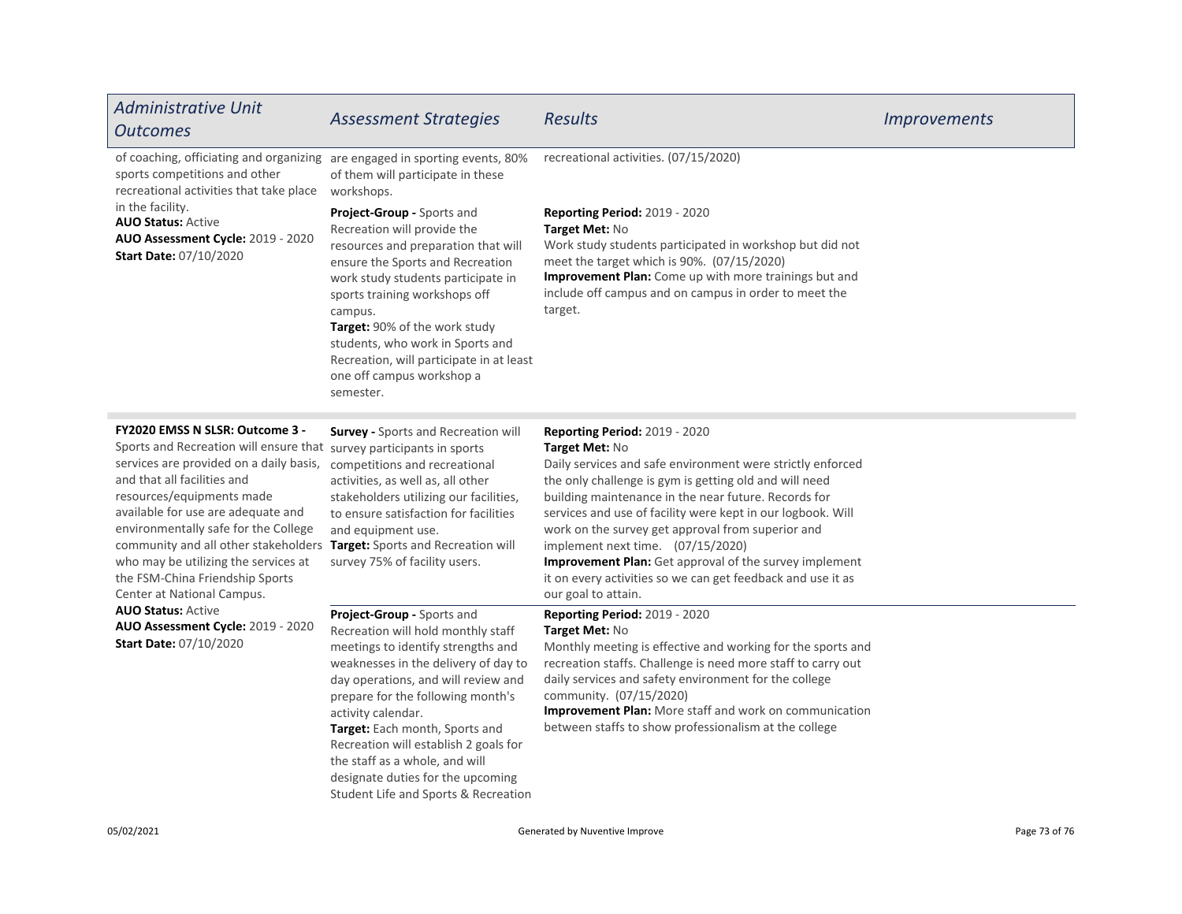| <b>Administrative Unit</b><br><b>Outcomes</b>                                                                                                                                                                                                                                                                                                                                                                                                                                                                                                                                       | <b>Assessment Strategies</b>                                                                                                                                                                                                                                                                                                                                                                                                               | <b>Results</b>                                                                                                                                                                                                                                                                                                                                                                                                                                                                                                                                  | <i><u><b>Improvements</b></u></i> |
|-------------------------------------------------------------------------------------------------------------------------------------------------------------------------------------------------------------------------------------------------------------------------------------------------------------------------------------------------------------------------------------------------------------------------------------------------------------------------------------------------------------------------------------------------------------------------------------|--------------------------------------------------------------------------------------------------------------------------------------------------------------------------------------------------------------------------------------------------------------------------------------------------------------------------------------------------------------------------------------------------------------------------------------------|-------------------------------------------------------------------------------------------------------------------------------------------------------------------------------------------------------------------------------------------------------------------------------------------------------------------------------------------------------------------------------------------------------------------------------------------------------------------------------------------------------------------------------------------------|-----------------------------------|
| of coaching, officiating and organizing are engaged in sporting events, 80%<br>sports competitions and other<br>recreational activities that take place<br>in the facility.<br><b>AUO Status: Active</b><br><b>AUO Assessment Cycle: 2019 - 2020</b><br><b>Start Date: 07/10/2020</b>                                                                                                                                                                                                                                                                                               | of them will participate in these<br>workshops.                                                                                                                                                                                                                                                                                                                                                                                            | recreational activities. (07/15/2020)                                                                                                                                                                                                                                                                                                                                                                                                                                                                                                           |                                   |
|                                                                                                                                                                                                                                                                                                                                                                                                                                                                                                                                                                                     | Project-Group - Sports and<br>Recreation will provide the<br>resources and preparation that will<br>ensure the Sports and Recreation<br>work study students participate in<br>sports training workshops off<br>campus.<br>Target: 90% of the work study<br>students, who work in Sports and<br>Recreation, will participate in at least<br>one off campus workshop a<br>semester.                                                          | Reporting Period: 2019 - 2020<br>Target Met: No<br>Work study students participated in workshop but did not<br>meet the target which is 90%. (07/15/2020)<br>Improvement Plan: Come up with more trainings but and<br>include off campus and on campus in order to meet the<br>target.                                                                                                                                                                                                                                                          |                                   |
| FY2020 EMSS N SLSR: Outcome 3 -<br>Sports and Recreation will ensure that survey participants in sports<br>services are provided on a daily basis,<br>and that all facilities and<br>resources/equipments made<br>available for use are adequate and<br>environmentally safe for the College<br>community and all other stakeholders Target: Sports and Recreation will<br>who may be utilizing the services at<br>the FSM-China Friendship Sports<br>Center at National Campus.<br><b>AUO Status: Active</b><br>AUO Assessment Cycle: 2019 - 2020<br><b>Start Date: 07/10/2020</b> | <b>Survey - Sports and Recreation will</b><br>competitions and recreational<br>activities, as well as, all other<br>stakeholders utilizing our facilities,<br>to ensure satisfaction for facilities<br>and equipment use.<br>survey 75% of facility users.                                                                                                                                                                                 | <b>Reporting Period: 2019 - 2020</b><br>Target Met: No<br>Daily services and safe environment were strictly enforced<br>the only challenge is gym is getting old and will need<br>building maintenance in the near future. Records for<br>services and use of facility were kept in our logbook. Will<br>work on the survey get approval from superior and<br>implement next time. (07/15/2020)<br>Improvement Plan: Get approval of the survey implement<br>it on every activities so we can get feedback and use it as<br>our goal to attain. |                                   |
|                                                                                                                                                                                                                                                                                                                                                                                                                                                                                                                                                                                     | Project-Group - Sports and<br>Recreation will hold monthly staff<br>meetings to identify strengths and<br>weaknesses in the delivery of day to<br>day operations, and will review and<br>prepare for the following month's<br>activity calendar.<br>Target: Each month, Sports and<br>Recreation will establish 2 goals for<br>the staff as a whole, and will<br>designate duties for the upcoming<br>Student Life and Sports & Recreation | <b>Reporting Period: 2019 - 2020</b><br>Target Met: No<br>Monthly meeting is effective and working for the sports and<br>recreation staffs. Challenge is need more staff to carry out<br>daily services and safety environment for the college<br>community. (07/15/2020)<br>Improvement Plan: More staff and work on communication<br>between staffs to show professionalism at the college                                                                                                                                                    |                                   |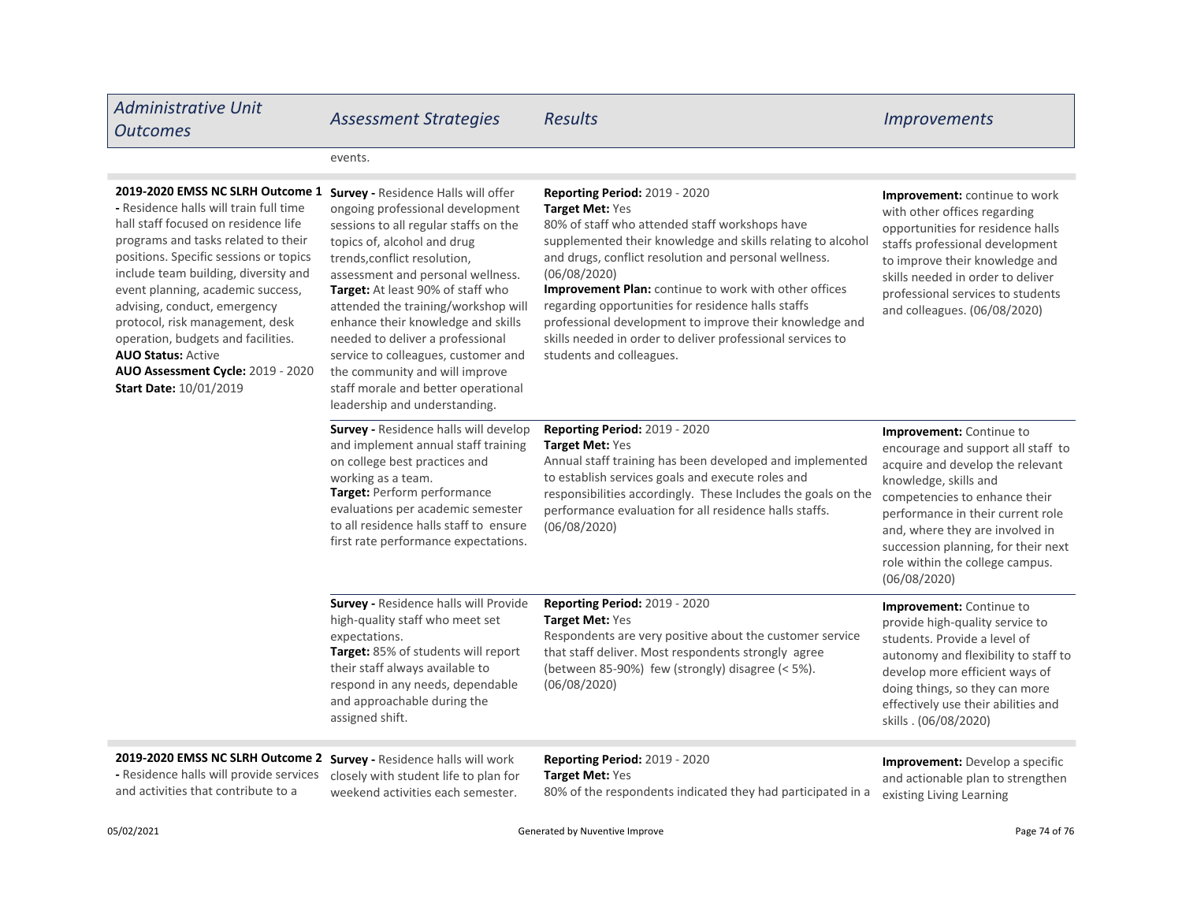| <b>Administrative Unit</b><br><b>Outcomes</b>                                                                                                                                                                                                                                                                                                                                                                                                                                                | <b>Assessment Strategies</b>                                                                                                                                                                                                                                                                                                                                                                                                                                                                                                | <b>Results</b>                                                                                                                                                                                                                                                                                                                                                                                                                                                                                                               | <i><u><b>Improvements</b></u></i>                                                                                                                                                                                                                                                                                              |
|----------------------------------------------------------------------------------------------------------------------------------------------------------------------------------------------------------------------------------------------------------------------------------------------------------------------------------------------------------------------------------------------------------------------------------------------------------------------------------------------|-----------------------------------------------------------------------------------------------------------------------------------------------------------------------------------------------------------------------------------------------------------------------------------------------------------------------------------------------------------------------------------------------------------------------------------------------------------------------------------------------------------------------------|------------------------------------------------------------------------------------------------------------------------------------------------------------------------------------------------------------------------------------------------------------------------------------------------------------------------------------------------------------------------------------------------------------------------------------------------------------------------------------------------------------------------------|--------------------------------------------------------------------------------------------------------------------------------------------------------------------------------------------------------------------------------------------------------------------------------------------------------------------------------|
|                                                                                                                                                                                                                                                                                                                                                                                                                                                                                              | events.                                                                                                                                                                                                                                                                                                                                                                                                                                                                                                                     |                                                                                                                                                                                                                                                                                                                                                                                                                                                                                                                              |                                                                                                                                                                                                                                                                                                                                |
| 2019-2020 EMSS NC SLRH Outcome 1<br>- Residence halls will train full time<br>hall staff focused on residence life<br>programs and tasks related to their<br>positions. Specific sessions or topics<br>include team building, diversity and<br>event planning, academic success,<br>advising, conduct, emergency<br>protocol, risk management, desk<br>operation, budgets and facilities.<br><b>AUO Status: Active</b><br>AUO Assessment Cycle: 2019 - 2020<br><b>Start Date: 10/01/2019</b> | Survey - Residence Halls will offer<br>ongoing professional development<br>sessions to all regular staffs on the<br>topics of, alcohol and drug<br>trends, conflict resolution,<br>assessment and personal wellness.<br>Target: At least 90% of staff who<br>attended the training/workshop will<br>enhance their knowledge and skills<br>needed to deliver a professional<br>service to colleagues, customer and<br>the community and will improve<br>staff morale and better operational<br>leadership and understanding. | <b>Reporting Period: 2019 - 2020</b><br>Target Met: Yes<br>80% of staff who attended staff workshops have<br>supplemented their knowledge and skills relating to alcohol<br>and drugs, conflict resolution and personal wellness.<br>(06/08/2020)<br><b>Improvement Plan:</b> continue to work with other offices<br>regarding opportunities for residence halls staffs<br>professional development to improve their knowledge and<br>skills needed in order to deliver professional services to<br>students and colleagues. | <b>Improvement:</b> continue to work<br>with other offices regarding<br>opportunities for residence halls<br>staffs professional development<br>to improve their knowledge and<br>skills needed in order to deliver<br>professional services to students<br>and colleagues. (06/08/2020)                                       |
|                                                                                                                                                                                                                                                                                                                                                                                                                                                                                              | Survey - Residence halls will develop<br>and implement annual staff training<br>on college best practices and<br>working as a team.<br>Target: Perform performance<br>evaluations per academic semester<br>to all residence halls staff to ensure<br>first rate performance expectations.                                                                                                                                                                                                                                   | Reporting Period: 2019 - 2020<br>Target Met: Yes<br>Annual staff training has been developed and implemented<br>to establish services goals and execute roles and<br>responsibilities accordingly. These Includes the goals on the<br>performance evaluation for all residence halls staffs.<br>(06/08/2020)                                                                                                                                                                                                                 | Improvement: Continue to<br>encourage and support all staff to<br>acquire and develop the relevant<br>knowledge, skills and<br>competencies to enhance their<br>performance in their current role<br>and, where they are involved in<br>succession planning, for their next<br>role within the college campus.<br>(06/08/2020) |
|                                                                                                                                                                                                                                                                                                                                                                                                                                                                                              | <b>Survey - Residence halls will Provide</b><br>high-quality staff who meet set<br>expectations.<br>Target: 85% of students will report<br>their staff always available to<br>respond in any needs, dependable<br>and approachable during the<br>assigned shift.                                                                                                                                                                                                                                                            | <b>Reporting Period: 2019 - 2020</b><br>Target Met: Yes<br>Respondents are very positive about the customer service<br>that staff deliver. Most respondents strongly agree<br>(between 85-90%) few (strongly) disagree (< 5%).<br>(06/08/2020)                                                                                                                                                                                                                                                                               | Improvement: Continue to<br>provide high-quality service to<br>students. Provide a level of<br>autonomy and flexibility to staff to<br>develop more efficient ways of<br>doing things, so they can more<br>effectively use their abilities and<br>skills . (06/08/2020)                                                        |
| 2019-2020 EMSS NC SLRH Outcome 2 Survey - Residence halls will work<br>- Residence halls will provide services closely with student life to plan for                                                                                                                                                                                                                                                                                                                                         |                                                                                                                                                                                                                                                                                                                                                                                                                                                                                                                             | Reporting Period: 2019 - 2020<br>Target Met: Yes                                                                                                                                                                                                                                                                                                                                                                                                                                                                             | <b>Improvement:</b> Develop a specific<br>and actionable plan to strengthen                                                                                                                                                                                                                                                    |

weekend activities each semester. and activities that contribute to a

80% of the respondents indicated they had participated in a

existing Living Learning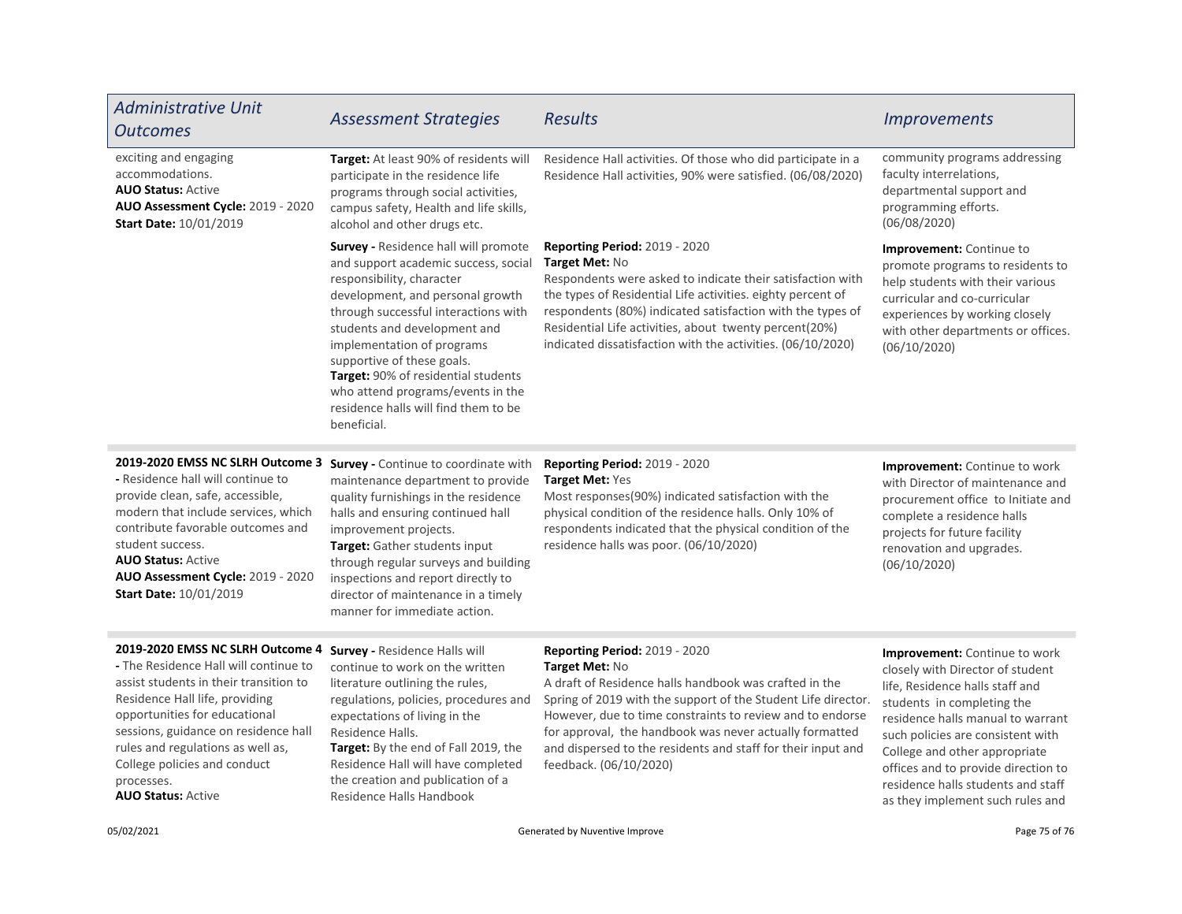| <b>Administrative Unit</b><br><b>Outcomes</b>                                                                                                                                                                                                                                                                                                  | <b>Assessment Strategies</b>                                                                                                                                                                                                                                                                                                                                                                                         | <b>Results</b>                                                                                                                                                                                                                                                                                                                                                                                      | <i><u><b>Improvements</b></u></i>                                                                                                                                                                                                                                                                                                                              |
|------------------------------------------------------------------------------------------------------------------------------------------------------------------------------------------------------------------------------------------------------------------------------------------------------------------------------------------------|----------------------------------------------------------------------------------------------------------------------------------------------------------------------------------------------------------------------------------------------------------------------------------------------------------------------------------------------------------------------------------------------------------------------|-----------------------------------------------------------------------------------------------------------------------------------------------------------------------------------------------------------------------------------------------------------------------------------------------------------------------------------------------------------------------------------------------------|----------------------------------------------------------------------------------------------------------------------------------------------------------------------------------------------------------------------------------------------------------------------------------------------------------------------------------------------------------------|
| exciting and engaging<br>accommodations.<br><b>AUO Status: Active</b><br><b>AUO Assessment Cycle: 2019 - 2020</b><br><b>Start Date: 10/01/2019</b>                                                                                                                                                                                             | Target: At least 90% of residents will<br>participate in the residence life<br>programs through social activities,<br>campus safety, Health and life skills,<br>alcohol and other drugs etc.                                                                                                                                                                                                                         | Residence Hall activities. Of those who did participate in a<br>Residence Hall activities, 90% were satisfied. (06/08/2020)                                                                                                                                                                                                                                                                         | community programs addressing<br>faculty interrelations,<br>departmental support and<br>programming efforts.<br>(06/08/2020)                                                                                                                                                                                                                                   |
|                                                                                                                                                                                                                                                                                                                                                | Survey - Residence hall will promote<br>and support academic success, social<br>responsibility, character<br>development, and personal growth<br>through successful interactions with<br>students and development and<br>implementation of programs<br>supportive of these goals.<br>Target: 90% of residential students<br>who attend programs/events in the<br>residence halls will find them to be<br>beneficial. | Reporting Period: 2019 - 2020<br>Target Met: No<br>Respondents were asked to indicate their satisfaction with<br>the types of Residential Life activities. eighty percent of<br>respondents (80%) indicated satisfaction with the types of<br>Residential Life activities, about twenty percent(20%)<br>indicated dissatisfaction with the activities. (06/10/2020)                                 | Improvement: Continue to<br>promote programs to residents to<br>help students with their various<br>curricular and co-curricular<br>experiences by working closely<br>with other departments or offices.<br>(06/10/2020)                                                                                                                                       |
| 2019-2020 EMSS NC SLRH Outcome 3<br>- Residence hall will continue to<br>provide clean, safe, accessible,<br>modern that include services, which<br>contribute favorable outcomes and<br>student success.<br><b>AUO Status: Active</b><br>AUO Assessment Cycle: 2019 - 2020<br><b>Start Date: 10/01/2019</b>                                   | <b>Survey - Continue to coordinate with</b><br>maintenance department to provide<br>quality furnishings in the residence<br>halls and ensuring continued hall<br>improvement projects.<br>Target: Gather students input<br>through regular surveys and building<br>inspections and report directly to<br>director of maintenance in a timely<br>manner for immediate action.                                         | <b>Reporting Period: 2019 - 2020</b><br>Target Met: Yes<br>Most responses(90%) indicated satisfaction with the<br>physical condition of the residence halls. Only 10% of<br>respondents indicated that the physical condition of the<br>residence halls was poor. (06/10/2020)                                                                                                                      | <b>Improvement:</b> Continue to work<br>with Director of maintenance and<br>procurement office to Initiate and<br>complete a residence halls<br>projects for future facility<br>renovation and upgrades.<br>(06/10/2020)                                                                                                                                       |
| 2019-2020 EMSS NC SLRH Outcome 4<br>- The Residence Hall will continue to<br>assist students in their transition to<br>Residence Hall life, providing<br>opportunities for educational<br>sessions, guidance on residence hall<br>rules and regulations as well as,<br>College policies and conduct<br>processes.<br><b>AUO Status: Active</b> | <b>Survey - Residence Halls will</b><br>continue to work on the written<br>literature outlining the rules,<br>regulations, policies, procedures and<br>expectations of living in the<br>Residence Halls.<br>Target: By the end of Fall 2019, the<br>Residence Hall will have completed<br>the creation and publication of a<br>Residence Halls Handbook                                                              | <b>Reporting Period: 2019 - 2020</b><br>Target Met: No<br>A draft of Residence halls handbook was crafted in the<br>Spring of 2019 with the support of the Student Life director.<br>However, due to time constraints to review and to endorse<br>for approval, the handbook was never actually formatted<br>and dispersed to the residents and staff for their input and<br>feedback. (06/10/2020) | Improvement: Continue to work<br>closely with Director of student<br>life, Residence halls staff and<br>students in completing the<br>residence halls manual to warrant<br>such policies are consistent with<br>College and other appropriate<br>offices and to provide direction to<br>residence halls students and staff<br>as they implement such rules and |